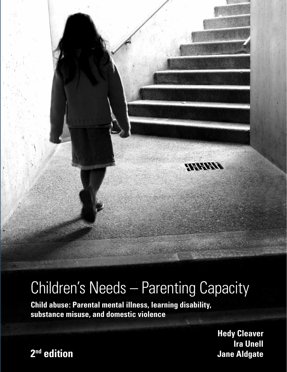# THEFEN

# Children's Needs – Parenting Capacity

**Child abuse: Parental mental illness, learning disability, substance misuse, and domestic violence**

> **Hedy Cleaver Ira Unell Jane Aldgate**

# **2nd edition**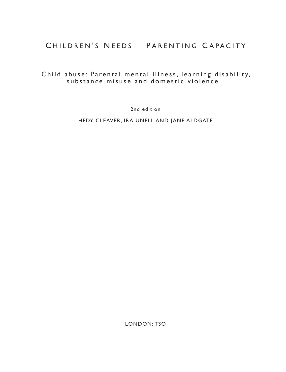# CHILDREN'S NEEDS - PARENTING CAPACITY

Child abuse: Parental mental illness, learning disability, substance misuse and domestic violence

2nd edition

HEDY CLEAVER, IRA UNELL AND JANE ALDGATE

LONDON: TSO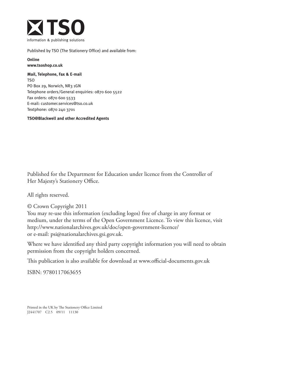

Published by TSO (The Stationery Office) and available from:

#### **Online** www.tsoshop.co.uk

Mail, Telephone, Fax & E-mail **TSO** PO Box 29, Norwich, NR3 1GN Telephone orders/General enquiries: 0870 600 5522 Fax orders: 0870 600 5533 E-mail: customer.services@tso.co.uk Textphone: 0870 240 3701

**TSO@Blackwell and other Accredited Agents** 

Published for the Department for Education under licence from the Controller of Her Majesty's Stationery Office.

All rights reserved.

© Crown Copyright 2011

You may re-use this information (excluding logos) free of charge in any format or medium, under the terms of the Open Government Licence. To view this licence, visit http://www.nationalarchives.gov.uk/doc/open-government-licence/ or e-mail: psi@nationalarchives.gsi.gov.uk.

Where we have identified any third party copyright information you will need to obtain permission from the copyright holders concerned.

This publication is also available for download at www.official-documents.gov.uk

ISBN: 9780117063655

Printed in the UK by The Stationery Office Limited J2441707 C2.5 09/11 11130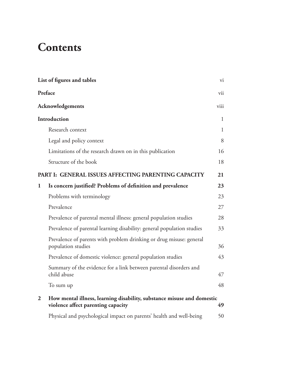# **Contents**

| List of figures and tables |                                                                                                              |              |  |  |
|----------------------------|--------------------------------------------------------------------------------------------------------------|--------------|--|--|
| Preface                    |                                                                                                              |              |  |  |
|                            | Acknowledgements                                                                                             |              |  |  |
| Introduction               |                                                                                                              |              |  |  |
|                            | Research context                                                                                             | $\mathbf{1}$ |  |  |
|                            | Legal and policy context                                                                                     | 8            |  |  |
|                            | Limitations of the research drawn on in this publication                                                     | 16           |  |  |
|                            | Structure of the book                                                                                        | 18           |  |  |
|                            | PART I: GENERAL ISSUES AFFECTING PARENTING CAPACITY                                                          | 21           |  |  |
| 1                          | Is concern justified? Problems of definition and prevalence                                                  | 23           |  |  |
|                            | Problems with terminology                                                                                    | 23           |  |  |
|                            | Prevalence                                                                                                   | 27           |  |  |
|                            | Prevalence of parental mental illness: general population studies                                            | 28           |  |  |
|                            | Prevalence of parental learning disability: general population studies                                       | 33           |  |  |
|                            | Prevalence of parents with problem drinking or drug misuse: general<br>population studies                    | 36           |  |  |
|                            | Prevalence of domestic violence: general population studies                                                  | 43           |  |  |
|                            | Summary of the evidence for a link between parental disorders and<br>child abuse                             | 47           |  |  |
|                            | To sum up                                                                                                    | 48           |  |  |
| $\mathbf{2}$               | How mental illness, learning disability, substance misuse and domestic<br>violence affect parenting capacity | 49           |  |  |
|                            | Physical and psychological impact on parents' health and well-being                                          | 50           |  |  |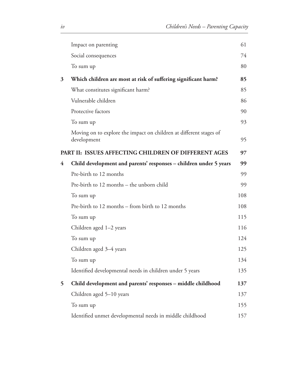|   | Impact on parenting                                                               | 61  |
|---|-----------------------------------------------------------------------------------|-----|
|   | Social consequences                                                               | 74  |
|   | To sum up                                                                         | 80  |
| 3 | Which children are most at risk of suffering significant harm?                    | 85  |
|   | What constitutes significant harm?                                                | 85  |
|   | Vulnerable children                                                               | 86  |
|   | Protective factors                                                                | 90  |
|   | To sum up                                                                         | 93  |
|   | Moving on to explore the impact on children at different stages of<br>development | 95  |
|   | PART II: ISSUES AFFECTING CHILDREN OF DIFFERENT AGES                              | 97  |
| 4 | Child development and parents' responses - children under 5 years                 | 99  |
|   | Pre-birth to 12 months                                                            | 99  |
|   | Pre-birth to 12 months – the unborn child                                         | 99  |
|   | To sum up                                                                         | 108 |
|   | Pre-birth to 12 months - from birth to 12 months                                  | 108 |
|   | To sum up                                                                         | 115 |
|   | Children aged 1–2 years                                                           | 116 |
|   | To sum up                                                                         | 124 |
|   | Children aged 3-4 years                                                           | 125 |
|   | To sum up                                                                         | 134 |
|   | Identified developmental needs in children under 5 years                          | 135 |
| 5 | Child development and parents' responses - middle childhood                       | 137 |
|   | Children aged 5-10 years                                                          | 137 |
|   | To sum up                                                                         | 155 |
|   | Identified unmet developmental needs in middle childhood                          | 157 |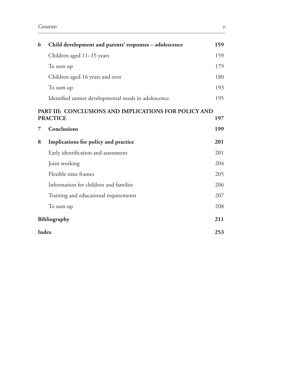| 6                                                                               | Child development and parents' responses - adolescence |     |  |  |
|---------------------------------------------------------------------------------|--------------------------------------------------------|-----|--|--|
|                                                                                 | Children aged 11-15 years                              | 159 |  |  |
|                                                                                 | To sum up                                              | 179 |  |  |
|                                                                                 | Children aged 16 years and over                        | 180 |  |  |
|                                                                                 | To sum up                                              | 193 |  |  |
|                                                                                 | Identified unmet developmental needs in adolescence    | 195 |  |  |
| PART III: CONCLUSIONS AND IMPLICATIONS FOR POLICY AND<br><b>PRACTICE</b><br>197 |                                                        |     |  |  |
| 7                                                                               | Conclusions                                            | 199 |  |  |
| 8                                                                               | Implications for policy and practice                   | 201 |  |  |
|                                                                                 | Early identification and assessment                    | 201 |  |  |
|                                                                                 | Joint working                                          | 204 |  |  |
|                                                                                 | Flexible time frames                                   | 205 |  |  |
|                                                                                 | Information for children and families                  | 206 |  |  |
|                                                                                 | Training and educational requirements                  | 207 |  |  |
|                                                                                 | To sum up                                              | 208 |  |  |
|                                                                                 | Bibliography<br>211                                    |     |  |  |
|                                                                                 | Index<br>253                                           |     |  |  |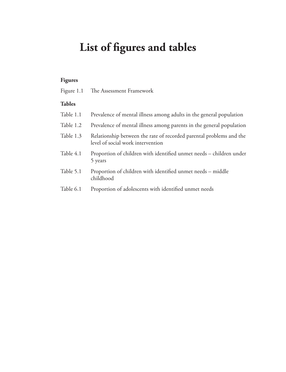# **List of figures and tables**

#### **Figures**

Figure 1.1 The Assessment Framework

#### **Tables**

- Table 1.1 Prevalence of mental illness among adults in the general population
- Table 1.2 Prevalence of mental illness among parents in the general population
- Table 1.3 Relationship between the rate of recorded parental problems and the level of social work intervention
- Table 4.1 Proportion of children with identified unmet needs children under 5 years
- Table 5.1 Proportion of children with identified unmet needs middle childhood
- Table 6.1 Proportion of adolescents with identified unmet needs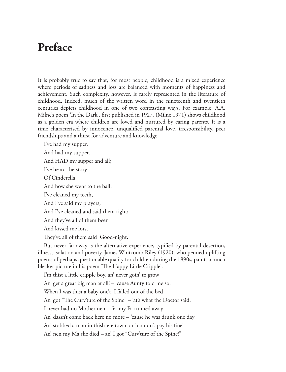# **Preface**

It is probably true to say that, for most people, childhood is a mixed experience where periods of sadness and loss are balanced with moments of happiness and achievement. Such complexity, however, is rarely represented in the literature of childhood. Indeed, much of the written word in the nineteenth and twentieth centuries depicts childhood in one of two contrasting ways. For example, A.A. Milne's poem 'In the Dark', first published in 1927, (Milne 1971) shows childhood as a golden era where children are loved and nurtured by caring parents. It is a time characterised by innocence, unqualified parental love, irresponsibility, peer friendships and a thirst for adventure and knowledge.

I've had my supper,

And had my supper, And HAD my supper and all;

I've heard the story

Of Cinderella,

And how she went to the ball;

I've cleaned my teeth,

And I've said my prayers,

And I've cleaned and said them right;

And they've all of them been

And kissed me lots,

They've all of them said 'Good-night.'

But never far away is the alternative experience, typified by parental desertion, illness, isolation and poverty. James Whitcomb Riley (1920), who penned uplifting poems of perhaps questionable quality for children during the 1890s, paints a much bleaker picture in his poem 'The Happy Little Cripple'.

I'm thist a little cripple boy, an' never goin' to grow An' get a great big man at all! – 'cause Aunty told me so. When I was thist a baby onc't, I falled out of the bed An' got "The Curv'ture of the Spine" – 'at's what the Doctor said. I never had no Mother nen – fer my Pa runned away An' dassn't come back here no more – 'cause he was drunk one day An' stobbed a man in thish-ere town, an' couldn't pay his fine! An' nen my Ma she died – an' I got "Curv'ture of the Spine!"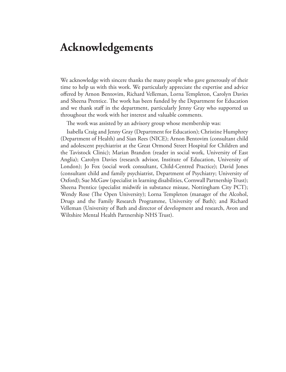# **Acknowledgements**

We acknowledge with sincere thanks the many people who gave generously of their time to help us with this work. We particularly appreciate the expertise and advice offered by Arnon Bentovim, Richard Velleman, Lorna Templeton, Carolyn Davies and Sheena Prentice. The work has been funded by the Department for Education and we thank staff in the department, particularly Jenny Gray who supported us throughout the work with her interest and valuable comments.

The work was assisted by an advisory group whose membership was:

Isabella Craig and Jenny Gray (Department for Education); Christine Humphrey (Department of Health) and Sian Rees (NICE); Arnon Bentovim (consultant child and adolescent psychiatrist at the Great Ormond Street Hospital for Children and the Tavistock Clinic); Marian Brandon (reader in social work, University of East Anglia); Carolyn Davies (research advisor, Institute of Education, University of London); Jo Fox (social work consultant, Child-Centred Practice); David Jones (consultant child and family psychiatrist, Department of Psychiatry; University of Oxford); Sue McGaw (specialist in learning disabilities, Cornwall Partnership Trust); Sheena Prentice (specialist midwife in substance misuse, Nottingham City PCT); Wendy Rose (The Open University); Lorna Templeton (manager of the Alcohol, Drugs and the Family Research Programme, University of Bath); and Richard Velleman (University of Bath and director of development and research, Avon and Wiltshire Mental Health Partnership NHS Trust).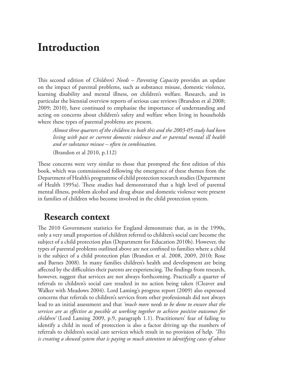# **Introduction**

This second edition of *Children's Needs – Parenting Capacity* provides an update on the impact of parental problems, such as substance misuse, domestic violence, learning disability and mental illness, on children's welfare. Research, and in particular the biennial overview reports of serious case reviews (Brandon et al 2008; 2009; 2010), have continued to emphasise the importance of understanding and acting on concerns about children's safety and welfare when living in households where these types of parental problems are present.

*Almost three quarters of the children in both this and the 2003-05 study had been living with past or current domestic violence and or parental mental ill health and or substance misuse – often in combination.*

(Brandon et al 2010, p.112)

These concerns were very similar to those that prompted the first edition of this book, which was commissioned following the emergence of these themes from the Department of Health's programme of child protection research studies (Department of Health 1995a). These studies had demonstrated that a high level of parental mental illness, problem alcohol and drug abuse and domestic violence were present in families of children who become involved in the child protection system.

# **Research context**

The 2010 Government statistics for England demonstrate that, as in the 1990s, only a very small proportion of children referred to children's social care become the subject of a child protection plan (Department for Education 2010b). However, the types of parental problems outlined above are not confined to families where a child is the subject of a child protection plan (Brandon et al. 2008, 2009, 2010; Rose and Barnes 2008). In many families children's health and development are being affected by the difficulties their parents are experiencing. The findings from research, however, suggest that services are not always forthcoming. Practically a quarter of referrals to children's social care resulted in no action being taken (Cleaver and Walker with Meadows 2004). Lord Laming's progress report (2009) also expressed concerns that referrals to children's services from other professionals did not always lead to an initial assessment and that *'much more needs to be done to ensure that the services are as effective as possible at working together to achieve positive outcomes for children'* (Lord Laming 2009, p.9, paragraph 1.1). Practitioners' fear of failing to identify a child in need of protection is also a factor driving up the numbers of referrals to children's social care services which result in no provision of help. *'This is creating a skewed system that is paying so much attention to identifying cases of abuse*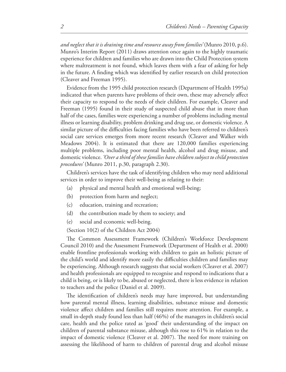*and neglect that it is draining time and resource away from families'* (Munro 2010, p.6). Munro's Interim Report (2011) draws attention once again to the highly traumatic experience for children and families who are drawn into the Child Protection system where maltreatment is not found, which leaves them with a fear of asking for help in the future. A finding which was identified by earlier research on child protection (Cleaver and Freeman 1995).

Evidence from the 1995 child protection research (Department of Health 1995a) indicated that when parents have problems of their own, these may adversely affect their capacity to respond to the needs of their children. For example, Cleaver and Freeman (1995) found in their study of suspected child abuse that in more than half of the cases, families were experiencing a number of problems including mental illness or learning disability, problem drinking and drug use, or domestic violence. A similar picture of the difficulties facing families who have been referred to children's social care services emerges from more recent research (Cleaver and Walker with Meadows 2004). It is estimated that there are 120,000 families experiencing multiple problems, including poor mental health, alcohol and drug misuse, and domestic violence. *'Over a third of these families have children subject to child protection procedures'* (Munro 2011, p.30, paragraph 2.30).

Children's services have the task of identifying children who may need additional services in order to improve their well-being as relating to their:

- (a) physical and mental health and emotional well-being;
- (b) protection from harm and neglect;
- (c) education, training and recreation;
- (d) the contribution made by them to society; and
- (e) social and economic well-being.

(Section 10(2) of the Children Act 2004)

The Common Assessment Framework (Children's Workforce Development Council 2010) and the Assessment Framework (Department of Health et al. 2000) enable frontline professionals working with children to gain an holistic picture of the child's world and identify more easily the difficulties children and families may be experiencing. Although research suggests that social workers (Cleaver et al. 2007) and health professionals are equipped to recognise and respond to indications that a child is being, or is likely to be, abused or neglected, there is less evidence in relation to teachers and the police (Daniel et al. 2009).

The identification of children's needs may have improved, but understanding how parental mental illness, learning disabilities, substance misuse and domestic violence affect children and families still requires more attention. For example, a small in-depth study found less than half (46%) of the managers in children's social care, health and the police rated as 'good' their understanding of the impact on children of parental substance misuse, although this rose to 61% in relation to the impact of domestic violence (Cleaver et al. 2007). The need for more training on assessing the likelihood of harm to children of parental drug and alcohol misuse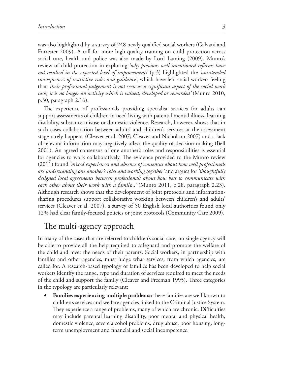was also highlighted by a survey of 248 newly qualified social workers (Galvani and Forrester 2009). A call for more high-quality training on child protection across social care, health and police was also made by Lord Laming (2009). Munro's review of child protection in exploring *'why previous well-intentioned reforms have not resulted in the expected level of improvements'* (p.3) highlighted the *'unintended consequences of restrictive rules and guidance'*, which have left social workers feeling that *'their professional judgement is not seen as a significant aspect of the social work task; it is no longer an activity which is valued, developed or rewarded'* (Munro 2010, p.30, paragraph 2.16).

The experience of professionals providing specialist services for adults can support assessments of children in need living with parental mental illness, learning disability, substance misuse or domestic violence. Research, however, shows that in such cases collaboration between adults' and children's services at the assessment stage rarely happens (Cleaver et al. 2007; Cleaver and Nicholson 2007) and a lack of relevant information may negatively affect the quality of decision making (Bell 2001). An agreed consensus of one another's roles and responsibilities is essential for agencies to work collaboratively. The evidence provided to the Munro review (2011) found *'mixed experiences and absence of consensus about how well professionals are understanding one another's roles and working together'* and argues for *'thoughtfully designed local agreements between professionals about how best to communicate with each other about their work with a family...'* (Munro 2011, p.28, paragraph 2.23). Although research shows that the development of joint protocols and informationsharing procedures support collaborative working between children's and adults' services (Cleaver et al. 2007), a survey of 50 English local authorities found only 12% had clear family-focused policies or joint protocols (Community Care 2009).

#### The multi-agency approach

In many of the cases that are referred to children's social care, no single agency will be able to provide all the help required to safeguard and promote the welfare of the child and meet the needs of their parents. Social workers, in partnership with families and other agencies, must judge what services, from which agencies, are called for. A research-based typology of families has been developed to help social workers identify the range, type and duration of services required to meet the needs of the child and support the family (Cleaver and Freeman 1995). Three categories in the typology are particularly relevant:

**• Families experiencing multiple problems:** these families are well known to children's services and welfare agencies linked to the Criminal Justice System. They experience a range of problems, many of which are chronic. Difficulties may include parental learning disability, poor mental and physical health, domestic violence, severe alcohol problems, drug abuse, poor housing, longterm unemployment and financial and social incompetence.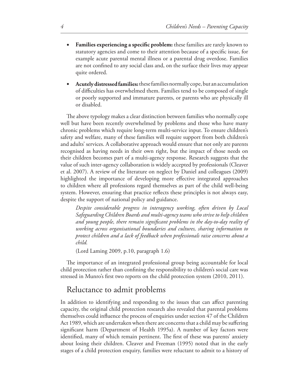- Families experiencing a specific problem: these families are rarely known to statutory agencies and come to their attention because of a specific issue, for example acute parental mental illness or a parental drug overdose. Families are not confined to any social class and, on the surface their lives may appear quite ordered.
- t **Acutely distressed families:** these families normally cope, but an accumulation of difficulties has overwhelmed them. Families tend to be composed of single or poorly supported and immature parents, or parents who are physically ill or disabled.

The above typology makes a clear distinction between families who normally cope well but have been recently overwhelmed by problems and those who have many chronic problems which require long-term multi-service input. To ensure children's safety and welfare, many of these families will require support from both children's and adults' services. A collaborative approach would ensure that not only are parents recognised as having needs in their own right, but the impact of those needs on their children becomes part of a multi-agency response. Research suggests that the value of such inter-agency collaboration is widely accepted by professionals (Cleaver et al. 2007). A review of the literature on neglect by Daniel and colleagues (2009) highlighted the importance of developing more effective integrated approaches to children where all professions regard themselves as part of the child well-being system. However, ensuring that practice reflects these principles is not always easy, despite the support of national policy and guidance.

*Despite considerable progress in interagency working, often driven by Local Safeguarding Children Boards and multi-agency teams who strive to help children and young people, there remain significant problems in the day-to-day reality of working across organisational boundaries and cultures, sharing information to protect children and a lack of feedback when professionals raise concerns about a child.*

(Lord Laming 2009, p.10, paragraph 1.6)

The importance of an integrated professional group being accountable for local child protection rather than confining the responsibility to children's social care was stressed in Munro's first two reports on the child protection system (2010, 2011).

#### Reluctance to admit problems

In addition to identifying and responding to the issues that can affect parenting capacity, the original child protection research also revealed that parental problems themselves could influence the process of enquiries under section 47 of the Children Act 1989, which are undertaken when there are concerns that a child may be suffering significant harm (Department of Health 1995a). A number of key factors were identified, many of which remain pertinent. The first of these was parents' anxiety about losing their children. Cleaver and Freeman (1995) noted that in the early stages of a child protection enquiry, families were reluctant to admit to a history of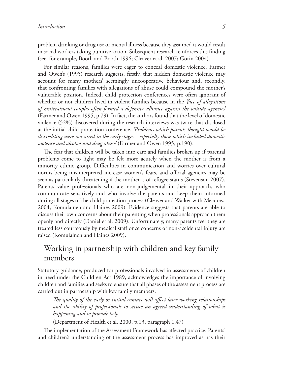problem drinking or drug use or mental illness because they assumed it would result in social workers taking punitive action. Subsequent research reinforces this finding (see, for example, Booth and Booth 1996; Cleaver et al. 2007; Gorin 2004).

For similar reasons, families were eager to conceal domestic violence. Farmer and Owen's (1995) research suggests, firstly, that hidden domestic violence may account for many mothers' seemingly uncooperative behaviour and, secondly, that confronting families with allegations of abuse could compound the mother's vulnerable position. Indeed, child protection conferences were often ignorant of whether or not children lived in violent families because in the *'face of allegations of mistreatment couples often formed a defensive alliance against the outside agencies'*  (Farmer and Owen 1995, p.79). In fact, the authors found that the level of domestic violence (52%) discovered during the research interviews was twice that disclosed at the initial child protection conference. *'Problems which parents thought would be discrediting were not aired in the early stages – especially those which included domestic violence and alcohol and drug abuse'* (Farmer and Owen 1995, p.190).

The fear that children will be taken into care and families broken up if parental problems come to light may be felt more acutely when the mother is from a minority ethnic group. Difficulties in communication and worries over cultural norms being misinterpreted increase women's fears, and official agencies may be seen as particularly threatening if the mother is of refugee status (Stevenson 2007). Parents value professionals who are non-judgemental in their approach, who communicate sensitively and who involve the parents and keep them informed during all stages of the child protection process (Cleaver and Walker with Meadows 2004; Komulainen and Haines 2009). Evidence suggests that parents are able to discuss their own concerns about their parenting when professionals approach them openly and directly (Daniel et al. 2009). Unfortunately, many parents feel they are treated less courteously by medical staff once concerns of non-accidental injury are raised (Komulainen and Haines 2009).

#### Working in partnership with children and key family members

Statutory guidance, produced for professionals involved in assessments of children in need under the Children Act 1989, acknowledges the importance of involving children and families and seeks to ensure that all phases of the assessment process are carried out in partnership with key family members.

*The quality of the early or initial contact will affect later working relationships and the ability of professionals to secure an agreed understanding of what is happening and to provide help.*

(Department of Health et al. 2000, p.13, paragraph 1.47)

The implementation of the Assessment Framework has affected practice. Parents' and children's understanding of the assessment process has improved as has their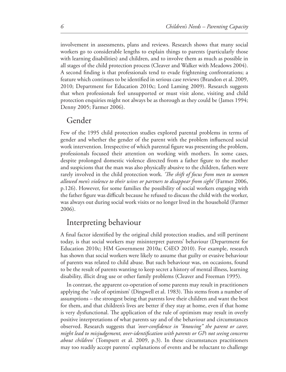involvement in assessments, plans and reviews. Research shows that many social workers go to considerable lengths to explain things to parents (particularly those with learning disabilities) and children, and to involve them as much as possible in all stages of the child protection process (Cleaver and Walker with Meadows 2004). A second finding is that professionals tend to evade frightening confrontations; a feature which continues to be identified in serious case reviews (Brandon et al. 2009, 2010; Department for Education 2010c; Lord Laming 2009). Research suggests that when professionals feel unsupported or must visit alone, visiting and child protection enquiries might not always be as thorough as they could be (James 1994; Denny 2005; Farmer 2006).

#### Gender

Few of the 1995 child protection studies explored parental problems in terms of gender and whether the gender of the parent with the problem influenced social work intervention. Irrespective of which parental figure was presenting the problem, professionals focused their attention on working with mothers. In some cases, despite prolonged domestic violence directed from a father figure to the mother and suspicions that the man was also physically abusive to the children, fathers were rarely involved in the child protection work. *'The shift of focus from men to women allowed men's violence to their wives or partners to disappear from sight'* (Farmer 2006, p.126). However, for some families the possibility of social workers engaging with the father figure was difficult because he refused to discuss the child with the worker, was always out during social work visits or no longer lived in the household (Farmer 2006).

#### Interpreting behaviour

A final factor identified by the original child protection studies, and still pertinent today, is that social workers may misinterpret parents' behaviour (Department for Education 2010c; HM Government 2010a; C4EO 2010). For example, research has shown that social workers were likely to assume that guilty or evasive behaviour of parents was related to child abuse. But such behaviour was, on occasions, found to be the result of parents wanting to keep secret a history of mental illness, learning disability, illicit drug use or other family problems (Cleaver and Freeman 1995).

In contrast, the apparent co-operation of some parents may result in practitioners applying the 'rule of optimism' (Dingwell et al. 1983). This stems from a number of assumptions – the strongest being that parents love their children and want the best for them, and that children's lives are better if they stay at home, even if that home is very dysfunctional. The application of the rule of optimism may result in overly positive interpretations of what parents say and of the behaviour and circumstances observed. Research suggests that *'over-confidence in "knowing" the parent or carer, might lead to misjudgement, over-identification with parents or GPs not seeing concerns about children'* (Tompsett et al. 2009, p.3). In these circumstances practitioners may too readily accept parents' explanations of events and be reluctant to challenge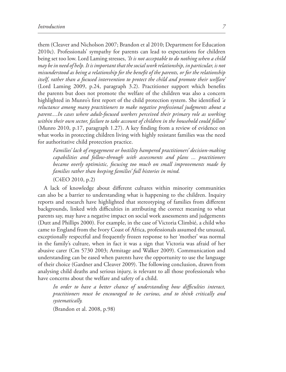them (Cleaver and Nicholson 2007; Brandon et al 2010; Department for Education 2010c). Professionals' sympathy for parents can lead to expectations for children being set too low. Lord Laming stresses, *'It is not acceptable to do nothing when a child may be in need of help. It is important that the social work relationship, in particular, is not misunderstood as being a relationship for the benefit of the parents, or for the relationship itself, rather than a focused intervention to protect the child and promote their welfare'*  (Lord Laming 2009, p.24, paragraph 3.2). Practitioner support which benefits the parents but does not promote the welfare of the children was also a concern highlighted in Munro's first report of the child protection system. She identified *'a reluctance among many practitioners to make negative professional judgments about a parent....In cases where adult-focused workers perceived their primary role as working within their own sector, failure to take account of children in the household could follow'*  (Munro 2010, p.17, paragraph 1.27). A key finding from a review of evidence on what works in protecting children living with highly resistant families was the need for authoritative child protection practice.

*Families' lack of engagement or hostility hampered practitioners' decision-making capabilities and follow-through with assessments and plans ... practitioners became overly optimistic, focusing too much on small improvements made by families rather than keeping families' full histories in mind.* 

(C4EO 2010, p.2)

A lack of knowledge about different cultures within minority communities can also be a barrier to understanding what is happening to the children. Inquiry reports and research have highlighted that stereotyping of families from different backgrounds, linked with difficulties in attributing the correct meaning to what parents say, may have a negative impact on social work assessments and judgements (Dutt and Phillips 2000). For example, in the case of Victoria Climbié, a child who came to England from the Ivory Coast of Africa, professionals assumed the unusual, exceptionally respectful and frequently frozen response to her 'mother' was normal in the family's culture, when in fact it was a sign that Victoria was afraid of her abusive carer (Cm 5730 2003; Armitage and Walker 2009). Communication and understanding can be eased when parents have the opportunity to use the language of their choice (Gardner and Cleaver 2009). The following conclusion, drawn from analysing child deaths and serious injury, is relevant to all those professionals who have concerns about the welfare and safety of a child.

*In order to have a better chance of understanding how difficulties interact, practitioners must be encouraged to be curious, and to think critically and systematically.*

(Brandon et al. 2008, p.98)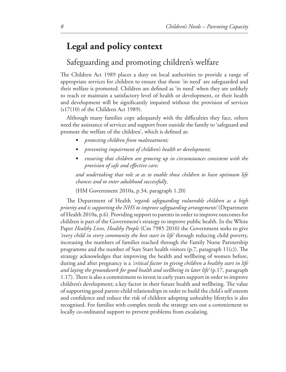## **Legal and policy context**

## Safeguarding and promoting children's welfare

The Children Act 1989 places a duty on local authorities to provide a range of appropriate services for children to ensure that those 'in need' are safeguarded and their welfare is promoted. Children are defined as 'in need' when they are unlikely to reach or maintain a satisfactory level of health or development, or their health and development will be significantly impaired without the provision of services (s17(10) of the Children Act 1989).

Although many families cope adequately with the difficulties they face, others need the assistance of services and support from outside the family to 'safeguard and promote the welfare of the children', which is defined as:

- t *protecting children from maltreatment;*
- t *preventing impairment of children's health or development;*
- t *ensuring that children are growing up in circumstances consistent with the provision of safe and effective care;*

*and undertaking that role so as to enable those children to have optimum life chances and to enter adulthood successfully*.

(HM Government 2010a, p.34, paragraph 1.20)

The Department of Health *'regards safeguarding vulnerable children as a high priority and is supporting the NHS to improve safeguarding arrangements'* (Department of Health 2010a, p.6). Providing support to parents in order to improve outcomes for children is part of the Government's strategy to improve public health. In the White Paper *Healthy Lives, Healthy People* (Cm 7985 2010) the Government seeks to give *'every child in every community the best start in life'* through reducing child poverty, increasing the numbers of families reached through the Family Nurse Partnership programme and the number of Sure Start health visitors (p.7, paragraph 11(c)). The strategy acknowledges that improving the health and wellbeing of women before, during and after pregnancy is a *'critical factor in giving children a healthy start in life and laying the groundwork for good health and wellbeing in later life'* (p.17, paragraph 1.17). There is also a commitment to invest in early years support in order to improve children's development; a key factor in their future health and wellbeing. The value of supporting good parent-child relationships in order to build the child's self esteem and confidence and reduce the risk of children adopting unhealthy lifestyles is also recognised. For families with complex needs the strategy sets out a commitment to locally co-ordinated support to prevent problems from escalating.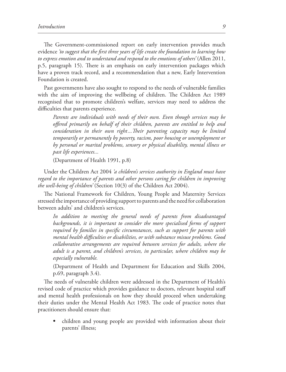The Government-commissioned report on early intervention provides much evidence *'to suggest that the first three years of life create the foundation in learning how to express emotion and to understand and respond to the emotions of others'* (Allen 2011, p.5, paragraph 15). There is an emphasis on early intervention packages which have a proven track record, and a recommendation that a new, Early Intervention Foundation is created.

Past governments have also sought to respond to the needs of vulnerable families with the aim of improving the wellbeing of children. The Children Act 1989 recognised that to promote children's welfare, services may need to address the difficulties that parents experience.

*Parents are individuals with needs of their own. Even though services may be offered primarily on behalf of their children, parents are entitled to help and consideration in their own right...Their parenting capacity may be limited temporarily or permanently by poverty, racism, poor housing or unemployment or by personal or marital problems, sensory or physical disability, mental illness or past life experiences...*

(Department of Health 1991, p.8)

Under the Children Act 2004 *'a children's services authority in England must have regard to the importance of parents and other persons caring for children in improving the well-being of children'* (Section 10(3) of the Children Act 2004).

The National Framework for Children, Young People and Maternity Services stressed the importance of providing support to parents and the need for collaboration between adults' and children's services.

*In addition to meeting the general needs of parents from disadvantaged*  backgrounds, it is important to consider the more specialised forms of support *required by families in specific circumstances, such as support for parents with mental health difficulties or disabilities, or with substance misuse problems. Good collaborative arrangements are required between services for adults, where the adult is a parent, and children's services, in particular, where children may be especially vulnerable.*

(Department of Health and Department for Education and Skills 2004, p.69, paragraph 3.4).

The needs of vulnerable children were addressed in the Department of Health's revised code of practice which provides guidance to doctors, relevant hospital staff and mental health professionals on how they should proceed when undertaking their duties under the Mental Health Act 1983. The code of practice notes that practitioners should ensure that:

t children and young people are provided with information about their parents' illness;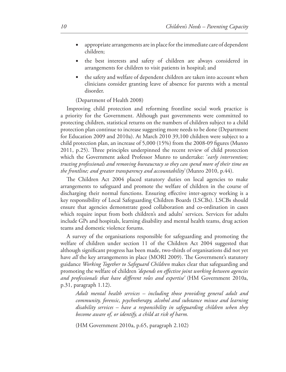- appropriate arrangements are in place for the immediate care of dependent children;
- the best interests and safety of children are always considered in arrangements for children to visit patients in hospital; and
- the safety and welfare of dependent children are taken into account when clinicians consider granting leave of absence for parents with a mental disorder.

#### (Department of Health 2008)

Improving child protection and reforming frontline social work practice is a priority for the Government. Although past governments were committed to protecting children, statistical returns on the numbers of children subject to a child protection plan continue to increase suggesting more needs to be done (Department for Education 2009 and 2010a). At March 2010 39,100 children were subject to a child protection plan, an increase of 5,000 (15%) from the 2008-09 figures (Munro 2011, p.25). Three principles underpinned the recent review of child protection which the Government asked Professor Munro to undertake: '*early intervention; trusting professionals and removing bureaucracy so they can spend more of their time on the frontline; and greater transparency and accountability'* (Munro 2010, p.44).

The Children Act 2004 placed statutory duties on local agencies to make arrangements to safeguard and promote the welfare of children in the course of discharging their normal functions. Ensuring effective inter-agency working is a key responsibility of Local Safeguarding Children Boards (LSCBs). LSCBs should ensure that agencies demonstrate good collaboration and co-ordination in cases which require input from both children's and adults' services. Services for adults include GPs and hospitals, learning disability and mental health teams, drug action teams and domestic violence forums.

A survey of the organisations responsible for safeguarding and promoting the welfare of children under section 11 of the Children Act 2004 suggested that although significant progress has been made, two-thirds of organisations did not yet have *all* the key arrangements in place (MORI 2009). The Government's statutory guidance *Working Together to Safeguard Children* makes clear that safeguarding and promoting the welfare of children *'depends on effective joint working between agencies and professionals that have different roles and expertise'* (HM Government 2010a, p.31, paragraph 1.12).

*Adult mental health services – including those providing general adult and community, forensic, psychotherapy, alcohol and substance misuse and learning disability services – have a responsibility in safeguarding children when they become aware of, or identify, a child at risk of harm.*

(HM Government 2010a, p.65, paragraph 2.102)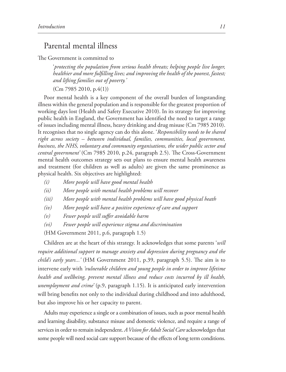#### Parental mental illness

The Government is committed to

'*protecting the population from serious health threats; helping people live longer, healthier and more fulfilling lives; and improving the health of the poorest, fastest; and lifting families out of poverty.'*

 $(Cm 7985 2010, p.4(1))$ 

Poor mental health is a key component of the overall burden of longstanding illness within the general population and is responsible for the greatest proportion of working days lost (Health and Safety Executive 2010). In its strategy for improving public health in England, the Government has identified the need to target a range of issues including mental illness, heavy drinking and drug misuse (Cm 7985 2010). It recognises that no single agency can do this alone. '*Responsibility needs to be shared right across society – between individual, families, communities, local government, business, the NHS, voluntary and community organisations, the wider public sector and central government'* (Cm 7985 2010, p.24, paragraph 2.5). The Cross-Government mental health outcomes strategy sets out plans to ensure mental health awareness and treatment (for children as well as adults) are given the same prominence as physical health. Six objectives are highlighted:

- *(i) More people will have good mental health*
- *(ii) More people with mental health problems will recover*
- *(iii) More people with mental health problems will have good physical heath*
- *(iv) More people will have a positive experience of care and support*
- *(v) Fewer people will suffer avoidable harm*
- *(vi) Fewer people will experience stigma and discrimination*

(HM Government 2011, p.6, paragraph 1.5)

Children are at the heart of this strategy. It acknowledges that some parents '*will require additional support to manage anxiety and depression during pregnancy and the child's early years...'* (HM Government 2011, p.39, paragraph 5.5). The aim is to intervene early with *'vulnerable children and young people in order to improve lifetime health and wellbeing, prevent mental illness and reduce costs incurred by ill health, unemployment and crime'* (p.9, paragraph 1.15). It is anticipated early intervention will bring benefits not only to the individual during childhood and into adulthood, but also improve his or her capacity to parent.

Adults may experience a single or a combination of issues, such as poor mental health and learning disability, substance misuse and domestic violence, and require a range of services in order to remain independent. *A Vision for Adult Social Care* acknowledges that some people will need social care support because of the effects of long term conditions.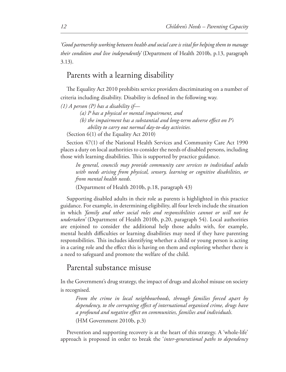*'Good partnership working between health and social care is vital for helping them to manage their condition and live independently'* (Department of Health 2010b, p.13, paragraph 3.13).

#### Parents with a learning disability

The Equality Act 2010 prohibits service providers discriminating on a number of criteria including disability. Disability is defined in the following way.

*(1) A person (P) has a disability if—*

- *(a) P has a physical or mental impairment, and*
- *(b) the impairment has a substantial and long-term adverse effect on P's ability to carry out normal day-to-day activities.*

(Section 6(1) of the Equality Act 2010)

Section 47(1) of the National Health Services and Community Care Act 1990 places a duty on local authorities to consider the needs of disabled persons, including those with learning disabilities. This is supported by practice guidance.

*In general, councils may provide community care services to individual adults with needs arising from physical, sensory, learning or cognitive disabilities, or from mental health needs.*

(Department of Health 2010b, p.18, paragraph 43)

Supporting disabled adults in their role as parents is highlighted in this practice guidance. For example, in determining eligibility, all four levels include the situation in which *'family and other social roles and responsibilities cannot or will not be undertaken'* (Department of Health 2010b, p.20, paragraph 54). Local authorities are enjoined to consider the additional help those adults with, for example, mental health difficulties or learning disabilities may need if they have parenting responsibilities. This includes identifying whether a child or young person is acting in a caring role and the effect this is having on them and exploring whether there is a need to safeguard and promote the welfare of the child.

#### Parental substance misuse

In the Government's drug strategy, the impact of drugs and alcohol misuse on society is recognised.

*From the crime in local neighbourhoods, through families forced apart by dependency, to the corrupting effect of international organised crime, drugs have a profound and negative effect on communities, families and individuals.* (HM Government 2010b, p.3)

Prevention and supporting recovery is at the heart of this strategy. A 'whole-life' approach is proposed in order to break the '*inter-generational paths to dependency*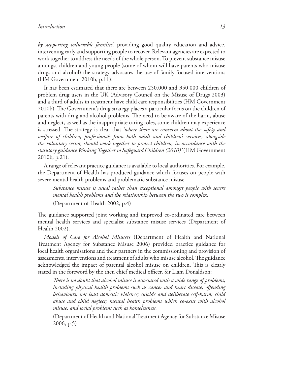*by supporting vulnerable families'*, providing good quality education and advice, intervening early and supporting people to recover. Relevant agencies are expected to work together to address the needs of the whole person. To prevent substance misuse amongst children and young people (some of whom will have parents who misuse drugs and alcohol) the strategy advocates the use of family-focused interventions (HM Government 2010b, p.11).

It has been estimated that there are between 250,000 and 350,000 children of problem drug users in the UK (Advisory Council on the Misuse of Drugs 2003) and a third of adults in treatment have child care responsibilities (HM Government 2010b). The Government's drug strategy places a particular focus on the children of parents with drug and alcohol problems. The need to be aware of the harm, abuse and neglect, as well as the inappropriate caring roles, some children may experience is stressed. The strategy is clear that *'where there are concerns about the safety and welfare of children, professionals from both adult and children's services, alongside the voluntary sector, should work together to protect children, in accordance with the statutory guidance Working Together to Safeguard Children (2010)'* (HM Government 2010b, p.21).

A range of relevant practice guidance is available to local authorities. For example, the Department of Health has produced guidance which focuses on people with severe mental health problems and problematic substance misuse.

*Substance misuse is usual rather than exceptional amongst people with severe mental health problems and the relationship between the two is complex.*

(Department of Health 2002, p.4)

The guidance supported joint working and improved co-ordinated care between mental health services and specialist substance misuse services (Department of Health 2002).

*Models of Care for Alcohol Misusers* (Department of Health and National Treatment Agency for Substance Misuse 2006) provided practice guidance for local health organisations and their partners in the commissioning and provision of assessments, interventions and treatment of adults who misuse alcohol. The guidance acknowledged the impact of parental alcohol misuse on children. This is clearly stated in the foreword by the then chief medical officer, Sir Liam Donaldson:

*There is no doubt that alcohol misuse is associated with a wide range of problems, including physical health problems such as cancer and heart disease; offending behaviours, not least domestic violence; suicide and deliberate self-harm; child abuse and child neglect; mental health problems which co-exist with alcohol misuse; and social problems such as homelessness.*

(Department of Health and National Treatment Agency for Substance Misuse 2006, p.5)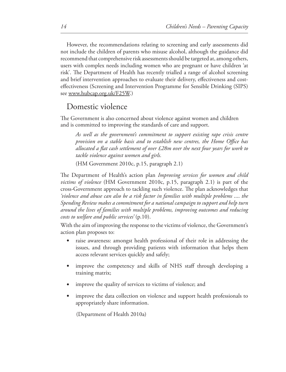However, the recommendations relating to screening and early assessments did not include the children of parents who misuse alcohol, although the guidance did recommend that comprehensive risk assessments should be targeted at, among others, users with complex needs including women who are pregnant or have children 'at risk'. The Department of Health has recently trialled a range of alcohol screening and brief intervention approaches to evaluate their delivery, effectiveness and costeffectiveness (Screening and Intervention Programme for Sensible Drinking (SIPS) see www.hubcap.org.uk/F25W.)

#### Domestic violence

The Government is also concerned about violence against women and children and is committed to improving the standards of care and support.

*As well as the government's commitment to support existing rape crisis centre provision on a stable basis and to establish new centres, the Home Office has allocated a flat cash settlement of over £28m over the next four years for work to tackle violence against women and girls.* 

(HM Government 2010c, p.15, paragraph 2.1)

The Department of Health's action plan *Improving services for women and child victims of violence* (HM Government 2010c, p.15, paragraph 2.1) is part of the cross-Government approach to tackling such violence. The plan acknowledges that *'violence and abuse can also be a risk factor in families with multiple problems* .... *the Spending Review makes a commitment for a national campaign to support and help turn around the lives of families with multiple problems, improving outcomes and reducing costs to welfare and public services'* (p.10).

With the aim of improving the response to the victims of violence, the Government's action plan proposes to:

- raise awareness: amongst health professional of their role in addressing the issues, and through providing patients with information that helps them access relevant services quickly and safely;
- improve the competency and skills of NHS staff through developing a training matrix;
- improve the quality of services to victims of violence; and
- improve the data collection on violence and support health professionals to appropriately share information.

(Department of Health 2010a)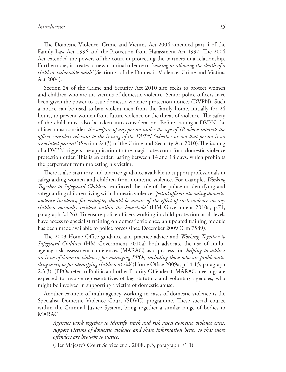The Domestic Violence, Crime and Victims Act 2004 amended part 4 of the Family Law Act 1996 and the Protection from Harassment Act 1997. The 2004 Act extended the powers of the court in protecting the partners in a relationship. Furthermore, it created a new criminal offence of *'causing or allowing the death of a child or vulnerable adult'* (Section 4 of the Domestic Violence, Crime and Victims Act 2004).

Section 24 of the Crime and Security Act 2010 also seeks to protect women and children who are the victims of domestic violence. Senior police officers have been given the power to issue domestic violence protection notices (DVPN). Such a notice can be used to ban violent men from the family home, initially for 24 hours, to prevent women from future violence or the threat of violence. The safety of the child must also be taken into consideration. Before issuing a DVPN the officer must consider *'the welfare of any person under the age of 18 whose interests the officer considers relevant to the issuing of the DVPN (whether or not that person is an associated person)'* (Section 24(3) of the Crime and Security Act 2010).The issuing of a DVPN triggers the application to the magistrates court for a domestic violence protection order. This is an order, lasting between 14 and 18 days, which prohibits the perpetrator from molesting his victim.

There is also statutory and practice guidance available to support professionals in safeguarding women and children from domestic violence. For example, *Working Together to Safeguard Children* reinforced the role of the police in identifying and safeguarding children living with domestic violence; *'patrol officers attending domestic violence incidents, for example, should be aware of the effect of such violence on any children normally resident within the household'* (HM Government 2010a, p.71, paragraph 2.126). To ensure police officers working in child protection at all levels have access to specialist training on domestic violence, an updated training module has been made available to police forces since December 2009 (Cm 7589).

The 2009 Home Office guidance and practice advice and *Working Together to Safeguard Children* (HM Government 2010a) both advocate the use of multiagency risk assessment conferences (MARAC) as a process for *'helping to address an issue of domestic violence; for managing PPOs, including those who are problematic drug users; or for identifying children at risk'* (Home Office 2009a, p.14-15, paragraph 2.3.3). (PPOs refer to Prolific and other Priority Offenders). MARAC meetings are expected to involve representatives of key statutory and voluntary agencies, who might be involved in supporting a victim of domestic abuse.

Another example of multi-agency working in cases of domestic violence is the Specialist Domestic Violence Court (SDVC) programme. These special courts, within the Criminal Justice System, bring together a similar range of bodies to MARAC.

*Agencies work together to identify, track and risk assess domestic violence cases, support victims of domestic violence and share information better so that more offenders are brought to justice.*

(Her Majesty's Court Service et al. 2008, p.3, paragraph E1.1)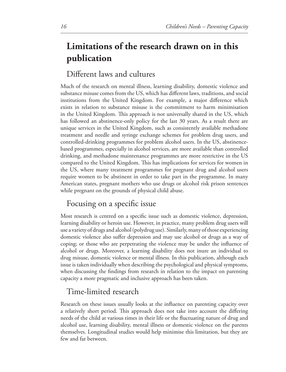# **Limitations of the research drawn on in this publication**

## Different laws and cultures

Much of the research on mental illness, learning disability, domestic violence and substance misuse comes from the US, which has different laws, traditions, and social institutions from the United Kingdom. For example, a major difference which exists in relation to substance misuse is the commitment to harm minimisation in the United Kingdom. This approach is not universally shared in the US, which has followed an abstinence-only policy for the last 30 years. As a result there are unique services in the United Kingdom, such as consistently available methadone treatment and needle and syringe exchange schemes for problem drug users, and controlled-drinking programmes for problem alcohol users. In the US, abstinencebased programmes, especially in alcohol services, are more available than controlled drinking, and methadone maintenance programmes are more restrictive in the US compared to the United Kingdom. This has implications for services for women in the US, where many treatment programmes for pregnant drug and alcohol users require women to be abstinent in order to take part in the programme. In many American states, pregnant mothers who use drugs or alcohol risk prison sentences while pregnant on the grounds of physical child abuse.

#### Focusing on a specific issue

Most research is centred on a specific issue such as domestic violence, depression, learning disability or heroin use. However, in practice, many problem drug users will use a variety of drugs and alcohol (polydrug use). Similarly, many of those experiencing domestic violence also suffer depression and may use alcohol or drugs as a way of coping; or those who are perpetrating the violence may be under the influence of alcohol or drugs. Moreover, a learning disability does not inure an individual to drug misuse, domestic violence or mental illness. In this publication, although each issue is taken individually when describing the psychological and physical symptoms, when discussing the findings from research in relation to the impact on parenting capacity a more pragmatic and inclusive approach has been taken.

## Time-limited research

Research on these issues usually looks at the influence on parenting capacity over a relatively short period. This approach does not take into account the differing needs of the child at various times in their life or the fluctuating nature of drug and alcohol use, learning disability, mental illness or domestic violence on the parents themselves. Longitudinal studies would help minimise this limitation, but they are few and far between.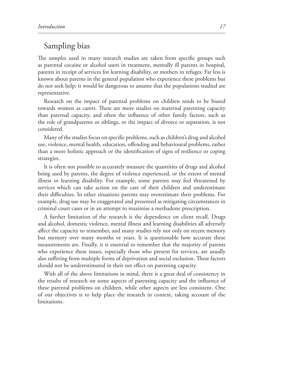## Sampling bias

The samples used in many research studies are taken from specific groups such as parental cocaine or alcohol users in treatment, mentally ill parents in hospital, parents in receipt of services for learning disability, or mothers in refuges. Far less is known about parents in the general population who experience these problems but do not seek help; it would be dangerous to assume that the populations studied are representative.

Research on the impact of parental problems on children tends to be biased towards women as carers. There are more studies on maternal parenting capacity than paternal capacity, and often the influence of other family factors, such as the role of grandparents or siblings, or the impact of divorce or separation, is not considered.

Many of the studies focus on specific problems, such as children's drug and alcohol use, violence, mental health, education, offending and behavioural problems, rather than a more holistic approach or the identification of signs of resilience or coping strategies.

It is often not possible to accurately measure the quantities of drugs and alcohol being used by parents, the degree of violence experienced, or the extent of mental illness or learning disability. For example, some parents may feel threatened by services which can take action on the care of their children and underestimate their difficulties. In other situations parents may overestimate their problems. For example, drug use may be exaggerated and presented as mitigating circumstances in criminal court cases or in an attempt to maximise a methadone prescription.

A further limitation of the research is the dependence on client recall. Drugs and alcohol, domestic violence, mental illness and learning disabilities all adversely affect the capacity to remember, and many studies rely not only on recent memory but memory over many months or years. It is questionable how accurate these measurements are. Finally, it is essential to remember that the majority of parents who experience these issues, especially those who present for services, are usually also suffering from multiple forms of deprivation and social exclusion. These factors should not be underestimated in their net effect on parenting capacity.

With all of the above limitations in mind, there is a great deal of consistency in the results of research on some aspects of parenting capacity and the influence of these parental problems on children, while other aspects are less consistent. One of our objectives is to help place the research in context, taking account of the limitations.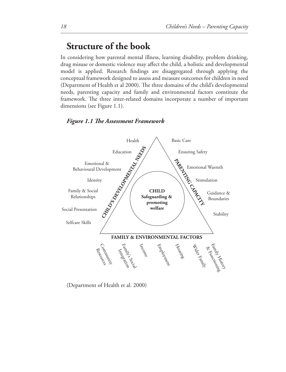# **Structure of the book**

In considering how parental mental illness, learning disability, problem drinking, drug misuse or domestic violence may affect the child, a holistic and developmental model is applied. Research findings are disaggregated through applying the conceptual framework designed to assess and measure outcomes for children in need (Department of Health et al 2000). The three domains of the child's developmental needs, parenting capacity and family and environmental factors constitute the framework. The three inter-related domains incorporate a number of important dimensions (see Figure 1.1).

#### *Figure 1.1 The Assessment Framework*



(Department of Health et al. 2000)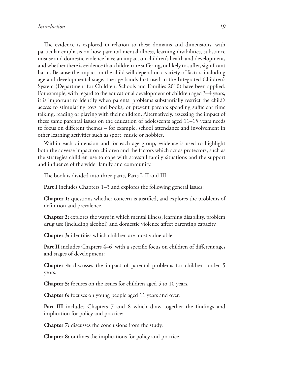The evidence is explored in relation to these domains and dimensions, with particular emphasis on how parental mental illness, learning disabilities, substance misuse and domestic violence have an impact on children's health and development, and whether there is evidence that children are suffering, or likely to suffer, significant harm. Because the impact on the child will depend on a variety of factors including age and developmental stage, the age bands first used in the Integrated Children's System (Department for Children, Schools and Families 2010) have been applied. For example, with regard to the educational development of children aged 3–4 years, it is important to identify when parents' problems substantially restrict the child's access to stimulating toys and books, or prevent parents spending sufficient time talking, reading or playing with their children. Alternatively, assessing the impact of these same parental issues on the education of adolescents aged 11–15 years needs to focus on different themes – for example, school attendance and involvement in other learning activities such as sport, music or hobbies.

Within each dimension and for each age group, evidence is used to highlight both the adverse impact on children and the factors which act as protectors, such as the strategies children use to cope with stressful family situations and the support and influence of the wider family and community.

The book is divided into three parts, Parts I, II and III.

**Part I** includes Chapters 1–3 and explores the following general issues:

**Chapter 1:** questions whether concern is justified, and explores the problems of definition and prevalence.

**Chapter 2:** explores the ways in which mental illness, learning disability, problem drug use (including alcohol) and domestic violence affect parenting capacity.

**Chapter 3:** identifies which children are most vulnerable.

**Part II** includes Chapters 4–6, with a specific focus on children of different ages and stages of development:

**Chapter 4:** discusses the impact of parental problems for children under 5 years.

**Chapter 5:** focuses on the issues for children aged 5 to 10 years.

**Chapter 6:** focuses on young people aged 11 years and over.

**Part III** includes Chapters 7 and 8 which draw together the findings and implication for policy and practice:

**Chapter 7:** discusses the conclusions from the study.

**Chapter 8:** outlines the implications for policy and practice.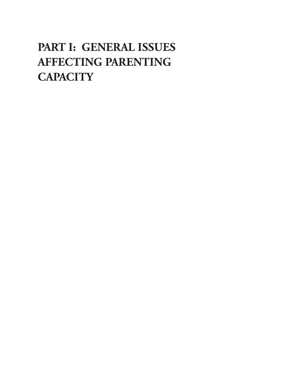# **PART I: GENERAL ISSUES AFFECTING PARENTING CAPACITY**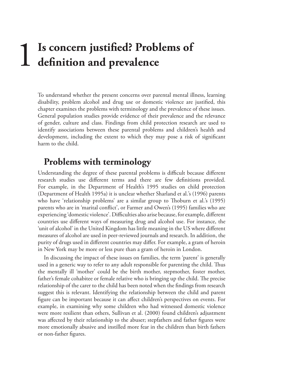# **Is concern justified? Problems of definition and prevalence** 1

To understand whether the present concerns over parental mental illness, learning disability, problem alcohol and drug use or domestic violence are justified, this chapter examines the problems with terminology and the prevalence of these issues. General population studies provide evidence of their prevalence and the relevance of gender, culture and class. Findings from child protection research are used to identify associations between these parental problems and children's health and development, including the extent to which they may pose a risk of significant harm to the child.

# **Problems with terminology**

Understanding the degree of these parental problems is difficult because different research studies use different terms and there are few definitions provided. For example, in the Department of Health's 1995 studies on child protection (Department of Health 1995a) it is unclear whether Sharland et al.'s (1996) parents who have 'relationship problems' are a similar group to Thoburn et al.'s (1995) parents who are in 'marital conflict', or Farmer and Owen's (1995) families who are experiencing 'domestic violence'. Difficulties also arise because, for example, different countries use different ways of measuring drug and alcohol use. For instance, the 'unit of alcohol' in the United Kingdom has little meaning in the US where different measures of alcohol are used in peer-reviewed journals and research. In addition, the purity of drugs used in different countries may differ. For example, a gram of heroin in New York may be more or less pure than a gram of heroin in London.

In discussing the impact of these issues on families, the term 'parent' is generally used in a generic way to refer to any adult responsible for parenting the child. Thus the mentally ill 'mother' could be the birth mother, stepmother, foster mother, father's female cohabitee or female relative who is bringing up the child. The precise relationship of the carer to the child has been noted when the findings from research suggest this is relevant. Identifying the relationship between the child and parent figure can be important because it can affect children's perspectives on events. For example, in examining why some children who had witnessed domestic violence were more resilient than others, Sullivan et al. (2000) found children's adjustment was affected by their relationship to the abuser; stepfathers and father figures were more emotionally abusive and instilled more fear in the children than birth fathers or non-father figures.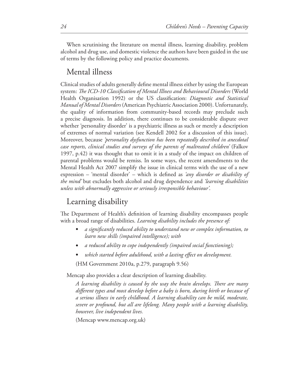When scrutinising the literature on mental illness, learning disability, problem alcohol and drug use, and domestic violence the authors have been guided in the use of terms by the following policy and practice documents.

## Mental illness

Clinical studies of adults generally define mental illness either by using the European system: *The ICD-10 Classification of Mental Illness and Behavioural Disorders* (World Health Organisation 1992) or the US classification: *Diagnostic and Statistical Manual of Mental Disorders* (American Psychiatric Association 2000). Unfortunately, the quality of information from community-based records may preclude such a precise diagnosis. In addition, there continues to be considerable dispute over whether 'personality disorder' is a psychiatric illness as such or merely a description of extremes of normal variation (see Kendell 2002 for a discussion of this issue). Moreover, because *'personality dysfunction has been repeatedly described in anecdotal case reports, clinical studies and surveys of the parents of maltreated children'* (Falkov 1997, p.42) it was thought that to omit it in a study of the impact on children of parental problems would be remiss. In some ways, the recent amendments to the Mental Health Act 2007 simplify the issue in clinical terms with the use of a new expression – 'mental disorder' – which is defined as *'any disorder or disability of the mind'* but excludes both alcohol and drug dependence and *'learning disabilities unless with abnormally aggressive or seriously irresponsible behaviour'*.

## Learning disability

The Department of Health's definition of learning disability encompasses people with a broad range of disabilities. *Learning disability includes the presence of:*

- t *a significantly reduced ability to understand new or complex information, to learn new skills (impaired intelligence); with*
- a reduced ability to cope independently (impaired social functioning);
- which started before adulthood, with a lasting effect on development.

(HM Government 2010a, p.279, paragraph 9.56)

Mencap also provides a clear description of learning disability.

*A learning disability is caused by the way the brain develops. There are many different types and most develop before a baby is born, during birth or because of a serious illness in early childhood. A learning disability can be mild, moderate, severe or profound, but all are lifelong. Many people with a learning disability, however, live independent lives.*

(Mencap www.mencap.org.uk)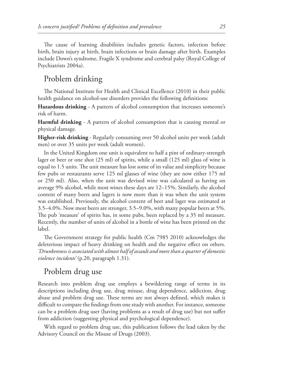The cause of learning disabilities includes genetic factors, infection before birth, brain injury at birth, brain infections or brain damage after birth. Examples include Down's syndrome, Fragile X syndrome and cerebral palsy (Royal College of Psychiatrists 2004a).

#### Problem drinking

The National Institute for Health and Clinical Excellence (2010) in their public health guidance on alcohol-use disorders provides the following definitions:

**Hazardous drinking** - A pattern of alcohol consumption that increases someone's risk of harm.

**Harmful drinking** - A pattern of alcohol consumption that is causing mental or physical damage.

**Higher-risk drinking** - Regularly consuming over 50 alcohol units per week (adult men) or over 35 units per week (adult women).

In the United Kingdom one unit is equivalent to half a pint of ordinary-strength lager or beer or one shot (25 ml) of spirits, while a small (125 ml) glass of wine is equal to 1.5 units. The unit measure has lost some of its value and simplicity because few pubs or restaurants serve 125 ml glasses of wine (they are now either 175 ml or 250 ml). Also, when the unit was devised wine was calculated as having on average 9% alcohol, while most wines these days are 12–15%. Similarly, the alcohol content of many beers and lagers is now more than it was when the unit system was established. Previously, the alcohol content of beer and lager was estimated at 3.5–4.0%. Now most beers are stronger, 3.5–9.0%, with many popular beers at 5%. The pub 'measure' of spirits has, in some pubs, been replaced by a 35 ml measure. Recently, the number of units of alcohol in a bottle of wine has been printed on the label.

The Government strategy for public health (Cm 7985 2010) acknowledges the deleterious impact of heavy drinking on health and the negative effect on others. *'Drunkenness is associated with almost half of assault and more than a quarter of domestic violence incidents'* (p.20, paragraph 1.31).

## Problem drug use

Research into problem drug use employs a bewildering range of terms in its descriptions including drug use, drug misuse, drug dependence, addiction, drug abuse and problem drug use. These terms are not always defined, which makes it difficult to compare the findings from one study with another. For instance, someone can be a problem drug user (having problems as a result of drug use) but not suffer from addiction (suggesting physical and psychological dependence).

With regard to problem drug use, this publication follows the lead taken by the Advisory Council on the Misuse of Drugs (2003).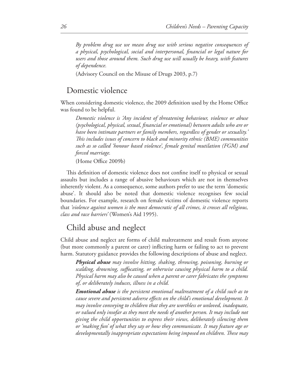*By problem drug use we mean drug use with serious negative consequences of a physical, psychological, social and interpersonal, financial or legal nature for*  users and those around them. Such drug use will usually be heavy, with features *of dependence.*

(Advisory Council on the Misuse of Drugs 2003, p.7)

#### Domestic violence

When considering domestic violence, the 2009 definition used by the Home Office was found to be helpful.

*Domestic violence is 'Any incident of threatening behaviour, violence or abuse (psychological, physical, sexual, financial or emotional) between adults who are or have been intimate partners or family members, regardless of gender or sexuality.' This includes issues of concern to black and minority ethnic (BME) communities such as so called 'honour based violence', female genital mutilation (FGM) and forced marriage.*

(Home Office 2009b)

This definition of domestic violence does not confine itself to physical or sexual assaults but includes a range of abusive behaviours which are not in themselves inherently violent. As a consequence, some authors prefer to use the term 'domestic abuse'. It should also be noted that domestic violence recognises few social boundaries. For example, research on female victims of domestic violence reports that *'violence against women is the most democratic of all crimes, it crosses all religious, class and race barriers'* (Women's Aid 1995).

## Child abuse and neglect

Child abuse and neglect are forms of child maltreatment and result from anyone (but more commonly a parent or carer) inflicting harm or failing to act to prevent harm. Statutory guidance provides the following descriptions of abuse and neglect.

*Physical abuse may involve hitting, shaking, throwing, poisoning, burning or scalding, drowning, suffocating, or otherwise causing physical harm to a child. Physical harm may also be caused when a parent or carer fabricates the symptoms of, or deliberately induces, illness in a child.*

*Emotional abuse is the persistent emotional maltreatment of a child such as to cause severe and persistent adverse effects on the child's emotional development. It may involve conveying to children that they are worthless or unloved, inadequate, or valued only insofar as they meet the needs of another person. It may include not giving the child opportunities to express their views, deliberately silencing them or 'making fun' of what they say or how they communicate. It may feature age or developmentally inappropriate expectations being imposed on children. These may*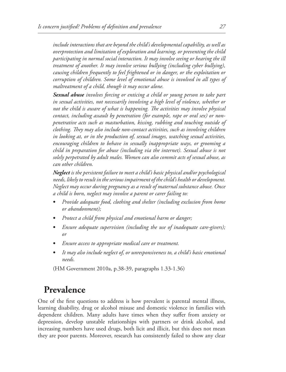*include interactions that are beyond the child's developmental capability, as well as overprotection and limitation of exploration and learning, or preventing the child participating in normal social interaction. It may involve seeing or hearing the ill treatment of another. It may involve serious bullying (including cyber bullying), causing children frequently to feel frightened or in danger, or the exploitation or corruption of children. Some level of emotional abuse is involved in all types of maltreatment of a child, though it may occur alone.*

*Sexual abuse involves forcing or enticing a child or young person to take part in sexual activities, not necessarily involving a high level of violence, whether or not the child is aware of what is happening. The activities may involve physical contact, including assault by penetration (for example, rape or oral sex) or nonpenetrative acts such as masturbation, kissing, rubbing and touching outside of clothing. They may also include non-contact activities, such as involving children in looking at, or in the production of, sexual images, watching sexual activities, encouraging children to behave in sexually inappropriate ways, or grooming a child in preparation for abuse (including via the internet). Sexual abuse is not solely perpetrated by adult males. Women can also commit acts of sexual abuse, as can other children.*

*Neglect is the persistent failure to meet a child's basic physical and/or psychological needs, likely to result in the serious impairment of the child's health or development. Neglect may occur during pregnancy as a result of maternal substance abuse. Once a child is born, neglect may involve a parent or carer failing to:*

- Provide adequate food, clothing and shelter (including exclusion from home *or abandonment);*
- t *Protect a child from physical and emotional harm or danger;*
- Ensure adequate supervision (including the use of inadequate care-givers); *or*
- Ensure access to appropriate medical care or treatment.
- t *It may also include neglect of, or unresponsiveness to, a child's basic emotional needs.*

(HM Government 2010a, p.38-39, paragraphs 1.33-1.36)

## **Prevalence**

One of the first questions to address is how prevalent is parental mental illness, learning disability, drug or alcohol misuse and domestic violence in families with dependent children. Many adults have times when they suffer from anxiety or depression, develop unstable relationships with partners or drink alcohol, and increasing numbers have used drugs, both licit and illicit, but this does not mean they are poor parents. Moreover, research has consistently failed to show any clear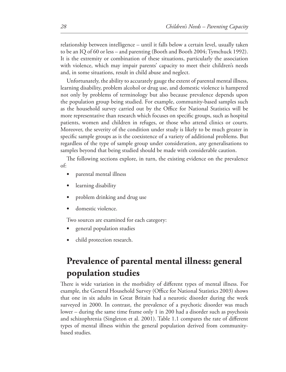relationship between intelligence – until it falls below a certain level, usually taken to be an IQ of 60 or less – and parenting (Booth and Booth 2004; Tymchuck 1992). It is the extremity or combination of these situations, particularly the association with violence, which may impair parents' capacity to meet their children's needs and, in some situations, result in child abuse and neglect.

Unfortunately, the ability to accurately gauge the extent of parental mental illness, learning disability, problem alcohol or drug use, and domestic violence is hampered not only by problems of terminology but also because prevalence depends upon the population group being studied. For example, community-based samples such as the household survey carried out by the Office for National Statistics will be more representative than research which focuses on specific groups, such as hospital patients, women and children in refuges, or those who attend clinics or courts. Moreover, the severity of the condition under study is likely to be much greater in specific sample groups as is the coexistence of a variety of additional problems. But regardless of the type of sample group under consideration, any generalisations to samples beyond that being studied should be made with considerable caution.

The following sections explore, in turn, the existing evidence on the prevalence of:

- parental mental illness
- learning disability
- problem drinking and drug use
- domestic violence.

Two sources are examined for each category:

- general population studies
- child protection research.

# **Prevalence of parental mental illness: general population studies**

There is wide variation in the morbidity of different types of mental illness. For example, the General Household Survey (Office for National Statistics 2003) shows that one in six adults in Great Britain had a neurotic disorder during the week surveyed in 2000. In contrast, the prevalence of a psychotic disorder was much lower – during the same time frame only 1 in 200 had a disorder such as psychosis and schizophrenia (Singleton et al. 2001). Table 1.1 compares the rate of different types of mental illness within the general population derived from communitybased studies.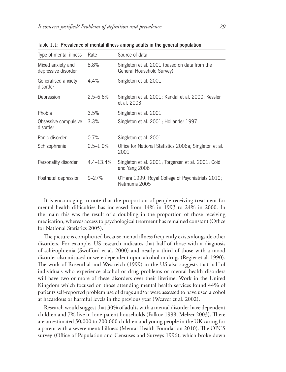| Type of mental illness                   | Rate          | Source of data                                                             |
|------------------------------------------|---------------|----------------------------------------------------------------------------|
| Mixed anxiety and<br>depressive disorder | 8.8%          | Singleton et al. 2001 (based on data from the<br>General Household Survey) |
| Generalised anxiety<br>disorder          | 4.4%          | Singleton et al. 2001                                                      |
| Depression                               | $2.5 - 6.6%$  | Singleton et al. 2001; Kandal et al. 2000; Kessler<br>et al. 2003          |
| Phobia                                   | 3.5%          | Singleton et al. 2001                                                      |
| Obsessive compulsive<br>disorder         | 3.3%          | Singleton et al. 2001; Hollander 1997                                      |
| Panic disorder                           | 0.7%          | Singleton et al. 2001                                                      |
| Schizophrenia                            | $0.5 - 1.0\%$ | Office for National Statistics 2006a; Singleton et al.<br>2001             |
| Personality disorder                     | $4.4 - 13.4%$ | Singleton et al. 2001; Torgersen et al. 2001; Coid<br>and Yang 2006        |
| Postnatal depression                     | $9 - 27%$     | O'Hara 1999; Royal College of Psychiatrists 2010;<br>Netmums 2005          |

Table 1.1: **Prevalence of mental illness among adults in the general population**

It is encouraging to note that the proportion of people receiving treatment for mental health difficulties has increased from 14% in 1993 to 24% in 2000. In the main this was the result of a doubling in the proportion of those receiving medication, whereas access to psychological treatment has remained constant (Office for National Statistics 2005).

The picture is complicated because mental illness frequently exists alongside other disorders. For example, US research indicates that half of those with a diagnosis of schizophrenia (Swofford et al. 2000) and nearly a third of those with a mood disorder also misused or were dependent upon alcohol or drugs (Regier et al. 1990). The work of Rosenthal and Westreich (1999) in the US also suggests that half of individuals who experience alcohol or drug problems or mental health disorders will have two or more of these disorders over their lifetime. Work in the United Kingdom which focused on those attending mental health services found 44% of patients self-reported problem use of drugs and/or were assessed to have used alcohol at hazardous or harmful levels in the previous year (Weaver et al. 2002).

Research would suggest that 30% of adults with a mental disorder have dependent children and 7% live in lone-parent households (Falkov 1998; Melzer 2003). There are an estimated 50,000 to 200,000 children and young people in the UK caring for a parent with a severe mental illness (Mental Health Foundation 2010). The OPCS survey (Office of Population and Censuses and Surveys 1996), which broke down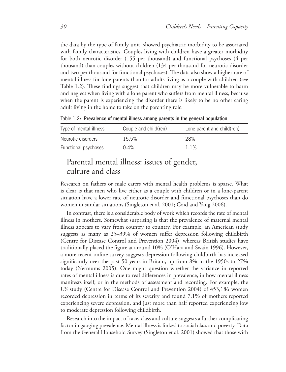the data by the type of family unit, showed psychiatric morbidity to be associated with family characteristics. Couples living with children have a greater morbidity for both neurotic disorder (155 per thousand) and functional psychoses (4 per thousand) than couples without children (134 per thousand for neurotic disorder and two per thousand for functional psychoses). The data also show a higher rate of mental illness for lone parents than for adults living as a couple with children (see Table 1.2). These findings suggest that children may be more vulnerable to harm and neglect when living with a lone parent who suffers from mental illness, because when the parent is experiencing the disorder there is likely to be no other caring adult living in the home to take on the parenting role.

| Type of mental illness | Couple and child(ren) | Lone parent and child(ren) |  |
|------------------------|-----------------------|----------------------------|--|
| Neurotic disorders     | $15.5\%$              | 28%                        |  |
| Functional psychoses   | $0.4\%$               | $1.1\%$                    |  |

Table 1.2: **Prevalence of mental illness among parents in the general population**

## Parental mental illness: issues of gender, culture and class

Research on fathers or male carers with mental health problems is sparse. What is clear is that men who live either as a couple with children or in a lone-parent situation have a lower rate of neurotic disorder and functional psychoses than do women in similar situations (Singleton et al. 2001; Coid and Yang 2006).

In contrast, there is a considerable body of work which records the rate of mental illness in mothers. Somewhat surprising is that the prevalence of maternal mental illness appears to vary from country to country. For example, an American study suggests as many as 25–39% of women suffer depression following childbirth (Centre for Disease Control and Prevention 2004), whereas British studies have traditionally placed the figure at around 10% (O'Hara and Swain 1996). However, a more recent online survey suggests depression following childbirth has increased significantly over the past 50 years in Britain, up from 8% in the 1950s to 27% today (Netmums 2005). One might question whether the variance in reported rates of mental illness is due to real differences in prevalence, in how mental illness manifests itself, or in the methods of assessment and recording. For example, the US study (Centre for Disease Control and Prevention 2004) of 453,186 women recorded depression in terms of its severity and found 7.1% of mothers reported experiencing severe depression, and just more than half reported experiencing low to moderate depression following childbirth.

Research into the impact of race, class and culture suggests a further complicating factor in gauging prevalence. Mental illness is linked to social class and poverty. Data from the General Household Survey (Singleton et al. 2001) showed that those with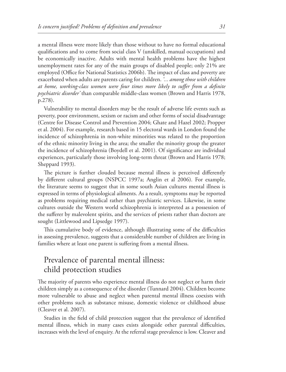a mental illness were more likely than those without to have no formal educational qualifications and to come from social class V (unskilled, manual occupations) and be economically inactive. Adults with mental health problems have the highest unemployment rates for any of the main groups of disabled people; only 21% are employed (Office for National Statistics 2006b). The impact of class and poverty are exacerbated when adults are parents caring for children. *'... among those with children at home, working-class women were four times more likely to suffer from a definite psychiatric disorder'* than comparable middle-class women (Brown and Harris 1978, p.278).

Vulnerability to mental disorders may be the result of adverse life events such as poverty, poor environment, sexism or racism and other forms of social disadvantage (Centre for Disease Control and Prevention 2004; Ghate and Hazel 2002; Propper et al. 2004). For example, research based in 15 electoral wards in London found the incidence of schizophrenia in non-white minorities was related to the proportion of the ethnic minority living in the area; the smaller the minority group the greater the incidence of schizophrenia (Boydell et al. 2001). Of significance are individual experiences, particularly those involving long-term threat (Brown and Harris 1978; Sheppard 1993).

The picture is further clouded because mental illness is perceived differently by different cultural groups (NSPCC 1997a; Anglin et al 2006). For example, the literature seems to suggest that in some south Asian cultures mental illness is expressed in terms of physiological ailments. As a result, symptoms may be reported as problems requiring medical rather than psychiatric services. Likewise, in some cultures outside the Western world schizophrenia is interpreted as a possession of the sufferer by malevolent spirits, and the services of priests rather than doctors are sought (Littlewood and Lipsedge 1997).

This cumulative body of evidence, although illustrating some of the difficulties in assessing prevalence, suggests that a considerable number of children are living in families where at least one parent is suffering from a mental illness.

## Prevalence of parental mental illness: child protection studies

The majority of parents who experience mental illness do not neglect or harm their children simply as a consequence of the disorder (Tunnard 2004). Children become more vulnerable to abuse and neglect when parental mental illness coexists with other problems such as substance misuse, domestic violence or childhood abuse (Cleaver et al. 2007).

Studies in the field of child protection suggest that the prevalence of identified mental illness, which in many cases exists alongside other parental difficulties, increases with the level of enquiry. At the referral stage prevalence is low. Cleaver and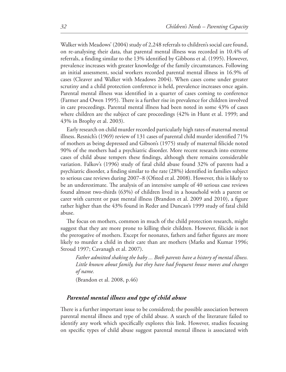Walker with Meadows' (2004) study of 2,248 referrals to children's social care found, on re-analysing their data, that parental mental illness was recorded in 10.4% of referrals, a finding similar to the 13% identified by Gibbons et al. (1995). However, prevalence increases with greater knowledge of the family circumstances. Following an initial assessment, social workers recorded parental mental illness in 16.9% of cases (Cleaver and Walker with Meadows 2004). When cases come under greater scrutiny and a child protection conference is held, prevalence increases once again. Parental mental illness was identified in a quarter of cases coming to conference (Farmer and Owen 1995). There is a further rise in prevalence for children involved in care proceedings. Parental mental illness had been noted in some 43% of cases where children are the subject of care proceedings (42% in Hunt et al. 1999; and 43% in Brophy et al. 2003).

Early research on child murder recorded particularly high rates of maternal mental illness. Resnich's (1969) review of 131 cases of parental child murder identified 71% of mothers as being depressed and Gibson's (1975) study of maternal filicide noted 90% of the mothers had a psychiatric disorder. More recent research into extreme cases of child abuse tempers these findings, although there remains considerable variation. Falkov's (1996) study of fatal child abuse found 32% of parents had a psychiatric disorder, a finding similar to the rate (28%) identified in families subject to serious case reviews during 2007–8 (Ofsted et al. 2008). However, this is likely to be an underestimate. The analysis of an intensive sample of 40 serious case reviews found almost two-thirds (63%) of children lived in a household with a parent or carer with current or past mental illness (Brandon et al. 2009 and 2010), a figure rather higher than the 43% found in Reder and Duncan's 1999 study of fatal child abuse.

The focus on mothers, common in much of the child protection research, might suggest that they are more prone to killing their children. However, filicide is not the prerogative of mothers. Except for neonates, fathers and father figures are more likely to murder a child in their care than are mothers (Marks and Kumar 1996; Stroud 1997; Cavanagh et al. 2007).

*Father admitted shaking the baby ... Both parents have a history of mental illness. Little known about family, but they have had frequent house moves and changes of name.*

(Brandon et al. 2008, p.46)

### *Parental mental illness and type of child abuse*

There is a further important issue to be considered; the possible association between parental mental illness and type of child abuse. A search of the literature failed to identify any work which specifically explores this link. However, studies focusing on specific types of child abuse suggest parental mental illness is associated with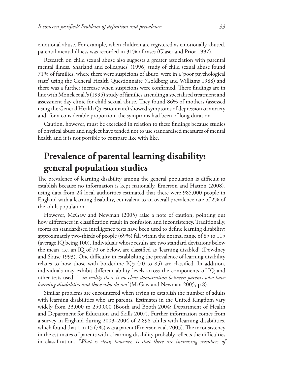emotional abuse. For example, when children are registered as emotionally abused, parental mental illness was recorded in 31% of cases (Glaser and Prior 1997).

Research on child sexual abuse also suggests a greater association with parental mental illness. Sharland and colleagues' (1996) study of child sexual abuse found 71% of families, where there were suspicions of abuse, were in a 'poor psychological state' using the General Health Questionnaire (Goldberg and Williams 1988) and there was a further increase when suspicions were confirmed. These findings are in line with Monck et al.'s (1995) study of families attending a specialised treatment and assessment day clinic for child sexual abuse. They found 86% of mothers (assessed using the General Health Questionnaire) showed symptoms of depression or anxiety and, for a considerable proportion, the symptoms had been of long duration.

Caution, however, must be exercised in relation to these findings because studies of physical abuse and neglect have tended not to use standardised measures of mental health and it is not possible to compare like with like.

# **Prevalence of parental learning disability: general population studies**

The prevalence of learning disability among the general population is difficult to establish because no information is kept nationally. Emerson and Hatton (2008), using data from 24 local authorities estimated that there were 985,000 people in England with a learning disability, equivalent to an overall prevalence rate of 2% of the adult population.

However, McGaw and Newman (2005) raise a note of caution, pointing out how differences in classification result in confusion and inconsistency. Traditionally, scores on standardised intelligence tests have been used to define learning disability; approximately two-thirds of people (69%) fall within the normal range of 85 to 115 (average IQ being 100). Individuals whose results are two standard deviations below the mean, i.e. an IQ of 70 or below, are classified as 'learning disabled' (Dowdney and Skuse 1993). One difficulty in establishing the prevalence of learning disability relates to how those with borderline IQs (70 to 85) are classified. In addition, individuals may exhibit different ability levels across the components of IQ and other tests used. *'...in reality there is no clear demarcation between parents who have learning disabilities and those who do not'* (McGaw and Newman 2005, p.8).

Similar problems are encountered when trying to establish the number of adults with learning disabilities who are parents. Estimates in the United Kingdom vary widely from 23,000 to 250,000 (Booth and Booth 2004; Department of Health and Department for Education and Skills 2007). Further information comes from a survey in England during 2003–2004 of 2,898 adults with learning disabilities, which found that 1 in 15 (7%) was a parent (Emerson et al. 2005). The inconsistency in the estimates of parents with a learning disability probably reflects the difficulties in classification. *'What is clear, however, is that there are increasing numbers of*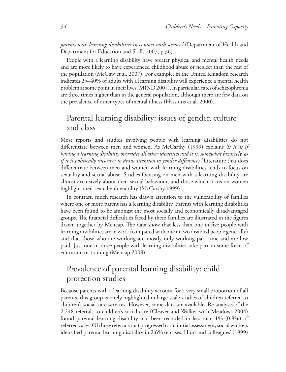*parents with learning disabilities in contact with services'* (Department of Health and Department for Education and Skills 2007, p.36).

People with a learning disability have greater physical and mental health needs and are more likely to have experienced childhood abuse or neglect than the rest of the population (McGaw et al. 2007). For example, in the United Kingdom research indicates 25–40% of adults with a learning disability will experience a mental health problem at some point in their lives (MIND 2007). In particular, rates of schizophrenia are three times higher than in the general population, although there are few data on the prevalence of other types of mental illness (Hassiotis et al. 2000).

## Parental learning disability: issues of gender, culture and class

Most reports and studies involving people with learning disabilities do not differentiate between men and women. As McCarthy (1999) explains *'It is as if having a learning disability overrides all other identities and it is, somewhat bizarrely, as if it is politically incorrect to draw attention to gender differences.'* Literature that does differentiate between men and women with learning disabilities tends to focus on sexuality and sexual abuse. Studies focusing on men with a learning disability are almost exclusively about their sexual behaviour, and those which focus on women highlight their sexual vulnerability (McCarthy 1999).

In contrast, much research has drawn attention to the vulnerability of families where one or more parent has a learning disability. Parents with learning disabilities have been found to be amongst the most socially and economically disadvantaged groups. The financial difficulties faced by these families are illustrated in the figures drawn together by Mencap. The data show that less than one in five people with learning disabilities are in work (compared with one in two disabled people generally) and that those who are working are mostly only working part time and are low paid. Just one in three people with learning disabilities take part in some form of education or training (Mencap 2008).

# Prevalence of parental learning disability: child protection studies

Because parents with a learning disability account for a very small proportion of all parents, this group is rarely highlighted in large-scale studies of children referred to children's social care services. However, some data are available. Re-analysis of the 2,248 referrals to children's social care (Cleaver and Walker with Meadows 2004) found parental learning disability had been recorded in less than 1% (0.8%) of referred cases. Of those referrals that progressed to an initial assessment, social workers identified parental learning disability in 2.6% of cases. Hunt and colleagues' (1999)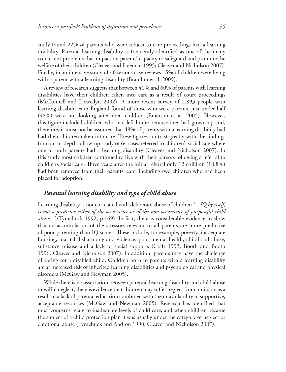study found 22% of parents who were subject to care proceedings had a learning disability. Parental learning disability is frequently identified as one of the many co-current problems that impact on parents' capacity to safeguard and promote the welfare of their children (Cleaver and Freeman 1995; Cleaver and Nicholson 2007). Finally, in an intensive study of 40 serious case reviews 15% of children were living with a parent with a learning disability (Brandon et al. 2009).

A review of research suggests that between 40% and 60% of parents with learning disabilities have their children taken into care as a result of court proceedings (McConnell and Llewellyn 2002). A more recent survey of 2,893 people with learning disabilities in England found of those who were parents, just under half (48%) were not looking after their children (Emerson et al. 2005). However, this figure included children who had left home because they had grown up and, therefore, it must not be assumed that 48% of parents with a learning disability had had their children taken into care. These figures contrast greatly with the findings from an in-depth follow-up study of 64 cases referred to children's social care where one or both parents had a learning disability (Cleaver and Nicholson 2007). In this study most children continued to live with their parents following a referral to children's social care. Three years after the initial referral only 12 children (18.8%) had been removed from their parents' care, including two children who had been placed for adoption.

### *Parental learning disability and type of child abuse*

Learning disability is not correlated with deliberate abuse of children *'... IQ by itself, is not a predictor either of the occurrence or of the non-occurrence of purposeful child abuse...'* (Tymchuck 1992, p.169). In fact, there is considerable evidence to show that an accumulation of the stressors relevant to all parents are more predictive of poor parenting than IQ scores. These include, for example, poverty, inadequate housing, marital disharmony and violence, poor mental health, childhood abuse, substance misuse and a lack of social supports (Craft 1993; Booth and Booth 1996; Cleaver and Nicholson 2007). In addition, parents may have the challenge of caring for a disabled child. Children born to parents with a learning disability are at increased risk of inherited learning disabilities and psychological and physical disorders (McGaw and Newman 2005).

While there is no association between parental learning disability and child abuse or wilful neglect, there is evidence that children may suffer neglect from omission as a result of a lack of parental education combined with the unavailability of supportive, acceptable resources (McGaw and Newman 2005). Research has identified that most concerns relate to inadequate levels of child care, and when children became the subject of a child protection plan it was usually under the category of neglect or emotional abuse (Tymchuck and Andron 1990; Cleaver and Nicholson 2007).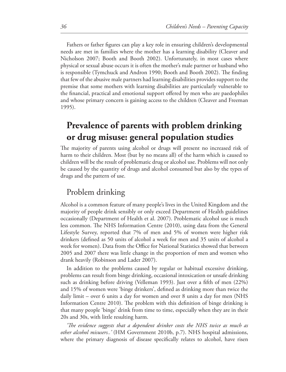Fathers or father figures can play a key role in ensuring children's developmental needs are met in families where the mother has a learning disability (Cleaver and Nicholson 2007; Booth and Booth 2002). Unfortunately, in most cases where physical or sexual abuse occurs it is often the mother's male partner or husband who is responsible (Tymchuck and Andron 1990; Booth and Booth 2002). The finding that few of the abusive male partners had learning disabilities provides support to the premise that some mothers with learning disabilities are particularly vulnerable to the financial, practical and emotional support offered by men who are paedophiles and whose primary concern is gaining access to the children (Cleaver and Freeman 1995).

# **Prevalence of parents with problem drinking or drug misuse: general population studies**

The majority of parents using alcohol or drugs will present no increased risk of harm to their children. Most (but by no means all) of the harm which is caused to children will be the result of problematic drug or alcohol use. Problems will not only be caused by the quantity of drugs and alcohol consumed but also by the types of drugs and the pattern of use.

## Problem drinking

Alcohol is a common feature of many people's lives in the United Kingdom and the majority of people drink sensibly or only exceed Department of Health guidelines occasionally (Department of Health et al. 2007). Problematic alcohol use is much less common. The NHS Information Centre (2010), using data from the General Lifestyle Survey, reported that 7% of men and 5% of women were higher risk drinkers (defined as 50 units of alcohol a week for men and 35 units of alcohol a week for women). Data from the Office for National Statistics showed that between 2005 and 2007 there was little change in the proportion of men and women who drank heavily (Robinson and Lader 2007).

In addition to the problems caused by regular or habitual excessive drinking, problems can result from binge drinking, occasional intoxication or unsafe drinking such as drinking before driving (Velleman 1993). Just over a fifth of men (22%) and 15% of women were 'binge drinkers', defined as drinking more than twice the daily limit – over 6 units a day for women and over 8 units a day for men (NHS Information Centre 2010). The problem with this definition of binge drinking is that many people 'binge' drink from time to time, especially when they are in their 20s and 30s, with little resulting harm.

*'The evidence suggests that a dependent drinker costs the NHS twice as much as other alcohol misusers..'* (HM Government 2010b, p.7). NHS hospital admissions, where the primary diagnosis of disease specifically relates to alcohol, have risen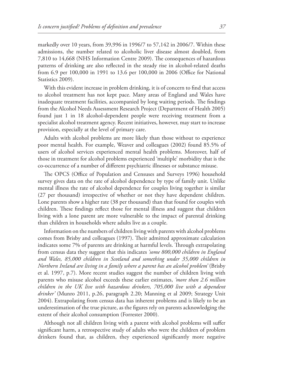markedly over 10 years, from 39,996 in 1996/7 to 57,142 in 2006/7. Within these admissions, the number related to alcoholic liver disease almost doubled, from 7,810 to 14,668 (NHS Information Centre 2009). The consequences of hazardous patterns of drinking are also reflected in the steady rise in alcohol-related deaths from 6.9 per 100,000 in 1991 to 13.6 per 100,000 in 2006 (Office for National Statistics 2009).

With this evident increase in problem drinking, it is of concern to find that access to alcohol treatment has not kept pace. Many areas of England and Wales have inadequate treatment facilities, accompanied by long waiting periods. The findings from the Alcohol Needs Assessment Research Project (Department of Health 2005) found just 1 in 18 alcohol-dependent people were receiving treatment from a specialist alcohol treatment agency. Recent initiatives, however, may start to increase provision, especially at the level of primary care.

Adults with alcohol problems are more likely than those without to experience poor mental health. For example, Weaver and colleagues (2002) found 85.5% of users of alcohol services experienced mental health problems. Moreover, half of those in treatment for alcohol problems experienced 'multiple' morbidity that is the co-occurrence of a number of different psychiatric illnesses or substance misuse.

The OPCS (Office of Population and Censuses and Surveys 1996) household survey gives data on the rate of alcohol dependence by type of family unit. Unlike mental illness the rate of alcohol dependence for couples living together is similar (27 per thousand) irrespective of whether or not they have dependent children. Lone parents show a higher rate (38 per thousand) than that found for couples with children. These findings reflect those for mental illness and suggest that children living with a lone parent are more vulnerable to the impact of parental drinking than children in households where adults live as a couple.

Information on the numbers of children living with parents with alcohol problems comes from Brisby and colleagues (1997). Their admitted approximate calculation indicates some 7% of parents are drinking at harmful levels. Through extrapolating from census data they suggest that this indicates *'some 800,000 children in England and Wales, 85,000 children in Scotland and something under 35,000 children in Northern Ireland are living in a family where a parent has an alcohol problem'* (Brisby et al. 1997, p.7). More recent studies suggest the number of children living with parents who misuse alcohol exceeds these earlier estimates, *'more than 2.6 million children in the UK live with hazardous drinkers, 705,000 live with a dependent drinker'* (Munro 2011, p.26, paragraph 2.20; Manning et al 2009; Strategy Unit 2004). Extrapolating from census data has inherent problems and is likely to be an underestimation of the true picture, as the figures rely on parents acknowledging the extent of their alcohol consumption (Forrester 2000).

Although not all children living with a parent with alcohol problems will suffer significant harm, a retrospective study of adults who were the children of problem drinkers found that, as children, they experienced significantly more negative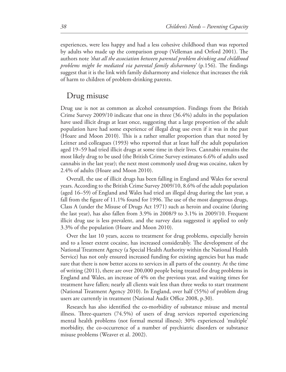experiences, were less happy and had a less cohesive childhood than was reported by adults who made up the comparison group (Velleman and Orford 2001). The authors note *'that all the association between parental problem drinking and childhood problems might be mediated via parental family disharmony'* (p.156). The findings suggest that it is the link with family disharmony and violence that increases the risk of harm to children of problem-drinking parents.

## Drug misuse

Drug use is not as common as alcohol consumption. Findings from the British Crime Survey 2009/10 indicate that one in three (36.4%) adults in the population have used illicit drugs at least once, suggesting that a large proportion of the adult population have had some experience of illegal drug use even if it was in the past (Hoare and Moon 2010). This is a rather smaller proportion than that noted by Leitner and colleagues (1993) who reported that at least half the adult population aged 19–59 had tried illicit drugs at some time in their lives. Cannabis remains the most likely drug to be used (the British Crime Survey estimates 6.6% of adults used cannabis in the last year); the next most commonly used drug was cocaine, taken by 2.4% of adults (Hoare and Moon 2010).

Overall, the use of illicit drugs has been falling in England and Wales for several years. According to the British Crime Survey 2009/10, 8.6% of the adult population (aged 16–59) of England and Wales had tried an illegal drug during the last year, a fall from the figure of 11.1% found for 1996. The use of the most dangerous drugs, Class A (under the Misuse of Drugs Act 1971) such as heroin and cocaine (during the last year), has also fallen from 3.9% in 2008/9 to 3.1% in 2009/10. Frequent illicit drug use is less prevalent, and the survey data suggested it applied to only 3.3% of the population (Hoare and Moon 2010).

Over the last 10 years, access to treatment for drug problems, especially heroin and to a lesser extent cocaine, has increased considerably. The development of the National Treatment Agency (a Special Health Authority within the National Health Service) has not only ensured increased funding for existing agencies but has made sure that there is now better access to services in all parts of the country. At the time of writing (2011), there are over 200,000 people being treated for drug problems in England and Wales, an increase of 4% on the previous year, and waiting times for treatment have fallen; nearly all clients wait less than three weeks to start treatment (National Treatment Agency 2010). In England, over half (55%) of problem drug users are currently in treatment (National Audit Office 2008, p.30).

Research has also identified the co-morbidity of substance misuse and mental illness. Three-quarters (74.5%) of users of drug services reported experiencing mental health problems (not formal mental illness); 30% experienced 'multiple' morbidity, the co-occurrence of a number of psychiatric disorders or substance misuse problems (Weaver et al. 2002).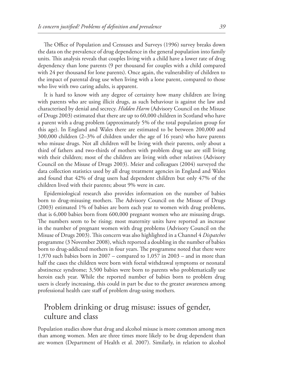The Office of Population and Censuses and Surveys (1996) survey breaks down the data on the prevalence of drug dependence in the general population into family units. This analysis reveals that couples living with a child have a lower rate of drug dependency than lone parents (9 per thousand for couples with a child compared with 24 per thousand for lone parents). Once again, the vulnerability of children to the impact of parental drug use when living with a lone parent, compared to those who live with two caring adults, is apparent.

It is hard to know with any degree of certainty how many children are living with parents who are using illicit drugs, as such behaviour is against the law and characterised by denial and secrecy. *Hidden Harm* (Advisory Council on the Misuse of Drugs 2003) estimated that there are up to 60,000 children in Scotland who have a parent with a drug problem (approximately 5% of the total population group for this age). In England and Wales there are estimated to be between 200,000 and 300,000 children (2–3% of children under the age of 16 years) who have parents who misuse drugs. Not all children will be living with their parents, only about a third of fathers and two-thirds of mothers with problem drug use are still living with their children; most of the children are living with other relatives (Advisory Council on the Misuse of Drugs 2003). Meier and colleagues (2004) surveyed the data collection statistics used by all drug treatment agencies in England and Wales and found that 42% of drug users had dependent children but only 47% of the children lived with their parents; about 9% were in care.

Epidemiological research also provides information on the number of babies born to drug-misusing mothers. The Advisory Council on the Misuse of Drugs (2003) estimated 1% of babies are born each year to women with drug problems, that is 6,000 babies born from 600,000 pregnant women who are misusing drugs. The numbers seem to be rising; most maternity units have reported an increase in the number of pregnant women with drug problems (Advisory Council on the Misuse of Drugs 2003). This concern was also highlighted in a Channel 4 *Dispatches* programme (3 November 2008), which reported a doubling in the number of babies born to drug-addicted mothers in four years. The programme noted that there were 1,970 such babies born in 2007 – compared to 1,057 in 2003 – and in more than half the cases the children were born with foetal withdrawal symptoms or neonatal abstinence syndrome; 3,500 babies were born to parents who problematically use heroin each year. While the reported number of babies born to problem drug users is clearly increasing, this could in part be due to the greater awareness among professional health care staff of problem drug-using mothers.

## Problem drinking or drug misuse: issues of gender, culture and class

Population studies show that drug and alcohol misuse is more common among men than among women. Men are three times more likely to be drug dependent than are women (Department of Health et al. 2007). Similarly, in relation to alcohol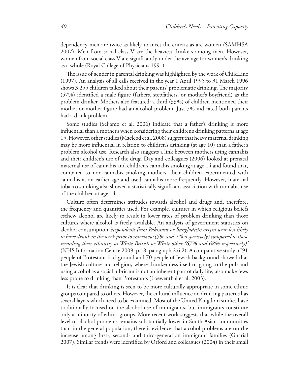dependency men are twice as likely to meet the criteria as are women (SAMHSA 2007). Men from social class V are the heaviest drinkers among men. However, women from social class V are significantly under the average for women's drinking as a whole (Royal College of Physicians 1991).

The issue of gender in parental drinking was highlighted by the work of ChildLine (1997). An analysis of all calls received in the year 1 April 1995 to 31 March 1996 shows 3,255 children talked about their parents' problematic drinking. The majority (57%) identified a male figure (fathers, stepfathers, or mother's boyfriend) as the problem drinker. Mothers also featured: a third (33%) of children mentioned their mother or mother figure had an alcohol problem. Just 7% indicated both parents had a drink problem.

Some studies (Seljamo et al. 2006) indicate that a father's drinking is more influential than a mother's when considering their children's drinking patterns at age 15. However, other studies (Macleod et al. 2008) suggest that heavy maternal drinking may be more influential in relation to children's drinking (at age 10) than a father's problem alcohol use. Research also suggests a link between mothers using cannabis and their children's use of the drug. Day and colleagues (2006) looked at prenatal maternal use of cannabis and children's cannabis smoking at age 14 and found that, compared to non-cannabis smoking mothers, their children experimented with cannabis at an earlier age and used cannabis more frequently. However, maternal tobacco smoking also showed a statistically significant association with cannabis use of the children at age 14.

Culture often determines attitudes towards alcohol and drugs and, therefore, the frequency and quantities used. For example, cultures in which religious beliefs eschew alcohol are likely to result in lower rates of problem drinking than those cultures where alcohol is freely available. An analysis of government statistics on alcohol consumption *'respondents from Pakistani or Bangladeshi origin were less likely to have drunk in the week prior to interview (5% and 4% respectively) compared to those recording their ethnicity as White British or White other (67% and 68% respectively)'* (NHS Information Centre 2009, p.18, paragraph 2.6.2). A comparative study of 91 people of Protestant background and 70 people of Jewish background showed that the Jewish culture and religion, where drunkenness itself or going to the pub and using alcohol as a social lubricant is not an inherent part of daily life, also make Jews less prone to drinking than Protestants (Loewenthal et al. 2003).

It is clear that drinking is seen to be more culturally appropriate in some ethnic groups compared to others. However, the cultural influence on drinking patterns has several layers which need to be examined. Most of the United Kingdom studies have traditionally focused on the alcohol use of immigrants, but immigrants constitute only a minority of ethnic groups. More recent work suggests that while the overall level of alcohol problems remains substantially lower in South Asian communities than in the general population, there is evidence that alcohol problems are on the increase among first-, second- and third-generation immigrant families (Gharial 2007). Similar trends were identified by Orford and colleagues (2004) in their small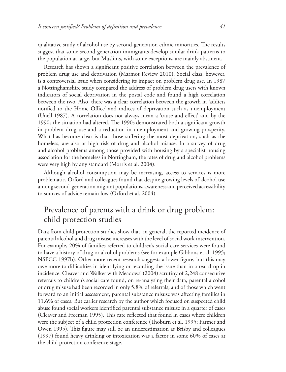qualitative study of alcohol use by second-generation ethnic minorities. The results suggest that some second-generation immigrants develop similar drink patterns to the population at large, but Muslims, with some exceptions, are mainly abstinent.

Research has shown a significant positive correlation between the prevalence of problem drug use and deprivation (Marmot Review 2010). Social class, however, is a controversial issue when considering its impact on problem drug use. In 1987 a Nottinghamshire study compared the address of problem drug users with known indicators of social deprivation in the postal code and found a high correlation between the two. Also, there was a clear correlation between the growth in 'addicts notified to the Home Office' and indices of deprivation such as unemployment (Unell 1987). A correlation does not always mean a 'cause and effect' and by the 1990s the situation had altered. The 1990s demonstrated both a significant growth in problem drug use and a reduction in unemployment and growing prosperity. What has become clear is that those suffering the most deprivation, such as the homeless, are also at high risk of drug and alcohol misuse. In a survey of drug and alcohol problems among those provided with housing by a specialist housing association for the homeless in Nottingham, the rates of drug and alcohol problems were very high by any standard (Morris et al. 2004).

Although alcohol consumption may be increasing, access to services is more problematic. Orford and colleagues found that despite growing levels of alcohol use among second-generation migrant populations, awareness and perceived accessibility to sources of advice remain low (Orford et al. 2004).

## Prevalence of parents with a drink or drug problem: child protection studies

Data from child protection studies show that, in general, the reported incidence of parental alcohol and drug misuse increases with the level of social work intervention. For example, 20% of families referred to children's social care services were found to have a history of drug or alcohol problems (see for example Gibbons et al. 1995; NSPCC 1997b). Other more recent research suggests a lower figure, but this may owe more to difficulties in identifying or recording the issue than in a real drop in incidence. Cleaver and Walker with Meadows' (2004) scrutiny of 2,248 consecutive referrals to children's social care found, on re-analysing their data, parental alcohol or drug misuse had been recorded in only 5.8% of referrals, and of those which went forward to an initial assessment, parental substance misuse was affecting families in 11.6% of cases. But earlier research by the author which focused on suspected child abuse found social workers identified parental substance misuse in a quarter of cases (Cleaver and Freeman 1995). This rate reflected that found in cases where children were the subject of a child protection conference (Thoburn et al. 1995; Farmer and Owen 1995). This figure may still be an underestimation as Brisby and colleagues (1997) found heavy drinking or intoxication was a factor in some 60% of cases at the child protection conference stage.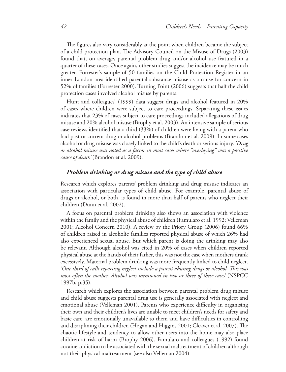The figures also vary considerably at the point when children became the subject of a child protection plan. The Advisory Council on the Misuse of Drugs (2003) found that, on average, parental problem drug and/or alcohol use featured in a quarter of these cases. Once again, other studies suggest the incidence may be much greater. Forrester's sample of 50 families on the Child Protection Register in an inner London area identified parental substance misuse as a cause for concern in 52% of families (Forrester 2000). Turning Point (2006) suggests that half the child protection cases involved alcohol misuse by parents.

Hunt and colleagues' (1999) data suggest drugs and alcohol featured in 20% of cases where children were subject to care proceedings. Separating these issues indicates that 23% of cases subject to care proceedings included allegations of drug misuse and 20% alcohol misuse (Brophy et al. 2003). An intensive sample of serious case reviews identified that a third (33%) of children were living with a parent who had past or current drug or alcohol problems (Brandon et al. 2009). In some cases alcohol or drug misuse was closely linked to the child's death or serious injury. *'Drug or alcohol misuse was noted as a factor in most cases where "overlaying" was a positive cause of death'* (Brandon et al. 2009).

### *Problem drinking or drug misuse and the type of child abuse*

Research which explores parents' problem drinking and drug misuse indicates an association with particular types of child abuse. For example, parental abuse of drugs or alcohol, or both, is found in more than half of parents who neglect their children (Dunn et al. 2002).

A focus on parental problem drinking also shows an association with violence within the family and the physical abuse of children (Famularo et al. 1992; Velleman 2001; Alcohol Concern 2010). A review by the Priory Group (2006) found 66% of children raised in alcoholic families reported physical abuse of which 26% had also experienced sexual abuse. But which parent is doing the drinking may also be relevant. Although alcohol was cited in 20% of cases when children reported physical abuse at the hands of their father, this was not the case when mothers drank excessively. Maternal problem drinking was more frequently linked to child neglect. *'One third of calls reporting neglect include a parent abusing drugs or alcohol. This was most often the mother. Alcohol was mentioned in two or three of these cases'* (NSPCC 1997b, p.35).

Research which explores the association between parental problem drug misuse and child abuse suggests parental drug use is generally associated with neglect and emotional abuse (Velleman 2001). Parents who experience difficulty in organising their own and their children's lives are unable to meet children's needs for safety and basic care, are emotionally unavailable to them and have difficulties in controlling and disciplining their children (Hogan and Higgins 2001; Cleaver et al. 2007). The chaotic lifestyle and tendency to allow other users into the home may also place children at risk of harm (Brophy 2006). Famularo and colleagues (1992) found cocaine addiction to be associated with the sexual maltreatment of children although not their physical maltreatment (see also Velleman 2004).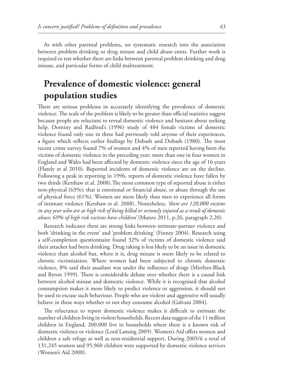As with other parental problems, no systematic research into the association between problem drinking or drug misuse and child abuse exists. Further work is required to test whether there are links between parental problem drinking and drug misuse, and particular forms of child maltreatment.

# **Prevalence of domestic violence: general population studies**

There are serious problems in accurately identifying the prevalence of domestic violence. The scale of the problem is likely to be greater than official statistics suggest because people are reluctant to reveal domestic violence and hesitant about seeking help. Dominy and Radford's (1996) study of 484 female victims of domestic violence found only one in three had previously told anyone of their experiences, a figure which reflects earlier findings by Dobash and Dobash (1980). The most recent crime survey found 7% of women and 4% of men reported having been the victims of domestic violence in the preceding year; more than one in four women in England and Wales had been affected by domestic violence since the age of 16 years (Flately et al 2010). Reported incidents of domestic violence are on the decline. Following a peak in reporting in 1996, reports of domestic violence have fallen by two thirds (Kershaw et al. 2008).The most common type of reported abuse is either non-physical (63%); that is emotional or financial abuse, or abuse through the use of physical force (61%). Women are more likely than men to experience all forms of intimate violence (Kershaw et al. 2008). Nonetheless, *'there are 120,000 victims in any year who are at high risk of being killed or seriously injured as a result of domestic abuse; 69% of high risk victims have children'* (Munro 2011, p.26, paragraph 2.20).

Research indicates there are strong links between intimate-partner violence and both 'drinking in the event' and 'problem drinking' (Finney 2004). Research using a self-completion questionnaire found 32% of victims of domestic violence said their attacker had been drinking. Drug taking is less likely to be an issue in domestic violence than alcohol but, where it is, drug misuse is more likely to be related to chronic victimisation. Where women had been subjected to chronic domestic violence, 8% said their assailant was under the influence of drugs (Mirrlees-Black and Byron 1999). There is considerable debate over whether there is a causal link between alcohol misuse and domestic violence. While it is recognised that alcohol consumption makes it more likely to predict violence or aggression, it should not be used to excuse such behaviour. People who are violent and aggressive will usually behave in these ways whether or not they consume alcohol (Galvani 2004).

The reluctance to report domestic violence makes it difficult to estimate the number of children living in violent households. Recent data suggest of the 11 million children in England, 200,000 live in households where there is a known risk of domestic violence or violence (Lord Laming 2009). Women's Aid offers women and children a safe refuge as well as non-residential support. During 2005/6 a total of 131,245 women and 95,960 children were supported by domestic violence services (Women's Aid 2008).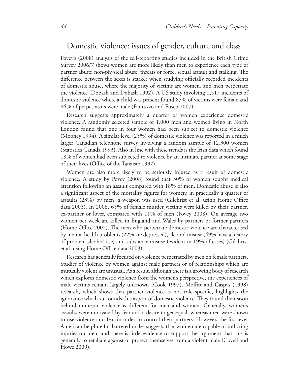## Domestic violence: issues of gender, culture and class

Povey's (2008) analysis of the self-reporting studies included in the British Crime Survey 2006/7 shows women are more likely than men to experience each type of partner abuse: non-physical abuse, threats or force, sexual assault and stalking. The difference between the sexes is starker when studying officially recorded incidents of domestic abuse, where the majority of victims are women, and men perpetrate the violence (Dobash and Dobash 1992). A US study involving 1,517 incidents of domestic violence where a child was present found 87% of victims were female and 86% of perpetrators were male (Fantuzzo and Fusco 2007).

Research suggests approximately a quarter of women experience domestic violence. A randomly selected sample of 1,000 men and women living in North London found that one in four women had been subject to domestic violence (Mooney 1994). A similar level (25%) of domestic violence was reported in a much larger Canadian telephone survey involving a random sample of 12,300 women (Statistics Canada 1993). Also in line with these trends is the Irish data which found 18% of women had been subjected to violence by an intimate partner at some stage of their lives (Office of the Tanaiste 1997).

Women are also more likely to be seriously injured as a result of domestic violence. A study by Povey (2008) found that 30% of women sought medical attention following an assault compared with 18% of men. Domestic abuse is also a significant aspect of the mortality figures for women; in practically a quarter of assaults (23%) by men, a weapon was used (Gilchrist et al. using Home Office data 2003). In 2008, 65% of female murder victims were killed by their partner, ex-partner or lover, compared with 11% of men (Povey 2008). On average two women per week are killed in England and Wales by partners or former partners (Home Office 2002). The men who perpetrate domestic violence are characterised by mental health problems (22% are depressed), alcohol misuse (49% have a history of problem alcohol use) and substance misuse (evident in 19% of cases) (Gilchrist et al. using Home Office data 2003).

Research has generally focused on violence perpetrated by men on female partners. Studies of violence by women against male partners or of relationships which are mutually violent are unusual. As a result, although there is a growing body of research which explores domestic violence from the women's perspective, the experiences of male victims remain largely unknown (Cook 1997). Moffitt and Caspi's (1998) research, which shows that partner violence is not role specific, highlights the ignorance which surrounds this aspect of domestic violence. They found the reason behind domestic violence is different for men and women. Generally, women's assaults were motivated by fear and a desire to get equal, whereas men were shown to use violence and fear in order to control their partners. However, the first ever American helpline for battered males suggests that women are capable of inflicting injuries on men, and there is little evidence to support the argument that this is generally to retaliate against or protect themselves from a violent male (Covell and Howe 2009).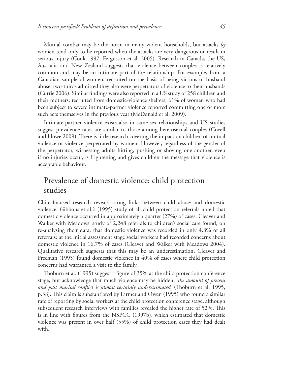Mutual combat may be the norm in many violent households, but attacks *by* women tend only to be reported when the attacks are very dangerous or result in serious injury (Cook 1997; Fergusson et al. 2005). Research in Canada, the US, Australia and New Zealand suggests that violence between couples is relatively common and may be an intimate part of the relationship. For example, from a Canadian sample of women, recruited on the basis of being victims of husband abuse, two-thirds admitted they also were perpetrators of violence to their husbands (Currie 2006). Similar findings were also reported in a US study of 258 children and their mothers, recruited from domestic-violence shelters; 61% of women who had been subject to severe intimate-partner violence reported committing one or more such acts themselves in the previous year (McDonald et al. 2009).

Intimate-partner violence exists also in same-sex relationships and US studies suggest prevalence rates are similar to those among heterosexual couples (Covell and Howe 2009). There is little research covering the impact on children of mutual violence or violence perpetrated by women. However, regardless of the gender of the perpetrator, witnessing adults hitting, pushing or shoving one another, even if no injuries occur, is frightening and gives children the message that violence is acceptable behaviour.

## Prevalence of domestic violence: child protection studies

Child-focused research reveals strong links between child abuse and domestic violence. Gibbons et al.'s (1995) study of all child protection referrals noted that domestic violence occurred in approximately a quarter (27%) of cases. Cleaver and Walker with Meadows' study of 2,248 referrals to children's social care found, on re-analysing their data, that domestic violence was recorded in only 4.8% of all referrals; at the initial assessment stage social workers had recorded concerns about domestic violence in 16.7% of cases (Cleaver and Walker with Meadows 2004). Qualitative research suggests that this may be an underestimation, Cleaver and Freeman (1995) found domestic violence in 40% of cases where child protection concerns had warranted a visit to the family.

Thoburn et al. (1995) suggest a figure of 35% at the child protection conference stage, but acknowledge that much violence may be hidden, *'the amount of present and past marital conflict is almost certainly underestimated'* (Thoburn et al. 1995, p.38). This claim is substantiated by Farmer and Owen (1995) who found a similar rate of reporting by social workers at the child protection conference stage, although subsequent research interviews with families revealed the higher rate of 52%. This is in line with figures from the NSPCC (1997b), which estimated that domestic violence was present in over half (55%) of child protection cases they had dealt with.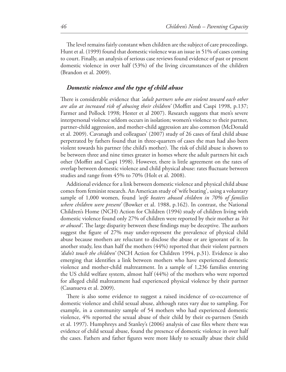The level remains fairly constant when children are the subject of care proceedings. Hunt et al. (1999) found that domestic violence was an issue in 51% of cases coming to court. Finally, an analysis of serious case reviews found evidence of past or present domestic violence in over half (53%) of the living circumstances of the children (Brandon et al. 2009).

### *Domestic violence and the type of child abuse*

There is considerable evidence that *'adult partners who are violent toward each other are also at increased risk of abusing their children'* (Moffitt and Caspi 1998, p.137; Farmer and Pollock 1998; Hester et al 2007). Research suggests that men's severe interpersonal violence seldom occurs in isolation; women's violence to their partner, partner-child aggression, and mother-child aggression are also common (McDonald et al. 2009). Cavanagh and colleagues' (2007) study of 26 cases of fatal child abuse perpetrated by fathers found that in three-quarters of cases the man had also been violent towards his partner (the child's mother). The risk of child abuse is shown to be between three and nine times greater in homes where the adult partners hit each other (Moffitt and Caspi 1998). However, there is little agreement on the rates of overlap between domestic violence and child physical abuse: rates fluctuate between studies and range from 45% to 70% (Holt et al. 2008).

Additional evidence for a link between domestic violence and physical child abuse comes from feminist research. An American study of 'wife beating', using a voluntary sample of 1,000 women, found *'wife beaters abused children in 70% of families where children were present'* (Bowker et al. 1988, p.162). In contrast, the National Children's Home (NCH) Action for Children (1994) study of children living with domestic violence found only 27% of children were reported by their mother as *'hit or abused'*. The large disparity between these findings may be deceptive. The authors suggest the figure of 27% may under-represent the prevalence of physical child abuse because mothers are reluctant to disclose the abuse or are ignorant of it. In another study, less than half the mothers (44%) reported that their violent partners *'didn't touch the children'* (NCH Action for Children 1994, p.31). Evidence is also emerging that identifies a link between mothers who have experienced domestic violence and mother-child maltreatment. In a sample of 1,236 families entering the US child welfare system, almost half (44%) of the mothers who were reported for alleged child maltreatment had experienced physical violence by their partner (Casanueva et al. 2009).

There is also some evidence to suggest a raised incidence of co-occurrence of domestic violence and child sexual abuse, although rates vary due to sampling. For example, in a community sample of 54 mothers who had experienced domestic violence, 4% reported the sexual abuse of their child by their ex-partners (Smith et al. 1997). Humphreys and Stanley's (2006) analysis of case files where there was evidence of child sexual abuse, found the presence of domestic violence in over half the cases. Fathers and father figures were more likely to sexually abuse their child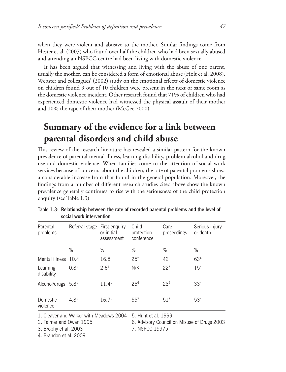when they were violent and abusive to the mother. Similar findings come from Hester et al. (2007) who found over half the children who had been sexually abused and attending an NSPCC centre had been living with domestic violence.

It has been argued that witnessing and living with the abuse of one parent, usually the mother, can be considered a form of emotional abuse (Holt et al. 2008). Webster and colleagues' (2002) study on the emotional effects of domestic violence on children found 9 out of 10 children were present in the next or same room as the domestic violence incident. Other research found that 71% of children who had experienced domestic violence had witnessed the physical assault of their mother and 10% the rape of their mother (McGee 2000).

# **Summary of the evidence for a link between parental disorders and child abuse**

This review of the research literature has revealed a similar pattern for the known prevalence of parental mental illness, learning disability, problem alcohol and drug use and domestic violence. When families come to the attention of social work services because of concerns about the children, the rate of parental problems shows a considerable increase from that found in the general population. Moreover, the findings from a number of different research studies cited above show the known prevalence generally continues to rise with the seriousness of the child protection enquiry (see Table 1.3).

| Parental<br>problems   | Referral stage First enquiry | or initial<br>assessment | Child<br>protection<br>conference | Care<br>proceedings | Serious injury<br>or death |
|------------------------|------------------------------|--------------------------|-----------------------------------|---------------------|----------------------------|
|                        | $\%$                         | $\%$                     | $\%$                              | %                   | $\%$                       |
| Mental illness $10.41$ |                              | 16.8 <sup>1</sup>        | $25^{2}$                          | $42^{3}$            | 63 <sup>4</sup>            |
| Learning<br>disability | 0.8 <sup>1</sup>             | 2.6 <sup>1</sup>         | N/K                               | $22^{5}$            | 15 <sup>4</sup>            |
| Alcohol/drugs $5.81$   |                              | 11.4 <sup>1</sup>        | $25^{6}$                          | 235                 | 33 <sup>4</sup>            |
| Domestic<br>violence   | 4.8 <sup>1</sup>             | 16.7 <sup>1</sup>        | 55 <sup>7</sup>                   | $51^{5}$            | 53 <sup>4</sup>            |

Table 1.3: **Relationship between the rate of recorded parental problems and the level of social work intervention**

1. Cleaver and Walker with Meadows 2004 5. Hunt et al. 1999

2. Falmer and Owen 1995 6. Advisory Council on Misuse of Drugs 2003

3. Brophy et al. 2003 7. NSPCC 1997b

4. Brandon et al. 2009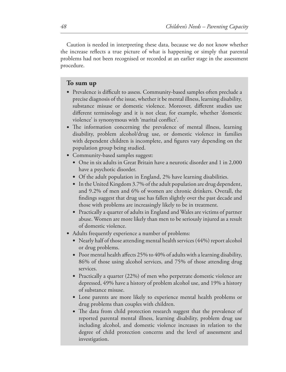Caution is needed in interpreting these data, because we do not know whether the increase reflects a true picture of what is happening or simply that parental problems had not been recognised or recorded at an earlier stage in the assessment procedure.

## **To sum up**

- Prevalence is difficult to assess. Community-based samples often preclude a precise diagnosis of the issue, whether it be mental illness, learning disability, substance misuse or domestic violence. Moreover, different studies use different terminology and it is not clear, for example, whether 'domestic violence' is synonymous with 'marital conflict'.
- The information concerning the prevalence of mental illness, learning disability, problem alcohol/drug use, or domestic violence in families with dependent children is incomplete, and figures vary depending on the population group being studied.
- Community-based samples suggest:
	- One in six adults in Great Britain have a neurotic disorder and 1 in 2,000 have a psychotic disorder.
	- Of the adult population in England, 2% have learning disabilities.
	- In the United Kingdom 3.7% of the adult population are drug dependent, and 9.2% of men and 6% of women are chronic drinkers. Overall, the findings suggest that drug use has fallen slightly over the past decade and those with problems are increasingly likely to be in treatment.
	- Practically a quarter of adults in England and Wales are victims of partner abuse. Women are more likely than men to be seriously injured as a result of domestic violence.
- Adults frequently experience a number of problems:
	- Nearly half of those attending mental health services  $(44%)$  report alcohol or drug problems.
	- Poor mental health affects 25% to 40% of adults with a learning disability, 86% of those using alcohol services, and 75% of those attending drug services.
	- Practically a quarter  $(22%)$  of men who perpetrate domestic violence are depressed, 49% have a history of problem alcohol use, and 19% a history of substance misuse.
	- Lone parents are more likely to experience mental health problems or drug problems than couples with children.
	- The data from child protection research suggest that the prevalence of reported parental mental illness, learning disability, problem drug use including alcohol, and domestic violence increases in relation to the degree of child protection concerns and the level of assessment and investigation.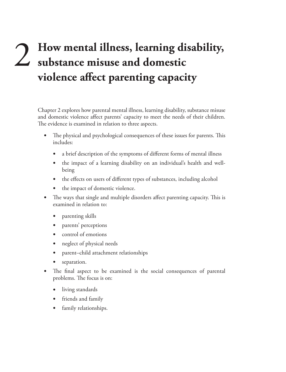# **How mental illness, learning disability, substance misuse and domestic violence affect parenting capacity** 2

Chapter 2 explores how parental mental illness, learning disability, substance misuse and domestic violence affect parents' capacity to meet the needs of their children. The evidence is examined in relation to three aspects.

- The physical and psychological consequences of these issues for parents. This includes:
	- a brief description of the symptoms of different forms of mental illness
	- the impact of a learning disability on an individual's health and wellbeing
	- the effects on users of different types of substances, including alcohol
	- the impact of domestic violence.
- The ways that single and multiple disorders affect parenting capacity. This is examined in relation to:
	- parenting skills
	- parents' perceptions
	- control of emotions
	- neglect of physical needs
	- parent-child attachment relationships
	- separation.
- The final aspect to be examined is the social consequences of parental problems. The focus is on:
	- living standards
	- friends and family
	- family relationships.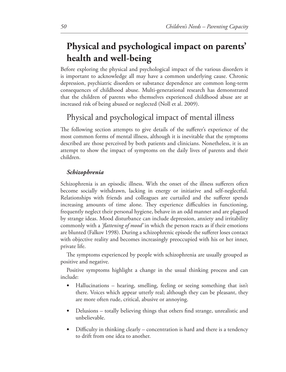# **Physical and psychological impact on parents' health and well-being**

Before exploring the physical and psychological impact of the various disorders it is important to acknowledge all may have a common underlying cause. Chronic depression, psychiatric disorders or substance dependence are common long-term consequences of childhood abuse. Multi-generational research has demonstrated that the children of parents who themselves experienced childhood abuse are at increased risk of being abused or neglected (Noll et al. 2009).

# Physical and psychological impact of mental illness

The following section attempts to give details of the sufferer's experience of the most common forms of mental illness, although it is inevitable that the symptoms described are those perceived by both patients and clinicians. Nonetheless, it is an attempt to show the impact of symptoms on the daily lives of parents and their children.

## *Schizophrenia*

Schizophrenia is an episodic illness. With the onset of the illness sufferers often become socially withdrawn, lacking in energy or initiative and self-neglectful. Relationships with friends and colleagues are curtailed and the sufferer spends increasing amounts of time alone. They experience difficulties in functioning, frequently neglect their personal hygiene, behave in an odd manner and are plagued by strange ideas. Mood disturbance can include depression, anxiety and irritability commonly with a *'flattening of mood'* in which the person reacts as if their emotions are blunted (Falkov 1998). During a schizophrenic episode the sufferer loses contact with objective reality and becomes increasingly preoccupied with his or her inner, private life.

The symptoms experienced by people with schizophrenia are usually grouped as positive and negative.

Positive symptoms highlight a change in the usual thinking process and can include:

- Hallucinations hearing, smelling, feeling or seeing something that isn't there. Voices which appear utterly real; although they can be pleasant, they are more often rude, critical, abusive or annoying.
- Delusions totally believing things that others find strange, unrealistic and unbelievable.
- Difficulty in thinking clearly concentration is hard and there is a tendency to drift from one idea to another.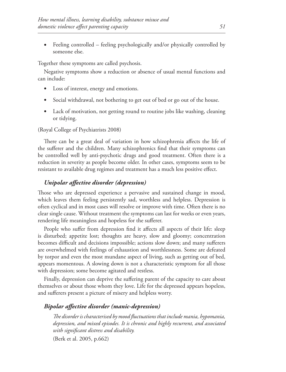• Feeling controlled – feeling psychologically and/or physically controlled by someone else.

Together these symptoms are called psychosis.

Negative symptoms show a reduction or absence of usual mental functions and can include:

- Loss of interest, energy and emotions.
- Social withdrawal, not bothering to get out of bed or go out of the house.
- Lack of motivation, not getting round to routine jobs like washing, cleaning or tidying.

(Royal College of Psychiatrists 2008)

There can be a great deal of variation in how schizophrenia affects the life of the sufferer and the children. Many schizophrenics find that their symptoms can be controlled well by anti-psychotic drugs and good treatment. Often there is a reduction in severity as people become older. In other cases, symptoms seem to be resistant to available drug regimes and treatment has a much less positive effect.

## *Unipolar affective disorder (depression)*

Those who are depressed experience a pervasive and sustained change in mood, which leaves them feeling persistently sad, worthless and helpless. Depression is often cyclical and in most cases will resolve or improve with time. Often there is no clear single cause. Without treatment the symptoms can last for weeks or even years, rendering life meaningless and hopeless for the sufferer.

People who suffer from depression find it affects all aspects of their life: sleep is disturbed; appetite lost; thoughts are heavy, slow and gloomy; concentration becomes difficult and decisions impossible; actions slow down; and many sufferers are overwhelmed with feelings of exhaustion and worthlessness. Some are defeated by torpor and even the most mundane aspect of living, such as getting out of bed, appears momentous. A slowing down is not a characteristic symptom for all those with depression; some become agitated and restless.

Finally, depression can deprive the suffering parent of the capacity to care about themselves or about those whom they love. Life for the depressed appears hopeless, and sufferers present a picture of misery and helpless worry.

## *Bipolar affective disorder (manic-depression)*

*The disorder is characterised by mood fluctuations that include mania, hypomania, depression, and mixed episodes. It is chronic and highly recurrent, and associated with significant distress and disability.*

(Berk et al. 2005, p.662)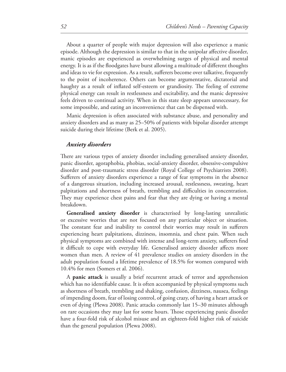About a quarter of people with major depression will also experience a manic episode. Although the depression is similar to that in the unipolar affective disorder, manic episodes are experienced as overwhelming surges of physical and mental energy. It is as if the floodgates have burst allowing a multitude of different thoughts and ideas to vie for expression. As a result, sufferers become over talkative, frequently to the point of incoherence. Others can become argumentative, dictatorial and haughty as a result of inflated self-esteem or grandiosity. The feeling of extreme physical energy can result in restlessness and excitability, and the manic depressive feels driven to continual activity. When in this state sleep appears unnecessary, for some impossible, and eating an inconvenience that can be dispensed with.

Manic depression is often associated with substance abuse, and personality and anxiety disorders and as many as 25–50% of patients with bipolar disorder attempt suicide during their lifetime (Berk et al. 2005).

#### *Anxiety disorders*

There are various types of anxiety disorder including generalised anxiety disorder, panic disorder, agoraphobia, phobias, social-anxiety disorder, obsessive-compulsive disorder and post-traumatic stress disorder (Royal College of Psychiatrists 2008). Sufferers of anxiety disorders experience a range of fear symptoms in the absence of a dangerous situation, including increased arousal, restlessness, sweating, heart palpitations and shortness of breath, trembling and difficulties in concentration. They may experience chest pains and fear that they are dying or having a mental breakdown.

**Generalised anxiety disorder** is characterised by long-lasting unrealistic or excessive worries that are not focused on any particular object or situation. The constant fear and inability to control their worries may result in sufferers experiencing heart palpitations, dizziness, insomnia, and chest pain. When such physical symptoms are combined with intense and long-term anxiety, sufferers find it difficult to cope with everyday life. Generalised anxiety disorder affects more women than men. A review of 41 prevalence studies on anxiety disorders in the adult population found a lifetime prevalence of 18.5% for women compared with 10.4% for men (Somers et al. 2006).

A **panic attack** is usually a brief recurrent attack of terror and apprehension which has no identifiable cause. It is often accompanied by physical symptoms such as shortness of breath, trembling and shaking, confusion, dizziness, nausea, feelings of impending doom, fear of losing control, of going crazy, of having a heart attack or even of dying (Plewa 2008). Panic attacks commonly last 15–30 minutes although on rare occasions they may last for some hours. Those experiencing panic disorder have a four-fold risk of alcohol misuse and an eighteen-fold higher risk of suicide than the general population (Plewa 2008).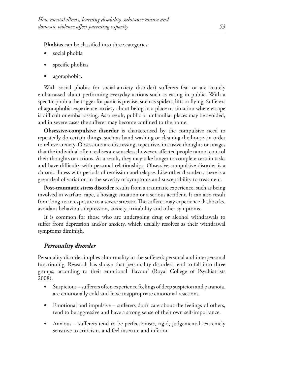**Phobias** can be classified into three categories:

- social phobia
- specific phobias
- agoraphobia.

With social phobia (or social-anxiety disorder) sufferers fear or are acutely embarrassed about performing everyday actions such as eating in public. With a specific phobia the trigger for panic is precise, such as spiders, lifts or flying. Sufferers of agoraphobia experience anxiety about being in a place or situation where escape is difficult or embarrassing. As a result, public or unfamiliar places may be avoided, and in severe cases the sufferer may become confined to the home.

**Obsessive-compulsive disorder** is characterised by the compulsive need to repeatedly do certain things, such as hand washing or cleaning the house, in order to relieve anxiety. Obsessions are distressing, repetitive, intrusive thoughts or images that the individual often realises are senseless; however, affected people cannot control their thoughts or actions. As a result, they may take longer to complete certain tasks and have difficulty with personal relationships. Obsessive-compulsive disorder is a chronic illness with periods of remission and relapse. Like other disorders, there is a great deal of variation in the severity of symptoms and susceptibility to treatment.

**Post-traumatic stress disorder** results from a traumatic experience, such as being involved in warfare, rape, a hostage situation or a serious accident. It can also result from long-term exposure to a severe stressor. The sufferer may experience flashbacks, avoidant behaviour, depression, anxiety, irritability and other symptoms.

It is common for those who are undergoing drug or alcohol withdrawals to suffer from depression and/or anxiety, which usually resolves as their withdrawal symptoms diminish.

## *Personality disorder*

Personality disorder implies abnormality in the sufferer's personal and interpersonal functioning. Research has shown that personality disorders tend to fall into three groups, according to their emotional 'flavour' (Royal College of Psychiatrists 2008).

- Suspicious sufferers often experience feelings of deep suspicion and paranoia, are emotionally cold and have inappropriate emotional reactions.
- Emotional and impulsive sufferers don't care about the feelings of others, tend to be aggressive and have a strong sense of their own self-importance.
- t Anxious sufferers tend to be perfectionists, rigid, judgemental, extremely sensitive to criticism, and feel insecure and inferior.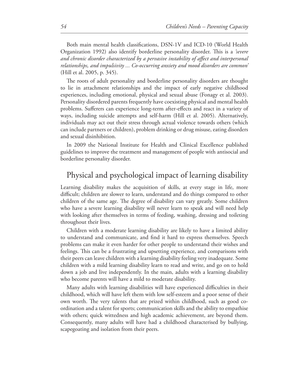Both main mental health classifications, DSN-1V and ICD-10 (World Health Organization 1992) also identify borderline personality disorder. This is a *'severe and chronic disorder characterized by a pervasive instability of affect and interpersonal relationships, and impulsivity ... Co-occurring anxiety and mood disorders are common'* (Hill et al. 2005, p. 345).

The roots of adult personality and borderline personality disorders are thought to lie in attachment relationships and the impact of early negative childhood experiences, including emotional, physical and sexual abuse (Fonagy et al. 2003). Personality disordered parents frequently have coexisting physical and mental health problems. Sufferers can experience long-term after-effects and react in a variety of ways, including suicide attempts and self-harm (Hill et al. 2005). Alternatively, individuals may act out their stress through actual violence towards others (which can include partners or children), problem drinking or drug misuse, eating disorders and sexual disinhibition.

In 2009 the National Institute for Health and Clinical Excellence published guidelines to improve the treatment and management of people with antisocial and borderline personality disorder.

# Physical and psychological impact of learning disability

Learning disability makes the acquisition of skills, at every stage in life, more difficult; children are slower to learn, understand and do things compared to other children of the same age. The degree of disability can vary greatly. Some children who have a severe learning disability will never learn to speak and will need help with looking after themselves in terms of feeding, washing, dressing and toileting throughout their lives.

Children with a moderate learning disability are likely to have a limited ability to understand and communicate, and find it hard to express themselves. Speech problems can make it even harder for other people to understand their wishes and feelings. This can be a frustrating and upsetting experience, and comparisons with their peers can leave children with a learning disability feeling very inadequate. Some children with a mild learning disability learn to read and write, and go on to hold down a job and live independently. In the main, adults with a learning disability who become parents will have a mild to moderate disability.

Many adults with learning disabilities will have experienced difficulties in their childhood, which will have left them with low self-esteem and a poor sense of their own worth. The very talents that are prized within childhood, such as good coordination and a talent for sports; communication skills and the ability to empathise with others; quick wittedness and high academic achievement, are beyond them. Consequently, many adults will have had a childhood characterised by bullying, scapegoating and isolation from their peers.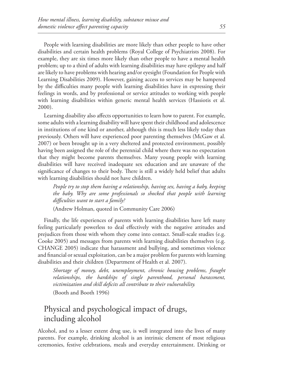People with learning disabilities are more likely than other people to have other disabilities and certain health problems (Royal College of Psychiatrists 2008). For example, they are six times more likely than other people to have a mental health problem; up to a third of adults with learning disabilities may have epilepsy and half are likely to have problems with hearing and/or eyesight (Foundation for People with Learning Disabilities 2009). However, gaining access to services may be hampered by the difficulties many people with learning disabilities have in expressing their feelings in words, and by professional or service attitudes to working with people with learning disabilities within generic mental health services (Hassiotis et al. 2000).

Learning disability also affects opportunities to learn how to parent. For example, some adults with a learning disability will have spent their childhood and adolescence in institutions of one kind or another, although this is much less likely today than previously. Others will have experienced poor parenting themselves (McGaw et al. 2007) or been brought up in a very sheltered and protected environment, possibly having been assigned the role of the perennial child where there was no expectation that they might become parents themselves. Many young people with learning disabilities will have received inadequate sex education and are unaware of the significance of changes to their body. There is still a widely held belief that adults with learning disabilities should not have children.

*People try to stop them having a relationship, having sex, having a baby, keeping the baby. Why are some professionals so shocked that people with learning difficulties want to start a family?*

(Andrew Holman, quoted in Community Care 2006)

Finally, the life experiences of parents with learning disabilities have left many feeling particularly powerless to deal effectively with the negative attitudes and prejudices from those with whom they come into contact. Small-scale studies (e.g. Cooke 2005) and messages from parents with learning disabilities themselves (e.g. CHANGE 2005) indicate that harassment and bullying, and sometimes violence and financial or sexual exploitation, can be a major problem for parents with learning disabilities and their children (Department of Health et al. 2007).

*Shortage of money, debt, unemployment, chronic housing problems, fraught relationships, the hardships of single parenthood, personal harassment, victimization and skill deficits all contribute to their vulnerability.*

(Booth and Booth 1996)

## Physical and psychological impact of drugs, including alcohol

Alcohol, and to a lesser extent drug use, is well integrated into the lives of many parents. For example, drinking alcohol is an intrinsic element of most religious ceremonies, festive celebrations, meals and everyday entertainment. Drinking or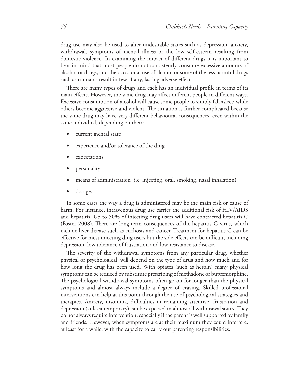drug use may also be used to alter undesirable states such as depression, anxiety, withdrawal, symptoms of mental illness or the low self-esteem resulting from domestic violence. In examining the impact of different drugs it is important to bear in mind that most people do not consistently consume excessive amounts of alcohol or drugs, and the occasional use of alcohol or some of the less harmful drugs such as cannabis result in few, if any, lasting adverse effects.

There are many types of drugs and each has an individual profile in terms of its main effects. However, the same drug may affect different people in different ways. Excessive consumption of alcohol will cause some people to simply fall asleep while others become aggressive and violent. The situation is further complicated because the same drug may have very different behavioural consequences, even within the same individual, depending on their:

- $\bullet$  current mental state
- experience and/or tolerance of the drug
- expectations
- personality
- means of administration (i.e. injecting, oral, smoking, nasal inhalation)
- dosage.

In some cases the way a drug is administered may be the main risk or cause of harm. For instance, intravenous drug use carries the additional risk of HIV/AIDS and hepatitis. Up to 50% of injecting drug users will have contracted hepatitis C (Foster 2008). There are long-term consequences of the hepatitis C virus, which include liver disease such as cirrhosis and cancer. Treatment for hepatitis C can be effective for most injecting drug users but the side effects can be difficult, including depression, low tolerance of frustration and low resistance to disease.

The severity of the withdrawal symptoms from any particular drug, whether physical or psychological, will depend on the type of drug and how much and for how long the drug has been used. With opiates (such as heroin) many physical symptoms can be reduced by substitute prescribing of methadone or bupremorphine. The psychological withdrawal symptoms often go on for longer than the physical symptoms and almost always include a degree of craving. Skilled professional interventions can help at this point through the use of psychological strategies and therapies. Anxiety, insomnia, difficulties in remaining attentive, frustration and depression (at least temporary) can be expected in almost all withdrawal states. They do not always require intervention, especially if the parent is well supported by family and friends. However, when symptoms are at their maximum they could interfere, at least for a while, with the capacity to carry out parenting responsibilities.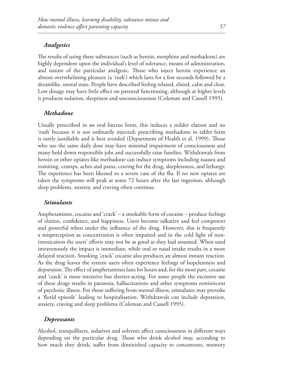## *Analgesics*

The results of using these substances (such as heroin, morphine and methadone) are highly dependent upon the individual's level of tolerance, means of administration, and nature of the particular analgesic. Those who inject heroin experience an almost overwhelming pleasure (a 'rush') which lasts for a few seconds followed by a dreamlike, unreal state. People have described feeling relaxed, elated, calm and clear. Low dosage may have little effect on parental functioning, although at higher levels it produces sedation, sleepiness and unconsciousness (Coleman and Cassell 1995).

## *Methadone*

Usually prescribed in an oral linctus form, this induces a milder elation and no 'rush' because it is not ordinarily injected; prescribing methadone in tablet form is rarely justifiable and is best avoided (Department of Health et al. 1999). Those who use the same daily dose may have minimal impairment of consciousness and many hold down responsible jobs and successfully raise families. Withdrawals from heroin or other opiates like methadone can induce symptoms including nausea and vomiting, cramps, aches and pains, craving for the drug, sleeplessness, and lethargy. The experience has been likened to a severe case of the flu. If no new opiates are taken the symptoms will peak at some 72 hours after the last ingestion, although sleep problems, anxiety, and craving often continue.

### *Stimulants*

Amphetamines, cocaine and 'crack' – a smokable form of cocaine – produce feelings of elation, confidence, and happiness. Users become talkative and feel competent and powerful when under the influence of the drug. However, this is frequently a misperception as concentration is often impaired and in the cold light of nonintoxication the users' efforts may not be as good as they had assumed. When used intravenously the impact is immediate, while oral or nasal intake results in a more delayed reaction. Smoking 'crack' cocaine also produces an almost instant reaction. As the drug leaves the system users often experience feelings of hopelessness and depression. The effect of amphetamines lasts for hours and, for the most part, cocaine and 'crack' is more intensive but shorter-acting. For some people the excessive use of these drugs results in paranoia, hallucinations and other symptoms reminiscent of psychotic illness. For those suffering from mental illness, stimulants may provoke a 'florid episode' leading to hospitalisation. Withdrawals can include depression, anxiety, craving and sleep problems (Coleman and Cassell 1995).

## *Depressants*

Alcohol, tranquillisers, sedatives and solvents affect consciousness in different ways depending on the particular drug. Those who drink alcohol may, according to how much they drink, suffer from diminished capacity to concentrate, memory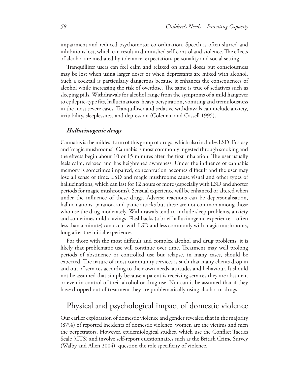impairment and reduced psychomotor co-ordination. Speech is often slurred and inhibitions lost, which can result in diminished self-control and violence. The effects of alcohol are mediated by tolerance, expectation, personality and social setting.

Tranquilliser users can feel calm and relaxed on small doses but consciousness may be lost when using larger doses or when depressants are mixed with alcohol. Such a cocktail is particularly dangerous because it enhances the consequences of alcohol while increasing the risk of overdose. The same is true of sedatives such as sleeping pills. Withdrawals for alcohol range from the symptoms of a mild hangover to epileptic-type fits, hallucinations, heavy perspiration, vomiting and tremulousness in the most severe cases. Tranquilliser and sedative withdrawals can include anxiety, irritability, sleeplessness and depression (Coleman and Cassell 1995).

### *Hallucinogenic drugs*

Cannabis is the mildest form of this group of drugs, which also includes LSD, Ecstasy and 'magic mushrooms'. Cannabis is most commonly ingested through smoking and the effects begin about 10 or 15 minutes after the first inhalation. The user usually feels calm, relaxed and has heightened awareness. Under the influence of cannabis memory is sometimes impaired, concentration becomes difficult and the user may lose all sense of time. LSD and magic mushrooms cause visual and other types of hallucinations, which can last for 12 hours or more (especially with LSD and shorter periods for magic mushrooms). Sensual experience will be enhanced or altered when under the influence of these drugs. Adverse reactions can be depersonalisation, hallucinations, paranoia and panic attacks but these are not common among those who use the drug moderately. Withdrawals tend to include sleep problems, anxiety and sometimes mild cravings. Flashbacks (a brief hallucinogenic experience – often less than a minute) can occur with LSD and less commonly with magic mushrooms, long after the initial experience.

For those with the most difficult and complex alcohol and drug problems, it is likely that problematic use will continue over time. Treatment may well prolong periods of abstinence or controlled use but relapse, in many cases, should be expected. The nature of most community services is such that many clients drop in and out of services according to their own needs, attitudes and behaviour. It should not be assumed that simply because a parent is receiving services they are abstinent or even in control of their alcohol or drug use. Nor can it be assumed that if they have dropped out of treatment they are problematically using alcohol or drugs.

## Physical and psychological impact of domestic violence

Our earlier exploration of domestic violence and gender revealed that in the majority (87%) of reported incidents of domestic violence, women are the victims and men the perpetrators. However, epidemiological studies, which use the Conflict Tactics Scale (CTS) and involve self-report questionnaires such as the British Crime Survey (Walby and Allen 2004), question the role specificity of violence.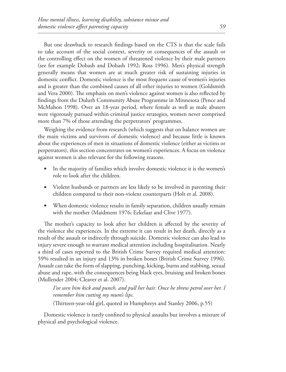But one drawback to research findings based on the CTS is that the scale fails to take account of the social context, severity or consequences of the assault or the controlling effect on the women of threatened violence by their male partners (see for example Dobash and Dobash 1992; Ross 1996). Men's physical strength generally means that women are at much greater risk of sustaining injuries in domestic conflict. Domestic violence is the most frequent cause of women's injuries and is greater than the combined causes of all other injuries to women (Goldsmith and Vera 2000). The emphasis on men's violence against women is also reflected by findings from the Duluth Community Abuse Programme in Minnesota (Pence and McMahon 1998). Over an 18-year period, where female as well as male abusers were vigorously pursued within criminal justice strategies, women never comprised more than 7% of those attending the perpetrators' programmes.

Weighing the evidence from research (which suggests that on balance women are the main victims and survivors of domestic violence) and because little is known about the experiences of men in situations of domestic violence (either as victims or perpetrators), this section concentrates on women's experiences. A focus on violence against women is also relevant for the following reasons.

- In the majority of families which involve domestic violence it is the women's role to look after the children.
- Violent husbands or partners are less likely to be involved in parenting their children compared to their non-violent counterparts (Holt et al. 2008).
- When domestic violence results in family separation, children usually remain with the mother (Maidment 1976; Eekelaar and Clive 1977).

The mother's capacity to look after her children is affected by the severity of the violence she experiences. In the extreme it can result in her death, directly as a result of the assault or indirectly through suicide. Domestic violence can also lead to injury severe enough to warrant medical attention including hospitalisation. Nearly a third of cases reported to the British Crime Survey required medical attention: 59% resulted in an injury and 13% in broken bones (British Crime Survey 1996). Assault can take the form of slapping, punching, kicking, burns and stabbing, sexual abuse and rape, with the consequences being black eyes, bruising and broken bones (Mullender 2004; Cleaver et al. 2007).

*I've seen him kick and punch, and pull her hair. Once he threw petrol over her. I remember him cutting my mum's lips.*

(Thirteen-year-old girl, quoted in Humphreys and Stanley 2006, p.55)

Domestic violence is rarely confined to physical assaults but involves a mixture of physical and psychological violence.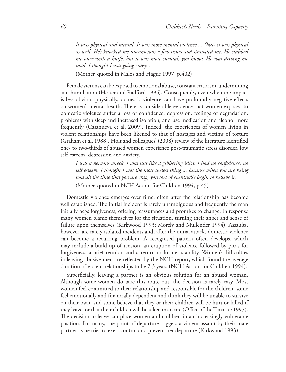*It was physical and mental. It was more mental violence ... (but) it was physical as well. He's knocked me unconscious a few times and strangled me. He stabbed me once with a knife, but it was more mental, you know. He was driving me mad. I thought I was going crazy...*

(Mother, quoted in Malos and Hague 1997, p.402)

Female victims can be exposed to emotional abuse, constant criticism, undermining and humiliation (Hester and Radford 1995). Consequently, even when the impact is less obvious physically, domestic violence can have profoundly negative effects on women's mental health. There is considerable evidence that women exposed to domestic violence suffer a loss of confidence, depression, feelings of degradation, problems with sleep and increased isolation, and use medication and alcohol more frequently (Casanueva et al. 2009). Indeed, the experiences of women living in violent relationships have been likened to that of hostages and victims of torture (Graham et al. 1988). Holt and colleagues' (2008) review of the literature identified one- to two-thirds of abused women experience post-traumatic stress disorder, low self-esteem, depression and anxiety.

*I was a nervous wreck. I was just like a gibbering idiot. I had no confidence, no self esteem. I thought I was the most useless thing ... because when you are being told all the time that you are crap, you sort of eventually begin to believe it.* (Mother, quoted in NCH Action for Children 1994, p.45)

Domestic violence emerges over time, often after the relationship has become well established. The initial incident is rarely unambiguous and frequently the man initially begs forgiveness, offering reassurances and promises to change. In response many women blame themselves for the situation, turning their anger and sense of failure upon themselves (Kirkwood 1993; Morely and Mullender 1994). Assaults, however, are rarely isolated incidents and, after the initial attack, domestic violence can become a recurring problem. A recognised pattern often develops, which may include a build-up of tension, an eruption of violence followed by pleas for forgiveness, a brief reunion and a return to former stability. Women's difficulties in leaving abusive men are reflected by the NCH report, which found the average duration of violent relationships to be 7.3 years (NCH Action for Children 1994).

Superficially, leaving a partner is an obvious solution for an abused woman. Although some women do take this route out, the decision is rarely easy. Most women feel committed to their relationship and responsible for the children; some feel emotionally and financially dependent and think they will be unable to survive on their own, and some believe that they or their children will be hurt or killed if they leave, or that their children will be taken into care (Office of the Tanaiste 1997). The decision to leave can place women and children in an increasingly vulnerable position. For many, the point of departure triggers a violent assault by their male partner as he tries to exert control and prevent her departure (Kirkwood 1993).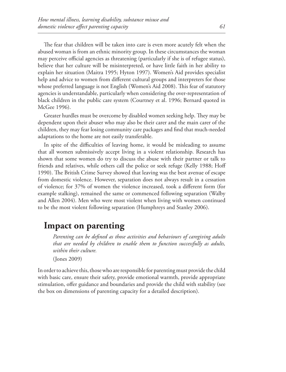The fear that children will be taken into care is even more acutely felt when the abused woman is from an ethnic minority group. In these circumstances the woman may perceive official agencies as threatening (particularly if she is of refugee status), believe that her culture will be misinterpreted, or have little faith in her ability to explain her situation (Maitra 1995; Hyton 1997). Women's Aid provides specialist help and advice to women from different cultural groups and interpreters for those whose preferred language is not English (Women's Aid 2008). This fear of statutory agencies is understandable, particularly when considering the over-representation of black children in the public care system (Courtney et al. 1996; Bernard quoted in McGee 1996).

Greater hurdles must be overcome by disabled women seeking help. They may be dependent upon their abuser who may also be their carer and the main carer of the children, they may fear losing community care packages and find that much-needed adaptations to the home are not easily transferable.

In spite of the difficulties of leaving home, it would be misleading to assume that all women submissively accept living in a violent relationship. Research has shown that some women do try to discuss the abuse with their partner or talk to friends and relatives, while others call the police or seek refuge (Kelly 1988; Hoff 1990). The British Crime Survey showed that leaving was the best avenue of escape from domestic violence. However, separation does not always result in a cessation of violence; for 37% of women the violence increased, took a different form (for example stalking), remained the same or commenced following separation (Walby and Allen 2004). Men who were most violent when living with women continued to be the most violent following separation (Humphreys and Stanley 2006).

# **Impact on parenting**

*Parenting can be defined as those activities and behaviours of caregiving adults that are needed by children to enable them to function successfully as adults, within their culture.*

(Jones 2009)

In order to achieve this, those who are responsible for parenting must provide the child with basic care, ensure their safety, provide emotional warmth, provide appropriate stimulation, offer guidance and boundaries and provide the child with stability (see the box on dimensions of parenting capacity for a detailed description).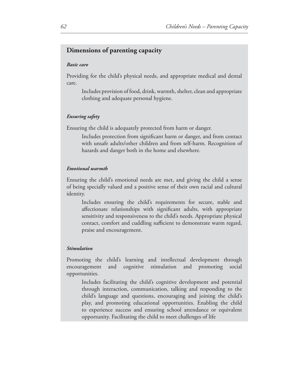## **Dimensions of parenting capacity**

#### *Basic care*

Providing for the child's physical needs, and appropriate medical and dental care.

Includes provision of food, drink, warmth, shelter, clean and appropriate clothing and adequate personal hygiene.

### *Ensuring safety*

Ensuring the child is adequately protected from harm or danger.

Includes protection from significant harm or danger, and from contact with unsafe adults/other children and from self-harm. Recognition of hazards and danger both in the home and elsewhere.

### *Emotional warmth*

Ensuring the child's emotional needs are met, and giving the child a sense of being specially valued and a positive sense of their own racial and cultural identity.

Includes ensuring the child's requirements for secure, stable and affectionate relationships with significant adults, with appropriate sensitivity and responsiveness to the child's needs. Appropriate physical contact, comfort and cuddling sufficient to demonstrate warm regard, praise and encouragement.

### *Stimulation*

Promoting the child's learning and intellectual development through encouragement and cognitive stimulation and promoting social opportunities.

Includes facilitating the child's cognitive development and potential through interaction, communication, talking and responding to the child's language and questions, encouraging and joining the child's play, and promoting educational opportunities. Enabling the child to experience success and ensuring school attendance or equivalent opportunity. Facilitating the child to meet challenges of life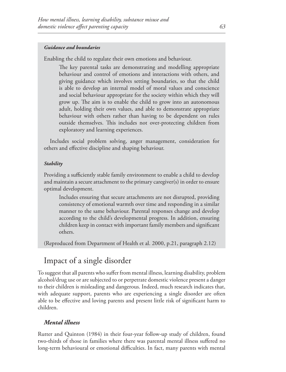### *Guidance and boundaries*

Enabling the child to regulate their own emotions and behaviour.

The key parental tasks are demonstrating and modelling appropriate behaviour and control of emotions and interactions with others, and giving guidance which involves setting boundaries, so that the child is able to develop an internal model of moral values and conscience and social behaviour appropriate for the society within which they will grow up. The aim is to enable the child to grow into an autonomous adult, holding their own values, and able to demonstrate appropriate behaviour with others rather than having to be dependent on rules outside themselves. This includes not over-protecting children from exploratory and learning experiences.

Includes social problem solving, anger management, consideration for others and effective discipline and shaping behaviour.

## *Stability*

Providing a sufficiently stable family environment to enable a child to develop and maintain a secure attachment to the primary caregiver(s) in order to ensure optimal development.

Includes ensuring that secure attachments are not disrupted, providing consistency of emotional warmth over time and responding in a similar manner to the same behaviour. Parental responses change and develop according to the child's developmental progress. In addition, ensuring children keep in contact with important family members and significant others.

(Reproduced from Department of Health et al. 2000, p.21, paragraph 2.12)

# Impact of a single disorder

To suggest that all parents who suffer from mental illness, learning disability, problem alcohol/drug use or are subjected to or perpetrate domestic violence present a danger to their children is misleading and dangerous. Indeed, much research indicates that, with adequate support, parents who are experiencing a single disorder are often able to be effective and loving parents and present little risk of significant harm to children.

## *Mental illness*

Rutter and Quinton (1984) in their four-year follow-up study of children, found two-thirds of those in families where there was parental mental illness suffered no long-term behavioural or emotional difficulties. In fact, many parents with mental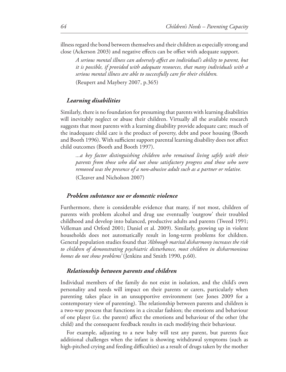illness regard the bond between themselves and their children as especially strong and close (Ackerson 2003) and negative effects can be offset with adequate support.

*A serious mental illness can adversely affect an individual's ability to parent, but it is possible, if provided with adequate resources, that many individuals with a serious mental illness are able to successfully care for their children.*

(Reupert and Maybery 2007, p.365)

### *Learning disabilities*

Similarly, there is no foundation for presuming that parents with learning disabilities will inevitably neglect or abuse their children. Virtually all the available research suggests that most parents with a learning disability provide adequate care; much of the inadequate child care is the product of poverty, debt and poor housing (Booth and Booth 1996). With sufficient support parental learning disability does not affect child outcomes (Booth and Booth 1997).

*...a key factor distinguishing children who remained living safely with their parents from those who did not show satisfactory progress and those who were removed was the presence of a non-abusive adult such as a partner or relative.* (Cleaver and Nicholson 2007)

#### *Problem substance use or domestic violence*

Furthermore, there is considerable evidence that many, if not most, children of parents with problem alcohol and drug use eventually 'outgrow' their troubled childhood and develop into balanced, productive adults and parents (Tweed 1991; Velleman and Orford 2001; Daniel et al. 2009). Similarly, growing up in violent households does not automatically result in long-term problems for children. General population studies found that *'Although marital disharmony increases the risk to children of demonstrating psychiatric disturbance, most children in disharmonious homes do not show problems'* (Jenkins and Smith 1990, p.60).

#### *Relationship between parents and children*

Individual members of the family do not exist in isolation, and the child's own personality and needs will impact on their parents or carers, particularly when parenting takes place in an unsupportive environment (see Jones 2009 for a contemporary view of parenting). The relationship between parents and children is a two-way process that functions in a circular fashion; the emotions and behaviour of one player (i.e. the parent) affect the emotions and behaviour of the other (the child) and the consequent feedback results in each modifying their behaviour.

For example, adjusting to a new baby will test any parent, but parents face additional challenges when the infant is showing withdrawal symptoms (such as high-pitched crying and feeding difficulties) as a result of drugs taken by the mother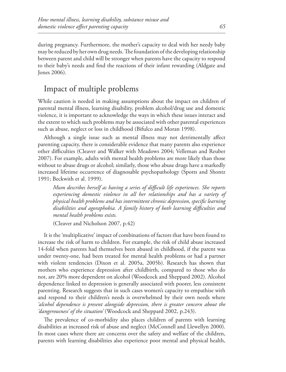during pregnancy. Furthermore, the mother's capacity to deal with her needy baby may be reduced by her own drug needs. The foundation of the developing relationship between parent and child will be stronger when parents have the capacity to respond to their baby's needs and find the reactions of their infant rewarding (Aldgate and Jones 2006).

# Impact of multiple problems

While caution is needed in making assumptions about the impact on children of parental mental illness, learning disability, problem alcohol/drug use and domestic violence, it is important to acknowledge the ways in which these issues interact and the extent to which such problems may be associated with other parental experiences such as abuse, neglect or loss in childhood (Bifulco and Moran 1998).

Although a single issue such as mental illness may not detrimentally affect parenting capacity, there is considerable evidence that many parents also experience other difficulties (Cleaver and Walker with Meadows 2004; Velleman and Reuber 2007). For example, adults with mental health problems are more likely than those without to abuse drugs or alcohol; similarly, those who abuse drugs have a markedly increased lifetime occurrence of diagnosable psychopathology (Spotts and Shontz 1991; Beckwith et al. 1999).

*Mum describes herself as having a series of difficult life experiences. She reports experiencing domestic violence in all her relationships and has a variety of physical health problems and has intermittent chronic depression, specific learning disabilities and agoraphobia. A family history of both learning difficulties and mental health problems exists.*

(Cleaver and Nicholson 2007, p.42)

It is the 'multiplicative' impact of combinations of factors that have been found to increase the risk of harm to children. For example, the risk of child abuse increased 14-fold when parents had themselves been abused in childhood, if the parent was under twenty-one, had been treated for mental health problems or had a partner with violent tendencies (Dixon et al. 2005a, 2005b). Research has shown that mothers who experience depression after childbirth, compared to those who do not, are 20% more dependent on alcohol (Woodcock and Sheppard 2002). Alcohol dependence linked to depression is generally associated with poorer, less consistent parenting. Research suggests that in such cases women's capacity to empathise with and respond to their children's needs is overwhelmed by their own needs where *'alcohol dependence is present alongside depression, there is greater concern about the 'dangerousness' of the situation'* (Woodcock and Sheppard 2002, p.243).

The prevalence of co-morbidity also places children of parents with learning disabilities at increased risk of abuse and neglect (McConnell and Llewellyn 2000). In most cases where there are concerns over the safety and welfare of the children, parents with learning disabilities also experience poor mental and physical health,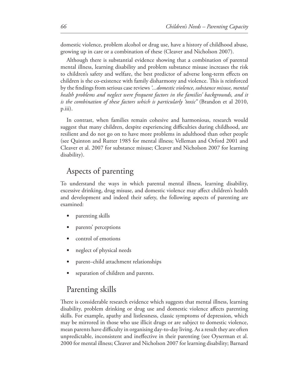domestic violence, problem alcohol or drug use, have a history of childhood abuse, growing up in care or a combination of these (Cleaver and Nicholson 2007).

Although there is substantial evidence showing that a combination of parental mental illness, learning disability and problem substance misuse increases the risk to children's safety and welfare, the best predictor of adverse long-term effects on children is the co-existence with family disharmony and violence. This is reinforced by the findings from serious case reviews *'...domestic violence, substance misuse, mental health problems and neglect were frequent factors in the families' backgrounds, and it is the combination of these factors which is particularly 'toxic''* (Brandon et al 2010, p.iii).

In contrast, when families remain cohesive and harmonious, research would suggest that many children, despite experiencing difficulties during childhood, are resilient and do not go on to have more problems in adulthood than other people (see Quinton and Rutter 1985 for mental illness; Velleman and Orford 2001 and Cleaver et al. 2007 for substance misuse; Cleaver and Nicholson 2007 for learning disability).

# Aspects of parenting

To understand the ways in which parental mental illness, learning disability, excessive drinking, drug misuse, and domestic violence may affect children's health and development and indeed their safety, the following aspects of parenting are examined:

- parenting skills
- parents' perceptions
- control of emotions
- neglect of physical needs
- parent–child attachment relationships
- separation of children and parents.

## Parenting skills

There is considerable research evidence which suggests that mental illness, learning disability, problem drinking or drug use and domestic violence affects parenting skills. For example, apathy and listlessness, classic symptoms of depression, which may be mirrored in those who use illicit drugs or are subject to domestic violence, mean parents have difficulty in organising day-to-day living. As a result they are often unpredictable, inconsistent and ineffective in their parenting (see Oyserman et al. 2000 for mental illness; Cleaver and Nicholson 2007 for learning disability; Barnard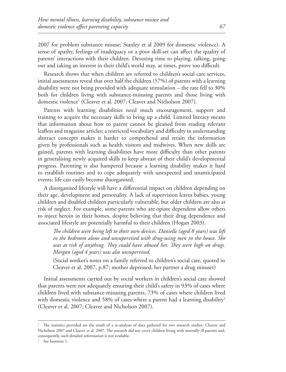2007 for problem substance misuse; Stanley et al 2009 for domestic violence). A sense of apathy, feelings of inadequacy or a poor skill-set can affect the quality of parents' interactions with their children. Devoting time to playing, talking, going out and taking an interest in their child's world may, at times, prove too difficult.

Research shows that when children are referred to children's social care services, initial assessments reveal that over half the children (57%) of parents with a learning disability were not being provided with adequate stimulation – the rate fell to 30% both for children living with substance-misusing parents and those living with domestic violence1 (Cleaver et al. 2007; Cleaver and Nicholson 2007).

Parents with learning disabilities need much encouragement, support and training to acquire the necessary skills to bring up a child. Limited literacy means that information about how to parent cannot be gleaned from reading relevant leaflets and magazine articles; a restricted vocabulary and difficulty in understanding abstract concepts makes it harder to comprehend and retain the information given by professionals such as health visitors and midwives. When new skills are gained, parents with learning disabilities have more difficulty than other parents in generalising newly acquired skills to keep abreast of their child's developmental progress. Parenting is also hampered because a learning disability makes it hard to establish routines and to cope adequately with unexpected and unanticipated events; life can easily become disorganised.

A disorganised lifestyle will have a differential impact on children depending on their age, development and personality. A lack of supervision leaves babies, young children and disabled children particularly vulnerable, but older children are also at risk of neglect. For example, some parents who are opiate dependent allow others to inject heroin in their homes, despite believing that their drug dependence and associated lifestyle are potentially harmful to their children (Hogan 2003).

*The children were being left to their own devices. Danielle (aged 8 years) was left in the bedroom alone and unsupervised with drug-using men in the house. She*  was at risk of anything. They could have abused her. They were high on drugs. *Morgan (aged 4 years) was also unsupervised.*

(Social worker's notes on a family referred to children's social care, quoted in Cleaver et al. 2007, p.87; mother depressed, her partner a drug misuser)

Initial assessments carried out by social workers in children's social care showed that parents were not adequately ensuring their child's safety in 93% of cases where children lived with substance-misusing parents, 73% of cases where children lived with domestic violence and 58% of cases where a parent had a learning disability<sup>2</sup> (Cleaver et al. 2007; Cleaver and Nicholson 2007).

<sup>1</sup> The statistics provided are the result of a re-analysis of data gathered for two research studies: Cleaver and Nicholson 2007 and Cleaver et al. 2007. The research did not cover children living with mentally ill parents and, consequently, such detailed information is not available.

<sup>2</sup> See footnote 1.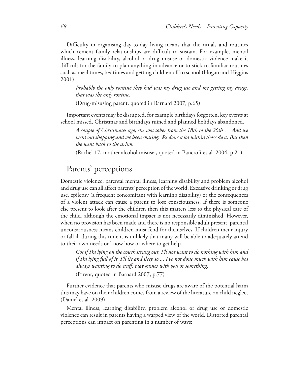Difficulty in organising day-to-day living means that the rituals and routines which cement family relationships are difficult to sustain. For example, mental illness, learning disability, alcohol or drug misuse or domestic violence make it difficult for the family to plan anything in advance or to stick to familiar routines such as meal times, bedtimes and getting children off to school (Hogan and Higgins 2001).

*Probably the only routine they had was my drug use and me getting my drugs, that was the only routine.*

(Drug-misusing parent, quoted in Barnard 2007, p.65)

Important events may be disrupted, for example birthdays forgotten, key events at school missed, Christmas and birthdays ruined and planned holidays abandoned.

*A couple of Christmases ago, she was sober from the 18th to the 26th … And we went out shopping and we been skating. We done a lot within those days. But then she went back to the drink.*

(Rachel 17, mother alcohol misuser, quoted in Bancroft et al. 2004, p.21)

## Parents' perceptions

Domestic violence, parental mental illness, learning disability and problem alcohol and drug use can all affect parents' perception of the world. Excessive drinking or drug use, epilepsy (a frequent concomitant with learning disability) or the consequences of a violent attack can cause a parent to lose consciousness. If there is someone else present to look after the children then this matters less to the physical care of the child, although the emotional impact is not necessarily diminished. However, when no provision has been made and there is no responsible adult present, parental unconsciousness means children must fend for themselves. If children incur injury or fall ill during this time it is unlikely that many will be able to adequately attend to their own needs or know how or where to get help.

*Cos if I'm lying on the couch strung out, I'll not want to do nothing with him and if I'm lying full of it, I'll lie and sleep so ... I've not done much with him cause he's always wanting to do stuff, play games with you or something.*

(Parent, quoted in Barnard 2007, p.77)

Further evidence that parents who misuse drugs are aware of the potential harm this may have on their children comes from a review of the literature on child neglect (Daniel et al. 2009).

Mental illness, learning disability, problem alcohol or drug use or domestic violence can result in parents having a warped view of the world. Distorted parental perceptions can impact on parenting in a number of ways: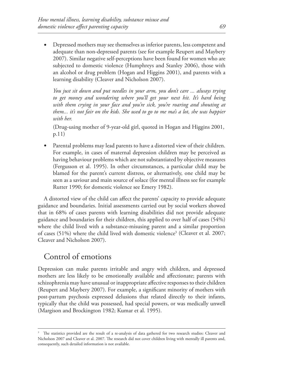• Depressed mothers may see themselves as inferior parents, less competent and adequate than non-depressed parents (see for example Reupert and Maybery 2007). Similar negative self-perceptions have been found for women who are subjected to domestic violence (Humphreys and Stanley 2006), those with an alcohol or drug problem (Hogan and Higgins 2001), and parents with a learning disability (Cleaver and Nicholson 2007).

*You just sit down and put needles in your arm, you don't care ... always trying to get money and wondering where you'll get your next hit. It's hard being with them crying in your face and you're sick, you're roaring and shouting at them... it's not fair on the kids. She used to go to me ma's a lot, she was happier with her.*

(Drug-using mother of 9-year-old girl, quoted in Hogan and Higgins 2001, p.11)

• Parental problems may lead parents to have a distorted view of their children. For example, in cases of maternal depression children may be perceived as having behaviour problems which are not substantiated by objective measures (Fergusson et al. 1995). In other circumstances, a particular child may be blamed for the parent's current distress, or alternatively, one child may be seen as a saviour and main source of solace (for mental illness see for example Rutter 1990; for domestic violence see Emery 1982).

A distorted view of the child can affect the parents' capacity to provide adequate guidance and boundaries. Initial assessments carried out by social workers showed that in 68% of cases parents with learning disabilities did not provide adequate guidance and boundaries for their children, this applied to over half of cases (54%) where the child lived with a substance-misusing parent and a similar proportion of cases (51%) where the child lived with domestic violence<sup>3</sup> (Cleaver et al. 2007; Cleaver and Nicholson 2007).

# Control of emotions

Depression can make parents irritable and angry with children, and depressed mothers are less likely to be emotionally available and affectionate; parents with schizophrenia may have unusual or inappropriate affective responses to their children (Reupert and Maybery 2007). For example, a significant minority of mothers with post-partum psychosis expressed delusions that related directly to their infants, typically that the child was possessed, had special powers, or was medically unwell (Margison and Brockington 1982; Kumar et al. 1995).

<sup>&</sup>lt;sup>3</sup> The statistics provided are the result of a re-analysis of data gathered for two research studies: Cleaver and Nicholson 2007 and Cleaver et al. 2007. The research did not cover children living with mentally ill parents and, consequently, such detailed information is not available.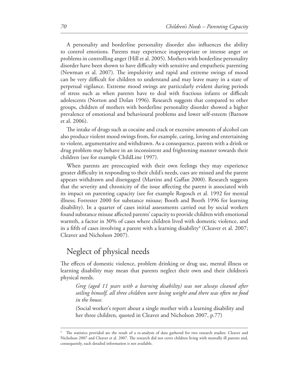A personality and borderline personality disorder also influences the ability to control emotions. Parents may experience inappropriate or intense anger or problems in controlling anger (Hill et al. 2005). Mothers with borderline personality disorder have been shown to have difficulty with sensitive and empathetic parenting (Newman et al. 2007). The impulsivity and rapid and extreme swings of mood can be very difficult for children to understand and may leave many in a state of perpetual vigilance. Extreme mood swings are particularly evident during periods of stress such as when parents have to deal with fractious infants or difficult adolescents (Norton and Dolan 1996). Research suggests that compared to other groups, children of mothers with borderline personality disorder showed a higher prevalence of emotional and behavioural problems and lower self-esteem (Barnow et al. 2006).

The intake of drugs such as cocaine and crack or excessive amounts of alcohol can also produce violent mood swings from, for example, caring, loving and entertaining to violent, argumentative and withdrawn. As a consequence, parents with a drink or drug problem may behave in an inconsistent and frightening manner towards their children (see for example ChildLine 1997).

When parents are preoccupied with their own feelings they may experience greater difficulty in responding to their child's needs, cues are missed and the parent appears withdrawn and disengaged (Martins and Gaffan 2000). Research suggests that the severity and chronicity of the issue affecting the parent is associated with its impact on parenting capacity (see for example Rogosch et al. 1992 for mental illness; Forrester 2000 for substance misuse; Booth and Booth 1996 for learning disability). In a quarter of cases initial assessments carried out by social workers found substance misuse affected parents' capacity to provide children with emotional warmth, a factor in 30% of cases where children lived with domestic violence, and in a fifth of cases involving a parent with a learning disability $^4$  (Cleaver et al. 2007; Cleaver and Nicholson 2007).

# Neglect of physical needs

The effects of domestic violence, problem drinking or drug use, mental illness or learning disability may mean that parents neglect their own and their children's physical needs.

*Greg (aged 11 years with a learning disability) was not always cleaned after soiling himself, all three children were losing weight and there was often no food in the house.*

(Social worker's report about a single mother with a learning disability and her three children, quoted in Cleaver and Nicholson 2007, p.77)

<sup>4</sup> The statistics provided are the result of a re-analysis of data gathered for two research studies: Cleaver and Nicholson 2007 and Cleaver et al. 2007. The research did not cover children living with mentally ill parents and, consequently, such detailed information is not available.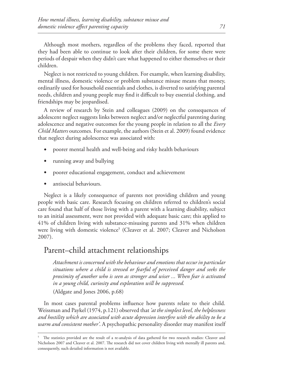Although most mothers, regardless of the problems they faced, reported that they had been able to continue to look after their children, for some there were periods of despair when they didn't care what happened to either themselves or their children.

Neglect is not restricted to young children. For example, when learning disability, mental illness, domestic violence or problem substance misuse means that money, ordinarily used for household essentials and clothes, is diverted to satisfying parental needs, children and young people may find it difficult to buy essential clothing, and friendships may be jeopardised.

A review of research by Stein and colleagues (2009) on the consequences of adolescent neglect suggests links between neglect and/or neglectful parenting during adolescence and negative outcomes for the young people in relation to all the *Every Child Matters* outcomes. For example, the authors (Stein et al. 2009) found evidence that neglect during adolescence was associated with:

- poorer mental health and well-being and risky health behaviours
- running away and bullying
- poorer educational engagement, conduct and achievement
- antisocial behaviours.

Neglect is a likely consequence of parents not providing children and young people with basic care. Research focusing on children referred to children's social care found that half of those living with a parent with a learning disability, subject to an initial assessment, were not provided with adequate basic care; this applied to 41% of children living with substance-misusing parents and 31% when children were living with domestic violence<sup>5</sup> (Cleaver et al. 2007; Cleaver and Nicholson 2007).

## Parent–child attachment relationships

*Attachment is concerned with the behaviour and emotions that occur in particular situations where a child is stressed or fearful of perceived danger and seeks the proximity of another who is seen as stronger and wiser ... When fear is activated in a young child, curiosity and exploration will be suppressed.*

(Aldgate and Jones 2006, p.68)

In most cases parental problems influence how parents relate to their child. Weissman and Paykel (1974, p.121) observed that *'at the simplest level, the helplessness and hostility which are associated with acute depression interfere with the ability to be a warm and consistent mother'*. A psychopathic personality disorder may manifest itself

<sup>5</sup> The statistics provided are the result of a re-analysis of data gathered for two research studies: Cleaver and Nicholson 2007 and Cleaver et al. 2007. The research did not cover children living with mentally ill parents and, consequently, such detailed information is not available.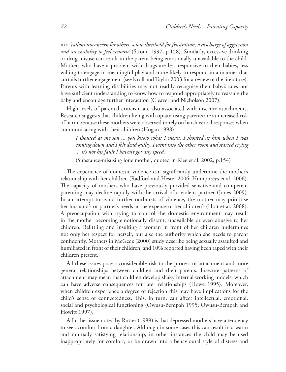in a *'callous unconcern for others, a low threshold for frustration, a discharge of aggression and an inability to feel remorse'* (Stroud 1997, p.158). Similarly, excessive drinking or drug misuse can result in the parent being emotionally unavailable to the child. Mothers who have a problem with drugs are less responsive to their babies, less willing to engage in meaningful play and more likely to respond in a manner that curtails further engagement (see Kroll and Taylor 2003 for a review of the literature). Parents with learning disabilities may not readily recognise their baby's cues nor have sufficient understanding to know how to respond appropriately to reassure the baby and encourage further interaction (Cleaver and Nicholson 2007).

High levels of parental criticism are also associated with insecure attachments. Research suggests that children living with opiate-using parents are at increased risk of harm because these mothers were observed to rely on harsh verbal responses when communicating with their children (Hogan 1998).

*I shouted at me son ... you know what I mean. I shouted at him when I was coming down and I felt dead guilty. I went into the other room and started crying ... it's not his fault I haven't got any speed.*

(Substance-misusing lone mother, quoted in Klee et al. 2002, p.154)

The experience of domestic violence can significantly undermine the mother's relationship with her children (Radford and Hester 2006; Humphreys et al. 2006). The capacity of mothers who have previously provided sensitive and competent parenting may decline rapidly with the arrival of a violent partner (Jones 2009). In an attempt to avoid further outbursts of violence, the mother may prioritise her husband's or partner's needs at the expense of her children's (Holt et al. 2008). A preoccupation with trying to control the domestic environment may result in the mother becoming emotionally distant, unavailable or even abusive to her children. Belittling and insulting a woman in front of her children undermines not only her respect for herself, but also the authority which she needs to parent confidently. Mothers in McGee's (2000) study describe being sexually assaulted and humiliated in front of their children, and 10% reported having been raped with their children present.

All these issues pose a considerable risk to the process of attachment and more general relationships between children and their parents. Insecure patterns of attachment may mean that children develop shaky internal working models, which can have adverse consequences for later relationships (Howe 1995). Moreover, when children experience a degree of rejection this may have implications for the child's sense of connectedness. This, in turn, can affect intellectual, emotional, social and psychological functioning (Owusu-Bempah 1995; Owusu-Bempah and Howitt 1997).

A further issue noted by Rutter (1989) is that depressed mothers have a tendency to seek comfort from a daughter. Although in some cases this can result in a warm and mutually satisfying relationship, in other instances the child may be used inappropriately for comfort, or be drawn into a behavioural style of distress and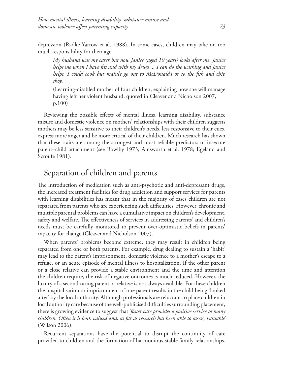depression (Radke-Yarrow et al. 1988). In some cases, children may take on too much responsibility for their age.

*My husband was my carer but now Janice (aged 10 years) looks after me. Janice helps me when I have fits and with my drugs ... I can do the washing and Janice helps. I could cook but mainly go out to McDonald's or to the fish and chip shop.*

(Learning-disabled mother of four children, explaining how she will manage having left her violent husband, quoted in Cleaver and Nicholson 2007, p.100)

Reviewing the possible effects of mental illness, learning disability, substance misuse and domestic violence on mothers' relationships with their children suggests mothers may be less sensitive to their children's needs, less responsive to their cues, express more anger and be more critical of their children. Much research has shown that these traits are among the strongest and most reliable predictors of insecure parent–child attachment (see Bowlby 1973; Ainsworth et al. 1978; Egeland and Scroufe 1981).

# Separation of children and parents

The introduction of medication such as anti-psychotic and anti-depressant drugs, the increased treatment facilities for drug addiction and support services for parents with learning disabilities has meant that in the majority of cases children are not separated from parents who are experiencing such difficulties. However, chronic and multiple parental problems can have a cumulative impact on children's development, safety and welfare. The effectiveness of services in addressing parents' and children's needs must be carefully monitored to prevent over-optimistic beliefs in parents' capacity for change (Cleaver and Nicholson 2007).

When parents' problems become extreme, they may result in children being separated from one or both parents. For example, drug dealing to sustain a 'habit' may lead to the parent's imprisonment, domestic violence to a mother's escape to a refuge, or an acute episode of mental illness to hospitalisation. If the other parent or a close relative can provide a stable environment and the time and attention the children require, the risk of negative outcomes is much reduced. However, the luxury of a second caring parent or relative is not always available. For these children the hospitalisation or imprisonment of one parent results in the child being 'looked after' by the local authority. Although professionals are reluctant to place children in local authority care because of the well-publicised difficulties surrounding placement, there is growing evidence to suggest that *'foster care provides a positive service to many children. Often it is both valued and, as far as research has been able to assess, valuable'* (Wilson 2006).

Recurrent separations have the potential to disrupt the continuity of care provided to children and the formation of harmonious stable family relationships.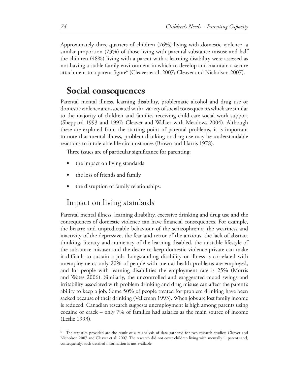Approximately three-quarters of children (76%) living with domestic violence, a similar proportion (73%) of those living with parental substance misuse and half the children (48%) living with a parent with a learning disability were assessed as not having a stable family environment in which to develop and maintain a secure attachment to a parent figure<sup>6</sup> (Cleaver et al. 2007; Cleaver and Nicholson 2007).

# **Social consequences**

Parental mental illness, learning disability, problematic alcohol and drug use or domestic violence are associated with a variety of social consequences which are similar to the majority of children and families receiving child-care social work support (Sheppard 1993 and 1997; Cleaver and Walker with Meadows 2004). Although these are explored from the starting point of parental problems, it is important to note that mental illness, problem drinking or drug use may be understandable reactions to intolerable life circumstances (Brown and Harris 1978).

Three issues are of particular significance for parenting:

- the impact on living standards
- the loss of friends and family
- the disruption of family relationships.

## Impact on living standards

Parental mental illness, learning disability, excessive drinking and drug use and the consequences of domestic violence can have financial consequences. For example, the bizarre and unpredictable behaviour of the schizophrenic, the weariness and inactivity of the depressive, the fear and terror of the anxious, the lack of abstract thinking, literacy and numeracy of the learning disabled, the unstable lifestyle of the substance misuser and the desire to keep domestic violence private can make it difficult to sustain a job. Longstanding disability or illness is correlated with unemployment; only 20% of people with mental health problems are employed, and for people with learning disabilities the employment rate is 25% (Morris and Wates 2006). Similarly, the uncontrolled and exaggerated mood swings and irritability associated with problem drinking and drug misuse can affect the parent's ability to keep a job. Some 50% of people treated for problem drinking have been sacked because of their drinking (Velleman 1993). When jobs are lost family income is reduced. Canadian research suggests unemployment is high among parents using cocaine or crack – only 7% of families had salaries as the main source of income (Leslie 1993).

<sup>6</sup> The statistics provided are the result of a re-analysis of data gathered for two research studies: Cleaver and Nicholson 2007 and Cleaver et al. 2007. The research did not cover children living with mentally ill parents and, consequently, such detailed information is not available.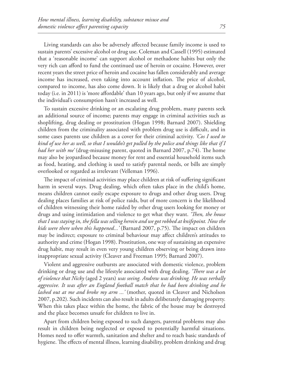Living standards can also be adversely affected because family income is used to sustain parents' excessive alcohol or drug use. Coleman and Cassell (1995) estimated that a 'reasonable income' can support alcohol or methadone habits but only the very rich can afford to fund the continued use of heroin or cocaine. However, over recent years the street price of heroin and cocaine has fallen considerably and average income has increased, even taking into account inflation. The price of alcohol, compared to income, has also come down. It is likely that a drug or alcohol habit today (i.e. in 2011) is 'more affordable' than 10 years ago, but only if we assume that the individual's consumption hasn't increased as well.

To sustain excessive drinking or an escalating drug problem, many parents seek an additional source of income; parents may engage in criminal activities such as shoplifting, drug dealing or prostitution (Hogan 1998; Barnard 2007). Shielding children from the criminality associated with problem drug use is difficult, and in some cases parents use children as a cover for their criminal activity. *'Cos I used to kind of use her as well, so that I wouldn't get pulled by the police and things like that if I had her with me'* (drug-misusing parent, quoted in Barnard 2007, p.74). The home may also be jeopardised because money for rent and essential household items such as food, heating, and clothing is used to satisfy parental needs, or bills are simply overlooked or regarded as irrelevant (Velleman 1996).

The impact of criminal activities may place children at risk of suffering significant harm in several ways. Drug dealing, which often takes place in the child's home, means children cannot easily escape exposure to drugs and other drug users. Drug dealing places families at risk of police raids, but of more concern is the likelihood of children witnessing their home raided by other drug users looking for money or drugs and using intimidation and violence to get what they want. *'Then, the house that I was staying in, the fella was selling heroin and we got robbed at knifepoint. Now the kids were there when this happened...'* (Barnard 2007, p.75). The impact on children may be indirect; exposure to criminal behaviour may affect children's attitudes to authority and crime (Hogan 1998). Prostitution, one way of sustaining an expensive drug habit, may result in even very young children observing or being drawn into inappropriate sexual activity (Cleaver and Freeman 1995; Barnard 2007).

Violent and aggressive outbursts are associated with domestic violence, problem drinking or drug use and the lifestyle associated with drug dealing. *'There was a lot of violence that Nicky* (aged 2 years) *was seeing. Andrew was drinking. He was verbally aggressive. It was after an England football match that he had been drinking and he lashed out at me and broke my arm ...'* (mother, quoted in Cleaver and Nicholson 2007, p.202). Such incidents can also result in adults deliberately damaging property. When this takes place within the home, the fabric of the house may be destroyed and the place becomes unsafe for children to live in.

Apart from children being exposed to such dangers, parental problems may also result in children being neglected or exposed to potentially harmful situations. Homes need to offer warmth, sanitation and shelter and to reach basic standards of hygiene. The effects of mental illness, learning disability, problem drinking and drug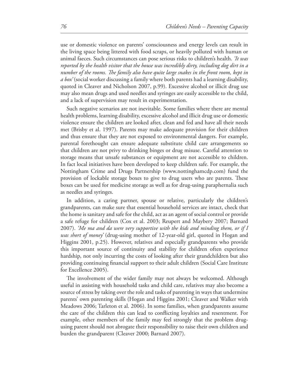use or domestic violence on parents' consciousness and energy levels can result in the living space being littered with food scraps, or heavily polluted with human or animal faeces. Such circumstances can pose serious risks to children's health. *'It was reported by the health visitor that the house was incredibly dirty, including dog dirt in a number of the rooms. The family also have quite large snakes in the front room, kept in a box'* (social worker discussing a family where both parents had a learning disability, quoted in Cleaver and Nicholson 2007, p.99). Excessive alcohol or illicit drug use may also mean drugs and used needles and syringes are easily accessible to the child, and a lack of supervision may result in experimentation.

Such negative scenarios are not inevitable. Some families where there are mental health problems, learning disability, excessive alcohol and illicit drug use or domestic violence ensure the children are looked after, clean and fed and have all their needs met (Brisby et al. 1997). Parents may make adequate provision for their children and thus ensure that they are not exposed to environmental dangers. For example, parental forethought can ensure adequate substitute child care arrangements so that children are not privy to drinking binges or drug misuse. Careful attention to storage means that unsafe substances or equipment are not accessible to children. In fact local initiatives have been developed to keep children safe. For example, the Nottingham Crime and Drugs Partnership (www.nottinghamcdp.com) fund the provision of lockable storage boxes to give to drug users who are parents. These boxes can be used for medicine storage as well as for drug-using paraphernalia such as needles and syringes.

In addition, a caring partner, spouse or relative, particularly the children's grandparents, can make sure that essential household services are intact, check that the home is sanitary and safe for the child, act as an agent of social control or provide a safe refuge for children (Cox et al. 2003; Reupert and Maybery 2007; Barnard 2007). *'Me ma and da were very supportive with the kids and minding them, or if I was short of money'* (drug-using mother of 12-year-old girl, quoted in Hogan and Higgins 2001, p.25). However, relatives and especially grandparents who provide this important source of continuity and stability for children often experience hardship, not only incurring the costs of looking after their grandchildren but also providing continuing financial support to their adult children (Social Care Institute for Excellence 2005).

The involvement of the wider family may not always be welcomed. Although useful in assisting with household tasks and child care, relatives may also become a source of stress by taking over the role and tasks of parenting in ways that undermine parents' own parenting skills (Hogan and Higgins 2001; Cleaver and Walker with Meadows 2006; Tarleton et al. 2006). In some families, when grandparents assume the care of the children this can lead to conflicting loyalties and resentment. For example, other members of the family may feel strongly that the problem drugusing parent should not abrogate their responsibility to raise their own children and burden the grandparent (Cleaver 2000; Barnard 2007).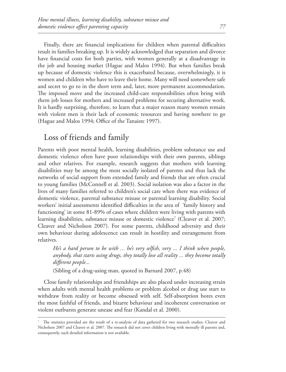Finally, there are financial implications for children when parental difficulties result in families breaking up. It is widely acknowledged that separation and divorce have financial costs for both parties, with women generally at a disadvantage in the job and housing market (Hague and Malos 1994). But when families break up because of domestic violence this is exacerbated because, overwhelmingly, it is women and children who have to leave their home. Many will need somewhere safe and secret to go to in the short term and, later, more permanent accommodation. The imposed move and the increased child-care responsibilities often bring with them job losses for mothers and increased problems for securing alternative work. It is hardly surprising, therefore, to learn that a major reason many women remain with violent men is their lack of economic resources and having nowhere to go (Hague and Malos 1994; Office of the Tanaiste 1997).

# Loss of friends and family

Parents with poor mental health, learning disabilities, problem substance use and domestic violence often have poor relationships with their own parents, siblings and other relatives. For example, research suggests that mothers with learning disabilities may be among the most socially isolated of parents and thus lack the networks of social support from extended family and friends that are often crucial to young families (McConnell et al. 2003). Social isolation was also a factor in the lives of many families referred to children's social care when there was evidence of domestic violence, parental substance misuse or parental learning disability. Social workers' initial assessments identified difficulties in the area of 'family history and functioning' in some 81-89% of cases where children were living with parents with learning disabilities, substance misuse or domestic violence<sup>7</sup> (Cleaver et al. 2007; Cleaver and Nicholson 2007). For some parents, childhood adversity and their own behaviour during adolescence can result in hostility and estrangement from relatives.

*He's a hard person to be with ... he's very selfish, very ... I think when people, anybody, that starts using drugs, they totally lose all reality ... they become totally different people...*

(Sibling of a drug-using man, quoted in Barnard 2007, p.48)

Close family relationships and friendships are also placed under increasing strain when adults with mental health problems or problem alcohol or drug use start to withdraw from reality or become obsessed with self. Self-absorption bores even the most faithful of friends, and bizarre behaviour and incoherent conversation or violent outbursts generate unease and fear (Kandal et al. 2000).

<sup>7</sup> The statistics provided are the result of a re-analysis of data gathered for two research studies: Cleaver and Nicholson 2007 and Cleaver et al. 2007. The research did not cover children living with mentally ill parents and, consequently, such detailed information is not available.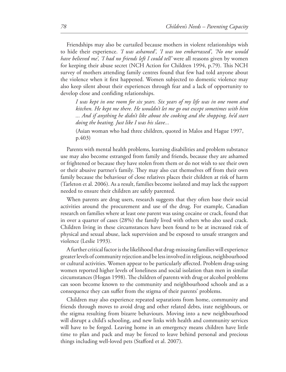Friendships may also be curtailed because mothers in violent relationships wish to hide their experience. *'I was ashamed', 'I was too embarrassed', 'No one would have believed me', 'I had no friends left I could tell'* were all reasons given by women for keeping their abuse secret (NCH Action for Children 1994, p.79). This NCH survey of mothers attending family centres found that few had told anyone about the violence when it first happened. Women subjected to domestic violence may also keep silent about their experiences through fear and a lack of opportunity to develop close and confiding relationships.

*I was kept in one room for six years. Six years of my life was in one room and kitchen. He kept me there. He wouldn't let me go out except sometimes with him ... And if anything he didn't like about the cooking and the shopping, he'd start doing the beating. Just like I was his slave...*

(Asian woman who had three children, quoted in Malos and Hague 1997, p.403)

Parents with mental health problems, learning disabilities and problem substance use may also become estranged from family and friends, because they are ashamed or frightened or because they have stolen from them or do not wish to see their own or their abusive partner's family. They may also cut themselves off from their own family because the behaviour of close relatives places their children at risk of harm (Tarleton et al. 2006). As a result, families become isolated and may lack the support needed to ensure their children are safely parented.

When parents are drug users, research suggests that they often base their social activities around the procurement and use of the drug. For example, Canadian research on families where at least one parent was using cocaine or crack, found that in over a quarter of cases (28%) the family lived with others who also used crack. Children living in these circumstances have been found to be at increased risk of physical and sexual abuse, lack supervision and be exposed to unsafe strangers and violence (Leslie 1993).

A further critical factor is the likelihood that drug-misusing families will experience greater levels of community rejection and be less involved in religious, neighbourhood or cultural activities. Women appear to be particularly affected. Problem drug-using women reported higher levels of loneliness and social isolation than men in similar circumstances (Hogan 1998). The children of parents with drug or alcohol problems can soon become known to the community and neighbourhood schools and as a consequence they can suffer from the stigma of their parents' problems.

Children may also experience repeated separations from home, community and friends through moves to avoid drug and other related debts, irate neighbours, or the stigma resulting from bizarre behaviours. Moving into a new neighbourhood will disrupt a child's schooling, and new links with health and community services will have to be forged. Leaving home in an emergency means children have little time to plan and pack and may be forced to leave behind personal and precious things including well-loved pets (Stafford et al. 2007).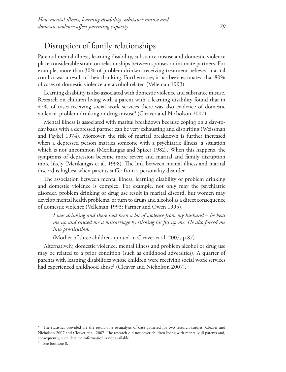# Disruption of family relationships

Parental mental illness, learning disability, substance misuse and domestic violence place considerable strain on relationships between spouses or intimate partners. For example, more than 30% of problem drinkers receiving treatment believed marital conflict was a result of their drinking. Furthermore, it has been estimated that 80% of cases of domestic violence are alcohol related (Velleman 1993).

Learning disability is also associated with domestic violence and substance misuse. Research on children living with a parent with a learning disability found that in 42% of cases receiving social work services there was also evidence of domestic violence, problem drinking or drug misuse<sup>8</sup> (Cleaver and Nicholson 2007).

Mental illness is associated with marital breakdown because coping on a day-today basis with a depressed partner can be very exhausting and dispiriting (Weissman and Paykel 1974). Moreover, the risk of marital breakdown is further increased when a depressed person marries someone with a psychiatric illness, a situation which is not uncommon (Merikangas and Spiker 1982). When this happens, the symptoms of depression become more severe and marital and family disruption more likely (Merikangas et al. 1998). The link between mental illness and marital discord is highest when parents suffer from a personality disorder.

The association between mental illness, learning disability or problem drinking and domestic violence is complex. For example, not only may the psychiatric disorder, problem drinking or drug use result in marital discord, but women may develop mental health problems, or turn to drugs and alcohol as a direct consequence of domestic violence (Velleman 1993; Farmer and Owen 1995).

*I was drinking and there had been a lot of violence from my husband – he beat me up and caused me a miscarriage by sticking his fist up me. He also forced me into prostitution.*

(Mother of three children, quoted in Cleaver et al. 2007, p.87)

Alternatively, domestic violence, mental illness and problem alcohol or drug use may be related to a prior condition (such as childhood adversities). A quarter of parents with learning disabilities whose children were receiving social work services had experienced childhood abuse<sup>9</sup> (Cleaver and Nicholson 2007).

<sup>8</sup> The statistics provided are the result of a re-analysis of data gathered for two research studies: Cleaver and Nicholson 2007 and Cleaver et al. 2007. The research did not cover children living with mentally ill parents and, consequently, such detailed information is not available.

<sup>9</sup> See footnote 8.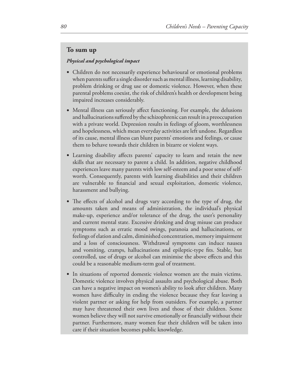#### **To sum up**

#### *Physical and psychological impact*

- Children do not necessarily experience behavioural or emotional problems when parents suffer a single disorder such as mental illness, learning disability, problem drinking or drug use or domestic violence. However, when these parental problems coexist, the risk of children's health or development being impaired increases considerably.
- Mental illness can seriously affect functioning. For example, the delusions and hallucinations suffered by the schizophrenic can result in a preoccupation with a private world. Depression results in feelings of gloom, worthlessness and hopelessness, which mean everyday activities are left undone. Regardless of its cause, mental illness can blunt parents' emotions and feelings, or cause them to behave towards their children in bizarre or violent ways.
- Learning disability affects parents' capacity to learn and retain the new skills that are necessary to parent a child. In addition, negative childhood experiences leave many parents with low self-esteem and a poor sense of selfworth. Consequently, parents with learning disabilities and their children are vulnerable to financial and sexual exploitation, domestic violence, harassment and bullying.
- The effects of alcohol and drugs vary according to the type of drug, the amounts taken and means of administration, the individual's physical make-up, experience and/or tolerance of the drug, the user's personality and current mental state. Excessive drinking and drug misuse can produce symptoms such as erratic mood swings, paranoia and hallucinations, or feelings of elation and calm, diminished concentration, memory impairment and a loss of consciousness. Withdrawal symptoms can induce nausea and vomiting, cramps, hallucinations and epileptic-type fits. Stable, but controlled, use of drugs or alcohol can minimise the above effects and this could be a reasonable medium-term goal of treatment.
- In situations of reported domestic violence women are the main victims. Domestic violence involves physical assaults and psychological abuse. Both can have a negative impact on women's ability to look after children. Many women have difficulty in ending the violence because they fear leaving a violent partner or asking for help from outsiders. For example, a partner may have threatened their own lives and those of their children. Some women believe they will not survive emotionally or financially without their partner. Furthermore, many women fear their children will be taken into care if their situation becomes public knowledge.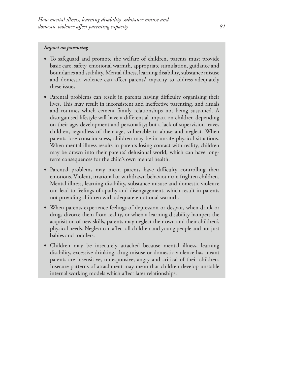#### *Impact on parenting*

- To safeguard and promote the welfare of children, parents must provide basic care, safety, emotional warmth, appropriate stimulation, guidance and boundaries and stability. Mental illness, learning disability, substance misuse and domestic violence can affect parents' capacity to address adequately these issues.
- Parental problems can result in parents having difficulty organising their lives. This may result in inconsistent and ineffective parenting, and rituals and routines which cement family relationships not being sustained. A disorganised lifestyle will have a differential impact on children depending on their age, development and personality; but a lack of supervision leaves children, regardless of their age, vulnerable to abuse and neglect. When parents lose consciousness, children may be in unsafe physical situations. When mental illness results in parents losing contact with reality, children may be drawn into their parents' delusional world, which can have longterm consequences for the child's own mental health.
- Parental problems may mean parents have difficulty controlling their emotions. Violent, irrational or withdrawn behaviour can frighten children. Mental illness, learning disability, substance misuse and domestic violence can lead to feelings of apathy and disengagement, which result in parents not providing children with adequate emotional warmth.
- When parents experience feelings of depression or despair, when drink or drugs divorce them from reality, or when a learning disability hampers the acquisition of new skills, parents may neglect their own and their children's physical needs. Neglect can affect all children and young people and not just babies and toddlers.
- Children may be insecurely attached because mental illness, learning disability, excessive drinking, drug misuse or domestic violence has meant parents are insensitive, unresponsive, angry and critical of their children. Insecure patterns of attachment may mean that children develop unstable internal working models which affect later relationships.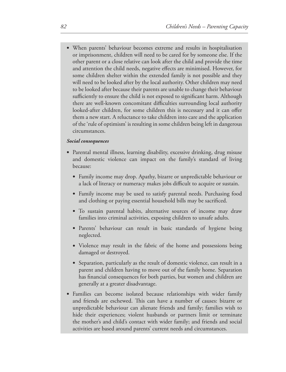• When parents' behaviour becomes extreme and results in hospitalisation or imprisonment, children will need to be cared for by someone else. If the other parent or a close relative can look after the child and provide the time and attention the child needs, negative effects are minimised. However, for some children shelter within the extended family is not possible and they will need to be looked after by the local authority. Other children may need to be looked after because their parents are unable to change their behaviour sufficiently to ensure the child is not exposed to significant harm. Although there are well-known concomitant difficulties surrounding local authority looked-after children, for some children this is necessary and it can offer them a new start. A reluctance to take children into care and the application of the 'rule of optimism' is resulting in some children being left in dangerous circumstances.

#### *Social consequences*

- Parental mental illness, learning disability, excessive drinking, drug misuse and domestic violence can impact on the family's standard of living because:
	- Family income may drop. Apathy, bizarre or unpredictable behaviour or a lack of literacy or numeracy makes jobs difficult to acquire or sustain.
	- Family income may be used to satisfy parental needs. Purchasing food and clothing or paying essential household bills may be sacrificed.
	- To sustain parental habits, alternative sources of income may draw families into criminal activities, exposing children to unsafe adults.
	- Parents' behaviour can result in basic standards of hygiene being neglected.
	- Violence may result in the fabric of the home and possessions being damaged or destroyed.
	- Separation, particularly as the result of domestic violence, can result in a parent and children having to move out of the family home. Separation has financial consequences for both parties, but women and children are generally at a greater disadvantage.
- Families can become isolated because relationships with wider family and friends are eschewed. This can have a number of causes: bizarre or unpredictable behaviour can alienate friends and family; families wish to hide their experiences; violent husbands or partners limit or terminate the mother's and child's contact with wider family; and friends and social activities are based around parents' current needs and circumstances.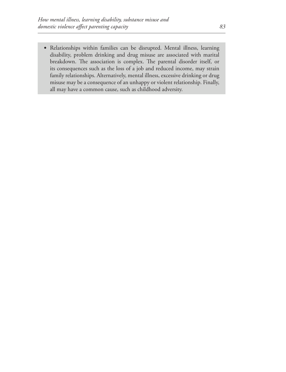• Relationships within families can be disrupted. Mental illness, learning disability, problem drinking and drug misuse are associated with marital breakdown. The association is complex. The parental disorder itself, or its consequences such as the loss of a job and reduced income, may strain family relationships. Alternatively, mental illness, excessive drinking or drug misuse may be a consequence of an unhappy or violent relationship. Finally, all may have a common cause, such as childhood adversity.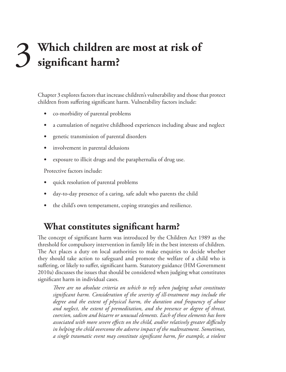# **Which children are most at risk of significant harm?** 3

Chapter 3 explores factors that increase children's vulnerability and those that protect children from suffering significant harm. Vulnerability factors include:

- co-morbidity of parental problems
- a cumulation of negative childhood experiences including abuse and neglect
- genetic transmission of parental disorders
- involvement in parental delusions
- exposure to illicit drugs and the paraphernalia of drug use.

Protective factors include:

- quick resolution of parental problems
- day-to-day presence of a caring, safe adult who parents the child
- the child's own temperament, coping strategies and resilience.

# **What constitutes significant harm?**

The concept of significant harm was introduced by the Children Act 1989 as the threshold for compulsory intervention in family life in the best interests of children. The Act places a duty on local authorities to make enquiries to decide whether they should take action to safeguard and promote the welfare of a child who is suffering, or likely to suffer, significant harm. Statutory guidance (HM Government 2010a) discusses the issues that should be considered when judging what constitutes significant harm in individual cases.

*There are no absolute criteria on which to rely when judging what constitutes significant harm. Consideration of the severity of ill-treatment may include the degree and the extent of physical harm, the duration and frequency of abuse and neglect, the extent of premeditation, and the presence or degree of threat, coercion, sadism and bizarre or unusual elements. Each of these elements has been associated with more severe effects on the child, and/or relatively greater difficulty in helping the child overcome the adverse impact of the maltreatment. Sometimes, a single traumatic event may constitute significant harm, for example, a violent*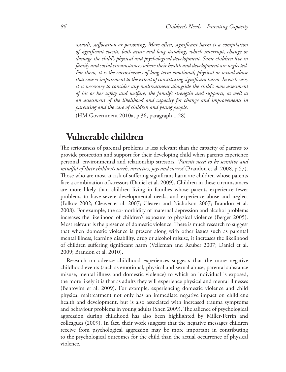*assault, suffocation or poisoning, More often, significant harm is a compilation of significant events, both acute and long-standing, which interrupt, change or damage the child's physical and psychological development. Some children live in family and social circumstances where their health and development are neglected. For them, it is the corrosiveness of long-term emotional, physical or sexual abuse that causes impairment to the extent of constituting significant harm. In each case, it is necessary to consider any maltreatment alongside the child's own assessment of his or her safety and welfare, the family's strengths and supports, as well as an assessment of the likelihood and capacity for change and improvements in parenting and the care of children and young people.*

(HM Government 2010a, p.36, paragraph 1.28)

# **Vulnerable children**

The seriousness of parental problems is less relevant than the capacity of parents to provide protection and support for their developing child when parents experience personal, environmental and relationship stressors. *'Parents need to be sensitive and mindful of their children's needs, anxieties, joys and success'* (Brandon et al. 2008, p.57). Those who are most at risk of suffering significant harm are children whose parents face a combination of stressors (Daniel et al. 2009). Children in these circumstances are more likely than children living in families whose parents experience fewer problems to have severe developmental needs, and experience abuse and neglect (Falkov 2002; Cleaver et al. 2007; Cleaver and Nicholson 2007; Brandon et al. 2008). For example, the co-morbidity of maternal depression and alcohol problems increases the likelihood of children's exposure to physical violence (Berger 2005). Most relevant is the presence of domestic violence. There is much research to suggest that when domestic violence is present along with other issues such as parental mental illness, learning disability, drug or alcohol misuse, it increases the likelihood of children suffering significant harm (Velleman and Reuber 2007; Daniel et al. 2009; Brandon et al. 2010).

Research on adverse childhood experiences suggests that the more negative childhood events (such as emotional, physical and sexual abuse, parental substance misuse, mental illness and domestic violence) to which an individual is exposed, the more likely it is that as adults they will experience physical and mental illnesses (Bentovim et al. 2009). For example, experiencing domestic violence and child physical maltreatment not only has an immediate negative impact on children's health and development, but is also associated with increased trauma symptoms and behaviour problems in young adults (Shen 2009). The salience of psychological aggression during childhood has also been highlighted by Miller-Perrin and colleagues (2009). In fact, their work suggests that the negative messages children receive from psychological aggression may be more important in contributing to the psychological outcomes for the child than the actual occurrence of physical violence.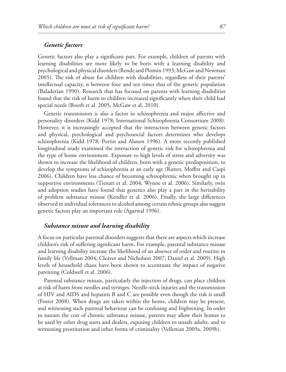#### *Genetic factors*

Genetic factors also play a significant part. For example, children of parents with learning disabilities are more likely to be born with a learning disability and psychological and physical disorders (Rende and Plomin 1993; McGaw and Newman 2005). The risk of abuse for children with disabilities, regardless of their parents' intellectual capacity, is between four and ten times that of the generic population (Baladerian 1990). Research that has focused on parents with learning disabilities found that the risk of harm to children increased significantly when their child had special needs (Booth et al. 2005; McGaw et al. 2010).

Genetic transmission is also a factor in schizophrenia and major affective and personality disorders (Kidd 1978; International Schizophrenia Consortium 2008). However, it is increasingly accepted that the interaction between genetic factors and physical, psychological and psychosocial factors determines who develops schizophrenia (Kidd 1978; Portin and Alanen 1996). A more recently published longitudinal study examined the interaction of genetic risk for schizophrenia and the type of home environment. Exposure to high levels of stress and adversity was shown to increase the likelihood of children, born with a genetic predisposition, to develop the symptoms of schizophrenia at an early age (Rutter, Moffitt and Caspi 2006). Children have less chance of becoming schizophrenic when brought up in supportive environments (Tienari et al. 2004; Wynne et al. 2006). Similarly, twin and adoption studies have found that genetics also play a part in the heritability of problem substance misuse (Kendler et al. 2006). Finally, the large differences observed in individual tolerances to alcohol among certain ethnic groups also suggest genetic factors play an important role (Agarwal 1996).

#### *Substance misuse and learning disability*

A focus on particular parental disorders suggests that there are aspects which increase children's risk of suffering significant harm. For example, parental substance misuse and learning disability increase the likelihood of an absence of order and routine in family life (Vellman 2004; Cleaver and Nicholson 2007; Daniel et al. 2009). High levels of household chaos have been shown to accentuate the impact of negative parenting (Coldwell et al. 2006).

Parental substance misuse, particularly the injection of drugs, can place children at risk of harm from needles and syringes. Needle-stick injuries and the transmission of HIV and AIDS and hepatitis B and C are possible even though the risk is small (Foster 2008). When drugs are taken within the home, children may be present, and witnessing such parental behaviour can be confusing and frightening. In order to sustain the cost of chronic substance misuse, parents may allow their homes to be used by other drug users and dealers, exposing children to unsafe adults, and to witnessing prostitution and other forms of criminality (Velleman 2009a, 2009b).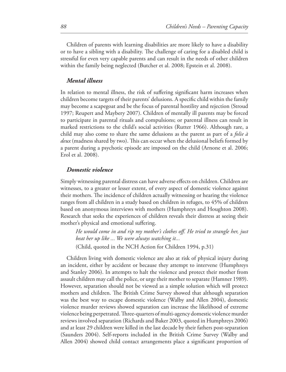Children of parents with learning disabilities are more likely to have a disability or to have a sibling with a disability. The challenge of caring for a disabled child is stressful for even very capable parents and can result in the needs of other children within the family being neglected (Butcher et al. 2008; Epstein et al. 2008).

#### *Mental illness*

In relation to mental illness, the risk of suffering significant harm increases when children become targets of their parents' delusions. A specific child within the family may become a scapegoat and be the focus of parental hostility and rejection (Stroud 1997; Reupert and Maybery 2007). Children of mentally ill parents may be forced to participate in parental rituals and compulsions; or parental illness can result in marked restrictions to the child's social activities (Rutter 1966). Although rare, a child may also come to share the same delusions as the parent as part of a *folie à deux* (madness shared by two). This can occur when the delusional beliefs formed by a parent during a psychotic episode are imposed on the child (Arnone et al. 2006; Erol et al. 2008).

#### *Domestic violence*

Simply witnessing parental distress can have adverse effects on children. Children are witnesses, to a greater or lesser extent, of every aspect of domestic violence against their mothers. The incidence of children actually witnessing or hearing the violence ranges from all children in a study based on children in refuges, to 45% of children based on anonymous interviews with mothers (Humphreys and Houghton 2008). Research that seeks the experiences of children reveals their distress at seeing their mother's physical and emotional suffering.

*He would come in and rip my mother's clothes off. He tried to strangle her, just beat her up like ... We were always watching it...*

(Child, quoted in the NCH Action for Children 1994, p.31)

Children living with domestic violence are also at risk of physical injury during an incident, either by accident or because they attempt to intervene (Humphreys and Stanley 2006). In attempts to halt the violence and protect their mother from assault children may call the police, or urge their mother to separate (Hamner 1989). However, separation should not be viewed as a simple solution which will protect mothers and children. The British Crime Survey showed that although separation was the best way to escape domestic violence (Walby and Allen 2004), domestic violence murder reviews showed separation can increase the likelihood of extreme violence being perpetrated. Three-quarters of multi-agency domestic violence murder reviews involved separation (Richards and Baker 2003, quoted in Humphreys 2006) and at least 29 children were killed in the last decade by their fathers post-separation (Saunders 2004). Self-reports included in the British Crime Survey (Walby and Allen 2004) showed child contact arrangements place a significant proportion of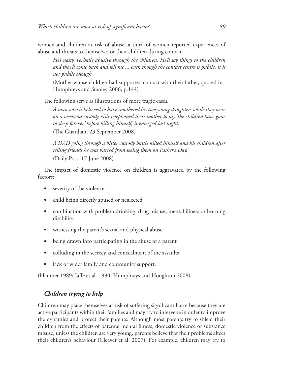women and children at risk of abuse; a third of women reported experiences of abuse and threats to themselves or their children during contact.

*He's nasty, verbally abusive through the children. He'll say things to the children and they'll come back and tell me ... even though the contact centre is public, it is not public enough.*

(Mother whose children had supported contact with their father, quoted in Humphreys and Stanley 2006, p.144)

The following serve as illustrations of more tragic cases.

*A man who is believed to have smothered his two young daughters while they were on a weekend custody visit telephoned their mother to say 'the children have gone to sleep forever' before killing himself, it emerged last night.* (The Guardian, 23 September 2008)

*A DAD going through a bitter custody battle killed himself and his children after telling friends he was barred from seeing them on Father's Day.* (Daily Post, 17 June 2008)

The impact of domestic violence on children is aggravated by the following factors:

- severity of the violence
- child being directly abused or neglected
- combination with problem drinking, drug misuse, mental illness or learning disability
- witnessing the parent's sexual and physical abuse
- being drawn into participating in the abuse of a parent
- colluding in the secrecy and concealment of the assaults
- lack of wider family and community support.

(Hamner 1989; Jaffe et al. 1990; Humphreys and Houghton 2008)

#### *Children trying to help*

Children may place themselves at risk of suffering significant harm because they are active participants within their families and may try to intervene in order to improve the dynamics and protect their parents. Although most parents try to shield their children from the effects of parental mental illness, domestic violence or substance misuse, unless the children are very young, parents believe that their problems affect their children's behaviour (Cleaver et al. 2007). For example, children may try to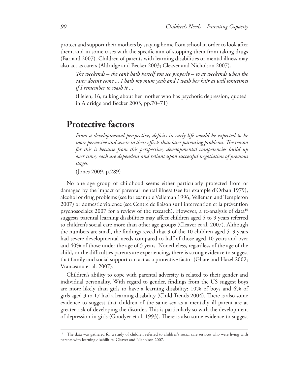protect and support their mothers by staying home from school in order to look after them, and in some cases with the specific aim of stopping them from taking drugs (Barnard 2007). Children of parents with learning disabilities or mental illness may also act as carers (Aldridge and Becker 2003; Cleaver and Nicholson 2007).

*The weekends – she can't bath herself you see properly – so at weekends when the carer doesn't come ... I bath my mum yeah and I wash her hair as well sometimes if I remember to wash it ...*

(Helen, 16, talking about her mother who has psychotic depression, quoted in Aldridge and Becker 2003, pp.70–71)

# **Protective factors**

*From a developmental perspective, deficits in early life would be expected to be more pervasive and severe in their effects than later parenting problems. The reason for this is because from this perspective, developmental competencies build up over time, each are dependent and reliant upon successful negotiation of previous stages.*

(Jones 2009, p.289)

No one age group of childhood seems either particularly protected from or damaged by the impact of parental mental illness (see for example d'Orban 1979), alcohol or drug problems (see for example Velleman 1996; Velleman and Templeton 2007) or domestic violence (see Centre de liaison sur l'intervention et la prévention psychosociales 2007 for a review of the research). However, a re-analysis of data<sup>10</sup> suggests parental learning disabilities may affect children aged 5 to 9 years referred to children's social care more than other age groups (Cleaver et al. 2007). Although the numbers are small, the findings reveal that 9 of the 10 children aged 5–9 years had severe developmental needs compared to half of those aged 10 years and over and 40% of those under the age of 5 years. Nonetheless, regardless of the age of the child, or the difficulties parents are experiencing, there is strong evidence to suggest that family and social support can act as a protective factor (Ghate and Hazel 2002; Vranceanu et al. 2007).

Children's ability to cope with parental adversity is related to their gender and individual personality. With regard to gender, findings from the US suggest boys are more likely than girls to have a learning disability; 10% of boys and 6% of girls aged 3 to 17 had a learning disability (Child Trends 2004). There is also some evidence to suggest that children of the same sex as a mentally ill parent are at greater risk of developing the disorder. This is particularly so with the development of depression in girls (Goodyer et al. 1993). There is also some evidence to suggest

<sup>&</sup>lt;sup>10</sup> The data was gathered for a study of children referred to children's social care services who were living with parents with learning disabilities: Cleaver and Nicholson 2007.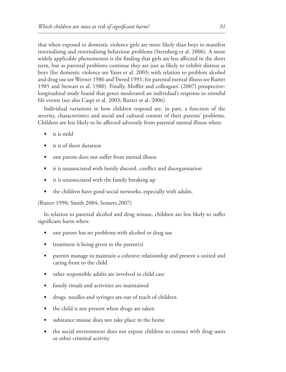that when exposed to domestic violence girls are more likely than boys to manifest internalising and externalising behaviour problems (Sternberg et al. 2006). A more widely applicable phenomenon is the finding that girls are less affected in the short term, but as parental problems continue they are just as likely to exhibit distress as boys (for domestic violence see Yates et al. 2003; with relation to problem alcohol and drug use see Werner 1986 and Tweed 1991; for parental mental illness see Rutter 1985 and Stewart et al. 1980). Finally, Moffitt and colleagues' (2007) prospectivelongitudinal study found that genes moderated an individual's response to stressful life events (see also Caspi et al. 2003; Rutter et al. 2006).

Individual variations in how children respond are, in part, a function of the severity, characteristics and social and cultural context of their parents' problems. Children are less likely to be affected adversely from parental mental illness when:

- $\bullet$  it is mild
- t it is of short duration
- one parent does not suffer from mental illness
- t it is unassociated with family discord, conflict and disorganisation
- it is unassociated with the family breaking up
- the children have good social networks, especially with adults.

#### (Rutter 1990; Smith 2004; Somers 2007)

In relation to parental alcohol and drug misuse, children are less likely to suffer significant harm when:

- one parent has no problems with alcohol or drug use
- treatment is being given to the parent $(s)$
- parents manage to maintain a cohesive relationship and present a united and caring front to the child
- other responsible adults are involved in child care
- family rituals and activities are maintained
- drugs, needles and syringes are out of reach of children
- the child is not present when drugs are taken
- substance misuse does not take place in the home
- the social environment does not expose children to contact with drug users or other criminal activity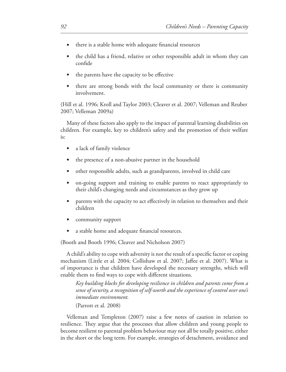- there is a stable home with adequate financial resources
- the child has a friend, relative or other responsible adult in whom they can confide
- the parents have the capacity to be effective
- there are strong bonds with the local community or there is community involvement.

(Hill et al. 1996; Kroll and Taylor 2003; Cleaver et al. 2007; Velleman and Reuber 2007; Velleman 2009a)

Many of these factors also apply to the impact of parental learning disabilities on children. For example, key to children's safety and the promotion of their welfare is:

- a lack of family violence
- $\bullet$  the presence of a non-abusive partner in the household
- other responsible adults, such as grandparents, involved in child care
- on-going support and training to enable parents to react appropriately to their child's changing needs and circumstances as they grow up
- parents with the capacity to act effectively in relation to themselves and their children
- community support
- a stable home and adequate financial resources.

(Booth and Booth 1996; Cleaver and Nicholson 2007)

A child's ability to cope with adversity is not the result of a specific factor or coping mechanism (Little et al. 2004; Collishaw et al. 2007; Jaffee et al. 2007). What is of importance is that children have developed the necessary strengths, which will enable them to find ways to cope with different situations.

*Key building blocks for developing resilience in children and parents come from a sense of security, a recognition of self-worth and the experience of control over one's immediate environment.*

(Parrott et al. 2008)

Velleman and Templeton (2007) raise a few notes of caution in relation to resilience. They argue that the processes that allow children and young people to become resilient to parental problem behaviour may not all be totally positive, either in the short or the long term. For example, strategies of detachment, avoidance and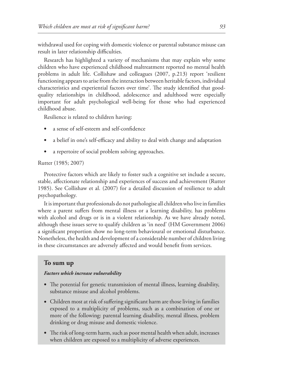withdrawal used for coping with domestic violence or parental substance misuse can result in later relationship difficulties.

Research has highlighted a variety of mechanisms that may explain why some children who have experienced childhood maltreatment reported no mental health problems in adult life. Collishaw and colleagues (2007, p.213) report 'resilient functioning appears to arise from the interaction between heritable factors, individual characteristics and experiential factors over time'. The study identified that goodquality relationships in childhood, adolescence and adulthood were especially important for adult psychological well-being for those who had experienced childhood abuse.

Resilience is related to children having:

- a sense of self-esteem and self-confidence
- a belief in one's self-efficacy and ability to deal with change and adaptation
- $\bullet$  a repertoire of social problem solving approaches.

#### Rutter (1985; 2007)

Protective factors which are likely to foster such a cognitive set include a secure, stable, affectionate relationship and experiences of success and achievement (Rutter 1985). See Collishaw et al. (2007) for a detailed discussion of resilience to adult psychopathology.

It is important that professionals do not pathologise all children who live in families where a parent suffers from mental illness or a learning disability, has problems with alcohol and drugs or is in a violent relationship. As we have already noted, although these issues serve to qualify children as 'in need' (HM Government 2006) a significant proportion show no long-term behavioural or emotional disturbance. Nonetheless, the health and development of a considerable number of children living in these circumstances are adversely affected and would benefit from services.

#### **To sum up**

#### *Factors which increase vulnerability*

- The potential for genetic transmission of mental illness, learning disability, substance misuse and alcohol problems.
- Children most at risk of suffering significant harm are those living in families exposed to a multiplicity of problems, such as a combination of one or more of the following: parental learning disability, mental illness, problem drinking or drug misuse and domestic violence.
- The risk of long-term harm, such as poor mental health when adult, increases when children are exposed to a multiplicity of adverse experiences.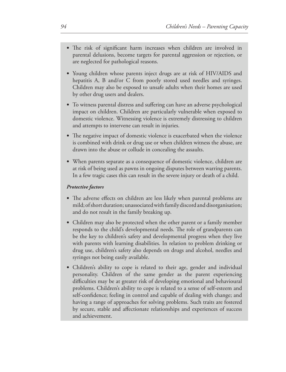- The risk of significant harm increases when children are involved in parental delusions, become targets for parental aggression or rejection, or are neglected for pathological reasons.
- Young children whose parents inject drugs are at risk of HIV/AIDS and hepatitis A, B and/or C from poorly stored used needles and syringes. Children may also be exposed to unsafe adults when their homes are used by other drug users and dealers.
- To witness parental distress and suffering can have an adverse psychological impact on children. Children are particularly vulnerable when exposed to domestic violence. Witnessing violence is extremely distressing to children and attempts to intervene can result in injuries.
- The negative impact of domestic violence is exacerbated when the violence is combined with drink or drug use or when children witness the abuse, are drawn into the abuse or collude in concealing the assaults.
- When parents separate as a consequence of domestic violence, children are at risk of being used as pawns in ongoing disputes between warring parents. In a few tragic cases this can result in the severe injury or death of a child.

#### *Protective factors*

- The adverse effects on children are less likely when parental problems are mild; of short duration; unassociated with family discord and disorganisation; and do not result in the family breaking up.
- Children may also be protected when the other parent or a family member responds to the child's developmental needs. The role of grandparents can be the key to children's safety and developmental progress when they live with parents with learning disabilities. In relation to problem drinking or drug use, children's safety also depends on drugs and alcohol, needles and syringes not being easily available.
- Children's ability to cope is related to their age, gender and individual personality. Children of the same gender as the parent experiencing difficulties may be at greater risk of developing emotional and behavioural problems. Children's ability to cope is related to a sense of self-esteem and self-confidence; feeling in control and capable of dealing with change; and having a range of approaches for solving problems. Such traits are fostered by secure, stable and affectionate relationships and experiences of success and achievement.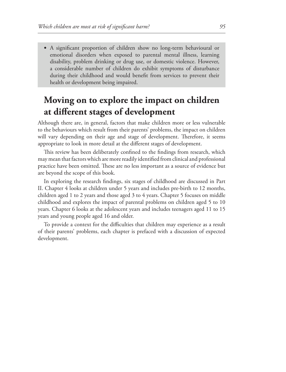• A significant proportion of children show no long-term behavioural or emotional disorders when exposed to parental mental illness, learning disability, problem drinking or drug use, or domestic violence. However, a considerable number of children do exhibit symptoms of disturbance during their childhood and would benefit from services to prevent their health or development being impaired.

# **Moving on to explore the impact on children at different stages of development**

Although there are, in general, factors that make children more or less vulnerable to the behaviours which result from their parents' problems, the impact on children will vary depending on their age and stage of development. Therefore, it seems appropriate to look in more detail at the different stages of development.

This review has been deliberately confined to the findings from research, which may mean that factors which are more readily identified from clinical and professional practice have been omitted. These are no less important as a source of evidence but are beyond the scope of this book.

In exploring the research findings, six stages of childhood are discussed in Part II. Chapter 4 looks at children under 5 years and includes pre-birth to 12 months, children aged 1 to 2 years and those aged 3 to 4 years. Chapter 5 focuses on middle childhood and explores the impact of parental problems on children aged 5 to 10 years. Chapter 6 looks at the adolescent years and includes teenagers aged 11 to 15 years and young people aged 16 and older.

To provide a context for the difficulties that children may experience as a result of their parents' problems, each chapter is prefaced with a discussion of expected development.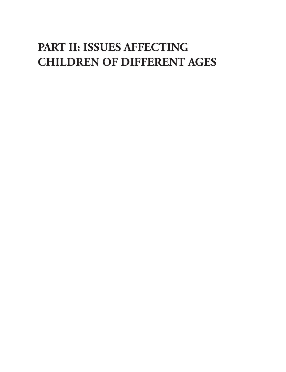# **PART II: ISSUES AFFECTING CHILDREN OF DIFFERENT AGES**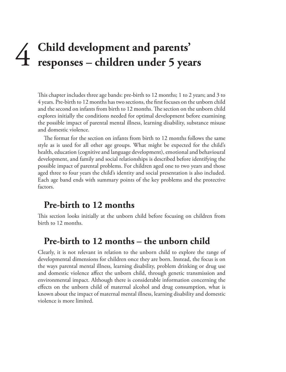# **Child development and parents' responses – children under 5 years** 4

This chapter includes three age bands: pre-birth to 12 months; 1 to 2 years; and 3 to 4 years. Pre-birth to 12 months has two sections, the first focuses on the unborn child and the second on infants from birth to 12 months. The section on the unborn child explores initially the conditions needed for optimal development before examining the possible impact of parental mental illness, learning disability, substance misuse and domestic violence.

The format for the section on infants from birth to 12 months follows the same style as is used for all other age groups. What might be expected for the child's health, education (cognitive and language development), emotional and behavioural development, and family and social relationships is described before identifying the possible impact of parental problems. For children aged one to two years and those aged three to four years the child's identity and social presentation is also included. Each age band ends with summary points of the key problems and the protective factors.

# **Pre-birth to 12 months**

This section looks initially at the unborn child before focusing on children from birth to 12 months.

# **Pre-birth to 12 months – the unborn child**

Clearly, it is not relevant in relation to the unborn child to explore the range of developmental dimensions for children once they are born. Instead, the focus is on the ways parental mental illness, learning disability, problem drinking or drug use and domestic violence affect the unborn child, through genetic transmission and environmental impact. Although there is considerable information concerning the effects on the unborn child of maternal alcohol and drug consumption, what is known about the impact of maternal mental illness, learning disability and domestic violence is more limited.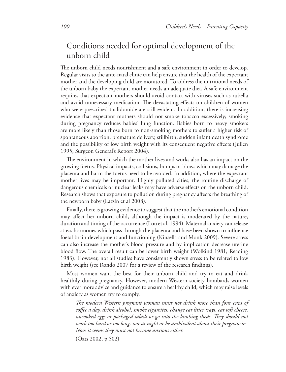# Conditions needed for optimal development of the unborn child

The unborn child needs nourishment and a safe environment in order to develop. Regular visits to the ante-natal clinic can help ensure that the health of the expectant mother and the developing child are monitored. To address the nutritional needs of the unborn baby the expectant mother needs an adequate diet. A safe environment requires that expectant mothers should avoid contact with viruses such as rubella and avoid unnecessary medication. The devastating effects on children of women who were prescribed thalidomide are still evident. In addition, there is increasing evidence that expectant mothers should not smoke tobacco excessively; smoking during pregnancy reduces babies' lung function. Babies born to heavy smokers are more likely than those born to non-smoking mothers to suffer a higher risk of spontaneous abortion, premature delivery, stillbirth, sudden infant death syndrome and the possibility of low birth weight with its consequent negative effects (Julien 1995; Surgeon General's Report 2004).

The environment in which the mother lives and works also has an impact on the growing foetus. Physical impacts, collisions, bumps or blows which may damage the placenta and harm the foetus need to be avoided. In addition, where the expectant mother lives may be important. Highly polluted cities, the routine discharge of dangerous chemicals or nuclear leaks may have adverse effects on the unborn child. Research shows that exposure to pollution during pregnancy affects the breathing of the newborn baby (Latzin et al 2008).

Finally, there is growing evidence to suggest that the mother's emotional condition may affect her unborn child, although the impact is moderated by the nature, duration and timing of the occurrence (Lou et al. 1994). Maternal anxiety can release stress hormones which pass through the placenta and have been shown to influence foetal brain development and functioning (Kinsella and Monk 2009). Severe stress can also increase the mother's blood pressure and by implication decrease uterine blood flow. The overall result can be lower birth weight (Wolkind 1981; Reading 1983). However, not all studies have consistently shown stress to be related to low birth weight (see Rondo 2007 for a review of the research findings).

Most women want the best for their unborn child and try to eat and drink healthily during pregnancy. However, modern Western society bombards women with ever more advice and guidance to ensure a healthy child, which may raise levels of anxiety as women try to comply.

*The modern Western pregnant woman must not drink more than four cups of coffee a day, drink alcohol, smoke cigarettes, change cat litter trays, eat soft cheese, uncooked eggs or packaged salads or go into the lambing sheds. They should not work too hard or too long, nor at night or be ambivalent about their pregnancies. Now it seems they must not become anxious either.*

(Oats 2002, p.502)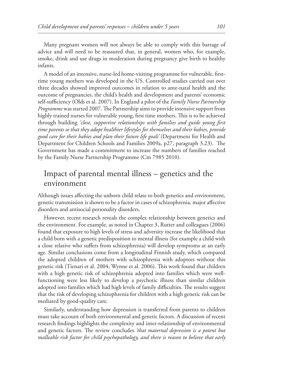Many pregnant women will not always be able to comply with this barrage of advice and will need to be reassured that, in general, women who, for example, smoke, drink and use drugs in moderation during pregnancy give birth to healthy infants.

A model of an intensive, nurse-led home-visiting programme for vulnerable, firsttime young mothers was developed in the US. Controlled studies carried out over three decades showed improved outcomes in relation to ante-natal health and the outcome of pregnancies, the child's health and development and parents' economic self-sufficiency (Olds et al. 2007). In England a pilot of the *Family Nurse Partnership Programme* was started 2007. The Partnership aims to provide intensive support from highly trained nurses for vulnerable young, first time mothers. This is to be achieved through building *'close, supportive relationships with families and guide young first time parents so that they adopt healthier lifestyles for themselves and their babies, provide good care for their babies and plan their future life goals'* (Department for Health and Department for Children Schools and Families 2009a, p27, paragraph 3.23). The Government has made a commitment to increase the numbers of families reached by the Family Nurse Partnership Programme (Cm 7985 2010).

# Impact of parental mental illness – genetics and the environment

Although issues affecting the unborn child relate to both genetics and environment, genetic transmission is shown to be a factor in cases of schizophrenia, major affective disorders and antisocial personality disorders.

However, recent research reveals the complex relationship between genetics and the environment. For example, as noted in Chapter 3, Rutter and colleagues (2006) found that exposure to high levels of stress and adversity increase the likelihood that a child born with a genetic predisposition to mental illness (for example a child with a close relative who suffers from schizophrenia) will develop symptoms at an early age. Similar conclusions come from a longitudinal Finnish study, which compared the adopted children of mothers with schizophrenia with adoptees without this genetic risk (Tienari et al. 2004; Wynne et al. 2006). This work found that children with a high genetic risk of schizophrenia adopted into families which were wellfunctioning were less likely to develop a psychotic illness than similar children adopted into families which had high levels of family difficulties. The results suggest that the risk of developing schizophrenia for children with a high genetic risk can be mediated by good-quality care.

Similarly, understanding how depression is transferred from parents to children must take account of both environmental and genetic factors. A discussion of recent research findings highlights the complexity and inter-relationship of environmental and genetic factors. The review concludes *'that maternal depression is a potent but malleable risk factor for child psychopathology, and there is reason to believe that early*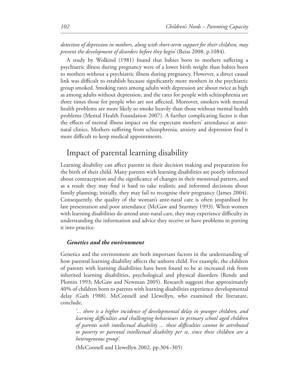*detection of depression in mothers, along with short-term support for their children, may prevent the development of disorders before they begin'* (Reiss 2008, p.1084).

A study by Wolkind (1981) found that babies born to mothers suffering a psychiatric illness during pregnancy were of a lower birth weight than babies born to mothers without a psychiatric illness during pregnancy. However, a direct causal link was difficult to establish because significantly more mothers in the psychiatric group smoked. Smoking rates among adults with depression are about twice as high as among adults without depression, and the rates for people with schizophrenia are three times those for people who are not affected. Moreover, smokers with mental health problems are more likely to smoke heavily than those without mental health problems (Mental Health Foundation 2007). A further complicating factor is that the effects of mental illness impact on the expectant mothers' attendance at antenatal clinics. Mothers suffering from schizophrenia, anxiety and depression find it more difficult to keep medical appointments.

# Impact of parental learning disability

Learning disability can affect parents in their decision making and preparation for the birth of their child. Many parents with learning disabilities are poorly informed about contraception and the significance of changes in their menstrual pattern, and as a result they may find it hard to take realistic and informed decisions about family planning; initially, they may fail to recognise their pregnancy (James 2004). Consequently, the quality of the woman's ante-natal care is often jeopardised by late presentation and poor attendance (McGaw and Sturmey 1993). When women with learning disabilities do attend ante-natal care, they may experience difficulty in understanding the information and advice they receive or have problems in putting it into practice.

#### *Genetics and the environment*

Genetics and the environment are both important factors in the understanding of how parental learning disability affects the unborn child. For example, the children of parents with learning disabilities have been found to be at increased risk from inherited learning disabilities, psychological and physical disorders (Rende and Plomin 1993; McGaw and Newman 2005). Research suggests that approximately 40% of children born to parents with learning disabilities experience developmental delay (Gath 1988). McConnell and Llewellyn, who examined the literature, conclude,

*'... there is a higher incidence of developmental delay in younger children, and learning difficulties and challenging behaviours in primary school aged children of parents with intellectual disability ... these difficulties cannot be attributed to poverty or parental intellectual disability per se, since these children are a heterogeneous group'.*

(McConnell and Llewellyn 2002, pp.304–305)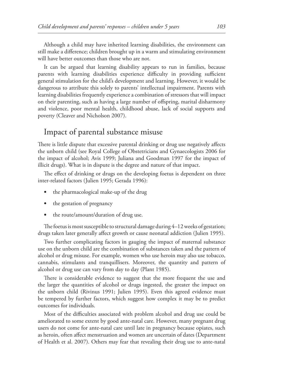Although a child may have inherited learning disabilities, the environment can still make a difference; children brought up in a warm and stimulating environment will have better outcomes than those who are not.

It can be argued that learning disability appears to run in families, because parents with learning disabilities experience difficulty in providing sufficient general stimulation for the child's development and learning. However, it would be dangerous to attribute this solely to parents' intellectual impairment. Parents with learning disabilities frequently experience a combination of stressors that will impact on their parenting, such as having a large number of offspring, marital disharmony and violence, poor mental health, childhood abuse, lack of social supports and poverty (Cleaver and Nicholson 2007).

## Impact of parental substance misuse

There is little dispute that excessive parental drinking or drug use negatively affects the unborn child (see Royal College of Obstetricians and Gynaecologists 2006 for the impact of alcohol; Avis 1999; Juliana and Goodman 1997 for the impact of illicit drugs). What is in dispute is the degree and nature of that impact.

The effect of drinking or drugs on the developing foetus is dependent on three inter-related factors (Julien 1995; Gerada 1996):

- the pharmacological make-up of the drug
- the gestation of pregnancy
- the route/amount/duration of drug use.

The foetus is most susceptible to structural damage during 4–12 weeks of gestation; drugs taken later generally affect growth or cause neonatal addiction (Julien 1995).

Two further complicating factors in gauging the impact of maternal substance use on the unborn child are the combination of substances taken and the pattern of alcohol or drug misuse. For example, women who use heroin may also use tobacco, cannabis, stimulants and tranquillisers. Moreover, the quantity and pattern of alcohol or drug use can vary from day to day (Plant 1985).

There is considerable evidence to suggest that the more frequent the use and the larger the quantities of alcohol or drugs ingested, the greater the impact on the unborn child (Rivinus 1991; Julien 1995). Even this agreed evidence must be tempered by further factors, which suggest how complex it may be to predict outcomes for individuals.

Most of the difficulties associated with problem alcohol and drug use could be ameliorated to some extent by good ante-natal care. However, many pregnant drug users do not come for ante-natal care until late in pregnancy because opiates, such as heroin, often affect menstruation and women are uncertain of dates (Department of Health et al. 2007). Others may fear that revealing their drug use to ante-natal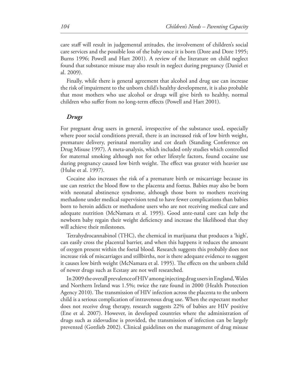care staff will result in judgemental attitudes, the involvement of children's social care services and the possible loss of the baby once it is born (Dore and Dore 1995; Burns 1996; Powell and Hart 2001). A review of the literature on child neglect found that substance misuse may also result in neglect during pregnancy (Daniel et al. 2009).

Finally, while there is general agreement that alcohol and drug use can increase the risk of impairment to the unborn child's healthy development, it is also probable that most mothers who use alcohol or drugs will give birth to healthy, normal children who suffer from no long-term effects (Powell and Hart 2001).

#### *Drugs*

For pregnant drug users in general, irrespective of the substance used, especially where poor social conditions prevail, there is an increased risk of low birth weight, premature delivery, perinatal mortality and cot death (Standing Conference on Drug Misuse 1997). A meta-analysis, which included only studies which controlled for maternal smoking although not for other lifestyle factors, found cocaine use during pregnancy caused low birth weight. The effect was greater with heavier use (Hulse et al. 1997).

Cocaine also increases the risk of a premature birth or miscarriage because its use can restrict the blood flow to the placenta and foetus. Babies may also be born with neonatal abstinence syndrome, although those born to mothers receiving methadone under medical supervision tend to have fewer complications than babies born to heroin addicts or methadone users who are not receiving medical care and adequate nutrition (McNamara et al. 1995). Good ante-natal care can help the newborn baby regain their weight deficiency and increase the likelihood that they will achieve their milestones.

Tetrahydrocannabinol (THC), the chemical in marijuana that produces a 'high', can easily cross the placental barrier, and when this happens it reduces the amount of oxygen present within the foetal blood. Research suggests this probably does not increase risk of miscarriages and stillbirths, nor is there adequate evidence to suggest it causes low birth weight (McNamara et al. 1995). The effects on the unborn child of newer drugs such as Ecstasy are not well researched.

In 2009 the overall prevalence of HIV among injecting drug users in England, Wales and Northern Ireland was 1.5%; twice the rate found in 2000 (Health Protection Agency 2010). The transmission of HIV infection across the placenta to the unborn child is a serious complication of intravenous drug use. When the expectant mother does not receive drug therapy, research suggests 22% of babies are HIV positive (Ene et al. 2007). However, in developed countries where the administration of drugs such as zidovudine is provided, the transmission of infection can be largely prevented (Gottlieb 2002). Clinical guidelines on the management of drug misuse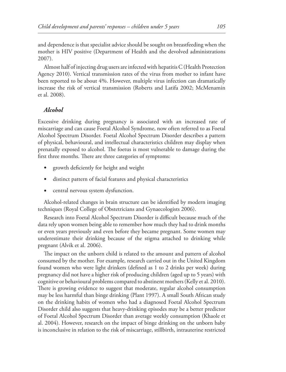and dependence is that specialist advice should be sought on breastfeeding when the mother is HIV positive (Department of Health and the devolved administrations 2007).

Almost half of injecting drug users are infected with hepatitis C (Health Protection Agency 2010). Vertical transmission rates of the virus from mother to infant have been reported to be about 4%. However, multiple virus infection can dramatically increase the risk of vertical transmission (Roberts and Latifa 2002; McMenamin et al. 2008).

#### *Alcohol*

Excessive drinking during pregnancy is associated with an increased rate of miscarriage and can cause Foetal Alcohol Syndrome, now often referred to as Foetal Alcohol Spectrum Disorder. Foetal Alcohol Spectrum Disorder describes a pattern of physical, behavioural, and intellectual characteristics children may display when prenatally exposed to alcohol. The foetus is most vulnerable to damage during the first three months. There are three categories of symptoms:

- growth deficiently for height and weight
- distinct pattern of facial features and physical characteristics
- central nervous system dysfunction.

Alcohol-related changes in brain structure can be identified by modern imaging techniques (Royal College of Obstetricians and Gynaecologists 2006).

Research into Foetal Alcohol Spectrum Disorder is difficult because much of the data rely upon women being able to remember how much they had to drink months or even years previously and even before they became pregnant. Some women may underestimate their drinking because of the stigma attached to drinking while pregnant (Alvik et al. 2006).

The impact on the unborn child is related to the amount and pattern of alcohol consumed by the mother. For example, research carried out in the United Kingdom found women who were light drinkers (defined as 1 to 2 drinks per week) during pregnancy did not have a higher risk of producing children (aged up to 5 years) with cognitive or behavioural problems compared to abstinent mothers (Kelly et al. 2010). There is growing evidence to suggest that moderate, regular alcohol consumption may be less harmful than binge drinking (Plant 1997). A small South African study on the drinking habits of women who had a diagnosed Foetal Alcohol Spectrum Disorder child also suggests that heavy-drinking episodes may be a better predictor of Foetal Alcohol Spectrum Disorder than average weekly consumption (Khaole et al. 2004). However, research on the impact of binge drinking on the unborn baby is inconclusive in relation to the risk of miscarriage, stillbirth, intrauterine restricted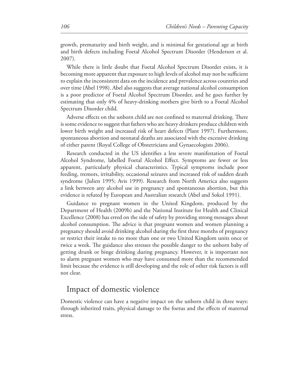growth, prematurity and birth weight, and is minimal for gestational age at birth and birth defects including Foetal Alcohol Spectrum Disorder (Henderson et al. 2007).

While there is little doubt that Foetal Alcohol Spectrum Disorder exists, it is becoming more apparent that exposure to high levels of alcohol may not be sufficient to explain the inconsistent data on the incidence and prevalence across countries and over time (Abel 1998). Abel also suggests that average national alcohol consumption is a poor predictor of Foetal Alcohol Spectrum Disorder, and he goes further by estimating that only 4% of heavy-drinking mothers give birth to a Foetal Alcohol Spectrum Disorder child.

Adverse effects on the unborn child are not confined to maternal drinking. There is some evidence to suggest that fathers who are heavy drinkers produce children with lower birth weight and increased risk of heart defects (Plant 1997). Furthermore, spontaneous abortion and neonatal deaths are associated with the excessive drinking of either parent (Royal College of Obstetricians and Gynaecologists 2006).

Research conducted in the US identifies a less severe manifestation of Foetal Alcohol Syndrome, labelled Foetal Alcohol Effect. Symptoms are fewer or less apparent, particularly physical characteristics. Typical symptoms include poor feeding, tremors, irritability, occasional seizures and increased risk of sudden death syndrome (Julien 1995; Avis 1999). Research from North America also suggests a link between any alcohol use in pregnancy and spontaneous abortion, but this evidence is refuted by European and Australian research (Abel and Sokol 1991).

Guidance to pregnant women in the United Kingdom, produced by the Department of Health (2009b) and the National Institute for Health and Clinical Excellence (2008) has erred on the side of safety by providing strong messages about alcohol consumption. The advice is that pregnant women and women planning a pregnancy should avoid drinking alcohol during the first three months of pregnancy or restrict their intake to no more than one or two United Kingdom units once or twice a week. The guidance also stresses the possible danger to the unborn baby of getting drunk or binge drinking during pregnancy. However, it is important not to alarm pregnant women who may have consumed more than the recommended limit because the evidence is still developing and the role of other risk factors is still not clear.

## Impact of domestic violence

Domestic violence can have a negative impact on the unborn child in three ways: through inherited traits, physical damage to the foetus and the effects of maternal stress.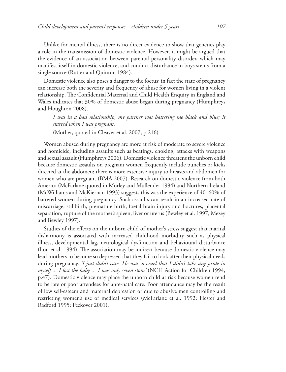Unlike for mental illness, there is no direct evidence to show that genetics play a role in the transmission of domestic violence. However, it might be argued that the evidence of an association between parental personality disorder, which may manifest itself in domestic violence, and conduct disturbance in boys stems from a single source (Rutter and Quinton 1984).

Domestic violence also poses a danger to the foetus; in fact the state of pregnancy can increase both the severity and frequency of abuse for women living in a violent relationship. The Confidential Maternal and Child Health Enquiry in England and Wales indicates that 30% of domestic abuse began during pregnancy (Humphreys and Houghton 2008).

*I was in a bad relationship, my partner was battering me black and blue; it started when I was pregnant.*

(Mother, quoted in Cleaver et al. 2007, p.216)

Women abused during pregnancy are more at risk of moderate to severe violence and homicide, including assaults such as beatings, choking, attacks with weapons and sexual assault (Humphreys 2006). Domestic violence threatens the unborn child because domestic assaults on pregnant women frequently include punches or kicks directed at the abdomen; there is more extensive injury to breasts and abdomen for women who are pregnant (BMA 2007). Research on domestic violence from both America (McFarlane quoted in Morley and Mullender 1994) and Northern Ireland (McWilliams and McKiernan 1993) suggests this was the experience of 40–60% of battered women during pregnancy. Such assaults can result in an increased rate of miscarriage, stillbirth, premature birth, foetal brain injury and fractures, placental separation, rupture of the mother's spleen, liver or uterus (Bewley et al. 1997; Mezey and Bewley 1997).

Studies of the effects on the unborn child of mother's stress suggest that marital disharmony is associated with increased childhood morbidity such as physical illness, developmental lag, neurological dysfunction and behavioural disturbance (Lou et al. 1994). The association may be indirect because domestic violence may lead mothers to become so depressed that they fail to look after their physical needs during pregnancy. *'I just didn't care. He was so cruel that I didn't take any pride in myself ... I lost the baby ... I was only seven stone'* (NCH Action for Children 1994, p.47). Domestic violence may place the unborn child at risk because women tend to be late or poor attendees for ante-natal care. Poor attendance may be the result of low self-esteem and maternal depression or due to abusive men controlling and restricting women's use of medical services (McFarlane et al. 1992; Hester and Radford 1995; Peckover 2001).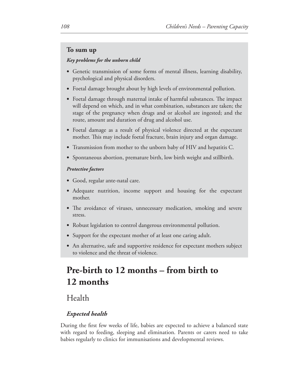#### **To sum up**

#### *Key problems for the unborn child*

- Genetic transmission of some forms of mental illness, learning disability, psychological and physical disorders.
- Foetal damage brought about by high levels of environmental pollution.
- Foetal damage through maternal intake of harmful substances. The impact will depend on which, and in what combination, substances are taken; the stage of the pregnancy when drugs and or alcohol are ingested; and the route, amount and duration of drug and alcohol use.
- Foetal damage as a result of physical violence directed at the expectant mother. This may include foetal fracture, brain injury and organ damage.
- Transmission from mother to the unborn baby of HIV and hepatitis C.
- Spontaneous abortion, premature birth, low birth weight and stillbirth.

#### *Protective factors*

- Good, regular ante-natal care.
- Adequate nutrition, income support and housing for the expectant mother.
- The avoidance of viruses, unnecessary medication, smoking and severe stress.
- Robust legislation to control dangerous environmental pollution.
- Support for the expectant mother of at least one caring adult.
- An alternative, safe and supportive residence for expectant mothers subject to violence and the threat of violence.

# **Pre-birth to 12 months – from birth to 12 months**

## Health

#### *Expected health*

During the first few weeks of life, babies are expected to achieve a balanced state with regard to feeding, sleeping and elimination. Parents or carers need to take babies regularly to clinics for immunisations and developmental reviews.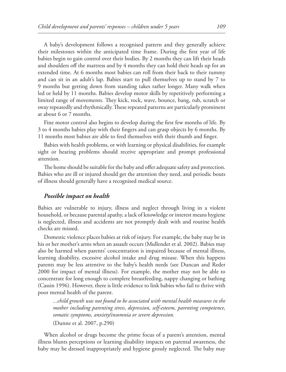A baby's development follows a recognised pattern and they generally achieve their milestones within the anticipated time frame. During the first year of life babies begin to gain control over their bodies. By 2 months they can lift their heads and shoulders off the mattress and by 4 months they can hold their heads up for an extended time. At 6 months most babies can roll from their back to their tummy and can sit in an adult's lap. Babies start to pull themselves up to stand by 7 to 9 months but getting down from standing takes rather longer. Many walk when led or held by 11 months. Babies develop motor skills by repetitively performing a limited range of movements. They kick, rock, wave, bounce, bang, rub, scratch or sway repeatedly and rhythmically. These repeated patterns are particularly prominent at about 6 or 7 months.

Fine motor control also begins to develop during the first few months of life. By 3 to 4 months babies play with their fingers and can grasp objects by 6 months. By 11 months most babies are able to feed themselves with their thumb and finger.

Babies with health problems, or with learning or physical disabilities, for example sight or hearing problems should receive appropriate and prompt professional attention.

The home should be suitable for the baby and offer adequate safety and protection. Babies who are ill or injured should get the attention they need, and periodic bouts of illness should generally have a recognised medical source.

#### *Possible impact on health*

Babies are vulnerable to injury, illness and neglect through living in a violent household, or because parental apathy, a lack of knowledge or interest means hygiene is neglected, illness and accidents are not promptly dealt with and routine health checks are missed.

Domestic violence places babies at risk of injury. For example, the baby may be in his or her mother's arms when an assault occurs (Mullender et al. 2002). Babies may also be harmed when parents' concentration is impaired because of mental illness, learning disability, excessive alcohol intake and drug misuse. When this happens parents may be less attentive to the baby's health needs (see Duncan and Reder 2000 for impact of mental illness). For example, the mother may not be able to concentrate for long enough to complete breastfeeding, nappy changing or bathing (Cassin 1996). However, there is little evidence to link babies who fail to thrive with poor mental health of the parent.

*...child growth was not found to be associated with mental health measures in the mother including parenting stress, depression, self-esteem, parenting competence, somatic symptoms, anxiety/insomnia or severe depression.*

(Dunne et al. 2007, p.290)

When alcohol or drugs become the prime focus of a parent's attention, mental illness blunts perceptions or learning disability impacts on parental awareness, the baby may be dressed inappropriately and hygiene grossly neglected. The baby may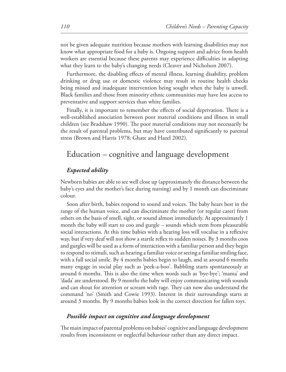not be given adequate nutrition because mothers with learning disabilities may not know what appropriate food for a baby is. Ongoing support and advice from health workers are essential because these parents may experience difficulties in adapting what they learn to the baby's changing needs (Cleaver and Nicholson 2007).

Furthermore, the disabling effects of mental illness, learning disability, problem drinking or drug use or domestic violence may result in routine health checks being missed and inadequate intervention being sought when the baby is unwell. Black families and those from minority ethnic communities may have less access to preventative and support services than white families.

Finally, it is important to remember the effects of social deprivation. There is a well-established association between poor material conditions and illness in small children (see Bradshaw 1990). The poor material conditions may not necessarily be the result of parental problems, but may have contributed significantly to parental stress (Brown and Harris 1978; Ghate and Hazel 2002).

## Education – cognitive and language development

#### *Expected ability*

Newborn babies are able to see well close up (approximately the distance between the baby's eyes and the mother's face during nursing) and by 1 month can discriminate colour.

Soon after birth, babies respond to sound and voices. The baby hears best in the range of the human voice, and can discriminate the mother (or regular carer) from others on the basis of smell, sight, or sound almost immediately. At approximately 1 month the baby will start to coo and gurgle – sounds which stem from pleasurable social interactions. At this time babies with a hearing loss will vocalise in a reflexive way, but if very deaf will not show a startle reflex to sudden noises. By 3 months coos and gurgles will be used as a form of interaction with a familiar person and they begin to respond to stimuli, such as hearing a familiar voice or seeing a familiar smiling face, with a full social smile. By 4 months babies begin to laugh, and at around 6 months many engage in social play such as 'peek-a-boo'. Babbling starts spontaneously at around 6 months. This is also the time when words such as 'bye-bye'; 'mama' and 'dada' are understood. By 9 months the baby will enjoy communicating with sounds and can shout for attention or scream with rage. They can now also understand the command 'no' (Smith and Cowie 1993). Interest in their surroundings starts at around 3 months. By 9 months babies look in the correct direction for fallen toys.

#### *Possible impact on cognitive and language development*

The main impact of parental problems on babies' cognitive and language development results from inconsistent or neglectful behaviour rather than any direct impact.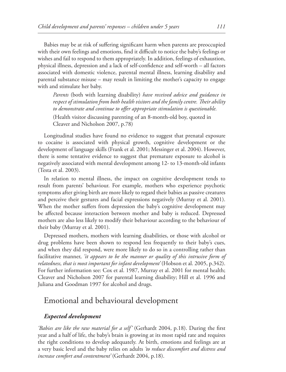Babies may be at risk of suffering significant harm when parents are preoccupied with their own feelings and emotions, find it difficult to notice the baby's feelings or wishes and fail to respond to them appropriately. In addition, feelings of exhaustion, physical illness, depression and a lack of self-confidence and self-worth – all factors associated with domestic violence, parental mental illness, learning disability and parental substance misuse – may result in limiting the mother's capacity to engage with and stimulate her baby.

*Parents* (both with learning disability) *have received advice and guidance in respect of stimulation from both health visitors and the family centre. Their ability to demonstrate and continue to offer appropriate stimulation is questionable.*

(Health visitor discussing parenting of an 8-month-old boy, quoted in Cleaver and Nicholson 2007, p.78)

Longitudinal studies have found no evidence to suggest that prenatal exposure to cocaine is associated with physical growth, cognitive development or the development of language skills (Frank et al. 2001; Messinger et al. 2004). However, there is some tentative evidence to suggest that premature exposure to alcohol is negatively associated with mental development among 12- to 13-month-old infants (Testa et al. 2003).

In relation to mental illness, the impact on cognitive development tends to result from parents' behaviour. For example, mothers who experience psychotic symptoms after giving birth are more likely to regard their babies as passive creatures and perceive their gestures and facial expressions negatively (Murray et al. 2001). When the mother suffers from depression the baby's cognitive development may be affected because interaction between mother and baby is reduced. Depressed mothers are also less likely to modify their behaviour according to the behaviour of their baby (Murray et al. 2001).

Depressed mothers, mothers with learning disabilities, or those with alcohol or drug problems have been shown to respond less frequently to their baby's cues, and when they did respond, were more likely to do so in a controlling rather than facilitative manner, *'it appears to be the manner or quality of this intrusive form of relatedness, that is most important for infant development'* (Hobson et al. 2005, p.342). For further information see: Cox et al. 1987, Murray et al. 2001 for mental health; Cleaver and Nicholson 2007 for parental learning disability; Hill et al. 1996 and Juliana and Goodman 1997 for alcohol and drugs.

## Emotional and behavioural development

#### *Expected development*

*'Babies are like the raw material for a self'* (Gerhardt 2004, p.18). During the first year and a half of life, the baby's brain is growing at its most rapid rate and requires the right conditions to develop adequately. At birth, emotions and feelings are at a very basic level and the baby relies on adults *'to reduce discomfort and distress and increase comfort and contentment'* (Gerhardt 2004, p.18).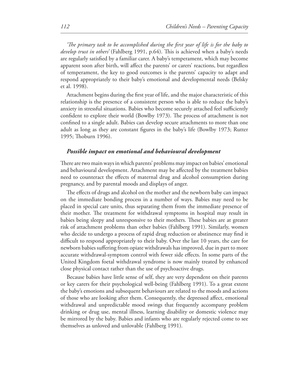*'The primary task to be accomplished during the first year of life is for the baby to develop trust in others'* (Fahlberg 1991, p.64). This is achieved when a baby's needs are regularly satisfied by a familiar carer. A baby's temperament, which may become apparent soon after birth, will affect the parents' or carers' reactions, but regardless of temperament, the key to good outcomes is the parents' capacity to adapt and respond appropriately to their baby's emotional and developmental needs (Belsky et al. 1998).

Attachment begins during the first year of life, and the major characteristic of this relationship is the presence of a consistent person who is able to reduce the baby's anxiety in stressful situations. Babies who become securely attached feel sufficiently confident to explore their world (Bowlby 1973). The process of attachment is not confined to a single adult. Babies can develop secure attachments to more than one adult as long as they are constant figures in the baby's life (Bowlby 1973; Rutter 1995; Thoburn 1996).

#### *Possible impact on emotional and behavioural development*

There are two main ways in which parents' problems may impact on babies' emotional and behavioural development. Attachment may be affected by the treatment babies need to counteract the effects of maternal drug and alcohol consumption during pregnancy, and by parental moods and displays of anger.

The effects of drugs and alcohol on the mother and the newborn baby can impact on the immediate bonding process in a number of ways. Babies may need to be placed in special care units, thus separating them from the immediate presence of their mother. The treatment for withdrawal symptoms in hospital may result in babies being sleepy and unresponsive to their mothers. These babies are at greater risk of attachment problems than other babies (Fahlberg 1991). Similarly, women who decide to undergo a process of rapid drug reduction or abstinence may find it difficult to respond appropriately to their baby. Over the last 10 years, the care for newborn babies suffering from opiate withdrawals has improved, due in part to more accurate withdrawal-symptom control with fewer side effects. In some parts of the United Kingdom foetal withdrawal syndrome is now mainly treated by enhanced close physical contact rather than the use of psychoactive drugs.

Because babies have little sense of self, they are very dependent on their parents or key carers for their psychological well-being (Fahlberg 1991). To a great extent the baby's emotions and subsequent behaviours are related to the moods and actions of those who are looking after them. Consequently, the depressed affect, emotional withdrawal and unpredictable mood swings that frequently accompany problem drinking or drug use, mental illness, learning disability or domestic violence may be mirrored by the baby. Babies and infants who are regularly rejected come to see themselves as unloved and unlovable (Fahlberg 1991).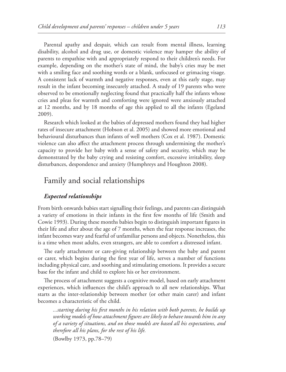Parental apathy and despair, which can result from mental illness, learning disability, alcohol and drug use, or domestic violence may hamper the ability of parents to empathise with and appropriately respond to their children's needs. For example, depending on the mother's state of mind, the baby's cries may be met with a smiling face and soothing words or a blank, unfocused or grimacing visage. A consistent lack of warmth and negative responses, even at this early stage, may result in the infant becoming insecurely attached. A study of 19 parents who were observed to be emotionally neglecting found that practically half the infants whose cries and pleas for warmth and comforting were ignored were anxiously attached at 12 months, and by 18 months of age this applied to all the infants (Egeland 2009).

Research which looked at the babies of depressed mothers found they had higher rates of insecure attachment (Hobson et al. 2005) and showed more emotional and behavioural disturbances than infants of well mothers (Cox et al. 1987). Domestic violence can also affect the attachment process through undermining the mother's capacity to provide her baby with a sense of safety and security, which may be demonstrated by the baby crying and resisting comfort, excessive irritability, sleep disturbances, despondence and anxiety (Humphreys and Houghton 2008).

## Family and social relationships

#### *Expected relationships*

From birth onwards babies start signalling their feelings, and parents can distinguish a variety of emotions in their infants in the first few months of life (Smith and Cowie 1993). During these months babies begin to distinguish important figures in their life and after about the age of 7 months, when the fear response increases, the infant becomes wary and fearful of unfamiliar persons and objects. Nonetheless, this is a time when most adults, even strangers, are able to comfort a distressed infant.

The early attachment or care-giving relationship between the baby and parent or carer, which begins during the first year of life, serves a number of functions including physical care, and soothing and stimulating emotions. It provides a secure base for the infant and child to explore his or her environment.

The process of attachment suggests a cognitive model, based on early attachment experiences, which influences the child's approach to all new relationships. What starts as the inter-relationship between mother (or other main carer) and infant becomes a characteristic of the child.

*...starting during his first months in his relation with both parents, he builds up working models of how attachment figures are likely to behave towards him in any of a variety of situations, and on those models are based all his expectations, and therefore all his plans, for the rest of his life.*

(Bowlby 1973, pp.78–79)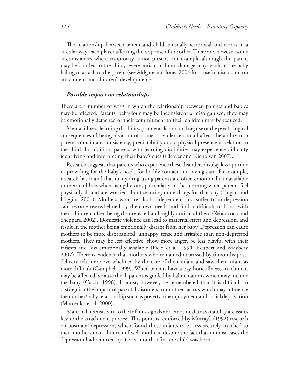The relationship between parent and child is usually reciprocal and works in a circular way, each player affecting the response of the other. There are, however some circumstances where reciprocity is not present; for example although the parent may be bonded to the child, severe autism or brain damage may result in the baby failing to attach to the parent (see Aldgate and Jones 2006 for a useful discussion on attachment and children's development).

#### *Possible impact on relationships*

There are a number of ways in which the relationship between parents and babies may be affected. Parents' behaviour may be inconsistent or disorganised, they may be emotionally detached or their commitment to their children may be reduced.

Mental illness, learning disability, problem alcohol or drug use or the psychological consequences of being a victim of domestic violence can all affect the ability of a parent to maintain consistency, predictability and a physical presence in relation to the child. In addition, parents with learning disabilities may experience difficulty identifying and interpreting their baby's cues (Cleaver and Nicholson 2007).

Research suggests that parents who experience these disorders display less aptitude in providing for the baby's needs for bodily contact and loving care. For example, research has found that many drug-using parents are often emotionally unavailable to their children when using heroin, particularly in the morning when parents feel physically ill and are worried about securing more drugs for that day (Hogan and Higgins 2001). Mothers who are alcohol dependent and suffer from depression can become overwhelmed by their own needs and find it difficult to bond with their children, often being disinterested and highly critical of them (Woodcock and Sheppard 2002). Domestic violence can lead to maternal stress and depression, and result in the mother being emotionally distant from her baby. Depression can cause mothers to be more disorganised, unhappy, tense and irritable than non-depressed mothers. They may be less effective, show more anger, be less playful with their infants and less emotionally available (Field et al. 1990; Reupert and Maybery 2007). There is evidence that mothers who remained depressed by 6 months postdelivery felt more overwhelmed by the care of their infant and saw their infant as more difficult (Campbell 1999). When parents have a psychotic illness, attachment may be affected because the ill parent is guided by hallucinations which may include the baby (Cassin 1996). It must, however, be remembered that it is difficult to distinguish the impact of parental disorders from other factors which may influence the mother/baby relationship such as poverty, unemployment and social deprivation (Marcenko et al. 2000).

Maternal insensitivity to the infant's signals and emotional unavailability are issues key to the attachment process. This point is reinforced by Murray's (1992) research on postnatal depression, which found those infants to be less securely attached to their mothers than children of well mothers, despite the fact that in most cases the depression had remitted by 3 or 4 months after the child was born.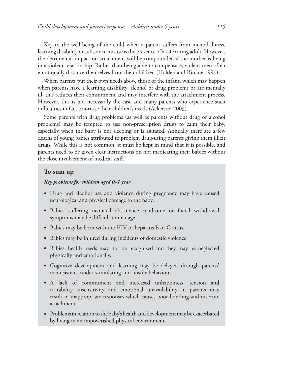Key to the well-being of the child when a parent suffers from mental illness, learning disability or substance misuse is the presence of a safe caring adult. However, the detrimental impact on attachment will be compounded if the mother is living in a violent relationship. Rather than being able to compensate, violent men often emotionally distance themselves from their children (Holden and Ritchie 1991).

When parents put their own needs above those of the infant, which may happen when parents have a learning disability, alcohol or drug problems or are mentally ill, this reduces their commitment and may interfere with the attachment process. However, this is not necessarily the case and many parents who experience such difficulties in fact prioritise their children's needs (Ackerson 2003).

Some parents with drug problems (as well as parents without drug or alcohol problems) may be tempted to use non-prescription drugs to calm their baby, especially when the baby is not sleeping or is agitated. Annually there are a few deaths of young babies attributed to problem drug-using parents giving them illicit drugs. While this is not common, it must be kept in mind that it is possible, and parents need to be given clear instructions on not medicating their babies without the close involvement of medical staff.

#### **To sum up**

#### *Key problems for children aged 0–1 year*

- Drug and alcohol use and violence during pregnancy may have caused neurological and physical damage to the baby.
- Babies suffering neonatal abstinence syndrome or foetal withdrawal symptoms may be difficult to manage.
- Babies may be born with the HIV or hepatitis B or C virus.
- Babies may be injured during incidents of domestic violence.
- Babies' health needs may not be recognised and they may be neglected physically and emotionally.
- Cognitive development and learning may be delayed through parents' inconsistent, under-stimulating and hostile behaviour.
- A lack of commitment and increased unhappiness, tension and irritability, insensitivity and emotional unavailability in parents may result in inappropriate responses which causes poor bonding and insecure attachment.
- Problems in relation to the baby's health and development may be exacerbated by living in an impoverished physical environment.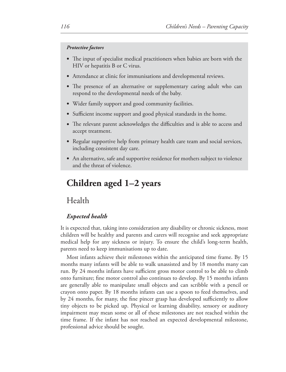#### *Protective factors*

- The input of specialist medical practitioners when babies are born with the HIV or hepatitis B or C virus.
- Attendance at clinic for immunisations and developmental reviews.
- The presence of an alternative or supplementary caring adult who can respond to the developmental needs of the baby.
- Wider family support and good community facilities.
- Sufficient income support and good physical standards in the home.
- The relevant parent acknowledges the difficulties and is able to access and accept treatment.
- Regular supportive help from primary health care team and social services, including consistent day care.
- An alternative, safe and supportive residence for mothers subject to violence and the threat of violence.

## **Children aged 1–2 years**

## Health

#### *Expected health*

It is expected that, taking into consideration any disability or chronic sickness, most children will be healthy and parents and carers will recognise and seek appropriate medical help for any sickness or injury. To ensure the child's long-term health, parents need to keep immunisations up to date.

Most infants achieve their milestones within the anticipated time frame. By 15 months many infants will be able to walk unassisted and by 18 months many can run. By 24 months infants have sufficient gross motor control to be able to climb onto furniture; fine motor control also continues to develop. By 15 months infants are generally able to manipulate small objects and can scribble with a pencil or crayon onto paper. By 18 months infants can use a spoon to feed themselves, and by 24 months, for many, the fine pincer grasp has developed sufficiently to allow tiny objects to be picked up. Physical or learning disability, sensory or auditory impairment may mean some or all of these milestones are not reached within the time frame. If the infant has not reached an expected developmental milestone, professional advice should be sought.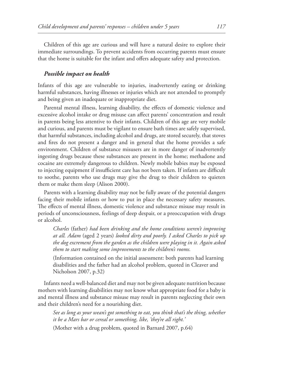Children of this age are curious and will have a natural desire to explore their immediate surroundings. To prevent accidents from occurring parents must ensure that the home is suitable for the infant and offers adequate safety and protection.

#### *Possible impact on health*

Infants of this age are vulnerable to injuries, inadvertently eating or drinking harmful substances, having illnesses or injuries which are not attended to promptly and being given an inadequate or inappropriate diet.

Parental mental illness, learning disability, the effects of domestic violence and excessive alcohol intake or drug misuse can affect parents' concentration and result in parents being less attentive to their infants. Children of this age are very mobile and curious, and parents must be vigilant to ensure bath times are safely supervised, that harmful substances, including alcohol and drugs, are stored securely, that stoves and fires do not present a danger and in general that the home provides a safe environment. Children of substance misusers are in more danger of inadvertently ingesting drugs because these substances are present in the home; methadone and cocaine are extremely dangerous to children. Newly mobile babies may be exposed to injecting equipment if insufficient care has not been taken. If infants are difficult to soothe, parents who use drugs may give the drug to their children to quieten them or make them sleep (Alison 2000).

Parents with a learning disability may not be fully aware of the potential dangers facing their mobile infants or how to put in place the necessary safety measures. The effects of mental illness, domestic violence and substance misuse may result in periods of unconsciousness, feelings of deep despair, or a preoccupation with drugs or alcohol.

*Charles* (father) *had been drinking and the home conditions weren't improving at all. Adam* (aged 2 years) *looked dirty and poorly. I asked Charles to pick up the dog excrement from the garden as the children were playing in it. Again asked them to start making some improvements to the children's rooms.*

(Information contained on the initial assessment: both parents had learning disabilities and the father had an alcohol problem, quoted in Cleaver and Nicholson 2007, p.32)

Infants need a well-balanced diet and may not be given adequate nutrition because mothers with learning disabilities may not know what appropriate food for a baby is and mental illness and substance misuse may result in parents neglecting their own and their children's need for a nourishing diet.

*See as long as your wean's got something to eat, you think that's the thing, whether it be a Mars bar or cereal or something, like, 'they're all right.'* 

(Mother with a drug problem, quoted in Barnard 2007, p.64)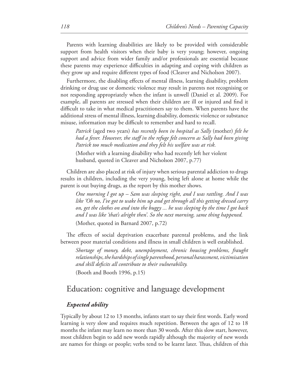Parents with learning disabilities are likely to be provided with considerable support from health visitors when their baby is very young; however, ongoing support and advice from wider family and/or professionals are essential because these parents may experience difficulties in adapting and coping with children as they grow up and require different types of food (Cleaver and Nicholson 2007).

Furthermore, the disabling effects of mental illness, learning disability, problem drinking or drug use or domestic violence may result in parents not recognising or not responding appropriately when the infant is unwell (Daniel et al. 2009). For example, all parents are stressed when their children are ill or injured and find it difficult to take in what medical practitioners say to them. When parents have the additional stress of mental illness, learning disability, domestic violence or substance misuse, information may be difficult to remember and hard to recall.

*Patrick* (aged two years) *has recently been in hospital as Sally* (mother) *felt he had a fever. However, the staff in the refuge felt concern as Sally had been giving Patrick too much medication and they felt his welfare was at risk.*

(Mother with a learning disability who had recently left her violent husband, quoted in Cleaver and Nicholson 2007, p.77)

Children are also placed at risk of injury when serious parental addiction to drugs results in children, including the very young, being left alone at home while the parent is out buying drugs, as the report by this mother shows.

*One morning I got up – Sam was sleeping right, and I was rattling. And I was like 'Oh no, I've got to wake him up and get through all this getting dressed carry on, get the clothes on and into the buggy ... he was sleeping by the time I got back and I was like 'that's alright then'. So the next morning, same thing happened.*

(Mother, quoted in Barnard 2007, p.72)

The effects of social deprivation exacerbate parental problems, and the link between poor material conditions and illness in small children is well established.

*Shortage of money, debt, unemployment, chronic housing problems, fraught relationships, the hardships of single parenthood, personal harassment, victimisation and skill deficits all contribute to their vulnerability.*

(Booth and Booth 1996, p.15)

## Education: cognitive and language development

#### *Expected ability*

Typically by about 12 to 13 months, infants start to say their first words. Early word learning is very slow and requires much repetition. Between the ages of 12 to 18 months the infant may learn no more than 30 words. After this slow start, however, most children begin to add new words rapidly although the majority of new words are names for things or people; verbs tend to be learnt later. Thus, children of this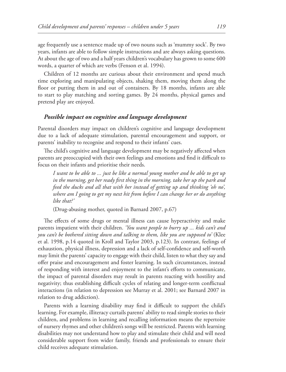age frequently use a sentence made up of two nouns such as 'mummy sock'. By two years, infants are able to follow simple instructions and are always asking questions. At about the age of two and a half years children's vocabulary has grown to some 600 words, a quarter of which are verbs (Fenson et al. 1994).

Children of 12 months are curious about their environment and spend much time exploring and manipulating objects, shaking them, moving them along the floor or putting them in and out of containers. By 18 months, infants are able to start to play matching and sorting games. By 24 months, physical games and pretend play are enjoyed.

#### *Possible impact on cognitive and language development*

Parental disorders may impact on children's cognitive and language development due to a lack of adequate stimulation, parental encouragement and support, or parents' inability to recognise and respond to their infants' cues.

The child's cognitive and language development may be negatively affected when parents are preoccupied with their own feelings and emotions and find it difficult to focus on their infants and prioritise their needs.

*I want to be able to ... just be like a normal young mother and be able to get up in the morning, get her ready first thing in the morning, take her up the park and feed the ducks and all that with her instead of getting up and thinking 'oh no', where am I going to get my next hit from before I can change her or do anything like that?'*

(Drug-abusing mother, quoted in Barnard 2007, p.67)

The effects of some drugs or mental illness can cause hyperactivity and make parents impatient with their children. *'You want people to hurry up ... kids can't and you can't be bothered sitting down and talking to them, like you are supposed to'* (Klee et al. 1998, p.14 quoted in Kroll and Taylor 2003, p.123). In contrast, feelings of exhaustion, physical illness, depression and a lack of self-confidence and self-worth may limit the parents' capacity to engage with their child, listen to what they say and offer praise and encouragement and foster learning. In such circumstances, instead of responding with interest and enjoyment to the infant's efforts to communicate, the impact of parental disorders may result in parents reacting with hostility and negativity; thus establishing difficult cycles of relating and longer-term conflictual interactions (in relation to depression see Murray et al. 2001; see Barnard 2007 in relation to drug addiction).

Parents with a learning disability may find it difficult to support the child's learning. For example, illiteracy curtails parents' ability to read simple stories to their children, and problems in learning and recalling information means the repertoire of nursery rhymes and other children's songs will be restricted. Parents with learning disabilities may not understand how to play and stimulate their child and will need considerable support from wider family, friends and professionals to ensure their child receives adequate stimulation.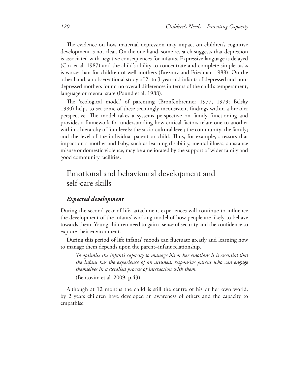The evidence on how maternal depression may impact on children's cognitive development is not clear. On the one hand, some research suggests that depression is associated with negative consequences for infants. Expressive language is delayed (Cox et al. 1987) and the child's ability to concentrate and complete simple tasks is worse than for children of well mothers (Breznitz and Friedman 1988). On the other hand, an observational study of 2- to 3-year-old infants of depressed and nondepressed mothers found no overall differences in terms of the child's temperament, language or mental state (Pound et al. 1988).

The 'ecological model' of parenting (Bronfenbrenner 1977, 1979; Belsky 1980) helps to set some of these seemingly inconsistent findings within a broader perspective. The model takes a systems perspective on family functioning and provides a framework for understanding how critical factors relate one to another within a hierarchy of four levels: the socio-cultural level; the community; the family; and the level of the individual parent or child. Thus, for example, stressors that impact on a mother and baby, such as learning disability, mental illness, substance misuse or domestic violence, may be ameliorated by the support of wider family and good community facilities.

## Emotional and behavioural development and self-care skills

#### *Expected development*

During the second year of life, attachment experiences will continue to influence the development of the infants' working model of how people are likely to behave towards them. Young children need to gain a sense of security and the confidence to explore their environment.

During this period of life infants' moods can fluctuate greatly and learning how to manage them depends upon the parent–infant relationship.

*To optimise the infant's capacity to manage his or her emotions it is essential that the infant has the experience of an attuned, responsive parent who can engage themselves in a detailed process of interaction with them.*

(Bentovim et al. 2009, p.43)

Although at 12 months the child is still the centre of his or her own world, by 2 years children have developed an awareness of others and the capacity to empathise.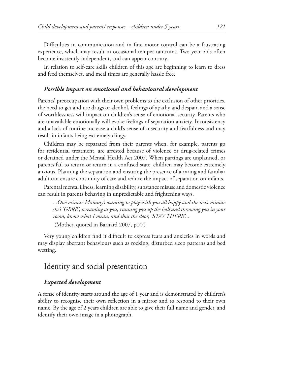Difficulties in communication and in fine motor control can be a frustrating experience, which may result in occasional temper tantrums. Two-year-olds often become insistently independent, and can appear contrary.

In relation to self-care skills children of this age are beginning to learn to dress and feed themselves, and meal times are generally hassle free.

#### *Possible impact on emotional and behavioural development*

Parents' preoccupation with their own problems to the exclusion of other priorities, the need to get and use drugs or alcohol, feelings of apathy and despair, and a sense of worthlessness will impact on children's sense of emotional security. Parents who are unavailable emotionally will evoke feelings of separation anxiety. Inconsistency and a lack of routine increase a child's sense of insecurity and fearfulness and may result in infants being extremely clingy.

Children may be separated from their parents when, for example, parents go for residential treatment, are arrested because of violence or drug-related crimes or detained under the Mental Health Act 2007. When partings are unplanned, or parents fail to return or return in a confused state, children may become extremely anxious. Planning the separation and ensuring the presence of a caring and familiar adult can ensure continuity of care and reduce the impact of separation on infants.

Parental mental illness, learning disability, substance misuse and domestic violence can result in parents behaving in unpredictable and frightening ways.

*...One minute Mammy's wanting to play with you all happy and the next minute she's 'GRRR', screaming at you, running you up the hall and throwing you in your room, know what I mean, and shut the door, 'STAY THERE'...*

(Mother, quoted in Barnard 2007, p.77)

Very young children find it difficult to express fears and anxieties in words and may display aberrant behaviours such as rocking, disturbed sleep patterns and bed wetting.

## Identity and social presentation

#### *Expected development*

A sense of identity starts around the age of 1 year and is demonstrated by children's ability to recognise their own reflection in a mirror and to respond to their own name. By the age of 2 years children are able to give their full name and gender, and identify their own image in a photograph.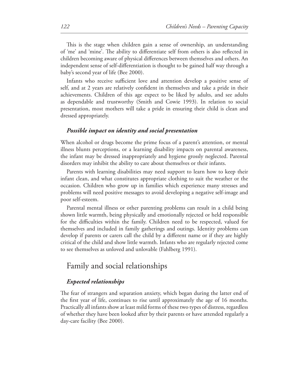This is the stage when children gain a sense of ownership, an understanding of 'me' and 'mine'. The ability to differentiate self from others is also reflected in children becoming aware of physical differences between themselves and others. An independent sense of self-differentiation is thought to be gained half way through a baby's second year of life (Bee 2000).

Infants who receive sufficient love and attention develop a positive sense of self, and at 2 years are relatively confident in themselves and take a pride in their achievements. Children of this age expect to be liked by adults, and see adults as dependable and trustworthy (Smith and Cowie 1993). In relation to social presentation, most mothers will take a pride in ensuring their child is clean and dressed appropriately.

#### *Possible impact on identity and social presentation*

When alcohol or drugs become the prime focus of a parent's attention, or mental illness blunts perceptions, or a learning disability impacts on parental awareness, the infant may be dressed inappropriately and hygiene grossly neglected. Parental disorders may inhibit the ability to care about themselves or their infants.

Parents with learning disabilities may need support to learn how to keep their infant clean, and what constitutes appropriate clothing to suit the weather or the occasion. Children who grow up in families which experience many stresses and problems will need positive messages to avoid developing a negative self-image and poor self-esteem.

Parental mental illness or other parenting problems can result in a child being shown little warmth, being physically and emotionally rejected or held responsible for the difficulties within the family. Children need to be respected, valued for themselves and included in family gatherings and outings. Identity problems can develop if parents or carers call the child by a different name or if they are highly critical of the child and show little warmth. Infants who are regularly rejected come to see themselves as unloved and unlovable (Fahlberg 1991).

## Family and social relationships

#### *Expected relationships*

The fear of strangers and separation anxiety, which began during the latter end of the first year of life, continues to rise until approximately the age of 16 months. Practically all infants show at least mild forms of these two types of distress, regardless of whether they have been looked after by their parents or have attended regularly a day-care facility (Bee 2000).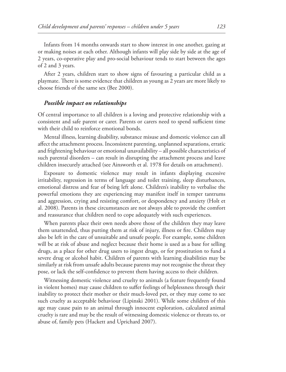Infants from 14 months onwards start to show interest in one another, gazing at or making noises at each other. Although infants will play side by side at the age of 2 years, co-operative play and pro-social behaviour tends to start between the ages of 2 and 3 years.

After 2 years, children start to show signs of favouring a particular child as a playmate. There is some evidence that children as young as 2 years are more likely to choose friends of the same sex (Bee 2000).

#### *Possible impact on relationships*

Of central importance to all children is a loving and protective relationship with a consistent and safe parent or carer. Parents or carers need to spend sufficient time with their child to reinforce emotional bonds.

Mental illness, learning disability, substance misuse and domestic violence can all affect the attachment process. Inconsistent parenting, unplanned separations, erratic and frightening behaviour or emotional unavailability – all possible characteristics of such parental disorders – can result in disrupting the attachment process and leave children insecurely attached (see Ainsworth et al. 1978 for details on attachment).

Exposure to domestic violence may result in infants displaying excessive irritability, regression in terms of language and toilet training, sleep disturbances, emotional distress and fear of being left alone. Children's inability to verbalise the powerful emotions they are experiencing may manifest itself in temper tantrums and aggression, crying and resisting comfort, or despondency and anxiety (Holt et al. 2008). Parents in these circumstances are not always able to provide the comfort and reassurance that children need to cope adequately with such experiences.

When parents place their own needs above those of the children they may leave them unattended, thus putting them at risk of injury, illness or fire. Children may also be left in the care of unsuitable and unsafe people. For example, some children will be at risk of abuse and neglect because their home is used as a base for selling drugs, as a place for other drug users to ingest drugs, or for prostitution to fund a severe drug or alcohol habit. Children of parents with learning disabilities may be similarly at risk from unsafe adults because parents may not recognise the threat they pose, or lack the self-confidence to prevent them having access to their children.

Witnessing domestic violence and cruelty to animals (a feature frequently found in violent homes) may cause children to suffer feelings of helplessness through their inability to protect their mother or their much-loved pet, or they may come to see such cruelty as acceptable behaviour (Lipinski 2001). While some children of this age may cause pain to an animal through innocent exploration, calculated animal cruelty is rare and may be the result of witnessing domestic violence or threats to, or abuse of, family pets (Hackett and Uprichard 2007).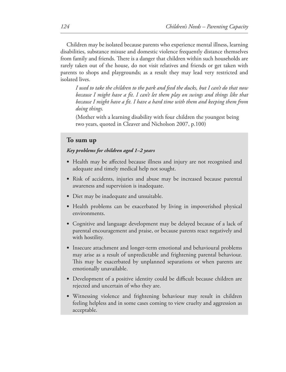Children may be isolated because parents who experience mental illness, learning disabilities, substance misuse and domestic violence frequently distance themselves from family and friends. There is a danger that children within such households are rarely taken out of the house, do not visit relatives and friends or get taken with parents to shops and playgrounds; as a result they may lead very restricted and isolated lives.

*I used to take the children to the park and feed the ducks, but I can't do that now because I might have a fit. I can't let them play on swings and things like that because I might have a fit. I have a hard time with them and keeping them from doing things.*

(Mother with a learning disability with four children the youngest being two years, quoted in Cleaver and Nicholson 2007, p.100)

#### **To sum up**

#### *Key problems for children aged 1–2 years*

- Health may be affected because illness and injury are not recognised and adequate and timely medical help not sought.
- Risk of accidents, injuries and abuse may be increased because parental awareness and supervision is inadequate.
- Diet may be inadequate and unsuitable.
- Health problems can be exacerbated by living in impoverished physical environments.
- Cognitive and language development may be delayed because of a lack of parental encouragement and praise, or because parents react negatively and with hostility.
- Insecure attachment and longer-term emotional and behavioural problems may arise as a result of unpredictable and frightening parental behaviour. This may be exacerbated by unplanned separations or when parents are emotionally unavailable.
- Development of a positive identity could be difficult because children are rejected and uncertain of who they are.
- Witnessing violence and frightening behaviour may result in children feeling helpless and in some cases coming to view cruelty and aggression as acceptable.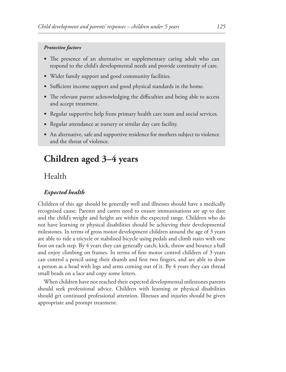#### *Protective factors*

- The presence of an alternative or supplementary caring adult who can respond to the child's developmental needs and provide continuity of care.
- Wider family support and good community facilities.
- Sufficient income support and good physical standards in the home.
- The relevant parent acknowledging the difficulties and being able to access and accept treatment.
- Regular supportive help from primary health care team and social services.
- Regular attendance at nursery or similar day care facility.
- An alternative, safe and supportive residence for mothers subject to violence and the threat of violence.

# **Children aged 3–4 years**

## Health

#### *Expected health*

Children of this age should be generally well and illnesses should have a medically recognised cause. Parents and carers need to ensure immunisations are up to date and the child's weight and height are within the expected range. Children who do not have learning or physical disabilities should be achieving their developmental milestones. In terms of gross motor development children around the age of 3 years are able to ride a tricycle or stabilised bicycle using pedals and climb stairs with one foot on each step. By 4 years they can generally catch, kick, throw and bounce a ball and enjoy climbing on frames. In terms of fine motor control children of 3 years can control a pencil using their thumb and first two fingers, and are able to draw a person as a head with legs and arms coming out of it. By 4 years they can thread small beads on a lace and copy some letters.

When children have not reached their expected developmental milestones parents should seek professional advice. Children with learning or physical disabilities should get continued professional attention. Illnesses and injuries should be given appropriate and prompt treatment.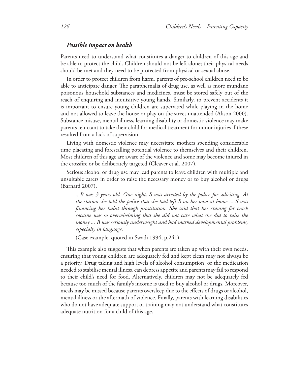#### *Possible impact on health*

Parents need to understand what constitutes a danger to children of this age and be able to protect the child. Children should not be left alone; their physical needs should be met and they need to be protected from physical or sexual abuse.

In order to protect children from harm, parents of pre-school children need to be able to anticipate danger. The paraphernalia of drug use, as well as more mundane poisonous household substances and medicines, must be stored safely out of the reach of enquiring and inquisitive young hands. Similarly, to prevent accidents it is important to ensure young children are supervised while playing in the home and not allowed to leave the house or play on the street unattended (Alison 2000). Substance misuse, mental illness, learning disability or domestic violence may make parents reluctant to take their child for medical treatment for minor injuries if these resulted from a lack of supervision.

Living with domestic violence may necessitate mothers spending considerable time placating and forestalling potential violence to themselves and their children. Most children of this age are aware of the violence and some may become injured in the crossfire or be deliberately targeted (Cleaver et al. 2007).

Serious alcohol or drug use may lead parents to leave children with multiple and unsuitable carers in order to raise the necessary money or to buy alcohol or drugs (Barnard 2007).

*...B was 3 years old. One night, S was arrested by the police for soliciting. At the station she told the police that she had left B on her own at home ... S was financing her habit through prostitution. She said that her craving for crack cocaine was so overwhelming that she did not care what she did to raise the money ... B was seriously underweight and had marked developmental problems, especially in language.*

(Case example, quoted in Swadi 1994, p.241)

This example also suggests that when parents are taken up with their own needs, ensuring that young children are adequately fed and kept clean may not always be a priority. Drug taking and high levels of alcohol consumption, or the medication needed to stabilise mental illness, can depress appetite and parents may fail to respond to their child's need for food. Alternatively, children may not be adequately fed because too much of the family's income is used to buy alcohol or drugs. Moreover, meals may be missed because parents oversleep due to the effects of drugs or alcohol, mental illness or the aftermath of violence. Finally, parents with learning disabilities who do not have adequate support or training may not understand what constitutes adequate nutrition for a child of this age.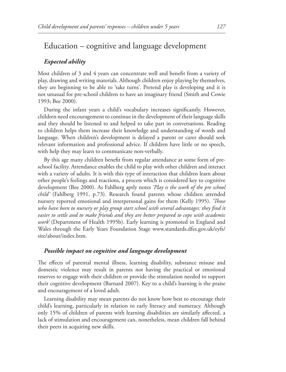## Education – cognitive and language development

#### *Expected ability*

Most children of 3 and 4 years can concentrate well and benefit from a variety of play, drawing and writing materials. Although children enjoy playing by themselves, they are beginning to be able to 'take turns'. Pretend play is developing and it is not unusual for pre-school children to have an imaginary friend (Smith and Cowie 1993; Bee 2000).

During the infant years a child's vocabulary increases significantly. However, children need encouragement to continue in the development of their language skills and they should be listened to and helped to take part in conversations. Reading to children helps them increase their knowledge and understanding of words and language. When children's development is delayed a parent or carer should seek relevant information and professional advice. If children have little or no speech, with help they may learn to communicate non-verbally.

By this age many children benefit from regular attendance at some form of preschool facility. Attendance enables the child to play with other children and interact with a variety of adults. It is with this type of interaction that children learn about other people's feelings and reactions, a process which is considered key to cognitive development (Bee 2000). As Fahlberg aptly notes *'Play is the work of the pre school child'* (Fahlberg 1991, p.73). Research found parents whose children attended nursery reported emotional and interpersonal gains for them (Kelly 1995). *'Those who have been to nursery or play group start school with several advantages: they find it easier to settle and to make friends and they are better prepared to cope with academic work'* (Department of Health 1995b). Early learning is promoted in England and Wales through the Early Years Foundation Stage www.standards.dfes.gov.uk/eyfs/ site/about/index.htm.

#### *Possible impact on cognitive and language development*

The effects of parental mental illness, learning disability, substance misuse and domestic violence may result in parents not having the practical or emotional reserves to engage with their children or provide the stimulation needed to support their cognitive development (Barnard 2007). Key to a child's learning is the praise and encouragement of a loved adult.

Learning disability may mean parents do not know how best to encourage their child's learning, particularly in relation to early literacy and numeracy. Although only 15% of children of parents with learning disabilities are similarly affected, a lack of stimulation and encouragement can, nonetheless, mean children fall behind their peers in acquiring new skills.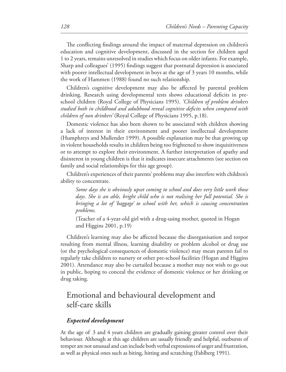The conflicting findings around the impact of maternal depression on children's education and cognitive development, discussed in the section for children aged 1 to 2 years, remains unresolved in studies which focus on older infants. For example, Sharp and colleagues' (1995) findings suggest that postnatal depression is associated with poorer intellectual development in boys at the age of 3 years 10 months, while the work of Hammen (1988) found no such relationship.

Children's cognitive development may also be affected by parental problem drinking. Research using developmental tests shows educational deficits in preschool children (Royal College of Physicians 1995). *'Children of problem drinkers studied both in childhood and adulthood reveal cognitive deficits when compared with children of non drinkers'* (Royal College of Physicians 1995, p.18).

Domestic violence has also been shown to be associated with children showing a lack of interest in their environment and poorer intellectual development (Humphreys and Mullender 1999). A possible explanation may be that growing up in violent households results in children being too frightened to show inquisitiveness or to attempt to explore their environment. A further interpretation of apathy and disinterest in young children is that it indicates insecure attachments (see section on family and social relationships for this age group).

Children's experiences of their parents' problems may also interfere with children's ability to concentrate.

*Some days she is obviously upset coming to school and does very little work those*  days. She is an able, bright child who is not realising her full potential. She is *bringing a lot of 'baggage' to school with her, which is causing concentration problems.*

(Teacher of a 4-year-old girl with a drug-using mother, quoted in Hogan and Higgins 2001, p.19)

Children's learning may also be affected because the disorganisation and torpor resulting from mental illness, learning disability or problem alcohol or drug use (or the psychological consequences of domestic violence) may mean parents fail to regularly take children to nursery or other pre-school facilities (Hogan and Higgins 2001). Attendance may also be curtailed because a mother may not wish to go out in public, hoping to conceal the evidence of domestic violence or her drinking or drug taking.

## Emotional and behavioural development and self-care skills

#### *Expected development*

At the age of 3 and 4 years children are gradually gaining greater control over their behaviour. Although at this age children are usually friendly and helpful, outbursts of temper are not unusual and can include both verbal expressions of anger and frustration, as well as physical ones such as biting, hitting and scratching (Fahlberg 1991).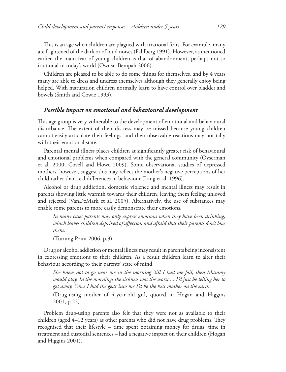This is an age when children are plagued with irrational fears. For example, many are frightened of the dark or of loud noises (Fahlberg 1991). However, as mentioned earlier, the main fear of young children is that of abandonment, perhaps not so irrational in today's world (Owusu-Bempah 2006).

Children are pleased to be able to do some things for themselves, and by 4 years many are able to dress and undress themselves although they generally enjoy being helped. With maturation children normally learn to have control over bladder and bowels (Smith and Cowie 1993).

#### *Possible impact on emotional and behavioural development*

This age group is very vulnerable to the development of emotional and behavioural disturbance. The extent of their distress may be missed because young children cannot easily articulate their feelings, and their observable reactions may not tally with their emotional state.

Parental mental illness places children at significantly greater risk of behavioural and emotional problems when compared with the general community (Oyserman et al. 2000; Covell and Howe 2009). Some observational studies of depressed mothers, however, suggest this may reflect the mother's negative perceptions of her child rather than real differences in behaviour (Lang et al. 1996).

Alcohol or drug addiction, domestic violence and mental illness may result in parents showing little warmth towards their children, leaving them feeling unloved and rejected (VanDeMark et al. 2005). Alternatively, the use of substances may enable some parents to more easily demonstrate their emotions.

*In many cases parents may only express emotions when they have been drinking, which leaves children deprived of affection and afraid that their parents don't love them.*

(Turning Point 2006, p.9)

Drug or alcohol addiction or mental illness may result in parents being inconsistent in expressing emotions to their children. As a result children learn to alter their behaviour according to their parents' state of mind.

*She knew not to go near me in the morning 'till I had me foil, then Mammy would play. In the mornings the sickness was the worst ... I'd just be telling her to get away. Once I had the gear into me I'd be the best mother on the earth.*

(Drug-using mother of 4-year-old girl, quoted in Hogan and Higgins 2001, p.22)

Problem drug-using parents also felt that they were not as available to their children (aged 4–12 years) as other parents who did not have drug problems. They recognised that their lifestyle – time spent obtaining money for drugs, time in treatment and custodial sentences – had a negative impact on their children (Hogan and Higgins 2001).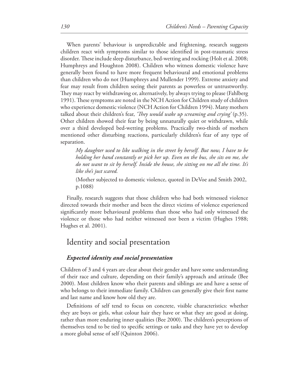When parents' behaviour is unpredictable and frightening, research suggests children react with symptoms similar to those identified in post-traumatic stress disorder. These include sleep disturbance, bed-wetting and rocking (Holt et al. 2008; Humphreys and Houghton 2008). Children who witness domestic violence have generally been found to have more frequent behavioural and emotional problems than children who do not (Humphreys and Mullender 1999). Extreme anxiety and fear may result from children seeing their parents as powerless or untrustworthy. They may react by withdrawing or, alternatively, by always trying to please (Fahlberg 1991). These symptoms are noted in the NCH Action for Children study of children who experience domestic violence (NCH Action for Children 1994). Many mothers talked about their children's fear, *'They would wake up screaming and crying'* (p.35). Other children showed their fear by being unnaturally quiet or withdrawn, while over a third developed bed-wetting problems. Practically two-thirds of mothers mentioned other disturbing reactions, particularly children's fear of any type of separation.

*My daughter used to like walking in the street by herself. But now, I have to be holding her hand constantly or pick her up. Even on the bus, she sits on me, she do not want to sit by herself. Inside the house, she sitting on me all the time. It's like she's just scared.*

(Mother subjected to domestic violence, quoted in DeVoe and Smith 2002, p.1088)

Finally, research suggests that those children who had both witnessed violence directed towards their mother and been the direct victims of violence experienced significantly more behavioural problems than those who had only witnessed the violence or those who had neither witnessed nor been a victim (Hughes 1988; Hughes et al. 2001).

## Identity and social presentation

#### *Expected identity and social presentation*

Children of 3 and 4 years are clear about their gender and have some understanding of their race and culture, depending on their family's approach and attitude (Bee 2000). Most children know who their parents and siblings are and have a sense of who belongs to their immediate family. Children can generally give their first name and last name and know how old they are.

Definitions of self tend to focus on concrete, visible characteristics: whether they are boys or girls, what colour hair they have or what they are good at doing, rather than more enduring inner qualities (Bee 2000). The children's perceptions of themselves tend to be tied to specific settings or tasks and they have yet to develop a more global sense of self (Quinton 2006).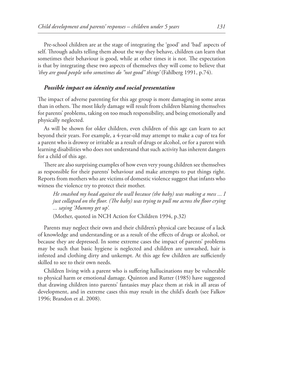Pre-school children are at the stage of integrating the 'good' and 'bad' aspects of self. Through adults telling them about the way they behave, children can learn that sometimes their behaviour is good, while at other times it is not. The expectation is that by integrating these two aspects of themselves they will come to believe that *'they are good people who sometimes do "not good" things'* (Fahlberg 1991, p.74).

#### *Possible impact on identity and social presentation*

The impact of adverse parenting for this age group is more damaging in some areas than in others. The most likely damage will result from children blaming themselves for parents' problems, taking on too much responsibility, and being emotionally and physically neglected.

As will be shown for older children, even children of this age can learn to act beyond their years. For example, a 4-year-old may attempt to make a cup of tea for a parent who is drowsy or irritable as a result of drugs or alcohol, or for a parent with learning disabilities who does not understand that such activity has inherent dangers for a child of this age.

There are also surprising examples of how even very young children see themselves as responsible for their parents' behaviour and make attempts to put things right. Reports from mothers who are victims of domestic violence suggest that infants who witness the violence try to protect their mother.

*He smashed my head against the wall because (the baby) was making a mess ... I just collapsed on the floor. (The baby) was trying to pull me across the floor crying ... saying 'Mummy get up'.*

(Mother, quoted in NCH Action for Children 1994, p.32)

Parents may neglect their own and their children's physical care because of a lack of knowledge and understanding or as a result of the effects of drugs or alcohol, or because they are depressed. In some extreme cases the impact of parents' problems may be such that basic hygiene is neglected and children are unwashed, hair is infested and clothing dirty and unkempt. At this age few children are sufficiently skilled to see to their own needs.

Children living with a parent who is suffering hallucinations may be vulnerable to physical harm or emotional damage. Quinton and Rutter (1985) have suggested that drawing children into parents' fantasies may place them at risk in all areas of development, and in extreme cases this may result in the child's death (see Falkov 1996; Brandon et al. 2008).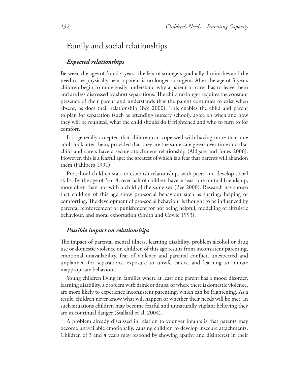## Family and social relationships

#### *Expected relationships*

Between the ages of 3 and 4 years, the fear of strangers gradually diminishes and the need to be physically near a parent is no longer so urgent. After the age of 3 years children begin to more easily understand why a parent or carer has to leave them and are less distressed by short separations. The child no longer requires the constant presence of their parent and understands that the parent continues to exist when absent, as does their relationship (Bee 2000). This enables the child and parent to plan for separation (such as attending nursery school), agree on when and how they will be reunited, what the child should do if frightened and who to turn to for comfort.

It is generally accepted that children can cope well with having more than one adult look after them, provided that they are the same care givers over time and that child and carers have a secure attachment relationship (Aldgate and Jones 2006). However, this is a fearful age: the greatest of which is a fear that parents will abandon them (Fahlberg 1991).

Pre-school children start to establish relationships with peers and develop social skills. By the age of 3 or 4, over half of children have at least one mutual friendship, more often than not with a child of the same sex (Bee 2000). Research has shown that children of this age show pro-social behaviour such as sharing, helping or comforting. The development of pro-social behaviour is thought to be influenced by parental reinforcement or punishment for not being helpful, modelling of altruistic behaviour, and moral exhortation (Smith and Cowie 1993).

#### *Possible impact on relationships*

The impact of parental mental illness, learning disability, problem alcohol or drug use or domestic violence on children of this age results from inconsistent parenting, emotional unavailability, fear of violence and parental conflict, unexpected and unplanned for separations, exposure to unsafe carers, and learning to imitate inappropriate behaviour.

Young children living in families where at least one parent has a mood disorder, learning disability, a problem with drink or drugs, or where there is domestic violence, are more likely to experience inconsistent parenting, which can be frightening. As a result, children never know what will happen or whether their needs will be met. In such situations children may become fearful and unnaturally vigilant believing they are in continual danger (Stallard et al. 2004).

A problem already discussed in relation to younger infants is that parents may become unavailable emotionally, causing children to develop insecure attachments. Children of 3 and 4 years may respond by showing apathy and disinterest in their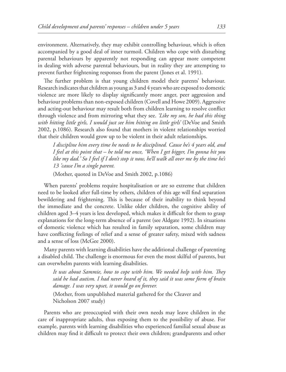environment. Alternatively, they may exhibit controlling behaviour, which is often accompanied by a good deal of inner turmoil. Children who cope with disturbing parental behaviours by apparently not responding can appear more competent in dealing with adverse parental behaviours, but in reality they are attempting to prevent further frightening responses from the parent (Jones et al. 1991).

The further problem is that young children model their parents' behaviour. Research indicates that children as young as 3 and 4 years who are exposed to domestic violence are more likely to display significantly more anger, peer aggression and behaviour problems than non-exposed children (Covell and Howe 2009). Aggressive and acting-out behaviour may result both from children learning to resolve conflict through violence and from mirroring what they see. *'Like my son, he had this thing with hitting little girls, I would just see him hitting on little girls'* (DeVoe and Smith 2002, p.1086). Research also found that mothers in violent relationships worried that their children would grow up to be violent in their adult relationships.

*I discipline him every time he needs to be disciplined. Cause he's 4 years old, and I feel at this point that – he told me once, 'When I get bigger, I'm gonna hit you like my dad.' So I feel if I don't stop it now, he'll walk all over me by the time he's 13 'cause I'm a single parent.*

(Mother, quoted in DeVoe and Smith 2002, p.1086)

When parents' problems require hospitalisation or are so extreme that children need to be looked after full-time by others, children of this age will find separation bewildering and frightening. This is because of their inability to think beyond the immediate and the concrete. Unlike older children, the cognitive ability of children aged 3–4 years is less developed, which makes it difficult for them to grasp explanations for the long-term absence of a parent (see Aldgate 1992). In situations of domestic violence which has resulted in family separation, some children may have conflicting feelings of relief and a sense of greater safety, mixed with sadness and a sense of loss (McGee 2000).

Many parents with learning disabilities have the additional challenge of parenting a disabled child. The challenge is enormous for even the most skilful of parents, but can overwhelm parents with learning disabilities.

*It was about Sammie, how to cope with him. We needed help with him. They said he had autism. I had never heard of it, they said it was some form of brain damage. I was very upset, it would go on forever.*

(Mother, from unpublished material gathered for the Cleaver and Nicholson 2007 study)

Parents who are preoccupied with their own needs may leave children in the care of inappropriate adults, thus exposing them to the possibility of abuse. For example, parents with learning disabilities who experienced familial sexual abuse as children may find it difficult to protect their own children; grandparents and other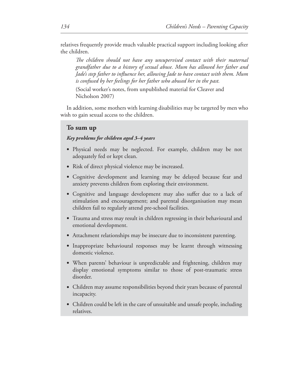relatives frequently provide much valuable practical support including looking after the children.

*The children should not have any unsupervised contact with their maternal grandfather due to a history of sexual abuse. Mum has allowed her father and Jade's step father to influence her, allowing Jade to have contact with them. Mum is confused by her feelings for her father who abused her in the past.*

(Social worker's notes, from unpublished material for Cleaver and Nicholson 2007)

In addition, some mothers with learning disabilities may be targeted by men who wish to gain sexual access to the children.

#### **To sum up**

#### *Key problems for children aged 3–4 years*

- Physical needs may be neglected. For example, children may be not adequately fed or kept clean.
- Risk of direct physical violence may be increased.
- Cognitive development and learning may be delayed because fear and anxiety prevents children from exploring their environment.
- t Cognitive and language development may also suffer due to a lack of stimulation and encouragement; and parental disorganisation may mean children fail to regularly attend pre-school facilities.
- Trauma and stress may result in children regressing in their behavioural and emotional development.
- Attachment relationships may be insecure due to inconsistent parenting.
- Inappropriate behavioural responses may be learnt through witnessing domestic violence.
- When parents' behaviour is unpredictable and frightening, children may display emotional symptoms similar to those of post-traumatic stress disorder.
- Children may assume responsibilities beyond their years because of parental incapacity.
- Children could be left in the care of unsuitable and unsafe people, including relatives.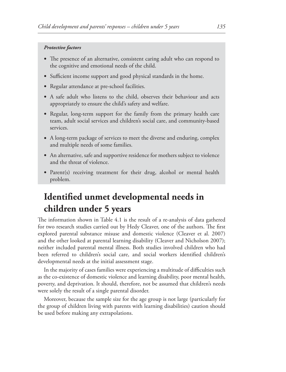#### *Protective factors*

- The presence of an alternative, consistent caring adult who can respond to the cognitive and emotional needs of the child.
- Sufficient income support and good physical standards in the home.
- Regular attendance at pre-school facilities.
- A safe adult who listens to the child, observes their behaviour and acts appropriately to ensure the child's safety and welfare.
- Regular, long-term support for the family from the primary health care team, adult social services and children's social care, and community-based services.
- A long-term package of services to meet the diverse and enduring, complex and multiple needs of some families.
- An alternative, safe and supportive residence for mothers subject to violence and the threat of violence.
- Parent(s) receiving treatment for their drug, alcohol or mental health problem.

# **Identified unmet developmental needs in children under 5 years**

The information shown in Table 4.1 is the result of a re-analysis of data gathered for two research studies carried out by Hedy Cleaver, one of the authors. The first explored parental substance misuse and domestic violence (Cleaver et al. 2007) and the other looked at parental learning disability (Cleaver and Nicholson 2007); neither included parental mental illness. Both studies involved children who had been referred to children's social care, and social workers identified children's developmental needs at the initial assessment stage.

In the majority of cases families were experiencing a multitude of difficulties such as the co-existence of domestic violence and learning disability, poor mental health, poverty, and deprivation. It should, therefore, not be assumed that children's needs were solely the result of a single parental disorder.

Moreover, because the sample size for the age group is not large (particularly for the group of children living with parents with learning disabilities) caution should be used before making any extrapolations.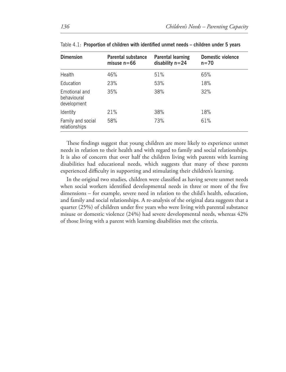| <b>Dimension</b>                            | <b>Parental substance</b><br>misuse $n = 66$ | <b>Parental learning</b><br>disability $n=24$ | <b>Domestic violence</b><br>$n = 70$ |
|---------------------------------------------|----------------------------------------------|-----------------------------------------------|--------------------------------------|
| Health                                      | 46%                                          | 51%                                           | 65%                                  |
| Education                                   | 23%                                          | 53%                                           | 18%                                  |
| Emotional and<br>behavioural<br>development | 35%                                          | 38%                                           | 32%                                  |
| Identity                                    | 21%                                          | 38%                                           | 18%                                  |
| Family and social<br>relationships          | 58%                                          | 73%                                           | 61%                                  |

Table 4.1: **Proportion of children with identified unmet needs – children under 5 years**

These findings suggest that young children are more likely to experience unmet needs in relation to their health and with regard to family and social relationships. It is also of concern that over half the children living with parents with learning disabilities had educational needs, which suggests that many of these parents experienced difficulty in supporting and stimulating their children's learning.

In the original two studies, children were classified as having severe unmet needs when social workers identified developmental needs in three or more of the five dimensions – for example, severe need in relation to the child's health, education, and family and social relationships. A re-analysis of the original data suggests that a quarter (25%) of children under five years who were living with parental substance misuse or domestic violence (24%) had severe developmental needs, whereas 42% of those living with a parent with learning disabilities met the criteria.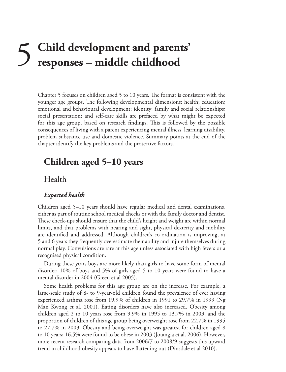# **Child development and parents' responses – middle childhood** 5

Chapter 5 focuses on children aged 5 to 10 years. The format is consistent with the younger age groups. The following developmental dimensions: health; education; emotional and behavioural development; identity; family and social relationships; social presentation; and self-care skills are prefaced by what might be expected for this age group, based on research findings. This is followed by the possible consequences of living with a parent experiencing mental illness, learning disability, problem substance use and domestic violence. Summary points at the end of the chapter identify the key problems and the protective factors.

# **Children aged 5–10 years**

## Health

#### *Expected health*

Children aged 5–10 years should have regular medical and dental examinations, either as part of routine school medical checks or with the family doctor and dentist. These check-ups should ensure that the child's height and weight are within normal limits, and that problems with hearing and sight, physical dexterity and mobility are identified and addressed. Although children's co-ordination is improving, at 5 and 6 years they frequently overestimate their ability and injure themselves during normal play. Convulsions are rare at this age unless associated with high fevers or a recognised physical condition.

During these years boys are more likely than girls to have some form of mental disorder; 10% of boys and 5% of girls aged 5 to 10 years were found to have a mental disorder in 2004 (Green et al 2005).

Some health problems for this age group are on the increase. For example, a large-scale study of 8- to 9-year-old children found the prevalence of ever having experienced asthma rose from 19.9% of children in 1991 to 29.7% in 1999 (Ng Man Kwong et al. 2001). Eating disorders have also increased. Obesity among children aged 2 to 10 years rose from 9.9% in 1995 to 13.7% in 2003, and the proportion of children of this age group being overweight rose from 22.7% in 1995 to 27.7% in 2003. Obesity and being overweight was greatest for children aged 8 to 10 years; 16.5% were found to be obese in 2003 (Jotangia et al. 2006). However, more recent research comparing data from 2006/7 to 2008/9 suggests this upward trend in childhood obesity appears to have flattening out (Dinsdale et al 2010).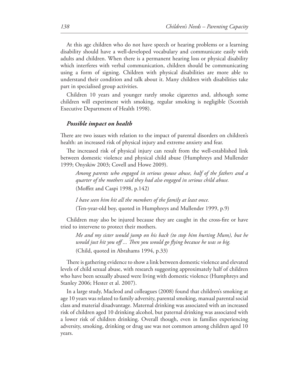At this age children who do not have speech or hearing problems or a learning disability should have a well-developed vocabulary and communicate easily with adults and children. When there is a permanent hearing loss or physical disability which interferes with verbal communication, children should be communicating using a form of signing. Children with physical disabilities are more able to understand their condition and talk about it. Many children with disabilities take part in specialised group activities.

Children 10 years and younger rarely smoke cigarettes and, although some children will experiment with smoking, regular smoking is negligible (Scottish Executive Department of Health 1998).

#### *Possible impact on health*

There are two issues with relation to the impact of parental disorders on children's health: an increased risk of physical injury and extreme anxiety and fear.

The increased risk of physical injury can result from the well-established link between domestic violence and physical child abuse (Humphreys and Mullender 1999; Onyskiw 2003; Covell and Howe 2009).

*Among parents who engaged in serious spouse abuse, half of the fathers and a quarter of the mothers said they had also engaged in serious child abuse.* (Moffitt and Caspi 1998, p.142)

*I have seen him hit all the members of the family at least once.*

(Ten-year-old boy, quoted in Humphreys and Mullender 1999, p.9)

Children may also be injured because they are caught in the cross-fire or have tried to intervene to protect their mothers.

*Me and my sister would jump on his back (to stop him hurting Mum), but he would just hit you off ... Then you would go flying because he was so big.* (Child, quoted in Abrahams 1994, p.33)

There is gathering evidence to show a link between domestic violence and elevated levels of child sexual abuse, with research suggesting approximately half of children who have been sexually abused were living with domestic violence (Humphreys and Stanley 2006; Hester et al. 2007).

In a large study, Macleod and colleagues (2008) found that children's smoking at age 10 years was related to family adversity, parental smoking, manual parental social class and material disadvantage. Maternal drinking was associated with an increased risk of children aged 10 drinking alcohol, but paternal drinking was associated with a lower risk of children drinking. Overall though, even in families experiencing adversity, smoking, drinking or drug use was not common among children aged 10 years.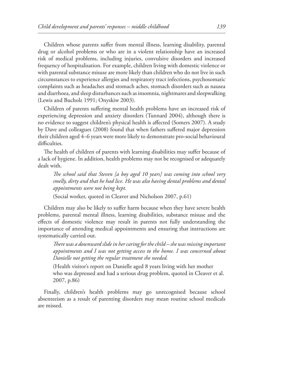Children whose parents suffer from mental illness, learning disability, parental drug or alcohol problems or who are in a violent relationship have an increased risk of medical problems, including injuries, convulsive disorders and increased frequency of hospitalisation. For example, children living with domestic violence or with parental substance misuse are more likely than children who do not live in such circumstances to experience allergies and respiratory tract infections, psychosomatic complaints such as headaches and stomach aches, stomach disorders such as nausea and diarrhoea, and sleep disturbances such as insomnia, nightmares and sleepwalking (Lewis and Bucholz 1991; Onyskiw 2003).

Children of parents suffering mental health problems have an increased risk of experiencing depression and anxiety disorders (Tunnard 2004), although there is no evidence to suggest children's physical health is affected (Somers 2007). A study by Dave and colleagues (2008) found that when fathers suffered major depression their children aged 4–6 years were more likely to demonstrate pro-social behavioural difficulties.

The health of children of parents with learning disabilities may suffer because of a lack of hygiene. In addition, health problems may not be recognised or adequately dealt with.

*The school said that Steven [a boy aged 10 years] was coming into school very smelly, dirty and that he had lice. He was also having dental problems and dental appointments were not being kept.*

(Social worker, quoted in Cleaver and Nicholson 2007, p.61)

Children may also be likely to suffer harm because when they have severe health problems, parental mental illness, learning disabilities, substance misuse and the effects of domestic violence may result in parents not fully understanding the importance of attending medical appointments and ensuring that instructions are systematically carried out.

*There was a downward slide in her caring for the child – she was missing important appointments and I was not getting access to the home. I was concerned about Danielle not getting the regular treatment she needed.*

(Health visitor's report on Danielle aged 8 years living with her mother who was depressed and had a serious drug problem, quoted in Cleaver et al. 2007, p.86)

Finally, children's health problems may go unrecognised because school absenteeism as a result of parenting disorders may mean routine school medicals are missed.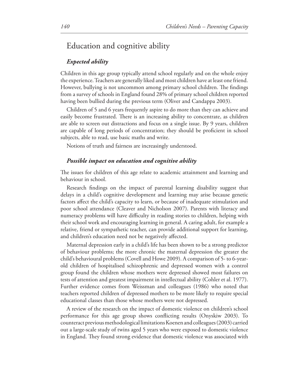## Education and cognitive ability

#### *Expected ability*

Children in this age group typically attend school regularly and on the whole enjoy the experience. Teachers are generally liked and most children have at least one friend. However, bullying is not uncommon among primary school children. The findings from a survey of schools in England found 28% of primary school children reported having been bullied during the previous term (Oliver and Candappa 2003).

Children of 5 and 6 years frequently aspire to do more than they can achieve and easily become frustrated. There is an increasing ability to concentrate, as children are able to screen out distractions and focus on a single issue. By 9 years, children are capable of long periods of concentration; they should be proficient in school subjects, able to read, use basic maths and write.

Notions of truth and fairness are increasingly understood.

#### *Possible impact on education and cognitive ability*

The issues for children of this age relate to academic attainment and learning and behaviour in school.

Research findings on the impact of parental learning disability suggest that delays in a child's cognitive development and learning may arise because genetic factors affect the child's capacity to learn, or because of inadequate stimulation and poor school attendance (Cleaver and Nicholson 2007). Parents with literacy and numeracy problems will have difficulty in reading stories to children, helping with their school work and encouraging learning in general. A caring adult, for example a relative, friend or sympathetic teacher, can provide additional support for learning, and children's education need not be negatively affected.

Maternal depression early in a child's life has been shown to be a strong predictor of behaviour problems; the more chronic the maternal depression the greater the child's behavioural problems (Covell and Howe 2009). A comparison of 5- to 6-yearold children of hospitalised schizophrenic and depressed women with a control group found the children whose mothers were depressed showed most failures on tests of attention and greatest impairment in intellectual ability (Cohler et al. 1977). Further evidence comes from Weissman and colleagues (1986) who noted that teachers reported children of depressed mothers to be more likely to require special educational classes than those whose mothers were not depressed.

A review of the research on the impact of domestic violence on children's school performance for this age group shows conflicting results (Onyskiw 2003). To counteract previous methodological limitations Koenen and colleagues (2003) carried out a large-scale study of twins aged 5 years who were exposed to domestic violence in England. They found strong evidence that domestic violence was associated with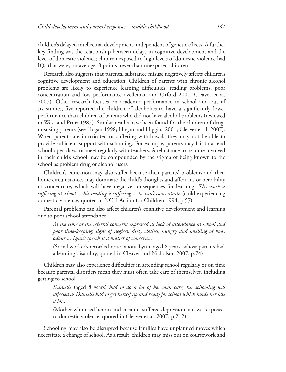children's delayed intellectual development, independent of genetic effects. A further key finding was the relationship between delays in cognitive development and the level of domestic violence; children exposed to high levels of domestic violence had IQs that were, on average, 8 points lower than unexposed children.

Research also suggests that parental substance misuse negatively affects children's cognitive development and education. Children of parents with chronic alcohol problems are likely to experience learning difficulties, reading problems, poor concentration and low performance (Velleman and Orford 2001; Cleaver et al. 2007). Other research focuses on academic performance in school and out of six studies, five reported the children of alcoholics to have a significantly lower performance than children of parents who did not have alcohol problems (reviewed in West and Prinz 1987). Similar results have been found for the children of drugmisusing parents (see Hogan 1998; Hogan and Higgins 2001; Cleaver et al. 2007). When parents are intoxicated or suffering withdrawals they may not be able to provide sufficient support with schooling. For example, parents may fail to attend school open days, or meet regularly with teachers. A reluctance to become involved in their child's school may be compounded by the stigma of being known to the school as problem drug or alcohol users.

Children's education may also suffer because their parents' problems and their home circumstances may dominate the child's thoughts and affect his or her ability to concentrate, which will have negative consequences for learning. *'His work is suffering at school ... his reading is suffering ... he can't concentrate'* (child experiencing domestic violence, quoted in NCH Action for Children 1994, p.57).

Parental problems can also affect children's cognitive development and learning due to poor school attendance.

*At the time of the referral concerns expressed at lack of attendance at school and poor time-keeping, signs of neglect, dirty clothes, hungry and smelling of body odour ... Lynn's speech is a matter of concern...*

(Social worker's recorded notes about Lynn, aged 8 years, whose parents had a learning disability, quoted in Cleaver and Nicholson 2007, p.74)

Children may also experience difficulties in attending school regularly or on time because parental disorders mean they must often take care of themselves, including getting to school.

*Danielle* (aged 8 years) *had to do a lot of her own care, her schooling was affected as Danielle had to get herself up and ready for school which made her late a lot...*

(Mother who used heroin and cocaine, suffered depression and was exposed to domestic violence, quoted in Cleaver et al. 2007, p.212)

Schooling may also be disrupted because families have unplanned moves which necessitate a change of school. As a result, children may miss out on coursework and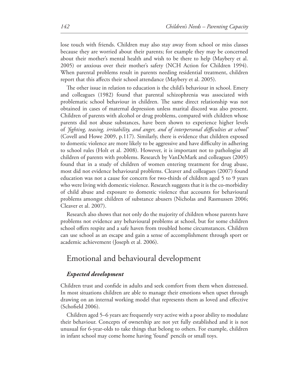lose touch with friends. Children may also stay away from school or miss classes because they are worried about their parents; for example they may be concerned about their mother's mental health and wish to be there to help (Maybery et al. 2005) or anxious over their mother's safety (NCH Action for Children 1994). When parental problems result in parents needing residential treatment, children report that this affects their school attendance (Maybery et al. 2005).

The other issue in relation to education is the child's behaviour in school. Emery and colleagues (1982) found that parental schizophrenia was associated with problematic school behaviour in children. The same direct relationship was not obtained in cases of maternal depression unless marital discord was also present. Children of parents with alcohol or drug problems, compared with children whose parents did not abuse substances, have been shown to experience higher levels of *'fighting, teasing, irritability, and anger, and of interpersonal difficulties at school'*  (Covell and Howe 2009, p.117). Similarly, there is evidence that children exposed to domestic violence are more likely to be aggressive and have difficulty in adhering to school rules (Holt et al. 2008). However, it is important not to pathologise all children of parents with problems. Research by VanDeMark and colleagues (2005) found that in a study of children of women entering treatment for drug abuse, most did not evidence behavioural problems. Cleaver and colleagues (2007) found education was not a cause for concern for two-thirds of children aged 5 to 9 years who were living with domestic violence. Research suggests that it is the co-morbidity of child abuse and exposure to domestic violence that accounts for behavioural problems amongst children of substance abusers (Nicholas and Rasmussen 2006; Cleaver et al. 2007).

Research also shows that not only do the majority of children whose parents have problems not evidence any behavioural problems at school, but for some children school offers respite and a safe haven from troubled home circumstances. Children can use school as an escape and gain a sense of accomplishment through sport or academic achievement (Joseph et al. 2006).

# Emotional and behavioural development

### *Expected development*

Children trust and confide in adults and seek comfort from them when distressed. In most situations children are able to manage their emotions when upset through drawing on an internal working model that represents them as loved and effective (Schofield 2006).

Children aged 5–6 years are frequently very active with a poor ability to modulate their behaviour. Concepts of ownership are not yet fully established and it is not unusual for 6-year-olds to take things that belong to others. For example, children in infant school may come home having 'found' pencils or small toys.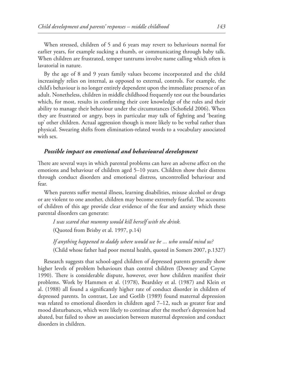When stressed, children of 5 and 6 years may revert to behaviours normal for earlier years, for example sucking a thumb, or communicating through baby talk. When children are frustrated, temper tantrums involve name calling which often is lavatorial in nature.

By the age of 8 and 9 years family values become incorporated and the child increasingly relies on internal, as opposed to external, controls. For example, the child's behaviour is no longer entirely dependent upon the immediate presence of an adult. Nonetheless, children in middle childhood frequently test out the boundaries which, for most, results in confirming their core knowledge of the rules and their ability to manage their behaviour under the circumstances (Schofield 2006). When they are frustrated or angry, boys in particular may talk of fighting and 'beating up' other children. Actual aggression though is more likely to be verbal rather than physical. Swearing shifts from elimination-related words to a vocabulary associated with sex.

### *Possible impact on emotional and behavioural development*

There are several ways in which parental problems can have an adverse affect on the emotions and behaviour of children aged 5–10 years. Children show their distress through conduct disorders and emotional distress, uncontrolled behaviour and fear.

When parents suffer mental illness, learning disabilities, misuse alcohol or drugs or are violent to one another, children may become extremely fearful. The accounts of children of this age provide clear evidence of the fear and anxiety which these parental disorders can generate:

*I was scared that mummy would kill herself with the drink.* (Quoted from Brisby et al. 1997, p.14)

*If anything happened to daddy where would we be ... who would mind us?*  (Child whose father had poor mental health, quoted in Somers 2007, p.1327)

Research suggests that school-aged children of depressed parents generally show higher levels of problem behaviours than control children (Downey and Coyne 1990). There is considerable dispute, however, over how children manifest their problems. Work by Hammen et al. (1978), Beardsley et al. (1987) and Klein et al. (1988) all found a significantly higher rate of conduct disorder in children of depressed parents. In contrast, Lee and Gotlib (1989) found maternal depression was related to emotional disorders in children aged 7–12, such as greater fear and mood disturbances, which were likely to continue after the mother's depression had abated, but failed to show an association between maternal depression and conduct disorders in children.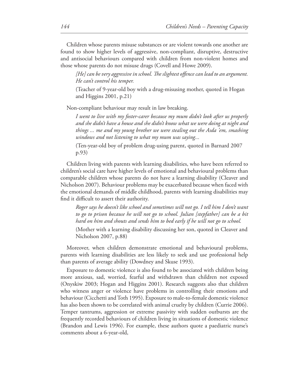Children whose parents misuse substances or are violent towards one another are found to show higher levels of aggressive, non-compliant, disruptive, destructive and antisocial behaviours compared with children from non-violent homes and those whose parents do not misuse drugs (Covell and Howe 2009).

*[He] can be very aggressive in school. The slightest offence can lead to an argument. He can't control his temper.*

(Teacher of 9-year-old boy with a drug-misusing mother, quoted in Hogan and Higgins 2001, p.21)

Non-compliant behaviour may result in law breaking.

*I went to live with my foster-carer because my mum didn't look after us properly and she didn't have a house and she didn't know what we were doing at night and things ... me and my young brother we were stealing out the Asda 'em, smashing windows and not listening to what my mum was saying...*

(Ten-year-old boy of problem drug-using parent, quoted in Barnard 2007 p.93)

Children living with parents with learning disabilities, who have been referred to children's social care have higher levels of emotional and behavioural problems than comparable children whose parents do not have a learning disability (Cleaver and Nicholson 2007). Behaviour problems may be exacerbated because when faced with the emotional demands of middle childhood, parents with learning disabilities may find it difficult to assert their authority.

*Roger says he doesn't like school and sometimes will not go. I tell him I don't want to go to prison because he will not go to school. Julian [stepfather] can be a bit hard on him and shouts and sends him to bed early if he will not go to school.*

(Mother with a learning disability discussing her son, quoted in Cleaver and Nicholson 2007, p.88)

Moreover, when children demonstrate emotional and behavioural problems, parents with learning disabilities are less likely to seek and use professional help than parents of average ability (Dowdney and Skuse 1993).

Exposure to domestic violence is also found to be associated with children being more anxious, sad, worried, fearful and withdrawn than children not exposed (Onyskiw 2003; Hogan and Higgins 2001). Research suggests also that children who witness anger or violence have problems in controlling their emotions and behaviour (Cicchetti and Toth 1995). Exposure to male-to-female domestic violence has also been shown to be correlated with animal cruelty by children (Currie 2006). Temper tantrums, aggression or extreme passivity with sudden outbursts are the frequently recorded behaviours of children living in situations of domestic violence (Brandon and Lewis 1996). For example, these authors quote a paediatric nurse's comments about a 6-year-old,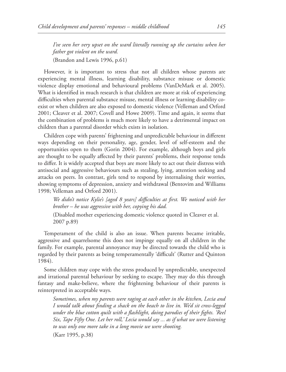*I've seen her very upset on the ward literally running up the curtains when her father got violent on the ward.*

(Brandon and Lewis 1996, p.61)

However, it is important to stress that not all children whose parents are experiencing mental illness, learning disability, substance misuse or domestic violence display emotional and behavioural problems (VanDeMark et al. 2005). What is identified in much research is that children are more at risk of experiencing difficulties when parental substance misuse, mental illness or learning disability coexist or when children are also exposed to domestic violence (Velleman and Orford 2001; Cleaver et al. 2007; Covell and Howe 2009). Time and again, it seems that the combination of problems is much more likely to have a detrimental impact on children than a parental disorder which exists in isolation.

Children cope with parents' frightening and unpredictable behaviour in different ways depending on their personality, age, gender, level of self-esteem and the opportunities open to them (Gorin 2004). For example, although boys and girls are thought to be equally affected by their parents' problems, their response tends to differ. It is widely accepted that boys are more likely to act out their distress with antisocial and aggressive behaviours such as stealing, lying, attention seeking and attacks on peers. In contrast, girls tend to respond by internalising their worries, showing symptoms of depression, anxiety and withdrawal (Bentovim and Williams 1998; Velleman and Orford 2001).

*We didn't notice Kylie's [aged 8 years] difficulties at first. We noticed with her brother – he was aggressive with her, copying his dad.*

(Disabled mother experiencing domestic violence quoted in Cleaver et al. 2007 p.89)

Temperament of the child is also an issue. When parents became irritable, aggressive and quarrelsome this does not impinge equally on all children in the family. For example, parental annoyance may be directed towards the child who is regarded by their parents as being temperamentally 'difficult' (Rutter and Quinton 1984).

Some children may cope with the stress produced by unpredictable, unexpected and irrational parental behaviour by seeking to escape. They may do this through fantasy and make-believe, where the frightening behaviour of their parents is reinterpreted in acceptable ways.

*Sometimes, when my parents were raging at each other in the kitchen, Lecia and I would talk about finding a shack on the beach to live in. We'd sit cross-legged under the blue cotton quilt with a flashlight, doing parodies of their fights. 'Reel Six, Tape Fifty One. Let her roll,' Lecia would say ... as if what we were listening to was only one more take in a long movie we were shooting.*

(Karr 1995, p.38)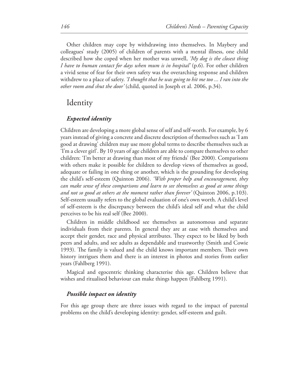Other children may cope by withdrawing into themselves. In Maybery and colleagues' study (2005) of children of parents with a mental illness, one child described how she coped when her mother was unwell, *'My dog is the closest thing I have to human contact for days when mum is in hospital'* (p.6). For other children a vivid sense of fear for their own safety was the overarching response and children withdrew to a place of safety. *'I thought that he was going to hit me too ... I ran into the other room and shut the door'* (child, quoted in Joseph et al. 2006, p.34).

# **Identity**

### *Expected identity*

Children are developing a more global sense of self and self-worth. For example, by 6 years instead of giving a concrete and discrete description of themselves such as 'I am good at drawing' children may use more global terms to describe themselves such as 'I'm a clever girl'. By 10 years of age children are able to compare themselves to other children: 'I'm better at drawing than most of my friends' (Bee 2000). Comparisons with others make it possible for children to develop views of themselves as good, adequate or failing in one thing or another, which is the grounding for developing the child's self-esteem (Quinton 2006). *'With proper help and encouragement, they can make sense of these comparisons and learn to see themselves as good at some things and not so good at others at the moment rather than forever'* (Quinton 2006, p.103). Self-esteem usually refers to the global evaluation of one's own worth. A child's level of self-esteem is the discrepancy between the child's ideal self and what the child perceives to be his real self (Bee 2000).

Children in middle childhood see themselves as autonomous and separate individuals from their parents. In general they are at ease with themselves and accept their gender, race and physical attributes. They expect to be liked by both peers and adults, and see adults as dependable and trustworthy (Smith and Cowie 1993). The family is valued and the child knows important members. Their own history intrigues them and there is an interest in photos and stories from earlier years (Fahlberg 1991).

Magical and egocentric thinking characterise this age. Children believe that wishes and ritualised behaviour can make things happen (Fahlberg 1991).

### *Possible impact on identity*

For this age group there are three issues with regard to the impact of parental problems on the child's developing identity: gender, self-esteem and guilt.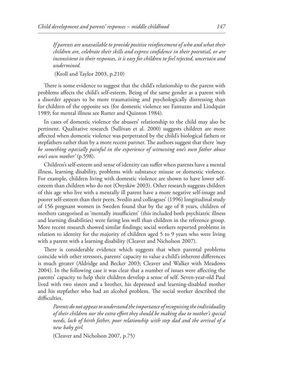*If parents are unavailable to provide positive reinforcement of who and what their children are, celebrate their skills and express confidence in their potential, or are inconsistent in their responses, it is easy for children to feel rejected, uncertain and undermined.*

(Kroll and Taylor 2003, p.210)

There is some evidence to suggest that the child's relationship to the parent with problems affects the child's self-esteem. Being of the same gender as a parent with a disorder appears to be more traumatising and psychologically distressing than for children of the opposite sex (for domestic violence see Fantuzzo and Lindquist 1989; for mental illness see Rutter and Quinton 1984).

In cases of domestic violence the abusers' relationship to the child may also be pertinent. Qualitative research (Sullivan et al. 2000) suggests children are more affected when domestic violence was perpetrated by the child's biological fathers or stepfathers rather than by a more recent partner. The authors suggest that there *'may be something especially painful in the experience of witnessing one's own father abuse one's own mother'* (p.598).

Children's self-esteem and sense of identity can suffer when parents have a mental illness, learning disability, problems with substance misuse or domestic violence. For example, children living with domestic violence are shown to have lower selfesteem than children who do not (Onyskiw 2003). Other research suggests children of this age who live with a mentally ill parent have a more negative self-image and poorer self-esteem than their peers. Svedin and colleagues' (1996) longitudinal study of 156 pregnant women in Sweden found that by the age of 8 years, children of mothers categorised as 'mentally insufficient' (this included both psychiatric illness and learning disabilities) were faring less well than children in the reference group. More recent research showed similar findings; social workers reported problems in relation to identity for the majority of children aged 5 to 9 years who were living with a parent with a learning disability (Cleaver and Nicholson 2007).

There is considerable evidence which suggests that when parental problems coincide with other stressors, parents' capacity to value a child's inherent differences is much greater (Aldridge and Becker 2003; Cleaver and Walker with Meadows 2004). In the following case it was clear that a number of issues were affecting the parents' capacity to help their children develop a sense of self. Seven-year-old Paul lived with two sisters and a brother, his depressed and learning-disabled mother and his stepfather who had an alcohol problem. The social worker described the difficulties.

*Parents do not appear to understand the importance of recognising the individuality of their children nor the extra effort they should be making due to mother's special needs, lack of birth father, poor relationship with step dad and the arrival of a new baby girl.*

(Cleaver and Nicholson 2007, p.75)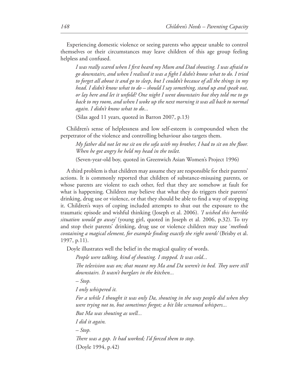Experiencing domestic violence or seeing parents who appear unable to control themselves or their circumstances may leave children of this age group feeling helpless and confused.

*I was really scared when I first heard my Mum and Dad shouting. I was afraid to go downstairs, and when I realised it was a fight I didn't know what to do. I tried to forget all about it and go to sleep, but I couldn't because of all the things in my head. I didn't know what to do – should I say something, stand up and speak out, or lay here and let it unfold? One night I went downstairs but they told me to go back to my room, and when I woke up the next morning it was all back to normal again. I didn't know what to do...*

(Silas aged 11 years, quoted in Barron 2007, p.13)

Children's sense of helplessness and low self-esteem is compounded when the perpetrator of the violence and controlling behaviour also targets them.

*My father did not let me sit on the sofa with my brother, I had to sit on the floor. When he got angry he held my head in the toilet.*

(Seven-year-old boy, quoted in Greenwich Asian Women's Project 1996)

A third problem is that children may assume they are responsible for their parents' actions. It is commonly reported that children of substance-misusing parents, or whose parents are violent to each other, feel that they are somehow at fault for what is happening. Children may believe that what they do triggers their parents' drinking, drug use or violence, or that they should be able to find a way of stopping it. Children's ways of coping included attempts to shut out the exposure to the traumatic episode and wishful thinking (Joseph et al. 2006). *'I wished this horrible situation would go away'* (young girl, quoted in Joseph et al. 2006, p.32). To try and stop their parents' drinking, drug use or violence children may use '*methods containing a magical element, for example finding exactly the right words'* (Brisby et al. 1997, p.11).

Doyle illustrates well the belief in the magical quality of words.

*People were talking, kind of shouting. I stopped. It was cold...*

*The television was on; that meant my Ma and Da weren't in bed. They were still downstairs. It wasn't burglars in the kitchen...*

*– Stop.*

*I only whispered it.*

*For a while I thought it was only Da, shouting in the way people did when they were trying not to, but sometimes forgot; a bit like screamed whispers...*

*But Ma was shouting as well...*

*I did it again.*

*– Stop.*

*There was a gap. It had worked; I'd forced them to stop.* (Doyle 1994, p.42)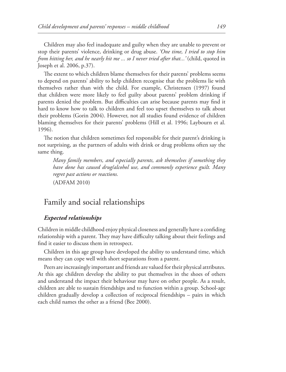Children may also feel inadequate and guilty when they are unable to prevent or stop their parents' violence, drinking or drug abuse. *'One time, I tried to stop him from hitting her, and he nearly hit me ... so I never tried after that...'* (child, quoted in Joseph et al. 2006, p.37).

The extent to which children blame themselves for their parents' problems seems to depend on parents' ability to help children recognise that the problems lie with themselves rather than with the child. For example, Christensen (1997) found that children were more likely to feel guilty about parents' problem drinking if parents denied the problem. But difficulties can arise because parents may find it hard to know how to talk to children and feel too upset themselves to talk about their problems (Gorin 2004). However, not all studies found evidence of children blaming themselves for their parents' problems (Hill et al. 1996; Laybourn et al. 1996).

The notion that children sometimes feel responsible for their parent's drinking is not surprising, as the partners of adults with drink or drug problems often say the same thing.

*Many family members, and especially parents, ask themselves if something they have done has caused drug/alcohol use, and commonly experience guilt. Many regret past actions or reactions.*

(ADFAM 2010)

# Family and social relationships

### *Expected relationships*

Children in middle childhood enjoy physical closeness and generally have a confiding relationship with a parent. They may have difficulty talking about their feelings and find it easier to discuss them in retrospect.

Children in this age group have developed the ability to understand time, which means they can cope well with short separations from a parent.

Peers are increasingly important and friends are valued for their physical attributes. At this age children develop the ability to put themselves in the shoes of others and understand the impact their behaviour may have on other people. As a result, children are able to sustain friendships and to function within a group. School-age children gradually develop a collection of reciprocal friendships – pairs in which each child names the other as a friend (Bee 2000).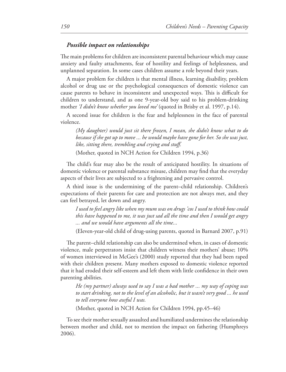### *Possible impact on relationships*

The main problems for children are inconsistent parental behaviour which may cause anxiety and faulty attachments, fear of hostility and feelings of helplessness, and unplanned separation. In some cases children assume a role beyond their years.

A major problem for children is that mental illness, learning disability, problem alcohol or drug use or the psychological consequences of domestic violence can cause parents to behave in inconsistent and unexpected ways. This is difficult for children to understand, and as one 9-year-old boy said to his problem-drinking mother *'I didn't know whether you loved me'* (quoted in Brisby et al. 1997, p.14).

A second issue for children is the fear and helplessness in the face of parental violence.

*(My daughter) would just sit there frozen, I mean, she didn't know what to do because if she got up to move ... he would maybe have gone for her. So she was just, like, sitting there, trembling and crying and stuff.*

(Mother, quoted in NCH Action for Children 1994, p.36)

The child's fear may also be the result of anticipated hostility. In situations of domestic violence or parental substance misuse, children may find that the everyday aspects of their lives are subjected to a frightening and pervasive control.

A third issue is the undermining of the parent–child relationship. Children's expectations of their parents for care and protection are not always met, and they can feel betrayed, let down and angry.

*I used to feel angry like when my mum was on drugs 'cos I used to think how could this have happened to me, it was just sad all the time and then I would get angry ... and we would have arguments all the time...*

(Eleven-year-old child of drug-using parents, quoted in Barnard 2007, p.91)

The parent–child relationship can also be undermined when, in cases of domestic violence, male perpetrators insist that children witness their mothers' abuse; 10% of women interviewed in McGee's (2000) study reported that they had been raped with their children present. Many mothers exposed to domestic violence reported that it had eroded their self-esteem and left them with little confidence in their own parenting abilities.

*He (my partner) always used to say I was a bad mother ... my way of coping was to start drinking, not to the level of an alcoholic, but it wasn't very good ... he used to tell everyone how awful I was.*

(Mother, quoted in NCH Action for Children 1994, pp.45–46)

To see their mother sexually assaulted and humiliated undermines the relationship between mother and child, not to mention the impact on fathering (Humphreys 2006).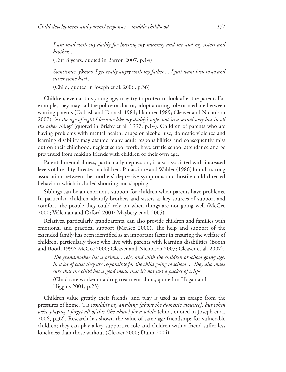*I am mad with my daddy for hurting my mummy and me and my sisters and brother...*

(Tara 8 years, quoted in Barron 2007, p.14)

*Sometimes, y'know, I get really angry with my father ... I just want him to go and never come back.*

(Child, quoted in Joseph et al. 2006, p.36)

Children, even at this young age, may try to protect or look after the parent. For example, they may call the police or doctor, adopt a caring role or mediate between warring parents (Dobash and Dobash 1984; Hamner 1989; Cleaver and Nicholson 2007). *'At the age of eight I became like my daddy's wife, not in a sexual way but in all the other things'* (quoted in Brisby et al. 1997, p.14). Children of parents who are having problems with mental health, drugs or alcohol use, domestic violence and learning disability may assume many adult responsibilities and consequently miss out on their childhood, neglect school work, have erratic school attendance and be prevented from making friends with children of their own age.

Parental mental illness, particularly depression, is also associated with increased levels of hostility directed at children. Panaccione and Wahler (1986) found a strong association between the mothers' depressive symptoms and hostile child-directed behaviour which included shouting and slapping.

Siblings can be an enormous support for children when parents have problems. In particular, children identify brothers and sisters as key sources of support and comfort, the people they could rely on when things are not going well (McGee 2000; Velleman and Orford 2001; Maybery et al. 2005).

Relatives, particularly grandparents, can also provide children and families with emotional and practical support (McGee 2000). The help and support of the extended family has been identified as an important factor in ensuring the welfare of children, particularly those who live with parents with learning disabilities (Booth and Booth 1997; McGee 2000; Cleaver and Nicholson 2007; Cleaver et al. 2007).

*The grandmother has a primary role, and with the children of school going age, in a lot of cases they are responsible for the child going to school ... They also make sure that the child has a good meal, that it's not just a packet of crisps.*

(Child care worker in a drug treatment clinic, quoted in Hogan and Higgins 2001, p.25)

Children value greatly their friends, and play is used as an escape from the pressures of home. *'...I wouldn't say anything [about the domestic violence], but when we're playing I forget all of this [the abuse] for a while'* (child, quoted in Joseph et al. 2006, p.32). Research has shown the value of same-age friendships for vulnerable children; they can play a key supportive role and children with a friend suffer less loneliness than those without (Cleaver 2000; Dunn 2004).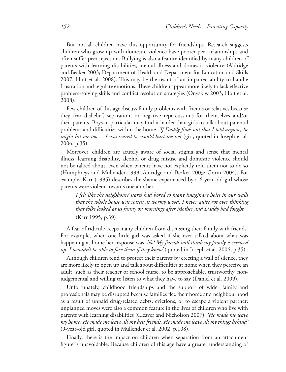But not all children have this opportunity for friendships. Research suggests children who grow up with domestic violence have poorer peer relationships and often suffer peer rejection. Bullying is also a feature identified by many children of parents with learning disabilities, mental illness and domestic violence (Aldridge and Becker 2003; Department of Health and Department for Education and Skills 2007; Holt et al. 2008). This may be the result of an impaired ability to handle frustration and regulate emotions. These children appear more likely to lack effective problem-solving skills and conflict resolution strategies (Onyskiw 2003; Holt et al. 2008).

Few children of this age discuss family problems with friends or relatives because they fear disbelief, separation, or negative repercussions for themselves and/or their parents. Boys in particular may find it harder than girls to talk about parental problems and difficulties within the home. *'If Daddy finds out that I told anyone, he might hit me too ... I was scared he would hurt me too'* (girl, quoted in Joseph et al. 2006, p.35).

Moreover, children are acutely aware of social stigma and sense that mental illness, learning disability, alcohol or drug misuse and domestic violence should not be talked about, even when parents have not explicitly told them not to do so (Humphreys and Mullender 1999; Aldridge and Becker 2003; Gorin 2004). For example, Karr (1995) describes the shame experienced by a 6-year-old girl whose parents were violent towards one another.

*I felt like the neighbours' stares had bored so many imaginary holes in our walls that the whole house was rotten as wormy wood. I never quite got over thinking that folks looked at us funny on mornings after Mother and Daddy had fought.* (Karr 1995, p.39)

A fear of ridicule keeps many children from discussing their family with friends. For example, when one little girl was asked if she ever talked about what was happening at home her response was *'No! My friends will think my family is screwed up. I wouldn't be able to face them if they knew'* (quoted in Joseph et al. 2006, p.35).

Although children tend to protect their parents by erecting a wall of silence, they are more likely to open up and talk about difficulties at home when they perceive an adult, such as their teacher or school nurse, to be approachable, trustworthy, nonjudgemental and willing to listen to what they have to say (Daniel et al. 2009).

Unfortunately, childhood friendships and the support of wider family and professionals may be disrupted because families flee their home and neighbourhood as a result of unpaid drug-related debts, evictions, or to escape a violent partner; unplanned moves were also a common feature in the lives of children who live with parents with learning disabilities (Cleaver and Nicholson 2007). *'He made me leave my home. He made me leave all my best friends. He made me leave all my things behind'* (9-year-old girl, quoted in Mullender et al. 2002, p.108).

Finally, there is the impact on children when separation from an attachment figure is unavoidable. Because children of this age have a greater understanding of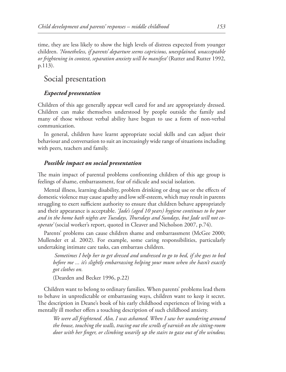time, they are less likely to show the high levels of distress expected from younger children. *'Nonetheless, if parents' departure seems capricious, unexplained, unacceptable or frightening in context, separation anxiety will be manifest'* (Rutter and Rutter 1992, p.113).

# Social presentation

### *Expected presentation*

Children of this age generally appear well cared for and are appropriately dressed. Children can make themselves understood by people outside the family and many of those without verbal ability have begun to use a form of non-verbal communication.

In general, children have learnt appropriate social skills and can adjust their behaviour and conversation to suit an increasingly wide range of situations including with peers, teachers and family.

### *Possible impact on social presentation*

The main impact of parental problems confronting children of this age group is feelings of shame, embarrassment, fear of ridicule and social isolation.

Mental illness, learning disability, problem drinking or drug use or the effects of domestic violence may cause apathy and low self-esteem, which may result in parents struggling to exert sufficient authority to ensure that children behave appropriately and their appearance is acceptable. *'Jade's (aged 10 years) hygiene continues to be poor and in the home bath nights are Tuesdays, Thursdays and Sundays, but Jade will not cooperate'* (social worker's report, quoted in Cleaver and Nicholson 2007, p.74).

Parents' problems can cause children shame and embarrassment (McGee 2000; Mullender et al. 2002). For example, some caring responsibilities, particularly undertaking intimate care tasks, can embarrass children.

 *Sometimes I help her to get dressed and undressed to go to bed, if she goes to bed before me ... it's slightly embarrassing helping your mum when she hasn't exactly got clothes on.*

(Dearden and Becker 1996, p.22)

Children want to belong to ordinary families. When parents' problems lead them to behave in unpredictable or embarrassing ways, children want to keep it secret. The description in Deane's book of his early childhood experiences of living with a mentally ill mother offers a touching description of such childhood anxiety.

*We were all frightened. Also, I was ashamed. When I saw her wandering around the house, touching the walls, tracing out the scrolls of varnish on the sitting-room door with her finger, or climbing wearily up the stairs to gaze out of the window,*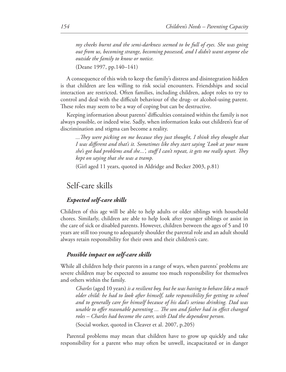*my cheeks burnt and the semi-darkness seemed to be full of eyes. She was going out from us, becoming strange, becoming possessed, and I didn't want anyone else outside the family to know or notice.*

(Deane 1997, pp.140–141)

A consequence of this wish to keep the family's distress and disintegration hidden is that children are less willing to risk social encounters. Friendships and social interaction are restricted. Often families, including children, adopt roles to try to control and deal with the difficult behaviour of the drug- or alcohol-using parent. These roles may seem to be a way of coping but can be destructive.

Keeping information about parents' difficulties contained within the family is not always possible, or indeed wise. Sadly, when information leaks out children's fear of discrimination and stigma can become a reality.

*...They were picking on me because they just thought, I think they thought that I was different and that's it. Sometimes like they start saying 'Look at your mum she's got bad problems and she...', stuff I can't repeat, it gets me really upset. They kept on saying that she was a tramp.*

(Girl aged 11 years, quoted in Aldridge and Becker 2003, p.81)

### Self-care skills

### *Expected self-care skills*

Children of this age will be able to help adults or older siblings with household chores. Similarly, children are able to help look after younger siblings or assist in the care of sick or disabled parents. However, children between the ages of 5 and 10 years are still too young to adequately shoulder the parental role and an adult should always retain responsibility for their own and their children's care.

### *Possible impact on self-care skills*

While all children help their parents in a range of ways, when parents' problems are severe children may be expected to assume too much responsibility for themselves and others within the family.

*Charles* (aged 10 years) *is a resilient boy, but he was having to behave like a much older child: he had to look after himself, take responsibility for getting to school and to generally care for himself because of his dad's serious drinking. Dad was unable to offer reasonable parenting ... The son and father had in effect changed roles – Charles had become the carer, with Dad the dependent person.*

(Social worker, quoted in Cleaver et al. 2007, p.205)

Parental problems may mean that children have to grow up quickly and take responsibility for a parent who may often be unwell, incapacitated or in danger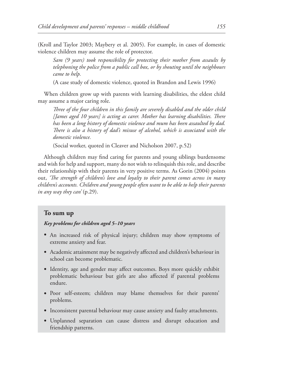(Kroll and Taylor 2003; Maybery et al. 2005). For example, in cases of domestic violence children may assume the role of protector.

*Sam (9 years) took responsibility for protecting their mother from assaults by telephoning the police from a public call box, or by shouting until the neighbours came to help.*

(A case study of domestic violence, quoted in Brandon and Lewis 1996)

When children grow up with parents with learning disabilities, the eldest child may assume a major caring role.

*Three of the four children in this family are severely disabled and the older child [James aged 10 years] is acting as carer. Mother has learning disabilities. There has been a long history of domestic violence and mum has been assaulted by dad. There is also a history of dad's misuse of alcohol, which is associated with the domestic violence.*

(Social worker, quoted in Cleaver and Nicholson 2007, p.52)

Although children may find caring for parents and young siblings burdensome and wish for help and support, many do not wish to relinquish this role, and describe their relationship with their parents in very positive terms. As Gorin (2004) points out, *'The strength of children's love and loyalty to their parent comes across in many children's accounts. Children and young people often want to be able to help their parents in any way they can'* (p.29).

### **To sum up**

#### *Key problems for children aged 5–10 years*

- An increased risk of physical injury; children may show symptoms of extreme anxiety and fear.
- Academic attainment may be negatively affected and children's behaviour in school can become problematic.
- Identity, age and gender may affect outcomes. Boys more quickly exhibit problematic behaviour but girls are also affected if parental problems endure.
- Poor self-esteem; children may blame themselves for their parents' problems.
- Inconsistent parental behaviour may cause anxiety and faulty attachments.
- Unplanned separation can cause distress and disrupt education and friendship patterns.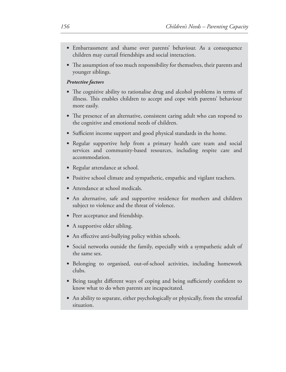- Embarrassment and shame over parents' behaviour. As a consequence children may curtail friendships and social interaction.
- The assumption of too much responsibility for themselves, their parents and younger siblings.

### *Protective factors*

- The cognitive ability to rationalise drug and alcohol problems in terms of illness. This enables children to accept and cope with parents' behaviour more easily.
- The presence of an alternative, consistent caring adult who can respond to the cognitive and emotional needs of children.
- Sufficient income support and good physical standards in the home.
- Regular supportive help from a primary health care team and social services and community-based resources, including respite care and accommodation.
- Regular attendance at school.
- Positive school climate and sympathetic, empathic and vigilant teachers.
- Attendance at school medicals.
- An alternative, safe and supportive residence for mothers and children subject to violence and the threat of violence.
- Peer acceptance and friendship.
- A supportive older sibling.
- An effective anti-bullying policy within schools.
- Social networks outside the family, especially with a sympathetic adult of the same sex.
- · Belonging to organised, out-of-school activities, including homework clubs.
- Being taught different ways of coping and being sufficiently confident to know what to do when parents are incapacitated.
- An ability to separate, either psychologically or physically, from the stressful situation.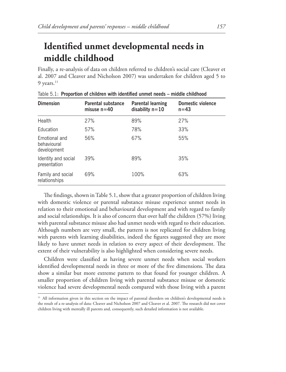# **Identified unmet developmental needs in middle childhood**

Finally, a re-analysis of data on children referred to children's social care (Cleaver et al. 2007 and Cleaver and Nicholson 2007) was undertaken for children aged 5 to 9 years. $11$ 

| <b>Dimension</b>                                   | <b>Parental substance</b><br>misuse $n=40$ | <b>Parental learning</b><br>disability $n=10$ | <b>Domestic violence</b><br>$n = 43$ |
|----------------------------------------------------|--------------------------------------------|-----------------------------------------------|--------------------------------------|
| Health                                             | 27%                                        | 89%                                           | 27%                                  |
| <b>F</b> ducation                                  | 57%                                        | 78%                                           | 33%                                  |
| <b>Fmotional and</b><br>behavioural<br>development | 56%                                        | 67%                                           | 55%                                  |
| Identity and social<br>presentation                | 39%                                        | 89%                                           | 35%                                  |
| Family and social<br>relationships                 | 69%                                        | 100%                                          | 63%                                  |

|  |  |  |  |  |  | Table $5.1$ : Proportion of children with identified unmet needs – middle childhood |
|--|--|--|--|--|--|-------------------------------------------------------------------------------------|
|--|--|--|--|--|--|-------------------------------------------------------------------------------------|

The findings, shown in Table 5.1, show that a greater proportion of children living with domestic violence or parental substance misuse experience unmet needs in relation to their emotional and behavioural development and with regard to family and social relationships. It is also of concern that over half the children (57%) living with parental substance misuse also had unmet needs with regard to their education. Although numbers are very small, the pattern is not replicated for children living with parents with learning disabilities, indeed the figures suggested they are more likely to have unmet needs in relation to every aspect of their development. The extent of their vulnerability is also highlighted when considering severe needs.

Children were classified as having severe unmet needs when social workers identified developmental needs in three or more of the five dimensions. The data show a similar but more extreme pattern to that found for younger children. A smaller proportion of children living with parental substance misuse or domestic violence had severe developmental needs compared with those living with a parent

<sup>&</sup>lt;sup>11</sup> All information given in this section on the impact of parental disorders on children's developmental needs is the result of a re-analysis of data: Cleaver and Nicholson 2007 and Cleaver et al. 2007. The research did not cover children living with mentally ill parents and, consequently, such detailed information is not available.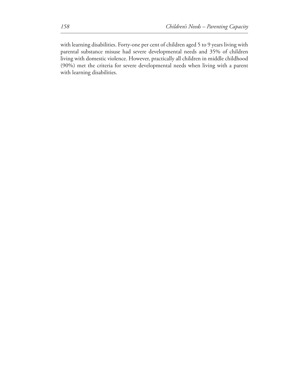with learning disabilities. Forty-one per cent of children aged 5 to 9 years living with parental substance misuse had severe developmental needs and 35% of children living with domestic violence. However, practically all children in middle childhood (90%) met the criteria for severe developmental needs when living with a parent with learning disabilities.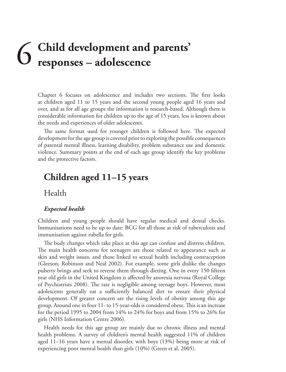# **Child development and parents' 6** Child development and<br>responses – adolescence

Chapter 6 focuses on adolescence and includes two sections. The first looks at children aged 11 to 15 years and the second young people aged 16 years and over, and as for all age groups the information is research-based. Although there is considerable information for children up to the age of 15 years, less is known about the needs and experiences of older adolescents.

The same format used for younger children is followed here. The expected development for the age group is covered prior to exploring the possible consequences of parental mental illness, learning disability, problem substance use and domestic violence. Summary points at the end of each age group identify the key problems and the protective factors.

# **Children aged 11–15 years**

# Health

### *Expected health*

Children and young people should have regular medical and dental checks. Immunisations need to be up to date: BCG for all those at risk of tuberculosis and immunisation against rubella for girls.

The body changes which take place at this age can confuse and distress children. The main health concerns for teenagers are those related to appearance such as skin and weight issues, and those linked to sexual health including contraception (Gleeson, Robinson and Neal 2002). For example, some girls dislike the changes puberty brings and seek to reverse them through dieting. One in every 150 fifteen year old girls in the United Kingdom is affected by anorexia nervosa (Royal College of Psychiatrists 2008). The rate is negligible among teenage boys. However, most adolescents generally eat a sufficiently balanced diet to ensure their physical development. Of greater concern are the rising levels of obesity among this age group. Around one in four 11- to 15-year-olds is considered obese. This is an increase for the period 1995 to 2004 from 14% to 24% for boys and from 15% to 26% for girls (NHS Information Centre 2006).

Health needs for this age group are mainly due to chronic illness and mental health problems. A survey of children's mental health suggested 11% of children aged 11–16 years have a mental disorder, with boys (13%) being more at risk of experiencing poor mental health than girls (10%) (Green et al. 2005).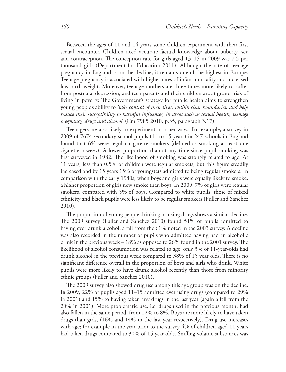Between the ages of 11 and 14 years some children experiment with their first sexual encounter. Children need accurate factual knowledge about puberty, sex and contraception. The conception rate for girls aged 13–15 in 2009 was 7.5 per thousand girls (Department for Education 2011). Although the rate of teenage pregnancy in England is on the decline, it remains one of the highest in Europe. Teenage pregnancy is associated with higher rates of infant mortality and increased low birth weight. Moreover, teenage mothers are three times more likely to suffer from postnatal depression, and teen parents and their children are at greater risk of living in poverty. The Government's strategy for public health aims to strengthen young people's ability to *'take control of their lives, within clear boundaries, and help reduce their susceptibility to harmful influences, in areas such as sexual health, teenage pregnancy, drugs and alcohol'* (Cm 7985 2010, p.35, paragraph 3.17).

Teenagers are also likely to experiment in other ways. For example, a survey in 2009 of 7674 secondary-school pupils (11 to 15 years) in 247 schools in England found that 6% were regular cigarette smokers (defined as smoking at least one cigarette a week). A lower proportion than at any time since pupil smoking was first surveyed in 1982. The likelihood of smoking was strongly related to age. At 11 years, less than 0.5% of children were regular smokers, but this figure steadily increased and by 15 years 15% of youngsters admitted to being regular smokers. In comparison with the early 1980s, when boys and girls were equally likely to smoke, a higher proportion of girls now smoke than boys. In 2009, 7% of girls were regular smokers, compared with 5% of boys. Compared to white pupils, those of mixed ethnicity and black pupils were less likely to be regular smokers (Fuller and Sanchez 2010).

The proportion of young people drinking or using drugs shows a similar decline. The 2009 survey (Fuller and Sanchez 2010) found 51% of pupils admitted to having ever drunk alcohol, a fall from the 61% noted in the 2003 survey. A decline was also recorded in the number of pupils who admitted having had an alcoholic drink in the previous week – 18% as opposed to 26% found in the 2001 survey. The likelihood of alcohol consumption was related to age; only 3% of 11-year-olds had drunk alcohol in the previous week compared to 38% of 15 year olds. There is no significant difference overall in the proportion of boys and girls who drink. White pupils were more likely to have drunk alcohol recently than those from minority ethnic groups (Fuller and Sanchez 2010).

The 2009 survey also showed drug use among this age group was on the decline. In 2009, 22% of pupils aged 11–15 admitted ever using drugs (compared to 29% in 2001) and 15% to having taken any drugs in the last year (again a fall from the 20% in 2001). More problematic use, i.e. drugs used in the previous month, had also fallen in the same period, from 12% to 8%. Boys are more likely to have taken drugs than girls, (16% and 14% in the last year respectively). Drug use increases with age; for example in the year prior to the survey 4% of children aged 11 years had taken drugs compared to 30% of 15 year olds. Sniffing volatile substances was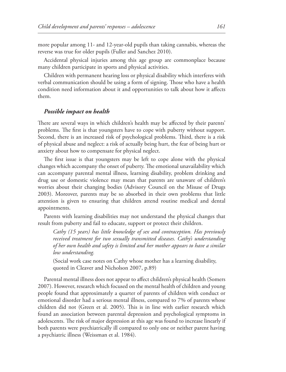more popular among 11- and 12-year-old pupils than taking cannabis, whereas the reverse was true for older pupils (Fuller and Sanchez 2010).

Accidental physical injuries among this age group are commonplace because many children participate in sports and physical activities.

Children with permanent hearing loss or physical disability which interferes with verbal communication should be using a form of signing. Those who have a health condition need information about it and opportunities to talk about how it affects them.

### *Possible impact on health*

There are several ways in which children's health may be affected by their parents' problems. The first is that youngsters have to cope with puberty without support. Second, there is an increased risk of psychological problems. Third, there is a risk of physical abuse and neglect: a risk of actually being hurt, the fear of being hurt or anxiety about how to compensate for physical neglect.

The first issue is that youngsters may be left to cope alone with the physical changes which accompany the onset of puberty. The emotional unavailability which can accompany parental mental illness, learning disability, problem drinking and drug use or domestic violence may mean that parents are unaware of children's worries about their changing bodies (Advisory Council on the Misuse of Drugs 2003). Moreover, parents may be so absorbed in their own problems that little attention is given to ensuring that children attend routine medical and dental appointments.

Parents with learning disabilities may not understand the physical changes that result from puberty and fail to educate, support or protect their children.

*Cathy (15 years) has little knowledge of sex and contraception. Has previously received treatment for two sexually transmitted diseases. Cathy's understanding of her own health and safety is limited and her mother appears to have a similar low understanding.*

(Social work case notes on Cathy whose mother has a learning disability, quoted in Cleaver and Nicholson 2007, p.89)

Parental mental illness does not appear to affect children's physical health (Somers 2007). However, research which focused on the mental health of children and young people found that approximately a quarter of parents of children with conduct or emotional disorder had a serious mental illness, compared to 7% of parents whose children did not (Green et al. 2005). This is in line with earlier research which found an association between parental depression and psychological symptoms in adolescents. The risk of major depression at this age was found to increase linearly if both parents were psychiatrically ill compared to only one or neither parent having a psychiatric illness (Weissman et al. 1984).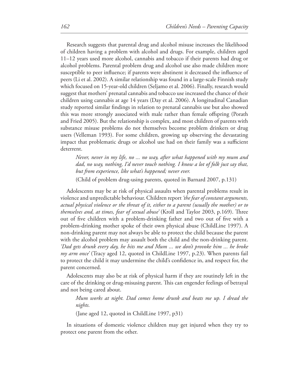Research suggests that parental drug and alcohol misuse increases the likelihood of children having a problem with alcohol and drugs. For example, children aged 11–12 years used more alcohol, cannabis and tobacco if their parents had drug or alcohol problems. Parental problem drug and alcohol use also made children more susceptible to peer influence; if parents were abstinent it decreased the influence of peers (Li et al. 2002). A similar relationship was found in a large-scale Finnish study which focused on 15-year-old children (Seljamo et al. 2006). Finally, research would suggest that mothers' prenatal cannabis and tobacco use increased the chance of their children using cannabis at age 14 years (Day et al. 2006). A longitudinal Canadian study reported similar findings in relation to prenatal cannabis use but also showed this was more strongly associated with male rather than female offspring (Porath and Fried 2005). But the relationship is complex, and most children of parents with substance misuse problems do not themselves become problem drinkers or drug users (Velleman 1993). For some children, growing up observing the devastating impact that problematic drugs or alcohol use had on their family was a sufficient deterrent.

*Never, never in my life, no ... no way, after what happened with my mum and dad, no way, nothing, I'd never touch nothing. I know a lot of folk just say that, but from experience, like what's happened; never ever.*

(Child of problem drug-using parents, quoted in Barnard 2007, p.131)

Adolescents may be at risk of physical assaults when parental problems result in violence and unpredictable behaviour. Children report *'the fear of constant arguments, actual physical violence or the threat of it, either to a parent (usually the mother) or to themselves and, at times, fear of sexual abuse'* (Kroll and Taylor 2003, p.169). Three out of five children with a problem-drinking father and two out of five with a problem-drinking mother spoke of their own physical abuse (ChildLine 1997). A non-drinking parent may not always be able to protect the child because the parent with the alcohol problem may assault both the child and the non-drinking parent. *'Dad gets drunk every day, he hits me and Mum ... we don't provoke him ... he broke my arm once'* (Tracy aged 12, quoted in ChildLine 1997, p.23). When parents fail to protect the child it may undermine the child's confidence in, and respect for, the parent concerned.

Adolescents may also be at risk of physical harm if they are routinely left in the care of the drinking or drug-misusing parent. This can engender feelings of betrayal and not being cared about.

*Mum works at night. Dad comes home drunk and beats me up. I dread the nights.*

(Jane aged 12, quoted in ChildLine 1997, p31)

In situations of domestic violence children may get injured when they try to protect one parent from the other.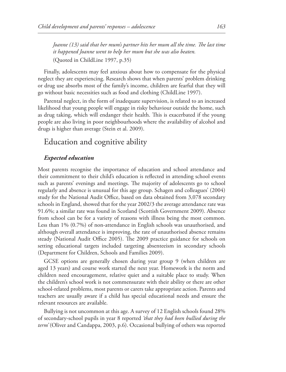*Joanne (13) said that her mum's partner hits her mum all the time. The last time it happened Joanne went to help her mum but she was also beaten.* (Quoted in ChildLine 1997, p.35)

Finally, adolescents may feel anxious about how to compensate for the physical neglect they are experiencing. Research shows that when parents' problem drinking or drug use absorbs most of the family's income, children are fearful that they will go without basic necessities such as food and clothing (ChildLine 1997).

Parental neglect, in the form of inadequate supervision, is related to an increased likelihood that young people will engage in risky behaviour outside the home, such as drug taking, which will endanger their health. This is exacerbated if the young people are also living in poor neighbourhoods where the availability of alcohol and drugs is higher than average (Stein et al. 2009).

# Education and cognitive ability

### *Expected education*

Most parents recognise the importance of education and school attendance and their commitment to their child's education is reflected in attending school events such as parents' evenings and meetings. The majority of adolescents go to school regularly and absence is unusual for this age group. Schagen and colleagues' (2004) study for the National Audit Office, based on data obtained from 3,078 secondary schools in England, showed that for the year 2002/3 the average attendance rate was 91.6%; a similar rate was found in Scotland (Scottish Government 2009). Absence from school can be for a variety of reasons with illness being the most common. Less than 1% (0.7%) of non-attendance in English schools was unauthorised, and although overall attendance is improving, the rate of unauthorised absence remains steady (National Audit Office 2005). The 2009 practice guidance for schools on setting educational targets included targeting absenteeism in secondary schools (Department for Children, Schools and Families 2009).

GCSE options are generally chosen during year group 9 (when children are aged 13 years) and course work started the next year. Homework is the norm and children need encouragement, relative quiet and a suitable place to study. When the children's school work is not commensurate with their ability or there are other school-related problems, most parents or carers take appropriate action. Parents and teachers are usually aware if a child has special educational needs and ensure the relevant resources are available.

Bullying is not uncommon at this age. A survey of 12 English schools found 28% of secondary-school pupils in year 8 reported *'that they had been bullied during the term'* (Oliver and Candappa, 2003, p.6). Occasional bullying of others was reported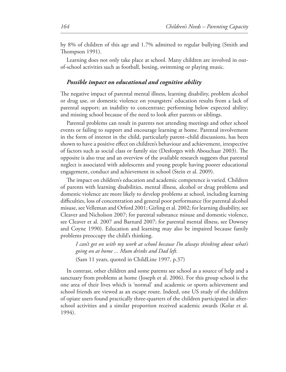by 8% of children of this age and 1.7% admitted to regular bullying (Smith and Thompson 1991).

Learning does not only take place at school. Many children are involved in outof-school activities such as football, boxing, swimming or playing music.

### *Possible impact on educational and cognitive ability*

The negative impact of parental mental illness, learning disability, problem alcohol or drug use, or domestic violence on youngsters' education results from a lack of parental support; an inability to concentrate; performing below expected ability; and missing school because of the need to look after parents or siblings.

Parental problems can result in parents not attending meetings and other school events or failing to support and encourage learning at home. Parental involvement in the form of interest in the child, particularly parent–child discussions, has been shown to have a positive effect on children's behaviour and achievement, irrespective of factors such as social class or family size (Desforges with Abouchaar 2003). The opposite is also true and an overview of the available research suggests that parental neglect is associated with adolescents and young people having poorer educational engagement, conduct and achievement in school (Stein et al. 2009).

The impact on children's education and academic competence is varied. Children of parents with learning disabilities, mental illness, alcohol or drug problems and domestic violence are more likely to develop problems at school, including learning difficulties, loss of concentration and general poor performance (for parental alcohol misuse, see Velleman and Orford 2001; Girling et al. 2002; for learning disability, see Cleaver and Nicholson 2007; for parental substance misuse and domestic violence, see Cleaver et al. 2007 and Barnard 2007; for parental mental illness, see Downey and Coyne 1990). Education and learning may also be impaired because family problems preoccupy the child's thinking.

*I can't get on with my work at school because I'm always thinking about what's going on at home ... Mum drinks and Dad left.*

(Sam 11 years, quoted in ChildLine 1997, p.37)

In contrast, other children and some parents see school as a source of help and a sanctuary from problems at home (Joseph et al. 2006). For this group school is the one area of their lives which is 'normal' and academic or sports achievement and school friends are viewed as an escape route. Indeed, one US study of the children of opiate users found practically three-quarters of the children participated in afterschool activities and a similar proportion received academic awards (Kolar et al. 1994).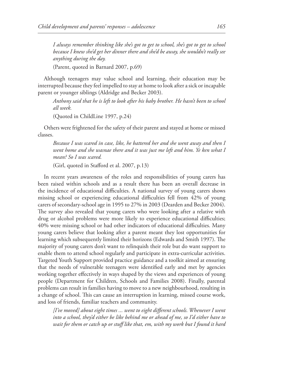*I always remember thinking like she's got to get to school, she's got to get to school because I knew she'd get her dinner there and she'd be away, she wouldn't really see anything during the day.*

(Parent, quoted in Barnard 2007, p.69)

Although teenagers may value school and learning, their education may be interrupted because they feel impelled to stay at home to look after a sick or incapable parent or younger siblings (Aldridge and Becker 2003).

*Anthony said that he is left to look after his baby brother. He hasn't been to school all week.*

(Quoted in ChildLine 1997, p.24)

Others were frightened for the safety of their parent and stayed at home or missed classes.

*Because I was scared in case, like, he battered her and she went away and then I went home and she wasnae there and it was just me left and him. Ye ken what I mean? So I was scared.*

(Girl, quoted in Stafford et al. 2007, p.13)

In recent years awareness of the roles and responsibilities of young carers has been raised within schools and as a result there has been an overall decrease in the incidence of educational difficulties. A national survey of young carers shows missing school or experiencing educational difficulties fell from 42% of young carers of secondary-school age in 1995 to 27% in 2003 (Dearden and Becker 2004). The survey also revealed that young carers who were looking after a relative with drug or alcohol problems were more likely to experience educational difficulties; 40% were missing school or had other indicators of educational difficulties. Many young carers believe that looking after a parent meant they lost opportunities for learning which subsequently limited their horizons (Edwards and Smith 1997). The majority of young carers don't want to relinquish their role but do want support to enable them to attend school regularly and participate in extra-curricular activities. Targeted Youth Support provided practice guidance and a toolkit aimed at ensuring that the needs of vulnerable teenagers were identified early and met by agencies working together effectively in ways shaped by the views and experiences of young people (Department for Children, Schools and Families 2008). Finally, parental problems can result in families having to move to a new neighbourhood, resulting in a change of school. This can cause an interruption in learning, missed course work, and loss of friends, familiar teachers and community.

*[I've moved] about eight times ... went to eight different schools. Whenever I went into a school, they'd either be like behind me or ahead of me, so I'd either have to wait for them or catch up or stuff like that, em, with my work but I found it hard*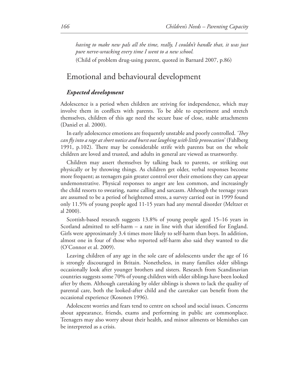*having to make new pals all the time, really, I couldn't handle that, it was just pure nerve-wracking every time I went to a new school.*

(Child of problem drug-using parent, quoted in Barnard 2007, p.86)

# Emotional and behavioural development

### *Expected development*

Adolescence is a period when children are striving for independence, which may involve them in conflicts with parents. To be able to experiment and stretch themselves, children of this age need the secure base of close, stable attachments (Daniel et al. 2000).

In early adolescence emotions are frequently unstable and poorly controlled. *'They can fly into a rage at short notice and burst out laughing with little provocation*' (Fahlberg 1991, p.102). There may be considerable strife with parents but on the whole children are loved and trusted, and adults in general are viewed as trustworthy.

Children may assert themselves by talking back to parents, or striking out physically or by throwing things. As children get older, verbal responses become more frequent; as teenagers gain greater control over their emotions they can appear undemonstrative. Physical responses to anger are less common, and increasingly the child resorts to swearing, name calling and sarcasm. Although the teenage years are assumed to be a period of heightened stress, a survey carried out in 1999 found only 11.5% of young people aged 11-15 years had any mental disorder (Meltzer et al 2000).

Scottish-based research suggests 13.8% of young people aged 15–16 years in Scotland admitted to self-harm – a rate in line with that identified for England. Girls were approximately 3.4 times more likely to self-harm than boys. In addition, almost one in four of those who reported self-harm also said they wanted to die (O'Connor et al. 2009).

Leaving children of any age in the sole care of adolescents under the age of 16 is strongly discouraged in Britain. Nonetheless, in many families older siblings occasionally look after younger brothers and sisters. Research from Scandinavian countries suggests some 70% of young children with older siblings have been looked after by them. Although caretaking by older siblings is shown to lack the quality of parental care, both the looked-after child and the caretaker can benefit from the occasional experience (Kosonen 1996).

Adolescent worries and fears tend to centre on school and social issues. Concerns about appearance, friends, exams and performing in public are commonplace. Teenagers may also worry about their health, and minor ailments or blemishes can be interpreted as a crisis.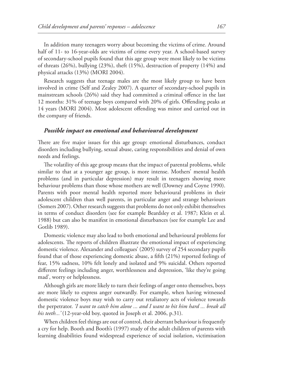In addition many teenagers worry about becoming the victims of crime. Around half of 11- to 16-year-olds are victims of crime every year. A school-based survey of secondary-school pupils found that this age group were most likely to be victims of threats (26%), bullying (23%), theft (15%), destruction of property (14%) and physical attacks (13%) (MORI 2004).

Research suggests that teenage males are the most likely group to have been involved in crime (Self and Zealey 2007). A quarter of secondary-school pupils in mainstream schools (26%) said they had committed a criminal offence in the last 12 months: 31% of teenage boys compared with 20% of girls. Offending peaks at 14 years (MORI 2004). Most adolescent offending was minor and carried out in the company of friends.

### *Possible impact on emotional and behavioural development*

There are five major issues for this age group: emotional disturbances, conduct disorders including bullying, sexual abuse, caring responsibilities and denial of own needs and feelings.

The volatility of this age group means that the impact of parental problems, while similar to that at a younger age group, is more intense. Mothers' mental health problems (and in particular depression) may result in teenagers showing more behaviour problems than those whose mothers are well (Downey and Coyne 1990). Parents with poor mental health reported more behavioural problems in their adolescent children than well parents, in particular anger and strange behaviours (Somers 2007). Other research suggests that problems do not only exhibit themselves in terms of conduct disorders (see for example Beardsley et al. 1987; Klein et al. 1988) but can also be manifest in emotional disturbances (see for example Lee and Gotlib 1989).

Domestic violence may also lead to both emotional and behavioural problems for adolescents. The reports of children illustrate the emotional impact of experiencing domestic violence. Alexander and colleagues' (2005) survey of 254 secondary pupils found that of those experiencing domestic abuse, a fifth (21%) reported feelings of fear, 15% sadness, 10% felt lonely and isolated and 9% suicidal. Others reported different feelings including anger, worthlessness and depression, 'like they're going mad', worry or helplessness.

Although girls are more likely to turn their feelings of anger onto themselves, boys are more likely to express anger outwardly. For example, when having witnessed domestic violence boys may wish to carry out retaliatory acts of violence towards the perpetrator. *'I want to catch him alone ... and I want to hit him hard ... break all his teeth...'* (12-year-old boy, quoted in Joseph et al. 2006, p.31).

When children feel things are out of control, their aberrant behaviour is frequently a cry for help. Booth and Booth's (1997) study of the adult children of parents with learning disabilities found widespread experience of social isolation, victimisation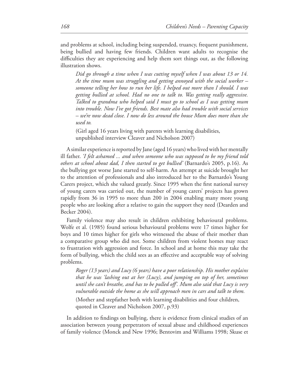and problems at school, including being suspended, truancy, frequent punishment, being bullied and having few friends. Children want adults to recognise the difficulties they are experiencing and help them sort things out, as the following illustration shows.

*Did go through a time when I was cutting myself when I was about 13 or 14. At the time mum was struggling and getting annoyed with the social worker – someone telling her how to run her life. I helped out more than I should. I was getting bullied at school. Had no one to talk to. Was getting really aggressive. Talked to grandma who helped said I must go to school as I was getting mum into trouble. Now I've got friends. Best mate also had trouble with social services – we're now dead close. I now do less around the house Mum does more than she used to.*

(Girl aged 16 years living with parents with learning disabilities, unpublished interview Cleaver and Nicholson 2007)

A similar experience is reported by Jane (aged 16 years) who lived with her mentally ill father. *'I felt ashamed ... and when someone who was supposed to be my friend told others at school about dad, I then started to get bullied'* (Barnardo's 2005, p.16). As the bullying got worse Jane started to self-harm. An attempt at suicide brought her to the attention of professionals and also introduced her to the Barnardo's Young Carers project, which she valued greatly. Since 1995 when the first national survey of young carers was carried out, the number of young carers' projects has grown rapidly from 36 in 1995 to more than 200 in 2004 enabling many more young people who are looking after a relative to gain the support they need (Dearden and Becker 2004).

Family violence may also result in children exhibiting behavioural problems. Wolfe et al. (1985) found serious behavioural problems were 17 times higher for boys and 10 times higher for girls who witnessed the abuse of their mother than a comparative group who did not. Some children from violent homes may react to frustration with aggression and force. In school and at home this may take the form of bullying, which the child sees as an effective and acceptable way of solving problems.

*Roger (13 years) and Lucy (6 years) have a poor relationship. His mother explains*  that he was 'lashing out at her (Lucy), and jumping on top of her, sometimes *until she can't breathe, and has to be pulled off'. Mum also said that Lucy is very vulnerable outside the home as she will approach men in cars and talk to them.*

(Mother and stepfather both with learning disabilities and four children, quoted in Cleaver and Nicholson 2007, p.93)

In addition to findings on bullying, there is evidence from clinical studies of an association between young perpetrators of sexual abuse and childhood experiences of family violence (Monck and New 1996; Bentovim and Williams 1998; Skuse et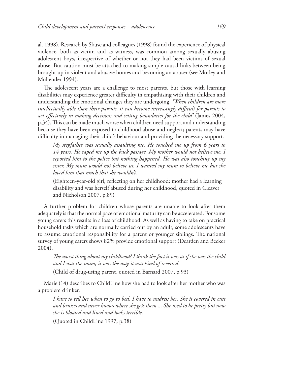al. 1998). Research by Skuse and colleagues (1998) found the experience of physical violence, both as victim and as witness, was common among sexually abusing adolescent boys, irrespective of whether or not they had been victims of sexual abuse. But caution must be attached to making simple causal links between being brought up in violent and abusive homes and becoming an abuser (see Morley and Mullender 1994).

The adolescent years are a challenge to most parents, but those with learning disabilities may experience greater difficulty in empathising with their children and understanding the emotional changes they are undergoing. *'When children are more intellectually able than their parents, it can become increasingly difficult for parents to act effectively in making decisions and setting boundaries for the child'* (James 2004, p.34). This can be made much worse when children need support and understanding because they have been exposed to childhood abuse and neglect; parents may have difficulty in managing their child's behaviour and providing the necessary support.

*My stepfather was sexually assaulting me. He touched me up from 6 years to 14 years. He raped me up the back passage. My mother would not believe me. I reported him to the police but nothing happened. He was also touching up my sister. My mum would not believe us. I wanted my mum to believe me but she loved him that much that she wouldn't.*

(Eighteen-year-old girl, reflecting on her childhood; mother had a learning disability and was herself abused during her childhood, quoted in Cleaver and Nicholson 2007, p.89)

A further problem for children whose parents are unable to look after them adequately is that the normal pace of emotional maturity can be accelerated. For some young carers this results in a loss of childhood. As well as having to take on practical household tasks which are normally carried out by an adult, some adolescents have to assume emotional responsibility for a parent or younger siblings. The national survey of young carers shows 82% provide emotional support (Dearden and Becker 2004).

*The worst thing about my childhood? I think the fact it was as if she was the child and I was the mum, it was the way it was kind of reversed.*

(Child of drug-using parent, quoted in Barnard 2007, p.93)

Marie (14) describes to ChildLine how she had to look after her mother who was a problem drinker.

*I have to tell her when to go to bed, I have to undress her. She is covered in cuts and bruises and never knows where she gets them ... She used to be pretty but now she is bloated and lined and looks terrible.*

(Quoted in ChildLine 1997, p.38)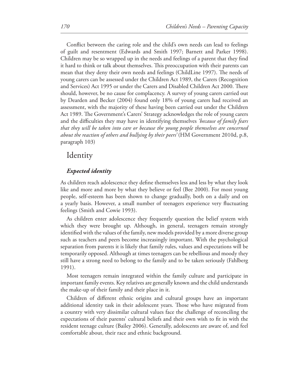Conflict between the caring role and the child's own needs can lead to feelings of guilt and resentment (Edwards and Smith 1997; Barnett and Parker 1998). Children may be so wrapped up in the needs and feelings of a parent that they find it hard to think or talk about themselves. This preoccupation with their parents can mean that they deny their own needs and feelings (ChildLine 1997). The needs of young carers can be assessed under the Children Act 1989, the Carers (Recognition and Services) Act 1995 or under the Carers and Disabled Children Act 2000. There should, however, be no cause for complacency. A survey of young carers carried out by Dearden and Becker (2004) found only 18% of young carers had received an assessment, with the majority of these having been carried out under the Children Act 1989. The Government's Carers' Strategy acknowledges the role of young carers and the difficulties they may have in identifying themselves *'because of family fears that they will be taken into care or because the young people themselves are concerned about the reaction of others and bullying by their peers'* (HM Government 2010d, p.8, paragraph 103)

# **Identity**

### *Expected identity*

As children reach adolescence they define themselves less and less by what they look like and more and more by what they believe or feel (Bee 2000). For most young people, self-esteem has been shown to change gradually, both on a daily and on a yearly basis. However, a small number of teenagers experience very fluctuating feelings (Smith and Cowie 1993).

As children enter adolescence they frequently question the belief system with which they were brought up. Although, in general, teenagers remain strongly identified with the values of the family, new models provided by a more diverse group such as teachers and peers become increasingly important. With the psychological separation from parents it is likely that family rules, values and expectations will be temporarily opposed. Although at times teenagers can be rebellious and moody they still have a strong need to belong to the family and to be taken seriously (Fahlberg 1991).

Most teenagers remain integrated within the family culture and participate in important family events. Key relatives are generally known and the child understands the make-up of their family and their place in it.

Children of different ethnic origins and cultural groups have an important additional identity task in their adolescent years. Those who have migrated from a country with very dissimilar cultural values face the challenge of reconciling the expectations of their parents' cultural beliefs and their own wish to fit in with the resident teenage culture (Bailey 2006). Generally, adolescents are aware of, and feel comfortable about, their race and ethnic background.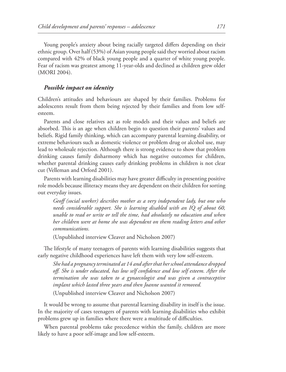Young people's anxiety about being racially targeted differs depending on their ethnic group. Over half (53%) of Asian young people said they worried about racism compared with 42% of black young people and a quarter of white young people. Fear of racism was greatest among 11-year-olds and declined as children grew older (MORI 2004).

### *Possible impact on identity*

Children's attitudes and behaviours are shaped by their families. Problems for adolescents result from them being rejected by their families and from low selfesteem.

Parents and close relatives act as role models and their values and beliefs are absorbed. This is an age when children begin to question their parents' values and beliefs. Rigid family thinking, which can accompany parental learning disability, or extreme behaviours such as domestic violence or problem drug or alcohol use, may lead to wholesale rejection. Although there is strong evidence to show that problem drinking causes family disharmony which has negative outcomes for children, whether parental drinking causes early drinking problems in children is not clear cut (Velleman and Orford 2001).

Parents with learning disabilities may have greater difficulty in presenting positive role models because illiteracy means they are dependent on their children for sorting out everyday issues.

*Geoff (social worker) describes mother as a very independent lady, but one who needs considerable support. She is learning disabled with an IQ of about 60, unable to read or write or tell the time, had absolutely no education and when her children were at home she was dependent on them reading letters and other communications.*

(Unpublished interview Cleaver and Nicholson 2007)

The lifestyle of many teenagers of parents with learning disabilities suggests that early negative childhood experiences have left them with very low self-esteem.

*She had a pregnancy terminated at 14 and after that her school attendance dropped*  off. She is under educated, has low self confidence and low self esteem. After the *termination she was taken to a gynaecologist and was given a contraceptive implant which lasted three years and then Joanne wanted it removed.*

(Unpublished interview Cleaver and Nicholson 2007)

It would be wrong to assume that parental learning disability in itself is the issue. In the majority of cases teenagers of parents with learning disabilities who exhibit problems grew up in families where there were a multitude of difficulties.

When parental problems take precedence within the family, children are more likely to have a poor self-image and low self-esteem.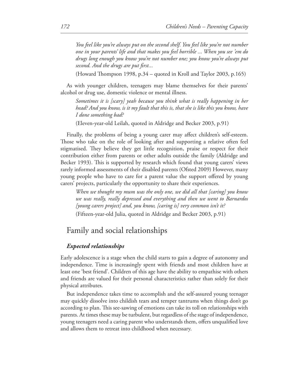*You feel like you're always put on the second shelf. You feel like you're not number one in your parents' life and that makes you feel horrible ... When you see 'em do drugs long enough you know you're not number one; you know you're always put second. And the drugs are put first...*

(Howard Thompson 1998, p.34 – quoted in Kroll and Taylor 2003, p.165)

As with younger children, teenagers may blame themselves for their parents' alcohol or drug use, domestic violence or mental illness.

*Sometimes it is [scary] yeah because you think what is really happening in her head? And you know, is it my fault that this is, that she is like this you know, have I done something bad?*

(Eleven-year-old Leilah, quoted in Aldridge and Becker 2003, p.91)

Finally, the problems of being a young carer may affect children's self-esteem. Those who take on the role of looking after and supporting a relative often feel stigmatised. They believe they get little recognition, praise or respect for their contribution either from parents or other adults outside the family (Aldridge and Becker 1993). This is supported by research which found that young carers' views rarely informed assessments of their disabled parents (Ofsted 2009) However, many young people who have to care for a parent value the support offered by young carers' projects, particularly the opportunity to share their experiences.

*When we thought my mum was the only one, we did all that [caring] you know we was really, really depressed and everything and then we went to Barnardos [young carers project] and, you know, [caring is] very common isn't it?*

(Fifteen-year-old Julia, quoted in Aldridge and Becker 2003, p.91)

# Family and social relationships

### *Expected relationships*

Early adolescence is a stage when the child starts to gain a degree of autonomy and independence. Time is increasingly spent with friends and most children have at least one 'best friend'. Children of this age have the ability to empathise with others and friends are valued for their personal characteristics rather than solely for their physical attributes.

But independence takes time to accomplish and the self-assured young teenager may quickly dissolve into childish tears and temper tantrums when things don't go according to plan. This see-sawing of emotions can take its toll on relationships with parents. At times these may be turbulent, but regardless of the stage of independence, young teenagers need a caring parent who understands them, offers unqualified love and allows them to retreat into childhood when necessary.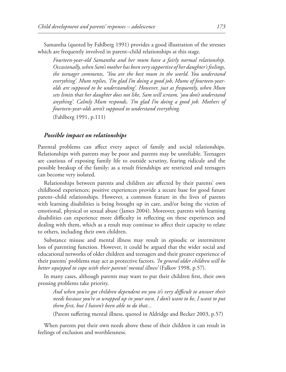Samantha (quoted by Fahlberg 1991) provides a good illustration of the stresses which are frequently involved in parent–child relationships at this stage.

*Fourteen-year-old Samantha and her mum have a fairly normal relationship. Occasionally, when Sam's mother has been very supportive of her daughter's feelings, the teenager comments, 'You are the best mum in the world. You understand everything'. Mum replies, 'I'm glad I'm doing a good job, Mums of fourteen-yearolds are supposed to be understanding'. However, just as frequently, when Mum sets limits that her daughter does not like, Sam will scream, 'you don't understand anything'. Calmly Mum responds, 'I'm glad I'm doing a good job. Mothers of fourteen-year-olds aren't supposed to understand everything.*

(Fahlberg 1991, p.111)

#### *Possible impact on relationships*

Parental problems can affect every aspect of family and social relationships. Relationships with parents may be poor and parents may be unreliable. Teenagers are cautious of exposing family life to outside scrutiny, fearing ridicule and the possible breakup of the family; as a result friendships are restricted and teenagers can become very isolated.

Relationships between parents and children are affected by their parents' own childhood experiences; positive experiences provide a secure base for good future parent–child relationships. However, a common feature in the lives of parents with learning disabilities is being brought up in care, and/or being the victim of emotional, physical or sexual abuse (James 2004). Moreover, parents with learning disabilities can experience more difficulty in reflecting on these experiences and dealing with them, which as a result may continue to affect their capacity to relate to others, including their own children.

Substance misuse and mental illness may result in episodic or intermittent loss of parenting function. However, it could be argued that the wider social and educational networks of older children and teenagers and their greater experience of their parents' problems may act as protective factors. *'In general older children will be better equipped to cope with their parents' mental illness'* (Falkov 1998, p.57).

In many cases, although parents may want to put their children first, their own pressing problems take priority.

*And when you've got children dependent on you it's very difficult to answer their needs because you're so wrapped up in your own. I don't want to be, I want to put them first, but I haven't been able to do that...*

(Parent suffering mental illness, quoted in Aldridge and Becker 2003, p.57)

When parents put their own needs above those of their children it can result in feelings of exclusion and worthlessness.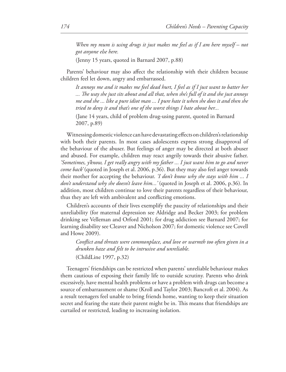*When my mum is using drugs it just makes me feel as if I am here myself – not got anyone else here.*

(Jenny 15 years, quoted in Barnard 2007, p.88)

Parents' behaviour may also affect the relationship with their children because children feel let down, angry and embarrassed.

*It annoys me and it makes me feel dead hurt, I feel as if I just want to batter her ... The way she just sits about and all that, when she's full of it and she just annoys me and she ... like a pure idiot man ... I pure hate it when she does it and then she tried to deny it and that's one of the worst things I hate about her...*

(Jane 14 years, child of problem drug-using parent, quoted in Barnard 2007, p.89)

Witnessing domestic violence can have devastating effects on children's relationship with both their parents. In most cases adolescents express strong disapproval of the behaviour of the abuser. But feelings of anger may be directed at both abuser and abused. For example, children may react angrily towards their abusive father. *'Sometimes, y'know, I get really angry with my father ... I just want him to go and never come back'* (quoted in Joseph et al. 2006, p.36). But they may also feel anger towards their mother for accepting the behaviour. *'I don't know why she stays with him ... I don't understand why she doesn't leave him...'* (quoted in Joseph et al. 2006, p.36). In addition, most children continue to love their parents regardless of their behaviour, thus they are left with ambivalent and conflicting emotions.

Children's accounts of their lives exemplify the paucity of relationships and their unreliability (for maternal depression see Aldridge and Becker 2003; for problem drinking see Velleman and Orford 2001; for drug addiction see Barnard 2007; for learning disability see Cleaver and Nicholson 2007; for domestic violence see Covell and Howe 2009).

*Conflict and threats were commonplace, and love or warmth too often given in a drunken haze and felt to be intrusive and unreliable.* (ChildLine 1997, p.32)

Teenagers' friendships can be restricted when parents' unreliable behaviour makes them cautious of exposing their family life to outside scrutiny. Parents who drink excessively, have mental health problems or have a problem with drugs can become a source of embarrassment or shame (Kroll and Taylor 2003; Bancroft et al. 2004). As a result teenagers feel unable to bring friends home, wanting to keep their situation secret and fearing the state their parent might be in. This means that friendships are curtailed or restricted, leading to increasing isolation.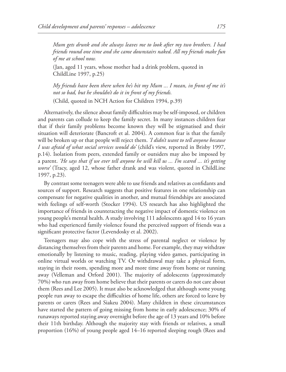*Mum gets drunk and she always leaves me to look after my two brothers. I had friends round one time and she came downstairs naked. All my friends make fun of me at school now.*

(Jan, aged 11 years, whose mother had a drink problem, quoted in ChildLine 1997, p.25)

*My friends have been there when he's hit my Mum ... I mean, in front of me it's not so bad, but he shouldn't do it in front of my friends.*

(Child, quoted in NCH Action for Children 1994, p.39)

Alternatively, the silence about family difficulties may be self-imposed, or children and parents can collude to keep the family secret. In many instances children fear that if their family problems become known they will be stigmatised and their situation will deteriorate (Bancroft et al. 2004). A common fear is that the family will be broken up or that people will reject them. *'I didn't want to tell anyone because I was afraid of what social services would do'* (child's view, reported in Brisby 1997, p.14). Isolation from peers, extended family or outsiders may also be imposed by a parent. *'He says that if we ever tell anyone he will kill us ... I'm scared ... it's getting worse'* (Tracy, aged 12, whose father drank and was violent, quoted in ChildLine 1997, p.23).

By contrast some teenagers were able to use friends and relatives as confidants and sources of support. Research suggests that positive features in one relationship can compensate for negative qualities in another, and mutual friendships are associated with feelings of self-worth (Stocker 1994). US research has also highlighted the importance of friends in counteracting the negative impact of domestic violence on young people's mental health. A study involving 111 adolescents aged 14 to 16 years who had experienced family violence found the perceived support of friends was a significant protective factor (Levendosky et al. 2002).

Teenagers may also cope with the stress of parental neglect or violence by distancing themselves from their parents and home. For example, they may withdraw emotionally by listening to music, reading, playing video games, participating in online virtual worlds or watching TV. Or withdrawal may take a physical form, staying in their room, spending more and more time away from home or running away (Velleman and Orford 2001). The majority of adolescents (approximately 70%) who run away from home believe that their parents or carers do not care about them (Rees and Lee 2005). It must also be acknowledged that although some young people run away to escape the difficulties of home life, others are forced to leave by parents or carers (Rees and Siakeu 2004). Many children in these circumstances have started the pattern of going missing from home in early adolescence; 30% of runaways reported staying away overnight before the age of 13 years and 10% before their 11th birthday. Although the majority stay with friends or relatives, a small proportion (16%) of young people aged 14–16 reported sleeping rough (Rees and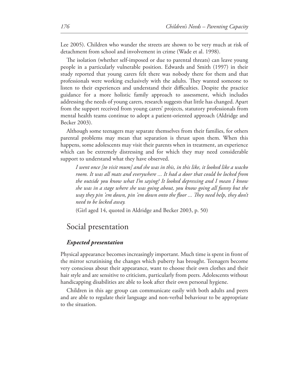Lee 2005). Children who wander the streets are shown to be very much at risk of detachment from school and involvement in crime (Wade et al. 1998).

The isolation (whether self-imposed or due to parental threats) can leave young people in a particularly vulnerable position. Edwards and Smith (1997) in their study reported that young carers felt there was nobody there for them and that professionals were working exclusively with the adults. They wanted someone to listen to their experiences and understand their difficulties. Despite the practice guidance for a more holistic family approach to assessment, which includes addressing the needs of young carers, research suggests that little has changed. Apart from the support received from young carers' projects, statutory professionals from mental health teams continue to adopt a patient-oriented approach (Aldridge and Becker 2003).

Although some teenagers may separate themselves from their families, for others parental problems may mean that separation is thrust upon them. When this happens, some adolescents may visit their parents when in treatment, an experience which can be extremely distressing and for which they may need considerable support to understand what they have observed.

*I went once [to visit mum] and she was in this, in this like, it looked like a wacko room. It was all mats and everywhere ... It had a door that could be locked from the outside you know what I'm saying? It looked depressing and I mean I know she was in a stage where she was going about, you know going all funny but the way they pin 'em down, pin 'em down onto the floor ... They need help, they don't need to be locked away.*

(Girl aged 14, quoted in Aldridge and Becker 2003, p. 50)

# Social presentation

### *Expected presentation*

Physical appearance becomes increasingly important. Much time is spent in front of the mirror scrutinising the changes which puberty has brought. Teenagers become very conscious about their appearance, want to choose their own clothes and their hair style and are sensitive to criticism, particularly from peers. Adolescents without handicapping disabilities are able to look after their own personal hygiene.

Children in this age group can communicate easily with both adults and peers and are able to regulate their language and non-verbal behaviour to be appropriate to the situation.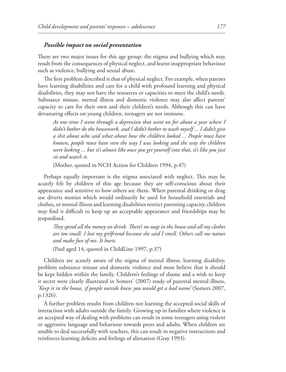### *Possible impact on social presentation*

There are two major issues for this age group: the stigma and bullying which may result from the consequences of physical neglect, and learnt inappropriate behaviour such as violence, bullying and sexual abuse.

The first problem described is that of physical neglect. For example, when parents have learning disabilities and care for a child with profound learning and physical disabilities, they may not have the resources or capacities to meet the child's needs. Substance misuse, mental illness and domestic violence may also affect parents' capacity to care for their own and their children's needs. Although this can have devastating effects on young children, teenagers are not immune.

*At one time I went through a depression that went on for about a year where I didn't bother do the housework, and I didn't bother to wash myself ... I didn't give a shit about who said what about how the children looked ... People must have known, people must have seen the way I was looking and the way the children were looking ... but it's almost like once you get yourself into that, it's like you just sit and watch it.*

(Mother, quoted in NCH Action for Children 1994, p.47)

Perhaps equally important is the stigma associated with neglect. This may be acutely felt by children of this age because they are self-conscious about their appearance and sensitive to how others see them. When parental drinking or drug use diverts monies which would ordinarily be used for household essentials and clothes, or mental illness and learning disabilities restrict parenting capacity, children may find it difficult to keep up an acceptable appearance and friendships may be jeopardised.

*They spend all the money on drink. There's no soap in the house and all my clothes are too small. I lost my girlfriend because she said I smell. Others call me names and make fun of me. It hurts.*

(Paul aged 14, quoted in ChildLine 1997, p.37)

Children are acutely aware of the stigma of mental illness, learning disability, problem substance misuse and domestic violence and most believe that it should be kept hidden within the family. Children's feelings of shame and a wish to keep it secret were clearly illustrated in Somers' (2007) study of parental mental illness, *'Keep it in the house, if people outside knew you would get a bad name'* (Somers 2007, p.1326).

A further problem results from children not learning the accepted social skills of interaction with adults outside the family. Growing up in families where violence is an accepted way of dealing with problems can result in some teenagers using violent or aggressive language and behaviour towards peers and adults. When children are unable to deal successfully with teachers, this can result in negative interactions and reinforces learning deficits and feelings of alienation (Gray 1993).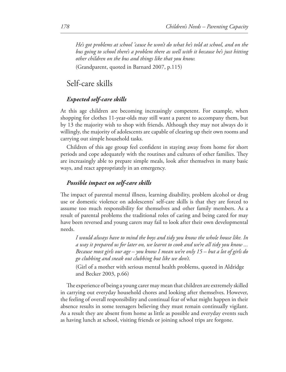*He's got problems at school 'cause he won't do what he's told at school, and on the bus going to school there's a problem there as well with it because he's just hitting other children on the bus and things like that you know.*

(Grandparent, quoted in Barnard 2007, p.115)

## Self-care skills

## *Expected self-care skills*

At this age children are becoming increasingly competent. For example, when shopping for clothes 11-year-olds may still want a parent to accompany them, but by 13 the majority wish to shop with friends. Although they may not always do it willingly, the majority of adolescents are capable of clearing up their own rooms and carrying out simple household tasks.

Children of this age group feel confident in staying away from home for short periods and cope adequately with the routines and cultures of other families. They are increasingly able to prepare simple meals, look after themselves in many basic ways, and react appropriately in an emergency.

## *Possible impact on self-care skills*

The impact of parental mental illness, learning disability, problem alcohol or drug use or domestic violence on adolescents' self-care skills is that they are forced to assume too much responsibility for themselves and other family members. As a result of parental problems the traditional roles of caring and being cared for may have been reversed and young carers may fail to look after their own developmental needs.

*I would always have to mind the boys and tidy you know the whole house like. In a way it prepared us for later on, we learnt to cook and we're all tidy you know ... Because most girls our age – you know I mean we're only 15 – but a lot of girls do go clubbing and sneak out clubbing but like we don't.*

(Girl of a mother with serious mental health problems, quoted in Aldridge and Becker 2003, p.66)

The experience of being a young carer may mean that children are extremely skilled in carrying out everyday household chores and looking after themselves. However, the feeling of overall responsibility and continual fear of what might happen in their absence results in some teenagers believing they must remain continually vigilant. As a result they are absent from home as little as possible and everyday events such as having lunch at school, visiting friends or joining school trips are forgone.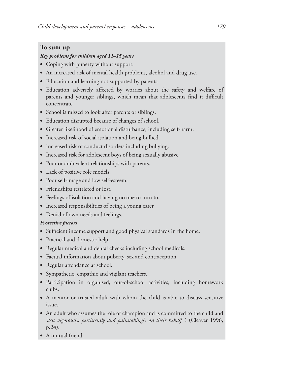## **To sum up**

## *Key problems for children aged 11–15 years*

- Coping with puberty without support.
- An increased risk of mental health problems, alcohol and drug use.
- Education and learning not supported by parents.
- · Education adversely affected by worries about the safety and welfare of parents and younger siblings, which mean that adolescents find it difficult concentrate.
- School is missed to look after parents or siblings.
- Education disrupted because of changes of school.
- Greater likelihood of emotional disturbance, including self-harm.
- Increased risk of social isolation and being bullied.
- Increased risk of conduct disorders including bullying.
- Increased risk for adolescent boys of being sexually abusive.
- Poor or ambivalent relationships with parents.
- Lack of positive role models.
- Poor self-image and low self-esteem.
- Friendships restricted or lost.
- Feelings of isolation and having no one to turn to.
- Increased responsibilities of being a young carer.
- Denial of own needs and feelings.

## *Protective factors*

- Sufficient income support and good physical standards in the home.
- Practical and domestic help.
- Regular medical and dental checks including school medicals.
- Factual information about puberty, sex and contraception.
- Regular attendance at school.
- Sympathetic, empathic and vigilant teachers.
- t Participation in organised, out-of-school activities, including homework clubs.
- A mentor or trusted adult with whom the child is able to discuss sensitive issues.
- An adult who assumes the role of champion and is committed to the child and *'acts vigorously, persistently and painstakingly on their behalf '*. (Cleaver 1996, p.24).
- $\bullet$  A mutual friend.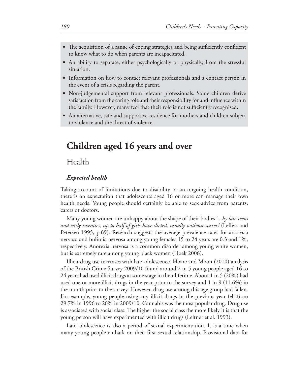- The acquisition of a range of coping strategies and being sufficiently confident to know what to do when parents are incapacitated.
- An ability to separate, either psychologically or physically, from the stressful situation.
- Information on how to contact relevant professionals and a contact person in the event of a crisis regarding the parent.
- Non-judgemental support from relevant professionals. Some children derive satisfaction from the caring role and their responsibility for and influence within the family. However, many feel that their role is not sufficiently recognised.
- An alternative, safe and supportive residence for mothers and children subject to violence and the threat of violence.

## **Children aged 16 years and over**

## Health

## *Expected health*

Taking account of limitations due to disability or an ongoing health condition, there is an expectation that adolescents aged 16 or more can manage their own health needs. Young people should certainly be able to seek advice from parents, carers or doctors.

Many young women are unhappy about the shape of their bodies *'...by late teens and early twenties, up to half of girls have dieted, usually without success'* (Leffert and Petersen 1995, p.69). Research suggests the average prevalence rates for anorexia nervosa and bulimia nervosa among young females 15 to 24 years are 0.3 and 1%, respectively. Anorexia nervosa is a common disorder among young white women, but is extremely rare among young black women (Hoek 2006).

Illicit drug use increases with late adolescence. Hoare and Moon (2010) analysis of the British Crime Survey 2009/10 found around 2 in 5 young people aged 16 to 24 years had used illicit drugs at some stage in their lifetime. About 1 in 5 (20%) had used one or more illicit drugs in the year prior to the survey and 1 in 9 (11.6%) in the month prior to the survey. However, drug use among this age group had fallen. For example, young people using any illicit drugs in the previous year fell from 29.7% in 1996 to 20% in 2009/10. Cannabis was the most popular drug. Drug use is associated with social class. The higher the social class the more likely it is that the young person will have experimented with illicit drugs (Leitner et al. 1993).

Late adolescence is also a period of sexual experimentation. It is a time when many young people embark on their first sexual relationship. Provisional data for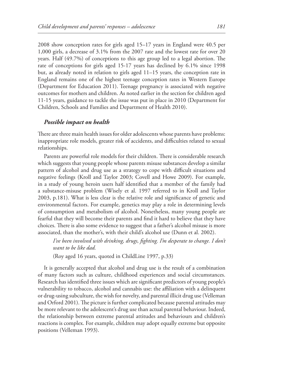2008 show conception rates for girls aged 15–17 years in England were 40.5 per 1,000 girls, a decrease of 3.1% from the 2007 rate and the lowest rate for over 20 years. Half (49.7%) of conceptions to this age group led to a legal abortion. The rate of conceptions for girls aged 15-17 years has declined by 6.1% since 1998 but, as already noted in relation to girls aged 11–15 years, the conception rate in England remains one of the highest teenage conception rates in Western Europe (Department for Education 2011). Teenage pregnancy is associated with negative outcomes for mothers and children. As noted earlier in the section for children aged 11-15 years, guidance to tackle the issue was put in place in 2010 (Department for Children, Schools and Families and Department of Health 2010).

#### *Possible impact on health*

There are three main health issues for older adolescents whose parents have problems: inappropriate role models, greater risk of accidents, and difficulties related to sexual relationships.

Parents are powerful role models for their children. There is considerable research which suggests that young people whose parents misuse substances develop a similar pattern of alcohol and drug use as a strategy to cope with difficult situations and negative feelings (Kroll and Taylor 2003; Covell and Howe 2009). For example, in a study of young heroin users half identified that a member of the family had a substance-misuse problem (Wisely et al. 1997 referred to in Kroll and Taylor 2003, p.181). What is less clear is the relative role and significance of genetic and environmental factors. For example, genetics may play a role in determining levels of consumption and metabolism of alcohol. Nonetheless, many young people are fearful that they will become their parents and find it hard to believe that they have choices. There is also some evidence to suggest that a father's alcohol misuse is more associated, than the mother's, with their child's alcohol use (Dunn et al. 2002).

*I've been involved with drinking, drugs, fighting. I'm desperate to change. I don't want to be like dad.*

(Roy aged 16 years, quoted in ChildLine 1997, p.33)

It is generally accepted that alcohol and drug use is the result of a combination of many factors such as culture, childhood experiences and social circumstances. Research has identified three issues which are significant predictors of young people's vulnerability to tobacco, alcohol and cannabis use: the affiliation with a delinquent or drug-using subculture, the wish for novelty, and parental illicit drug use (Velleman and Orford 2001). The picture is further complicated because parental attitudes may be more relevant to the adolescent's drug use than actual parental behaviour. Indeed, the relationship between extreme parental attitudes and behaviours and children's reactions is complex. For example, children may adopt equally extreme but opposite positions (Velleman 1993).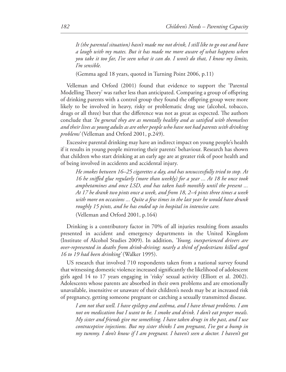*It (the parental situation) hasn't made me not drink, I still like to go out and have a laugh with my mates. But it has made me more aware of what happens when you take it too far, I've seen what it can do. I won't do that, I know my limits, I'm sensible.*

(Gemma aged 18 years, quoted in Turning Point 2006, p.11)

Velleman and Orford (2001) found that evidence to support the 'Parental Modelling Theory' was rather less than anticipated. Comparing a group of offspring of drinking parents with a control group they found the offspring group were more likely to be involved in heavy, risky or problematic drug use (alcohol, tobacco, drugs or all three) but that the difference was not as great as expected. The authors conclude that *'In general they are as mentally healthy and as satisfied with themselves and their lives as young adults as are other people who have not had parents with drinking problems'* (Velleman and Orford 2001, p.249).

Excessive parental drinking may have an indirect impact on young people's health if it results in young people mirroring their parents' behaviour. Research has shown that children who start drinking at an early age are at greater risk of poor health and of being involved in accidents and accidental injury.

*He smokes between 16–25 cigarettes a day, and has unsuccessfully tried to stop. At 16 he sniffed glue regularly (more than weekly) for a year ... At 18 he once took amphetamines and once LSD, and has taken hash monthly until the present ... At 17 he drank two pints once a week, and from 18, 2–4 pints three times a week with more on occasions ... Quite a few times in the last year he would have drunk roughly 15 pints, and he has ended up in hospital in intensive care.*

(Velleman and Orford 2001, p.164)

Drinking is a contributory factor in 70% of all injuries resulting from assaults presented in accident and emergency departments in the United Kingdom (Institute of Alcohol Studies 2009). In addition, *'Young, inexperienced drivers are over-represented in deaths from drink-driving; nearly a third of pedestrians killed aged 16 to 19 had been drinking'* (Walker 1995).

US research that involved 710 respondents taken from a national survey found that witnessing domestic violence increased significantly the likelihood of adolescent girls aged 14 to 17 years engaging in 'risky' sexual activity (Elliott et al. 2002). Adolescents whose parents are absorbed in their own problems and are emotionally unavailable, insensitive or unaware of their children's needs may be at increased risk of pregnancy, getting someone pregnant or catching a sexually transmitted disease.

*I am not that well. I have epilepsy and asthma, and I have throat problems. I am not on medication but I want to be. I smoke and drink. I don't eat proper meals. My sister and friends give me something. I have taken drugs in the past, and I use contraceptive injections. But my sister thinks I am pregnant, I've got a bump in my tummy. I don't know if I am pregnant. I haven't seen a doctor. I haven't got*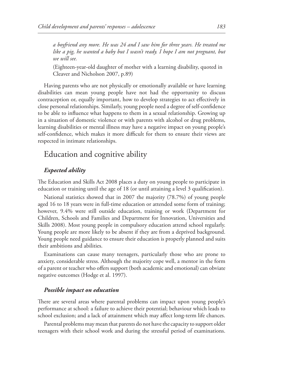*a boyfriend any more. He was 24 and I saw him for three years. He treated me like a pig, he wanted a baby but I wasn't ready. I hope I am not pregnant, but we will see.*

(Eighteen-year-old daughter of mother with a learning disability, quoted in Cleaver and Nicholson 2007, p.89)

Having parents who are not physically or emotionally available or have learning disabilities can mean young people have not had the opportunity to discuss contraception or, equally important, how to develop strategies to act effectively in close personal relationships. Similarly, young people need a degree of self-confidence to be able to influence what happens to them in a sexual relationship. Growing up in a situation of domestic violence or with parents with alcohol or drug problems, learning disabilities or mental illness may have a negative impact on young people's self-confidence, which makes it more difficult for them to ensure their views are respected in intimate relationships.

## Education and cognitive ability

## *Expected ability*

The Education and Skills Act 2008 places a duty on young people to participate in education or training until the age of 18 (or until attaining a level 3 qualification).

National statistics showed that in 2007 the majority (78.7%) of young people aged 16 to 18 years were in full-time education or attended some form of training; however, 9.4% were still outside education, training or work (Department for Children, Schools and Families and Department for Innovation, Universities and Skills 2008). Most young people in compulsory education attend school regularly. Young people are more likely to be absent if they are from a deprived background. Young people need guidance to ensure their education is properly planned and suits their ambitions and abilities.

Examinations can cause many teenagers, particularly those who are prone to anxiety, considerable stress. Although the majority cope well, a mentor in the form of a parent or teacher who offers support (both academic and emotional) can obviate negative outcomes (Hodge et al. 1997).

#### *Possible impact on education*

There are several areas where parental problems can impact upon young people's performance at school: a failure to achieve their potential; behaviour which leads to school exclusion; and a lack of attainment which may affect long-term life chances.

Parental problems may mean that parents do not have the capacity to support older teenagers with their school work and during the stressful period of examinations.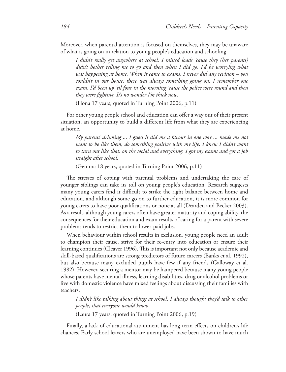Moreover, when parental attention is focused on themselves, they may be unaware of what is going on in relation to young people's education and schooling.

*I didn't really get anywhere at school. I missed loads 'cause they (her parents) didn't bother telling me to go and then when I did go, I'd be worrying what was happening at home. When it came to exams, I never did any revision – you couldn't in our house, there was always something going on. I remember one exam, I'd been up 'til four in the morning 'cause the police were round and then they were fighting. It's no wonder I'm thick now.*

(Fiona 17 years, quoted in Turning Point 2006, p.11)

For other young people school and education can offer a way out of their present situation, an opportunity to build a different life from what they are experiencing at home.

*My parents' drinking ... I guess it did me a favour in one way ... made me not*  want to be like them, do something positive with my life. I knew I didn't want *to turn out like that, on the social and everything. I got my exams and got a job straight after school.*

(Gemma 18 years, quoted in Turning Point 2006, p.11)

The stresses of coping with parental problems and undertaking the care of younger siblings can take its toll on young people's education. Research suggests many young carers find it difficult to strike the right balance between home and education, and although some go on to further education, it is more common for young carers to have poor qualifications or none at all (Dearden and Becker 2003). As a result, although young carers often have greater maturity and coping ability, the consequences for their education and exam results of caring for a parent with severe problems tends to restrict them to lower-paid jobs.

When behaviour within school results in exclusion, young people need an adult to champion their cause, strive for their re-entry into education or ensure their learning continues (Cleaver 1996). This is important not only because academic and skill-based qualifications are strong predictors of future careers (Banks et al. 1992), but also because many excluded pupils have few if any friends (Galloway et al. 1982). However, securing a mentor may be hampered because many young people whose parents have mental illness, learning disabilities, drug or alcohol problems or live with domestic violence have mixed feelings about discussing their families with teachers.

*I didn't like talking about things at school, I always thought they'd talk to other people, that everyone would know.*

(Laura 17 years, quoted in Turning Point 2006, p.19)

Finally, a lack of educational attainment has long-term effects on children's life chances. Early school leavers who are unemployed have been shown to have much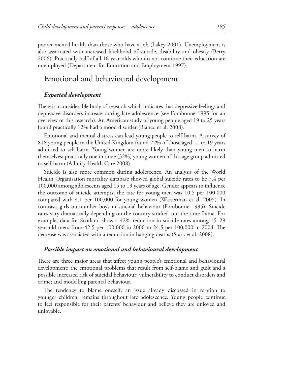poorer mental health than those who have a job (Lakey 2001). Unemployment is also associated with increased likelihood of suicide, disability and obesity (Berry 2006). Practically half of all 16-year-olds who do not continue their education are unemployed (Department for Education and Employment 1997).

## Emotional and behavioural development

## *Expected development*

There is a considerable body of research which indicates that depressive feelings and depressive disorders increase during late adolescence (see Fombonne 1995 for an overview of this research). An American study of young people aged 19 to 25 years found practically 12% had a mood disorder (Blanco et al. 2008).

Emotional and mental distress can lead young people to self-harm. A survey of 818 young people in the United Kingdom found 22% of those aged 11 to 19 years admitted to self-harm. Young women are more likely than young men to harm themselves; practically one in three (32%) young women of this age group admitted to self-harm (Affinity Health Care 2008).

Suicide is also more common during adolescence. An analysis of the World Health Organisation mortality database showed global suicide rates to be 7.4 per 100,000 among adolescents aged 15 to 19 years of age. Gender appears to influence the outcome of suicide attempts; the rate for young men was 10.5 per 100,000 compared with 4.1 per 100,000 for young women (Wasserman et al. 2005). In contrast, girls outnumber boys in suicidal behaviour (Fombonne 1995). Suicide rates vary dramatically depending on the country studied and the time frame. For example, data for Scotland show a 42% reduction in suicide rates among 15–29 year-old men, from 42.5 per 100,000 in 2000 to 24.5 per 100,000 in 2004. The decrease was associated with a reduction in hanging deaths (Stark et al. 2008).

#### *Possible impact on emotional and behavioural development*

There are three major areas that affect young people's emotional and behavioural development: the emotional problems that result from self-blame and guilt and a possible increased risk of suicidal behaviour; vulnerability to conduct disorders and crime; and modelling parental behaviour.

The tendency to blame oneself, an issue already discussed in relation to younger children, remains throughout late adolescence. Young people continue to feel responsible for their parents' behaviour and believe they are unloved and unlovable.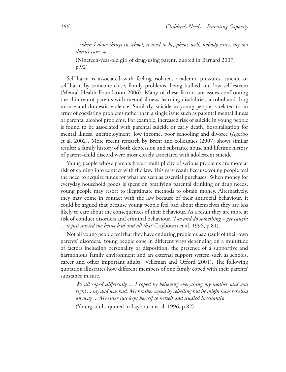*...when I done things in school, it used to be, phew, well, nobody cares, my ma doesn't care, so...*

(Nineteen-year-old girl of drug-using parent, quoted in Barnard 2007, p.92)

Self-harm is associated with feeling isolated, academic pressures, suicide or self-harm by someone close, family problems, being bullied and low self-esteem (Mental Health Foundation 2006). Many of these factors are issues confronting the children of parents with mental illness, learning disabilities, alcohol and drug misuse and domestic violence. Similarly, suicide in young people is related to an array of coexisting problems rather than a single issue such as parental mental illness or parental alcohol problems. For example, increased risk of suicide in young people is found to be associated with parental suicide or early death, hospitalisation for mental illness, unemployment, low income, poor schooling and divorce (Agerbo et al. 2002). More recent research by Brent and colleagues (2007) shows similar results; a family history of both depression and substance abuse and lifetime history of parent–child discord were most closely associated with adolescent suicide.

Young people whose parents have a multiplicity of serious problems are more at risk of coming into contact with the law. This may result because young people feel the need to acquire funds for what are seen as essential purchases. When money for everyday household goods is spent on gratifying parental drinking or drug needs, young people may resort to illegitimate methods to obtain money. Alternatively, they may come in contact with the law because of their antisocial behaviour. It could be argued that because young people feel bad about themselves they are less likely to care about the consequences of their behaviour. As a result they are more at risk of conduct disorders and criminal behaviour. *'I go and do something – get caught ... it just started me being bad and all that'* (Laybourn et al. 1996, p.81).

Not all young people feel that they have enduring problems as a result of their own parents' disorders. Young people cope in different ways depending on a multitude of factors including personality or disposition, the presence of a supportive and harmonious family environment and an external support system such as schools, career and other important adults (Velleman and Orford 2001). The following quotation illustrates how different members of one family coped with their parents' substance misuse.

*We all coped differently ... I coped by believing everything my mother said was right ... my dad was bad. My brother coped by rebelling but he might have rebelled anyway ... My sister just kept herself to herself and studied incessantly.*

(Young adult, quoted in Laybourn et al. 1996, p.82)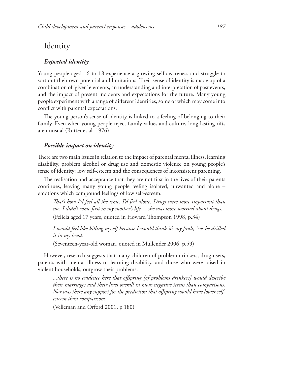## **Identity**

## *Expected identity*

Young people aged 16 to 18 experience a growing self-awareness and struggle to sort out their own potential and limitations. Their sense of identity is made up of a combination of 'given' elements, an understanding and interpretation of past events, and the impact of present incidents and expectations for the future. Many young people experiment with a range of different identities, some of which may come into conflict with parental expectations.

The young person's sense of identity is linked to a feeling of belonging to their family. Even when young people reject family values and culture, long-lasting rifts are unusual (Rutter et al. 1976).

## *Possible impact on identity*

There are two main issues in relation to the impact of parental mental illness, learning disability, problem alcohol or drug use and domestic violence on young people's sense of identity: low self-esteem and the consequences of inconsistent parenting.

The realisation and acceptance that they are not first in the lives of their parents continues, leaving many young people feeling isolated, unwanted and alone – emotions which compound feelings of low self-esteem.

*That's how I'd feel all the time: I'd feel alone. Drugs were more important than me. I didn't come first in my mother's life ... she was more worried about drugs.*

(Felicia aged 17 years, quoted in Howard Thompson 1998, p.34)

*I would feel like killing myself because I would think it's my fault, 'cos he drilled it in my head.*

(Seventeen-year-old woman, quoted in Mullender 2006, p.59)

However, research suggests that many children of problem drinkers, drug users, parents with mental illness or learning disability, and those who were raised in violent households, outgrow their problems.

*...there is no evidence here that offspring [of problems drinkers] would describe their marriages and their lives overall in more negative terms than comparisons. Nor was there any support for the prediction that offspring would have lower selfesteem than comparisons.*

(Velleman and Orford 2001, p.180)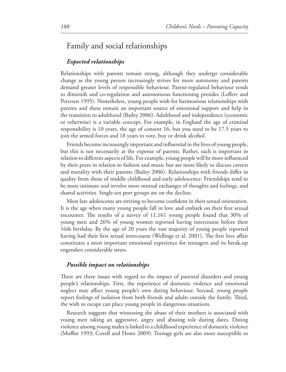## Family and social relationships

## *Expected relationships*

Relationships with parents remain strong, although they undergo considerable change as the young person increasingly strives for more autonomy and parents demand greater levels of responsible behaviour. Parent-regulated behaviour tends to diminish and co-regulation and autonomous functioning presides (Leffert and Petersen 1995). Nonetheless, young people wish for harmonious relationships with parents and these remain an important source of emotional support and help in the transition to adulthood (Bailey 2006). Adulthood and independence (economic or otherwise) is a variable concept. For example, in England the age of criminal responsibility is 10 years, the age of consent 16, but you need to be 17.5 years to join the armed forces and 18 years to vote, buy or drink alcohol.

Friends become increasingly important and influential in the lives of young people, but this is not necessarily at the expense of parents. Rather, each is important in relation to different aspects of life. For example, young people will be more influenced by their peers in relation to fashion and music but are more likely to discuss careers and morality with their parents (Bailey 2006). Relationships with friends differ in quality from those of middle childhood and early adolescence. Friendships tend to be more intimate and involve more mutual exchanges of thoughts and feelings, and shared activities. Single-sex peer groups are on the decline.

Most late adolescents are striving to become confident in their sexual orientation. It is the age when many young people fall in love and embark on their first sexual encounter. The results of a survey of 11,161 young people found that 30% of young men and 26% of young women reported having intercourse before their 16th birthday. By the age of 20 years the vast majority of young people reported having had their first sexual intercourse (Wellings et al. 2001). The first love affair constitutes a most important emotional experience for teenagers and its break-up engenders considerable stress.

#### *Possible impact on relationships*

There are three issues with regard to the impact of parental disorders and young people's relationships. First, the experience of domestic violence and emotional neglect may affect young people's own dating behaviour. Second, young people report feelings of isolation from both friends and adults outside the family. Third, the wish to escape can place young people in dangerous situations.

Research suggests that witnessing the abuse of their mothers is associated with young men taking an aggressive, angry and abusing role during dates. Dating violence among young males is linked to a childhood experience of domestic violence (Moffitt 1993; Covell and Howe 2009). Teenage girls are also more susceptible to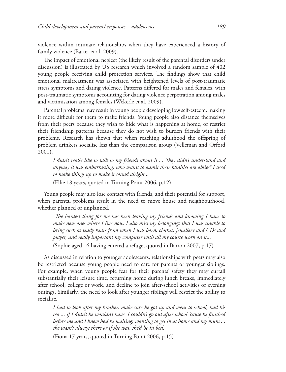violence within intimate relationships when they have experienced a history of family violence (Barter et al. 2009).

The impact of emotional neglect (the likely result of the parental disorders under discussion) is illustrated by US research which involved a random sample of 402 young people receiving child protection services. The findings show that child emotional maltreatment was associated with heightened levels of post-traumatic stress symptoms and dating violence. Patterns differed for males and females, with post-traumatic symptoms accounting for dating violence perpetration among males and victimisation among females (Wekerle et al. 2009).

Parental problems may result in young people developing low self-esteem, making it more difficult for them to make friends. Young people also distance themselves from their peers because they wish to hide what is happening at home, or restrict their friendship patterns because they do not wish to burden friends with their problems. Research has shown that when reaching adulthood the offspring of problem drinkers socialise less than the comparison group (Velleman and Orford 2001).

*I didn't really like to talk to my friends about it ... They didn't understand and anyway it was embarrassing, who wants to admit their families are alkies? I used to make things up to make it sound alright...*

(Ellie 18 years, quoted in Turning Point 2006, p.12)

Young people may also lose contact with friends, and their potential for support, when parental problems result in the need to move house and neighbourhood, whether planned or unplanned.

 *The hardest thing for me has been leaving my friends and knowing I have to make new ones where I live now. I also miss my belongings that I was unable to bring such as teddy bears from when I was born, clothes, jewellery and CDs and player, and really important my computer with all my course work on it...*

(Sophie aged 16 having entered a refuge, quoted in Barron 2007, p.17)

As discussed in relation to younger adolescents, relationships with peers may also be restricted because young people need to care for parents or younger siblings. For example, when young people fear for their parents' safety they may curtail substantially their leisure time, returning home during lunch breaks, immediately after school, college or work, and decline to join after-school activities or evening outings. Similarly, the need to look after younger siblings will restrict the ability to socialise.

*I had to look after my brother, make sure he got up and went to school, had his tea ... if I didn't he wouldn't have. I couldn't go out after school 'cause he finished before me and I knew he'd be waiting, wanting to get in at home and my mum ... she wasn't always there or if she was, she'd be in bed.*

(Fiona 17 years, quoted in Turning Point 2006, p.15)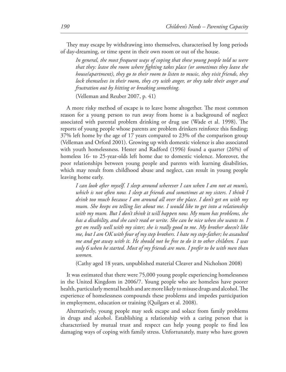They may escape by withdrawing into themselves, characterised by long periods of day-dreaming, or time spent in their own room or out of the house.

In general, the most frequent ways of coping that these young people told us were *that they: leave the room where fighting takes place (or sometimes they leave the house/apartment), they go to their room to listen to music, they visit friends, they lock themselves in their room, they cry with anger, or they take their anger and frustration out by hitting or breaking something.*

(Velleman and Reuber 2007, p. 41)

A more risky method of escape is to leave home altogether. The most common reason for a young person to run away from home is a background of neglect associated with parental problem drinking or drug use (Wade et al. 1998). The reports of young people whose parents are problem drinkers reinforce this finding; 37% left home by the age of 17 years compared to 23% of the comparison group (Velleman and Orford 2001). Growing up with domestic violence is also associated with youth homelessness. Hester and Radford (1996) found a quarter (26%) of homeless 16- to 25-year-olds left home due to domestic violence. Moreover, the poor relationships between young people and parents with learning disabilities, which may result from childhood abuse and neglect, can result in young people leaving home early.

*I can look after myself. I sleep around wherever I can when I am not at mum's, which is not often now. I sleep at friends and sometimes at my sisters. I think I drink too much because I am around all over the place. I don't get on with my mum. She keeps on telling lies about me. I would like to get into a relationship with my mum. But I don't think it will happen now. My mum has problems, she has a disability, and she can't read or write. She can be nice when she wants to. I get on really well with my sister; she is really good to me. My brother doesn't like me, but I am OK with four of my step brothers. I hate my step-father; he assaulted me and got away with it. He should not be free to do it to other children. I was only 6 when he started. Most of my friends are men. I prefer to be with men than women.*

(Cathy aged 18 years, unpublished material Cleaver and Nicholson 2008)

It was estimated that there were 75,000 young people experiencing homelessness in the United Kingdom in 2006/7. Young people who are homeless have poorer health, particularly mental health and are more likely to misuse drugs and alcohol. The experience of homelessness compounds these problems and impedes participation in employment, education or training (Quilgars et al. 2008).

Alternatively, young people may seek escape and solace from family problems in drugs and alcohol. Establishing a relationship with a caring person that is characterised by mutual trust and respect can help young people to find less damaging ways of coping with family stress. Unfortunately, many who have grown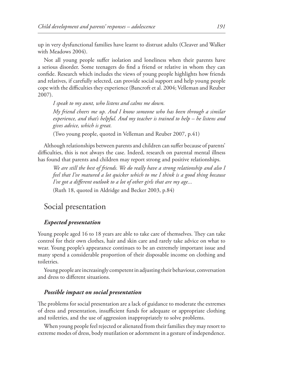up in very dysfunctional families have learnt to distrust adults (Cleaver and Walker with Meadows 2004).

Not all young people suffer isolation and loneliness when their parents have a serious disorder. Some teenagers do find a friend or relative in whom they can confide. Research which includes the views of young people highlights how friends and relatives, if carefully selected, can provide social support and help young people cope with the difficulties they experience (Bancroft et al. 2004; Velleman and Reuber 2007).

*I speak to my aunt, who listens and calms me down.*

*My friend cheers me up. And I know someone who has been through a similar experience, and that's helpful. And my teacher is trained to help – he listens and gives advice, which is great.*

(Two young people, quoted in Velleman and Reuber 2007, p.41)

Although relationships between parents and children can suffer because of parents' difficulties, this is not always the case. Indeed, research on parental mental illness has found that parents and children may report strong and positive relationships.

*We are still the best of friends. We do really have a strong relationship and also I feel that I've matured a lot quicker which to me I think is a good thing because I've got a different outlook to a lot of other girls that are my age...*

(Ruth 18, quoted in Aldridge and Becker 2003, p.84)

## Social presentation

### *Expected presentation*

Young people aged 16 to 18 years are able to take care of themselves. They can take control for their own clothes, hair and skin care and rarely take advice on what to wear. Young people's appearance continues to be an extremely important issue and many spend a considerable proportion of their disposable income on clothing and toiletries.

Young people are increasingly competent in adjusting their behaviour, conversation and dress to different situations.

#### *Possible impact on social presentation*

The problems for social presentation are a lack of guidance to moderate the extremes of dress and presentation, insufficient funds for adequate or appropriate clothing and toiletries, and the use of aggression inappropriately to solve problems.

When young people feel rejected or alienated from their families they may resort to extreme modes of dress, body mutilation or adornment in a gesture of independence.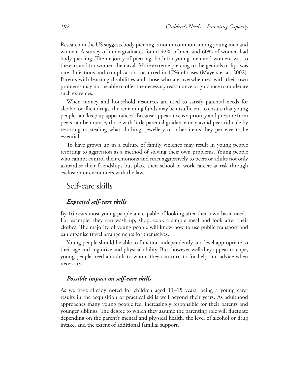Research in the US suggests body piercing is not uncommon among young men and women. A survey of undergraduates found 42% of men and 60% of women had body piercing. The majority of piercing, both for young men and women, was to the ears and for women the naval. More extreme piercing to the genitals or lips was rare. Infections and complications occurred in 17% of cases (Mayers et al. 2002). Parents with learning disabilities and those who are overwhelmed with their own problems may not be able to offer the necessary reassurance or guidance to moderate such extremes.

When money and household resources are used to satisfy parental needs for alcohol or illicit drugs, the remaining funds may be insufficient to ensure that young people can 'keep up appearances'. Because appearance is a priority and pressure from peers can be intense, those with little parental guidance may avoid peer ridicule by resorting to stealing what clothing, jewellery or other items they perceive to be essential.

To have grown up in a culture of family violence may result in young people resorting to aggression as a method of solving their own problems. Young people who cannot control their emotions and react aggressively to peers or adults not only jeopardise their friendships but place their school or work careers at risk through exclusion or encounters with the law.

## Self-care skills

### *Expected self-care skills*

By 16 years most young people are capable of looking after their own basic needs. For example, they can wash up, shop, cook a simple meal and look after their clothes. The majority of young people will know how to use public transport and can organise travel arrangements for themselves.

Young people should be able to function independently at a level appropriate to their age and cognitive and physical ability. But, however well they appear to cope, young people need an adult to whom they can turn to for help and advice when necessary.

### *Possible impact on self-care skills*

As we have already noted for children aged 11–15 years, being a young carer results in the acquisition of practical skills well beyond their years. As adulthood approaches many young people feel increasingly responsible for their parents and younger siblings. The degree to which they assume the parenting role will fluctuate depending on the parent's mental and physical health, the level of alcohol or drug intake, and the extent of additional familial support.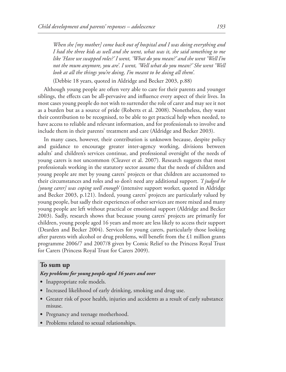*When she [my mother] come back out of hospital and I was doing everything and I had the three kids as well and she went, what was it, she said something to me like 'Have we swapped roles?' I went, 'What do you mean?' and she went 'Well I'm not the mum anymore, you are'. I went, 'Well what do you mean?' She went 'Well look at all the things you're doing, I'm meant to be doing all them'.*

(Debbie 18 years, quoted in Aldridge and Becker 2003, p.88)

Although young people are often very able to care for their parents and younger siblings, the effects can be all-pervasive and influence every aspect of their lives. In most cases young people do not wish to surrender the role of carer and may see it not as a burden but as a source of pride (Roberts et al. 2008). Nonetheless, they want their contribution to be recognised, to be able to get practical help when needed, to have access to reliable and relevant information, and for professionals to involve and include them in their parents' treatment and care (Aldridge and Becker 2003).

In many cases, however, their contribution is unknown because, despite policy and guidance to encourage greater inter-agency working, divisions between adults' and children's services continue, and professional oversight of the needs of young carers is not uncommon (Cleaver et al. 2007). Research suggests that most professionals working in the statutory sector assume that the needs of children and young people are met by young carers' projects or that children are accustomed to their circumstances and roles and so don't need any additional support. *'I judged he [young carer] was coping well enough'* (intensive support worker, quoted in Aldridge and Becker 2003, p.121). Indeed, young carers' projects are particularly valued by young people, but sadly their experiences of other services are more mixed and many young people are left without practical or emotional support (Aldridge and Becker 2003). Sadly, research shows that because young carers' projects are primarily for children, young people aged 16 years and more are less likely to access their support (Dearden and Becker 2004). Services for young carers, particularly those looking after parents with alcohol or drug problems, will benefit from the  $£1$  million grants programme 2006/7 and 2007/8 given by Comic Relief to the Princess Royal Trust for Carers (Princess Royal Trust for Carers 2009).

### **To sum up**

### *Key problems for young people aged 16 years and over*

- Inappropriate role models.
- Increased likelihood of early drinking, smoking and drug use.
- Greater risk of poor health, injuries and accidents as a result of early substance misuse.
- Pregnancy and teenage motherhood.
- Problems related to sexual relationships.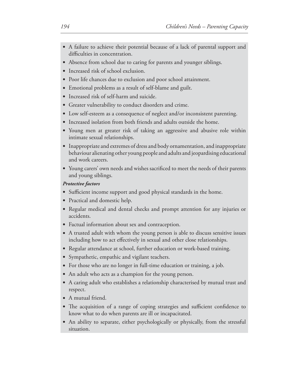- A failure to achieve their potential because of a lack of parental support and difficulties in concentration.
- Absence from school due to caring for parents and younger siblings.
- Increased risk of school exclusion.
- Poor life chances due to exclusion and poor school attainment.
- Emotional problems as a result of self-blame and guilt.
- Increased risk of self-harm and suicide.
- Greater vulnerability to conduct disorders and crime.
- Low self-esteem as a consequence of neglect and/or inconsistent parenting.
- Increased isolation from both friends and adults outside the home.
- Young men at greater risk of taking an aggressive and abusive role within intimate sexual relationships.
- Inappropriate and extremes of dress and body ornamentation, and inappropriate behaviour alienating other young people and adults and jeopardising educational and work careers.
- Young carers' own needs and wishes sacrificed to meet the needs of their parents and young siblings.

## *Protective factors*

- Sufficient income support and good physical standards in the home.
- Practical and domestic help.
- Regular medical and dental checks and prompt attention for any injuries or accidents.
- Factual information about sex and contraception.
- A trusted adult with whom the young person is able to discuss sensitive issues including how to act effectively in sexual and other close relationships.
- Regular attendance at school, further education or work-based training.
- Sympathetic, empathic and vigilant teachers.
- For those who are no longer in full-time education or training, a job.
- An adult who acts as a champion for the young person.
- A caring adult who establishes a relationship characterised by mutual trust and respect.
- A mutual friend.
- The acquisition of a range of coping strategies and sufficient confidence to know what to do when parents are ill or incapacitated.
- An ability to separate, either psychologically or physically, from the stressful situation.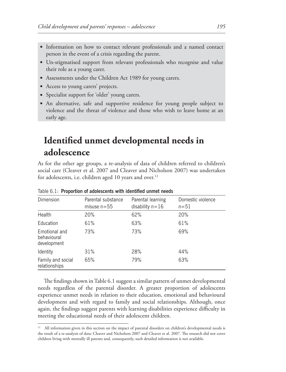- Information on how to contact relevant professionals and a named contact person in the event of a crisis regarding the parent.
- Un-stigmatised support from relevant professionals who recognise and value their role as a young carer.
- Assessments under the Children Act 1989 for young carers.
- Access to young carers' projects.
- Specialist support for 'older' young carers.
- An alternative, safe and supportive residence for young people subject to violence and the threat of violence and those who wish to leave home at an early age.

# **Identified unmet developmental needs in adolescence**

As for the other age groups, a re-analysis of data of children referred to children's social care (Cleaver et al. 2007 and Cleaver and Nicholson 2007) was undertaken for adolescents, i.e. children aged 10 years and over.<sup>12</sup>

| Dimension                                   | Parental substance | Parental learning   | Domestic violence |
|---------------------------------------------|--------------------|---------------------|-------------------|
|                                             | misuse $n = 55$    | disability $n = 16$ | $n = 51$          |
| Health                                      | 20%                | 62%                 | 20%               |
| Education                                   | 61%                | 63%                 | 61%               |
| Emotional and<br>behavioural<br>development | 73%                | 73%                 | 69%               |
| Identity                                    | 31%                | 28%                 | 44%               |
| Family and social<br>relationships          | 65%                | 79%                 | 63%               |

Table 6.1: **Proportion of adolescents with identified unmet needs**

The findings shown in Table 6.1 suggest a similar pattern of unmet developmental needs regardless of the parental disorder. A greater proportion of adolescents experience unmet needs in relation to their education, emotional and behavioural development and with regard to family and social relationships. Although, once again, the findings suggest parents with learning disabilities experience difficulty in meeting the educational needs of their adolescent children.

<sup>&</sup>lt;sup>12</sup> All information given in this section on the impact of parental disorders on children's developmental needs is the result of a re-analysis of data: Cleaver and Nicholson 2007 and Cleaver et al. 2007. The research did not cover children living with mentally ill parents and, consequently, such detailed information is not available.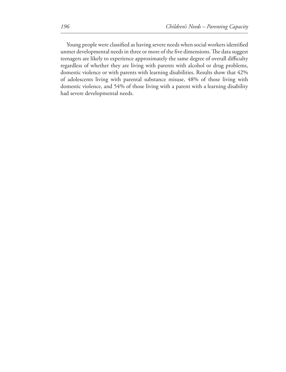Young people were classified as having severe needs when social workers identified unmet developmental needs in three or more of the five dimensions. The data suggest teenagers are likely to experience approximately the same degree of overall difficulty regardless of whether they are living with parents with alcohol or drug problems, domestic violence or with parents with learning disabilities. Results show that 42% of adolescents living with parental substance misuse, 48% of those living with domestic violence, and 54% of those living with a parent with a learning disability had severe developmental needs.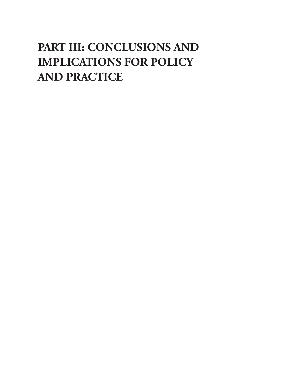# **PART III: CONCLUSIONS AND IMPLICATIONS FOR POLICY AND PRACTICE**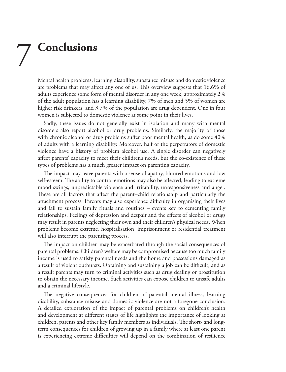# **Conclusions** 7

Mental health problems, learning disability, substance misuse and domestic violence are problems that may affect any one of us. This overview suggests that 16.6% of adults experience some form of mental disorder in any one week, approximately 2% of the adult population has a learning disability, 7% of men and 5% of women are higher risk drinkers, and 3.7% of the population are drug dependent. One in four women is subjected to domestic violence at some point in their lives.

Sadly, these issues do not generally exist in isolation and many with mental disorders also report alcohol or drug problems. Similarly, the majority of those with chronic alcohol or drug problems suffer poor mental health, as do some 40% of adults with a learning disability. Moreover, half of the perpetrators of domestic violence have a history of problem alcohol use. A single disorder can negatively affect parents' capacity to meet their children's needs, but the co-existence of these types of problems has a much greater impact on parenting capacity.

The impact may leave parents with a sense of apathy, blunted emotions and low self-esteem. The ability to control emotions may also be affected, leading to extreme mood swings, unpredictable violence and irritability, unresponsiveness and anger. These are all factors that affect the parent–child relationship and particularly the attachment process. Parents may also experience difficulty in organising their lives and fail to sustain family rituals and routines – events key to cementing family relationships. Feelings of depression and despair and the effects of alcohol or drugs may result in parents neglecting their own and their children's physical needs. When problems become extreme, hospitalisation, imprisonment or residential treatment will also interrupt the parenting process.

The impact on children may be exacerbated through the social consequences of parental problems. Children's welfare may be compromised because too much family income is used to satisfy parental needs and the home and possessions damaged as a result of violent outbursts. Obtaining and sustaining a job can be difficult, and as a result parents may turn to criminal activities such as drug dealing or prostitution to obtain the necessary income. Such activities can expose children to unsafe adults and a criminal lifestyle.

The negative consequences for children of parental mental illness, learning disability, substance misuse and domestic violence are not a foregone conclusion. A detailed exploration of the impact of parental problems on children's health and development at different stages of life highlights the importance of looking at children, parents and other key family members as individuals. The short- and longterm consequences for children of growing up in a family where at least one parent is experiencing extreme difficulties will depend on the combination of resilience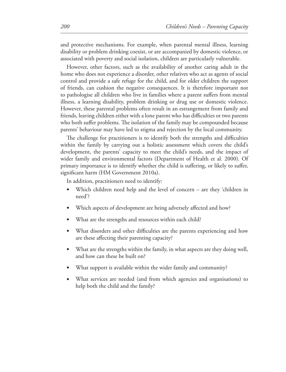and protective mechanisms. For example, when parental mental illness, learning disability or problem drinking coexist, or are accompanied by domestic violence, or associated with poverty and social isolation, children are particularly vulnerable.

However, other factors, such as the availability of another caring adult in the home who does not experience a disorder, other relatives who act as agents of social control and provide a safe refuge for the child, and for older children the support of friends, can cushion the negative consequences. It is therefore important not to pathologise all children who live in families where a parent suffers from mental illness, a learning disability, problem drinking or drug use or domestic violence. However, these parental problems often result in an estrangement from family and friends, leaving children either with a lone parent who has difficulties or two parents who both suffer problems. The isolation of the family may be compounded because parents' behaviour may have led to stigma and rejection by the local community.

The challenge for practitioners is to identify both the strengths and difficulties within the family by carrying out a holistic assessment which covers the child's development, the parents' capacity to meet the child's needs, and the impact of wider family and environmental factors (Department of Health et al. 2000). Of primary importance is to identify whether the child is suffering, or likely to suffer, significant harm (HM Government 2010a).

In addition, practitioners need to identify:

- Which children need help and the level of concern are they 'children in need'?
- Which aspects of development are being adversely affected and how?
- What are the strengths and resources within each child?
- What disorders and other difficulties are the parents experiencing and how are these affecting their parenting capacity?
- What are the strengths within the family, in what aspects are they doing well, and how can these be built on?
- What support is available within the wider family and community?
- What services are needed (and from which agencies and organisations) to help both the child and the family?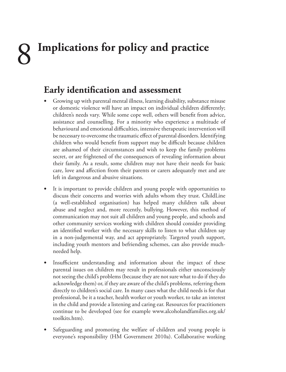# **Implications for policy and practice** 8

# **Early identification and assessment**

- Growing up with parental mental illness, learning disability, substance misuse or domestic violence will have an impact on individual children differently; children's needs vary. While some cope well, others will benefit from advice, assistance and counselling. For a minority who experience a multitude of behavioural and emotional difficulties, intensive therapeutic intervention will be necessary to overcome the traumatic effect of parental disorders. Identifying children who would benefit from support may be difficult because children are ashamed of their circumstances and wish to keep the family problems secret, or are frightened of the consequences of revealing information about their family. As a result, some children may not have their needs for basic care, love and affection from their parents or carers adequately met and are left in dangerous and abusive situations.
- It is important to provide children and young people with opportunities to discuss their concerns and worries with adults whom they trust. ChildLine (a well-established organisation) has helped many children talk about abuse and neglect and, more recently, bullying. However, this method of communication may not suit all children and young people, and schools and other community services working with children should consider providing an identified worker with the necessary skills to listen to what children say in a non-judgemental way, and act appropriately. Targeted youth support, including youth mentors and befriending schemes, can also provide muchneeded help.
- Insufficient understanding and information about the impact of these parental issues on children may result in professionals either unconsciously not seeing the child's problems (because they are not sure what to do if they do acknowledge them) or, if they are aware of the child's problems, referring them directly to children's social care. In many cases what the child needs is for that professional, be it a teacher, health worker or youth worker, to take an interest in the child and provide a listening and caring ear. Resources for practitioners continue to be developed (see for example www.alcoholandfamilies.org.uk/ toolkits.htm).
- Safeguarding and promoting the welfare of children and young people is everyone's responsibility (HM Government 2010a). Collaborative working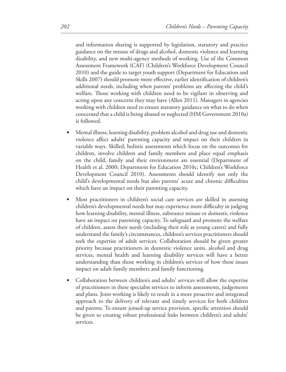and information sharing is supported by legislation, statutory and practice guidance on the misuse of drugs and alcohol, domestic violence and learning disability, and new multi-agency methods of working. Use of the Common Assessment Framework (CAF) (Children's Workforce Development Council 2010) and the guide to target youth support (Department for Education and Skills 2007) should promote more effective, earlier identification of children's additional needs, including when parents' problems are affecting the child's welfare. Those working with children need to be vigilant in observing and acting upon any concerns they may have (Allen 2011). Managers in agencies working with children need to ensure statutory guidance on what to do when concerned that a child is being abused or neglected (HM Government 2010a) is followed.

- Mental illness, learning disability, problem alcohol and drug use and domestic violence affect adults' parenting capacity and impact on their children in variable ways. Skilled, holistic assessments which focus on the outcomes for children, involve children and family members and place equal emphasis on the child, family and their environment are essential (Department of Health et al. 2000; Department for Education 2010c; Children's Workforce Development Council 2010). Assessments should identify not only the child's developmental needs but also parents' acute and chronic difficulties which have an impact on their parenting capacity.
- Most practitioners in children's social care services are skilled in assessing children's developmental needs but may experience more difficulty in judging how learning disability, mental illness, substance misuse or domestic violence have an impact on parenting capacity. To safeguard and promote the welfare of children, assess their needs (including their role as young carers) and fully understand the family's circumstances, children's services practitioners should seek the expertise of adult services. Collaboration should be given greater priority because practitioners in domestic violence units, alcohol and drug services, mental health and learning disability services will have a better understanding than those working in children's services of how these issues impact on adult family members and family functioning.
- Collaboration between children's and adults' services will allow the expertise of practitioners in these specialist services to inform assessments, judgements and plans. Joint working is likely to result in a more proactive and integrated approach to the delivery of relevant and timely services for both children and parents. To ensure joined-up service provision, specific attention should be given to creating robust professional links between children's and adults' services.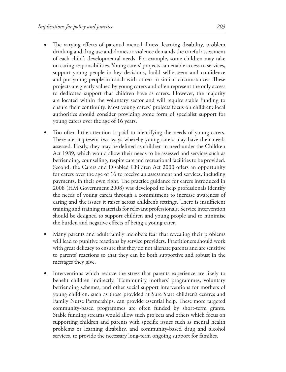- The varying effects of parental mental illness, learning disability, problem drinking and drug use and domestic violence demands the careful assessment of each child's developmental needs. For example, some children may take on caring responsibilities. Young carers' projects can enable access to services, support young people in key decisions, build self-esteem and confidence and put young people in touch with others in similar circumstances. These projects are greatly valued by young carers and often represent the only access to dedicated support that children have as carers. However, the majority are located within the voluntary sector and will require stable funding to ensure their continuity. Most young carers' projects focus on children; local authorities should consider providing some form of specialist support for young carers over the age of 16 years.
- Too often little attention is paid to identifying the needs of young carers. There are at present two ways whereby young carers may have their needs assessed. Firstly, they may be defined as children in need under the Children Act 1989, which would allow their needs to be assessed and services such as befriending, counselling, respite care and recreational facilities to be provided. Second, the Carers and Disabled Children Act 2000 offers an opportunity for carers over the age of 16 to receive an assessment and services, including payments, in their own right. The practice guidance for carers introduced in 2008 (HM Government 2008) was developed to help professionals identify the needs of young carers through a commitment to increase awareness of caring and the issues it raises across children's settings. There is insufficient training and training materials for relevant professionals. Service intervention should be designed to support children and young people and to minimise the burden and negative effects of being a young carer.
- Many parents and adult family members fear that revealing their problems will lead to punitive reactions by service providers. Practitioners should work with great delicacy to ensure that they do not alienate parents and are sensitive to parents' reactions so that they can be both supportive and robust in the messages they give.
- Interventions which reduce the stress that parents experience are likely to benefit children indirectly. 'Community mothers' programmes, voluntary befriending schemes, and other social support interventions for mothers of young children, such as those provided at Sure Start children's centres and Family Nurse Partnerships, can provide essential help. These more targeted community-based programmes are often funded by short-term grants. Stable funding streams would allow such projects and others which focus on supporting children and parents with specific issues such as mental health problems or learning disability, and community-based drug and alcohol services, to provide the necessary long-term ongoing support for families.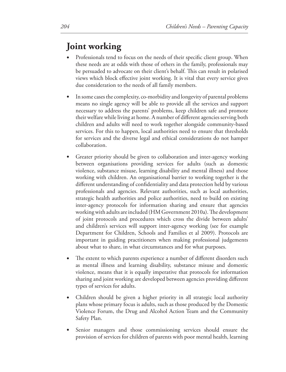# **Joint working**

- Professionals tend to focus on the needs of their specific client group. When these needs are at odds with those of others in the family, professionals may be persuaded to advocate on their client's behalf. This can result in polarised views which block effective joint working. It is vital that every service gives due consideration to the needs of all family members.
- In some cases the complexity, co-morbidity and longevity of parental problems means no single agency will be able to provide all the services and support necessary to address the parents' problems, keep children safe and promote their welfare while living at home. A number of different agencies serving both children and adults will need to work together alongside community-based services. For this to happen, local authorities need to ensure that thresholds for services and the diverse legal and ethical considerations do not hamper collaboration.
- Greater priority should be given to collaboration and inter-agency working between organisations providing services for adults (such as domestic violence, substance misuse, learning disability and mental illness) and those working with children. An organisational barrier to working together is the different understanding of confidentiality and data protection held by various professionals and agencies. Relevant authorities, such as local authorities, strategic health authorities and police authorities, need to build on existing inter-agency protocols for information sharing and ensure that agencies working with adults are included (HM Government 2010a). The development of joint protocols and procedures which cross the divide between adults' and children's services will support inter-agency working (see for example Department for Children, Schools and Families et al 2009). Protocols are important in guiding practitioners when making professional judgements about what to share, in what circumstances and for what purposes.
- The extent to which parents experience a number of different disorders such as mental illness and learning disability, substance misuse and domestic violence, means that it is equally imperative that protocols for information sharing and joint working are developed between agencies providing different types of services for adults.
- Children should be given a higher priority in all strategic local authority plans whose primary focus is adults, such as those produced by the Domestic Violence Forum, the Drug and Alcohol Action Team and the Community Safety Plan.
- Senior managers and those commissioning services should ensure the provision of services for children of parents with poor mental health, learning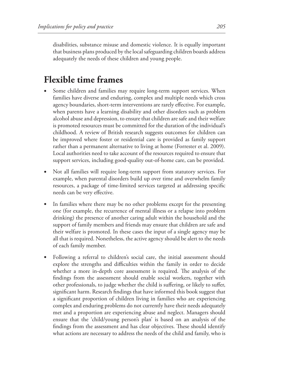disabilities, substance misuse and domestic violence. It is equally important that business plans produced by the local safeguarding children boards address adequately the needs of these children and young people.

## **Flexible time frames**

- Some children and families may require long-term support services. When families have diverse and enduring, complex and multiple needs which cross agency boundaries, short-term interventions are rarely effective. For example, when parents have a learning disability and other disorders such as problem alcohol abuse and depression, to ensure that children are safe and their welfare is promoted resources must be committed for the duration of the individual's childhood. A review of British research suggests outcomes for children can be improved where foster or residential care is provided as family support rather than a permanent alternative to living at home (Forrester et al. 2009). Local authorities need to take account of the resources required to ensure that support services, including good-quality out-of-home care, can be provided.
- Not all families will require long-term support from statutory services. For example, when parental disorders build up over time and overwhelm family resources, a package of time-limited services targeted at addressing specific needs can be very effective.
- In families where there may be no other problems except for the presenting one (for example, the recurrence of mental illness or a relapse into problem drinking) the presence of another caring adult within the household and the support of family members and friends may ensure that children are safe and their welfare is promoted. In these cases the input of a single agency may be all that is required. Nonetheless, the active agency should be alert to the needs of each family member.
- Following a referral to children's social care, the initial assessment should explore the strengths and difficulties within the family in order to decide whether a more in-depth core assessment is required. The analysis of the findings from the assessment should enable social workers, together with other professionals, to judge whether the child is suffering, or likely to suffer, significant harm. Research findings that have informed this book suggest that a significant proportion of children living in families who are experiencing complex and enduring problems do not currently have their needs adequately met and a proportion are experiencing abuse and neglect. Managers should ensure that the 'child/young person's plan' is based on an analysis of the findings from the assessment and has clear objectives. These should identify what actions are necessary to address the needs of the child and family, who is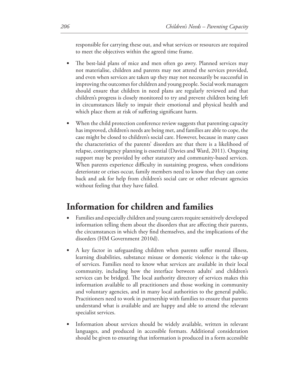responsible for carrying these out, and what services or resources are required to meet the objectives within the agreed time frame.

- The best-laid plans of mice and men often go awry. Planned services may not materialise, children and parents may not attend the services provided, and even when services are taken up they may not necessarily be successful in improving the outcomes for children and young people. Social work managers should ensure that children in need plans are regularly reviewed and that children's progress is closely monitored to try and prevent children being left in circumstances likely to impair their emotional and physical health and which place them at risk of suffering significant harm.
- When the child protection conference review suggests that parenting capacity has improved, children's needs are being met, and families are able to cope, the case might be closed to children's social care. However, because in many cases the characteristics of the parents' disorders are that there is a likelihood of relapse, contingency planning is essential (Davies and Ward, 2011). Ongoing support may be provided by other statutory and community-based services. When parents experience difficulty in sustaining progress, when conditions deteriorate or crises occur, family members need to know that they can come back and ask for help from children's social care or other relevant agencies without feeling that they have failed.

## **Information for children and families**

- Families and especially children and young carers require sensitively developed information telling them about the disorders that are affecting their parents, the circumstances in which they find themselves, and the implications of the disorders (HM Government 2010d).
- A key factor in safeguarding children when parents suffer mental illness, learning disabilities, substance misuse or domestic violence is the take-up of services. Families need to know what services are available in their local community, including how the interface between adults' and children's services can be bridged. The local authority directory of services makes this information available to all practitioners and those working in community and voluntary agencies, and in many local authorities to the general public. Practitioners need to work in partnership with families to ensure that parents understand what is available and are happy and able to attend the relevant specialist services.
- Information about services should be widely available, written in relevant languages, and produced in accessible formats. Additional consideration should be given to ensuring that information is produced in a form accessible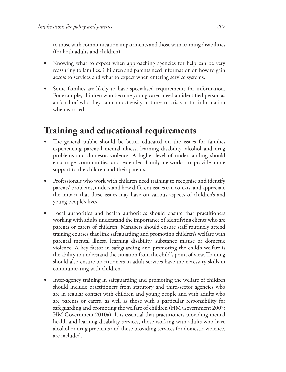to those with communication impairments and those with learning disabilities (for both adults and children).

- Knowing what to expect when approaching agencies for help can be very reassuring to families. Children and parents need information on how to gain access to services and what to expect when entering service systems.
- Some families are likely to have specialised requirements for information. For example, children who become young carers need an identified person as an 'anchor' who they can contact easily in times of crisis or for information when worried.

# **Training and educational requirements**

- The general public should be better educated on the issues for families experiencing parental mental illness, learning disability, alcohol and drug problems and domestic violence. A higher level of understanding should encourage communities and extended family networks to provide more support to the children and their parents.
- Professionals who work with children need training to recognise and identify parents' problems, understand how different issues can co-exist and appreciate the impact that these issues may have on various aspects of children's and young people's lives.
- Local authorities and health authorities should ensure that practitioners working with adults understand the importance of identifying clients who are parents or carers of children. Managers should ensure staff routinely attend training courses that link safeguarding and promoting children's welfare with parental mental illness, learning disability, substance misuse or domestic violence. A key factor in safeguarding and promoting the child's welfare is the ability to understand the situation from the child's point of view. Training should also ensure practitioners in adult services have the necessary skills in communicating with children.
- Inter-agency training in safeguarding and promoting the welfare of children should include practitioners from statutory and third-sector agencies who are in regular contact with children and young people and with adults who are parents or carers, as well as those with a particular responsibility for safeguarding and promoting the welfare of children (HM Government 2007; HM Government 2010a). It is essential that practitioners providing mental health and learning disability services, those working with adults who have alcohol or drug problems and those providing services for domestic violence, are included.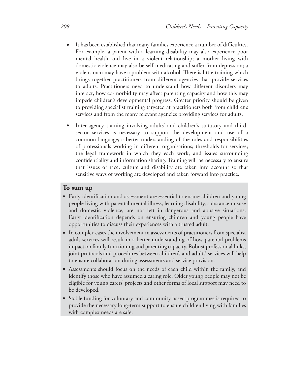- t It has been established that many families experience a number of difficulties. For example, a parent with a learning disability may also experience poor mental health and live in a violent relationship; a mother living with domestic violence may also be self-medicating and suffer from depression; a violent man may have a problem with alcohol. There is little training which brings together practitioners from different agencies that provide services to adults. Practitioners need to understand how different disorders may interact, how co-morbidity may affect parenting capacity and how this may impede children's developmental progress. Greater priority should be given to providing specialist training targeted at practitioners both from children's services and from the many relevant agencies providing services for adults.
- Inter-agency training involving adults' and children's statutory and thirdsector services is necessary to support the development and use of a common language; a better understanding of the roles and responsibilities of professionals working in different organisations; thresholds for services; the legal framework in which they each work; and issues surrounding confidentiality and information sharing. Training will be necessary to ensure that issues of race, culture and disability are taken into account so that sensitive ways of working are developed and taken forward into practice.

## **To sum up**

- Early identification and assessment are essential to ensure children and young people living with parental mental illness, learning disability, substance misuse and domestic violence, are not left in dangerous and abusive situations. Early identification depends on ensuring children and young people have opportunities to discuss their experiences with a trusted adult.
- In complex cases the involvement in assessments of practitioners from specialist adult services will result in a better understanding of how parental problems impact on family functioning and parenting capacity. Robust professional links, joint protocols and procedures between children's and adults' services will help to ensure collaboration during assessments and service provision.
- Assessments should focus on the needs of each child within the family, and identify those who have assumed a caring role. Older young people may not be eligible for young carers' projects and other forms of local support may need to be developed.
- Stable funding for voluntary and community based programmes is required to provide the necessary long-term support to ensure children living with families with complex needs are safe.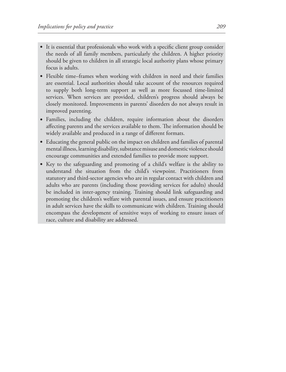- It is essential that professionals who work with a specific client group consider the needs of all family members, particularly the children. A higher priority should be given to children in all strategic local authority plans whose primary focus is adults.
- Flexible time–frames when working with children in need and their families are essential. Local authorities should take account of the resources required to supply both long-term support as well as more focussed time-limited services. When services are provided, children's progress should always be closely monitored. Improvements in parents' disorders do not always result in improved parenting.
- Families, including the children, require information about the disorders affecting parents and the services available to them. The information should be widely available and produced in a range of different formats.
- Educating the general public on the impact on children and families of parental mental illness, learning disability, substance misuse and domestic violence should encourage communities and extended families to provide more support.
- Key to the safeguarding and promoting of a child's welfare is the ability to understand the situation from the child's viewpoint. Practitioners from statutory and third-sector agencies who are in regular contact with children and adults who are parents (including those providing services for adults) should be included in inter-agency training. Training should link safeguarding and promoting the children's welfare with parental issues, and ensure practitioners in adult services have the skills to communicate with children. Training should encompass the development of sensitive ways of working to ensure issues of race, culture and disability are addressed.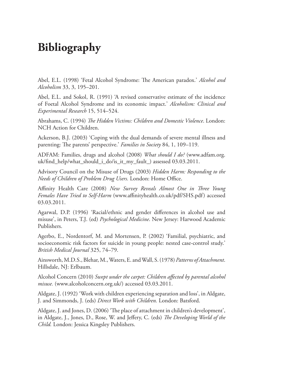# **Bibliography**

Abel, E.L. (1998) 'Fetal Alcohol Syndrome: The American paradox.' *Alcohol and Alcoholism* 33, 3, 195–201.

Abel, E.L. and Sokol, R. (1991) 'A revised conservative estimate of the incidence of Foetal Alcohol Syndrome and its economic impact.' *Alcoholism: Clinical and Experimental Research* 15, 514–524.

Abrahams, C. (1994) *The Hidden Victims: Children and Domestic Violence*. London: NCH Action for Children.

Ackerson, B.J. (2003) 'Coping with the dual demands of severe mental illness and parenting: The parents' perspective.' *Families in Society* 84, 1, 109–119.

ADFAM: Families, drugs and alcohol (2008) *What should I do?* (www.adfam.org. uk/find\_help/what\_should\_i\_do/is\_it\_my\_fault\_) assessed 03.03.2011.

Advisory Council on the Misuse of Drugs (2003) *Hidden Harm: Responding to the Needs of Children of Problem Drug Users.* London: Home Office.

Affinity Health Care (2008) *New Survey Reveals Almost One in Three Young Females Have Tried to Self-Harm* (www.affinityhealth.co.uk/pdf/SHS.pdf) accessed 03.03.2011.

Agarwal, D.P. (1996) 'Racial/ethnic and gender differences in alcohol use and misuse', in Peters, T.J. (ed) *Psychological Medicine*. New Jersey: Harwood Academic Publishers.

Agerbo, E., Nordentorf, M. and Mortensen, P. (2002) 'Familial, psychiatric, and socioeconomic risk factors for suicide in young people: nested case-control study.' *British Medical Journal* 325, 74–79.

Ainsworth, M.D.S., Blehar, M., Waters, E. and Wall, S. (1978) *Patterns of Attachment*. Hillsdale, NJ: Erlbaum.

Alcohol Concern (2010) *Swept under the carpet: Children affected by parental alcohol misuse.* (www.alcoholconcern.org.uk/) accessed 03.03.2011.

Aldgate, J. (1992) 'Work with children experiencing separation and loss', in Aldgate, J. and Simmonds, J. (eds) *Direct Work with Children.* London: Batsford.

Aldgate, J. and Jones, D. (2006) 'The place of attachment in children's development', in Aldgate, J., Jones, D., Rose, W. and Jeffery, C. (eds) *The Developing World of the Child.* London: Jessica Kingsley Publishers.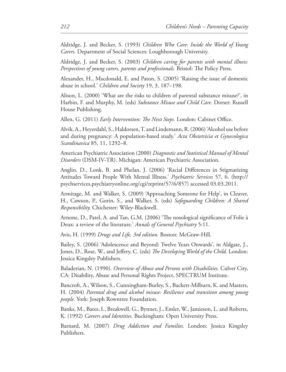Aldridge, J. and Becker, S. (1993) *Children Who Care: Inside the World of Young Carers.* Department of Social Sciences: Loughborough University.

Aldridge, J. and Becker, S. (2003) *Children caring for parents with mental illness: Perspectives of young carers, parents and professionals.* Bristol: The Policy Press.

Alexander, H., Macdonald, E. and Paton, S. (2005) 'Raising the issue of domestic abuse in school.' *Children and Society* 19, 3, 187–198.

Alison, L. (2000) 'What are the risks to children of parental substance misuse?', in Harbin, F. and Murphy, M. (eds) *Substance Misuse and Child Care.* Dorset: Russell House Publishing.

Allen, G. (2011) *Early Intervention: The Next Steps.* London: Cabinet Office.

Alvik, A., Heyerdahl, S., Haldorsen, T. and Lindemann, R. (2006) 'Alcohol use before and during pregnancy: A population-based study.' *Acta Obstetricia et Gynecologica Scandinavica* 85, 11, 1292–8.

American Psychiatric Association (2000) *Diagnostic and Statistical Manual of Mental Disorders* (DSM-IV-TR). Michigan: American Psychiatric Association.

Anglin, D., Lonk, B. and Phelan, J. (2006) 'Racial Differences in Stigmatizing Attitudes Toward People With Mental Illness.' *Psychiatric Services* 57, 6. (http:// psychservices.psychiatryonline.org/cgi/reprint/57/6/857) accessed 03.03.2011.

Armitage, M. and Walker, S. (2009) 'Approaching Someone for Help', in Cleaver, H., Cawson, P., Gorin, S., and Walker, S. (eds) *Safeguarding Children: A Shared Responsibility.* Chichester: Wiley-Blackwell.

Arnone, D., Patel, A. and Tan, G.M. (2006) 'The nosological significance of Folie à Deux: a review of the literature.' *Annals of General Psychiatry* 5:11.

Avis, H. (1999) *Drugs and Life, 3rd edition.* Boston: McGraw-Hill.

Bailey, S. (2006) 'Adolescence and Beyond: Twelve Years Onwards', in Aldgate, J., Jones, D., Rose, W., and Jeffery, C. (eds) *The Developing World of the Child.* London: Jessica Kingsley Publishers.

Baladerian, N. (1990). *Overview of Abuse and Persons with Disabilities.* Culver City, CA: Disability, Abuse and Personal Rights Project, SPECTRUM Institute.

Bancroft, A., Wilson, S., Cunningham-Burley, S., Backett-Milburn, K. and Masters, H. (2004) *Parental drug and alcohol misuse: Resilience and transition among young people.* York: Joseph Rowntree Foundation.

Banks, M., Bates, I., Breakwell, G., Bynner, J., Emler, W., Jamieson, L. and Roberts, K. (1992) *Careers and Identities.* Buckingham: Open University Press.

Barnard, M. (2007) *Drug Addiction and Families.* London: Jessica Kingsley Publishers.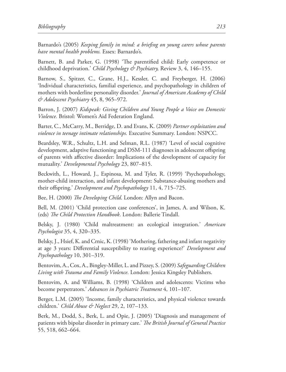Barnardo's (2005) *Keeping family in mind: a briefing on young carers whose parents have mental health problems.* Essex: Barnardo's.

Barnett, B. and Parker, G. (1998) 'The parentified child: Early competence or childhood deprivation.' *Child Psychology & Psychiatry,* Review 3, 4, 146–155.

Barnow, S., Spitzer, C., Grane, H.J., Kessler, C. and Freyberger, H. (2006) 'Individual characteristics, familial experience, and psychopathology in children of mothers with borderline personality disorder.' *Journal of American Academy of Child & Adolescent Psychiatry* 45, 8, 965–972.

Barron, J. (2007) *Kidspeak: Giving Children and Young People a Voice on Domestic Violence.* Bristol: Women's Aid Federation England.

Barter, C., McCarry, M., Berridge, D. and Evans, K. (2009) *Partner exploitation and violence in teenage intimate relationships.* Executive Summary. London: NSPCC.

Beardsley, W.R., Schultz, L.H. and Selman, R.L. (1987) 'Level of social cognitive development, adaptive functioning and DSM-111 diagnoses in adolescent offspring of parents with affective disorder: Implications of the development of capacity for mutuality.' *Developmental Psychology* 23, 807–815.

Beckwith, L., Howard, J., Espinosa, M. and Tyler, R. (1999) 'Psychopathology, mother-child interaction, and infant development: Substance-abusing mothers and their offspring.' *Development and Psychopathology* 11, 4, 715–725.

Bee, H. (2000) *The Developing Child*. London: Allyn and Bacon.

Bell, M. (2001) 'Child protection case conferences', in James, A. and Wilson, K. (eds) *The Child Protection Handbook*. London: Ballerie Tindall.

Belsky, J. (1980) 'Child maltreatment: an ecological integration.' *American Psychologist* 35, 4, 320–335.

Belsky, J., Hsief, K. and Crnic, K. (1998) 'Mothering, fathering and infant negativity at age 3 years: Differential susceptibility to rearing experience?' *Development and Psychopathology* 10, 301–319.

Bentovim, A., Cox, A., Bingley-Miller, L. and Pizzey, S. (2009) *Safeguarding Children Living with Trauma and Family Violence*. London: Jessica Kingsley Publishers.

Bentovim, A. and Williams, B. (1998) 'Children and adolescents: Victims who become perpetrators.' *Advances in Psychiatric Treatment* 4, 101–107.

Berger, L.M. (2005) 'Income, family characteristics, and physical violence towards children.' *Child Abuse & Neglect* 29, 2, 107–133.

Berk, M., Dodd, S., Berk, L. and Opie, J. (2005) 'Diagnosis and management of patients with bipolar disorder in primary care.' *The British Journal of General Practice* 55, 518, 662–664.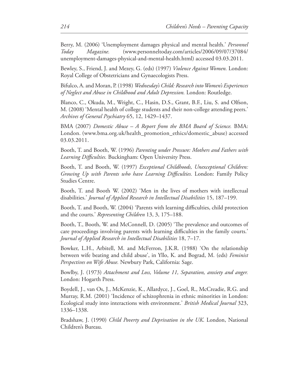Berry, M. (2006) 'Unemployment damages physical and mental health.' *Personnel Today Magazine.* (www.personneltoday.com/articles/2006/09/07/37084/ unemployment-damages-physical-and-mental-health.html) accessed 03.03.2011.

Bewley, S., Friend, J. and Mezey, G. (eds) (1997) *Violence Against Women.* London: Royal College of Obstetricians and Gynaecologists Press.

Bifulco, A. and Moran, P. (1998) *Wednesday's Child: Research into Women's Experiences of Neglect and Abuse in Childhood and Adult Depression.* London: Routledge.

Blanco, C., Okuda, M., Wright, C., Hasin, D.S., Grant, B.F., Liu, S. and Olfson, M. (2008) 'Mental health of college students and their non-college attending peers.' *Archives of General Psychiatry* 65, 12, 1429–1437.

BMA (2007) *Domestic Abuse – A Report from the BMA Board of Science.* BMA: London. (www.bma.org.uk/health\_promotion\_ethics/domestic\_abuse) accessed 03.03.2011.

Booth, T. and Booth, W. (1996) *Parenting under Pressure: Mothers and Fathers with Learning Difficulties.* Buckingham: Open University Press.

Booth, T. and Booth, W. (1997) *Exceptional Childhoods, Unexceptional Children: Growing Up with Parents who have Learning Difficulties.* London: Family Policy Studies Centre.

Booth, T. and Booth W. (2002) 'Men in the lives of mothers with intellectual disabilities.' *Journal of Applied Research in Intellectual Disabilities* 15, 187–199.

Booth, T. and Booth, W. (2004) 'Parents with learning difficulties, child protection and the courts.' *Representing Children* 13, 3, 175–188.

Booth, T., Booth, W. and McConnell, D. (2005) 'The prevalence and outcomes of care proceedings involving parents with learning difficulties in the family courts.' *Journal of Applied Research in Intellectual Disabilities* 18, 7–17.

Bowker, L.H., Arbitell, M. and McFerron, J.K.R. (1988) 'On the relationship between wife beating and child abuse', in Yllo, K. and Bograd, M. (eds) *Feminist Perspectives on Wife Abuse.* Newbury Park, California: Sage.

Bowlby, J. (1973) *Attachment and Loss, Volume 11, Separation, anxiety and anger.* London: Hogarth Press.

Boydell, J., van Os, J., McKenzie, K., Allardyce, J., Goel, R., McCreadie, R.G. and Murray, R.M. (2001) 'Incidence of schizophrenia in ethnic minorities in London: Ecological study into interactions with environment.' *British Medical Journal* 323, 1336–1338.

Bradshaw, J. (1990) *Child Poverty and Deprivation in the UK*. London, National Children's Bureau.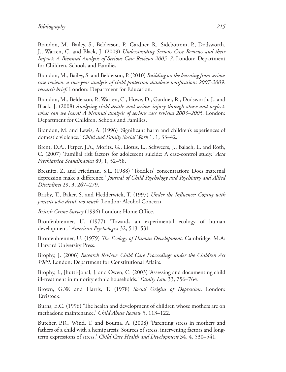Brandon, M., Bailey, S., Belderson, P., Gardner, R., Sidebottom, P., Dodsworth, J., Warren, C. and Black, J. (2009) *Understanding Serious Case Reviews and their Impact: A Biennial Analysis of Serious Case Reviews 2005–7*. London: Department for Children, Schools and Families.

Brandon, M., Bailey, S. and Belderson, P. (2010) *Building on the learning from serious case reviews: a two-year analysis of child protection database notifications 2007-2009: research brief.* London: Department for Education.

Brandon, M., Belderson, P., Warren, C., Howe, D., Gardner, R., Dodsworth, J., and Black, J. (2008) *Analysing child deaths and serious injury through abuse and neglect: what can we learn? A biennial analysis of serious case reviews 2003–2005*. London: Department for Children, Schools and Families.

Brandon, M. and Lewis, A. (1996) 'Significant harm and children's experiences of domestic violence.' *Child and Family Social Work* 1, 1, 33–42.

Brent, D.A., Perper, J.A., Moritz, G., Liotus, L., Schweers, J., Balach, L. and Roth, C. (2007) 'Familial risk factors for adolescent suicide: A case-control study.' *Acta Psychiatrica Scandinavica* 89, 1, 52–58.

Breznitz, Z. and Friedman, S.L. (1988) 'Toddlers' concentration: Does maternal depression make a difference.' *Journal of Child Psychology and Psychiatry and Allied Disciplines* 29, 3, 267–279.

Brisby, T., Baker, S. and Hedderwick, T. (1997) *Under the Influence: Coping with parents who drink too much*. London: Alcohol Concern.

*British Crime Survey* (1996) London: Home Office.

Bronfenbrenner, U. (1977) 'Towards an experimental ecology of human development.' *American Psychologist* 32, 513–531.

Bronfenbrenner, U. (1979) *The Ecology of Human Development*. Cambridge. M.A: Harvard University Press.

Brophy, J. (2006) *Research Review: Child Care Proceedings under the Children Act 1989*. London: Department for Constitutional Affairs.

Brophy, J., Jhutti-Johal, J. and Owen, C. (2003) 'Assessing and documenting child ill-treatment in minority ethnic households.' *Family Law* 33, 756–764.

Brown, G.W. and Harris, T. (1978) *Social Origins of Depression*. London: Tavistock.

Burns, E.C. (1996) 'The health and development of children whose mothers are on methadone maintenance.' *Child Abuse Review* 5, 113–122.

Butcher, P.R., Wind, T. and Bouma, A. (2008) 'Parenting stress in mothers and fathers of a child with a hemiparesis: Sources of stress, intervening factors and longterm expressions of stress.' *Child Care Health and Development* 34, 4, 530–541.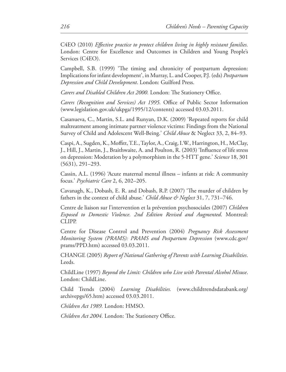C4EO (2010) *Effective practice to protect children living in highly resistant families.*  London: Centre for Excellence and Outcomes in Children and Young People's Services (C4EO).

Campbell, S.B. (1999) 'The timing and chronicity of postpartum depression: Implications for infant development', in Murray, L. and Cooper, P.J. (eds) *Postpartum Depression and Child Development*. London: Guilford Press.

*Carers and Disabled Children Act 2000.* London: The Stationery Office.

*Carers (Recognition and Services) Act 1995.* Office of Public Sector Information (www.legislation.gov.uk/ukpga/1995/12/contents) accessed 03.03.2011.

Casanueva, C., Martin, S.L. and Runyan, D.K. (2009) 'Repeated reports for child maltreatment among intimate partner violence victims: Findings from the National Survey of Child and Adolescent Well-Being.' *Child Abuse* & Neglect 33, 2, 84–93.

Caspi, A., Sugden, K., Moffitt, T.E., Taylor, A., Craig, I.W., Harrington, H., McClay, J., Hill, J., Martin, J., Braithwaite, A. and Poulton, R. (2003) 'Influence of life stress on depression: Moderation by a polymorphism in the 5-HTT gene.' *Science* 18, 301 (5631), 291–293.

Cassin, A.L. (1996) 'Acute maternal mental illness – infants at risk: A community focus.' *Psychiatric Care* 2, 6, 202–205.

Cavanagh, K., Dobash, E. R. and Dobash, R.P. (2007) 'The murder of children by fathers in the context of child abuse.' *Child Abuse & Neglect* 31, 7, 731–746.

Centre de liaison sur l'intervention et la prévention psychosociales (2007) *Children Exposed to Domestic Violence. 2nd Edition Revised and Augmented*. Montreal: CLIPP.

Centre for Disease Control and Prevention (2004) *Pregnancy Risk Assessment Monitoring System (PRAMS): PRAMS and Postpartum Depression* (www.cdc.gov/ prams/PPD.htm) accessed 03.03.2011.

CHANGE (2005) *Report of National Gathering of Parents with Learning Disabilities*. Leeds.

ChildLine (1997) *Beyond the Limit: Children who Live with Parental Alcohol Misuse*. London: ChildLine.

Child Trends (2004) *Learning Disabilities.* (www.childtrendsdatabank.org/ archivepgs/65.htm) accessed 03.03.2011.

*Children Act 1989.* London: HMSO.

*Children Act 2004.* London: The Stationery Office.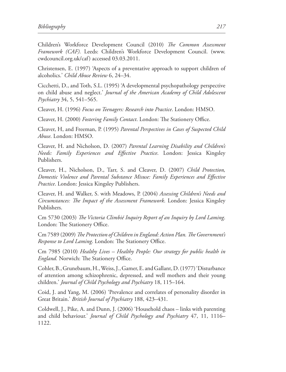Children's Workforce Development Council (2010) *The Common Assessment Framework (CAF).* Leeds: Children's Workforce Development Council. (www. cwdcouncil.org.uk/caf) accessed 03.03.2011.

Christensen, E. (1997) 'Aspects of a preventative approach to support children of alcoholics.' *Child Abuse Review* 6, 24–34.

Cicchetti, D., and Toth, S.L. (1995) 'A developmental psychopathology perspective on child abuse and neglect.' *Journal of the American Academy of Child Adolescent Psychiatry* 34, 5, 541–565.

Cleaver, H. (1996) *Focus on Teenagers: Research into Practice*. London: HMSO.

Cleaver, H. (2000) *Fostering Family Contact*. London: The Stationery Office.

Cleaver, H, and Freeman, P. (1995) *Parental Perspectives in Cases of Suspected Child Abuse*. London: HMSO.

Cleaver, H. and Nicholson, D. (2007) *Parental Learning Disability and Children's Needs: Family Experiences and Effective Practice*. London: Jessica Kingsley Publishers.

Cleaver, H., Nicholson, D., Tarr, S. and Cleaver, D. (2007) *Child Protection, Domestic Violence and Parental Substance Misuse: Family Experiences and Effective Practice*. London: Jessica Kingsley Publishers.

Cleaver, H. and Walker, S. with Meadows, P. (2004) *Assessing Children's Needs and Circumstances: The Impact of the Assessment Framework*. London: Jessica Kingsley Publishers.

Cm 5730 (2003) *The Victoria Climbié Inquiry Report of an Inquiry by Lord Laming*. London: The Stationery Office.

Cm 7589 (2009) *The Protection of Children in England: Action Plan. The Government's Response to Lord Laming*. London: The Stationery Office.

Cm 7985 (2010) *Healthy Lives – Healthy People: Our strategy for public health in England.* Norwich: The Stationery Office.

Cohler, B., Grunebaum, H., Weiss, J., Gamer, E. and Gallant, D. (1977) 'Disturbance of attention among schizophrenic, depressed, and well mothers and their young children.' *Journal of Child Psychology and Psychiatry* 18, 115–164.

Coid, J. and Yang, M. (2006) 'Prevalence and correlates of personality disorder in Great Britain.' *British Journal of Psychiatry* 188, 423–431.

Coldwell, J., Pike, A. and Dunn, J. (2006) 'Household chaos – links with parenting and child behaviour.' *Journal of Child Psychology and Psychiatry* 47, 11, 1116– 1122.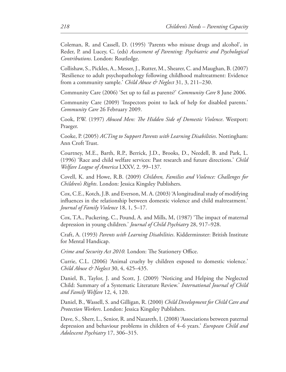Coleman, R. and Cassell, D. (1995) 'Parents who misuse drugs and alcohol', in Reder, P. and Lucey, C. (eds) *Assessment of Parenting: Psychiatric and Psychological Contributions*. London: Routledge.

Collishaw, S., Pickles, A., Messer, J., Rutter, M., Shearer, C. and Maughan, B. (2007) 'Resilience to adult psychopathology following childhood maltreatment: Evidence from a community sample.' *Child Abuse & Neglect* 31, 3, 211–230.

Community Care (2006) 'Set up to fail as parents?' *Community Care* 8 June 2006.

Community Care (2009) 'Inspectors point to lack of help for disabled parents.' *Community Care* 26 February 2009.

Cook, P.W. (1997) *Abused Men: The Hidden Side of Domestic Violence*. Westport: Praeger.

Cooke, P. (2005) *ACTing to Support Parents with Learning Disabilities*. Nottingham: Ann Croft Trust.

Courtney, M.E., Barth, R.P., Berrick, J.D., Brooks, D., Needell, B. and Park, L. (1996) 'Race and child welfare services: Past research and future directions.' *Child Welfare League of America* LXXV, 2. 99–137.

Covell, K. and Howe, R.B. (2009) *Children, Families and Violence: Challenges for Children's Rights*. London: Jessica Kingsley Publishers.

Cox, C.E., Kotch, J.B. and Everson, M. A. (2003) 'A longitudinal study of modifying influences in the relationship between domestic violence and child maltreatment.' *Journal of Family Violence* 18, 1, 5–17.

Cox, T.A., Puckering, C., Pound, A. and Mills, M, (1987) 'The impact of maternal depression in young children.' *Journal of Child Psychiatry* 28, 917–928.

Craft, A. (1993) *Parents with Learning Disabilities*. Kidderminster: British Institute for Mental Handicap.

*Crime and Security Act 2010.* London: The Stationery Office.

Currie, C.L. (2006) 'Animal cruelty by children exposed to domestic violence.' *Child Abuse & Neglect* 30, 4, 425–435.

Daniel, B., Taylor, J. and Scott, J. (2009) 'Noticing and Helping the Neglected Child: Summary of a Systematic Literature Review.' *International Journal of Child and Family Welfare* 12, 4, 120.

Daniel, B., Wassell, S. and Gilligan, R. (2000) *Child Development for Child Care and Protection Workers*. London: Jessica Kingsley Publishers.

Dave, S., Sherr, L., Senior, R. and Nazareth, I. (2008) 'Associations between paternal depression and behaviour problems in children of 4–6 years.' *European Child and Adolescent Psychiatry* 17, 306–315.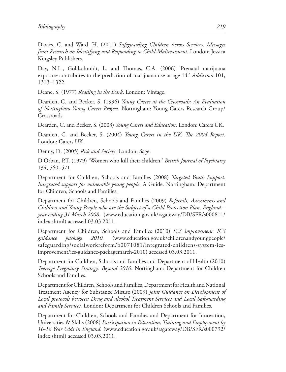Davies, C. and Ward, H. (2011) *Safeguarding Children Across Services: Messages from Research on Identifying and Responding to Child Maltreatment*. London: Jessica Kingsley Publishers.

Day, N.L., Goldschmidt, L. and Thomas, C.A. (2006) 'Prenatal marijuana exposure contributes to the prediction of marijuana use at age 14.' *Addiction* 101, 1313–1322.

Deane, S. (1977) *Reading in the Dark*. London: Vintage.

Dearden, C. and Becker, S. (1996) *Young Carers at the Crossroads: An Evaluation of Nottingham Young Carers Project*. Nottingham: Young Carers Research Group/ Crossroads.

Dearden, C. and Becker, S. (2003) *Young Carers and Education*. London: Carers UK.

Dearden, C. and Becker, S. (2004) *Young Carers in the UK: The 2004 Report*. London: Carers UK.

Denny, D. (2005) *Risk and Society*. London: Sage.

D'Orban, P.T. (1979) 'Women who kill their children.' *British Journal of Psychiatry*  134, 560–571.

Department for Children, Schools and Families (2008) *Targeted Youth Support: Integrated support for vulnerable young people.* A Guide. Nottingham: Department for Children, Schools and Families.

Department for Children, Schools and Families (2009) *Referrals, Assessments and Children and Young People who are the Subject of a Child Protection Plan, England – year ending 31 March 2008.* (www.education.gov.uk/rsgateway/DB/SFR/s000811/ index.shtml) accessed 03.03 2011.

Department for Children, Schools and Families (2010) *ICS improvement: ICS guidance package 2010.* (www.education.gov.uk/childrenandyoungpeople/ safeguarding/socialworkreform/b0071081/integrated-childrens-system-icsimprovement/ics-guidance-packagemarch-2010) accessed 03.03.2011.

Department for Children, Schools and Families and Department of Health (2010) *Teenage Pregnancy Strategy: Beyond 2010.* Nottingham: Department for Children Schools and Families.

Department for Children, Schools and Families, Department for Health and National Treatment Agency for Substance Misuse (2009) *Joint Guidance on Development of Local protocols between Drug and alcohol Treatment Services and Local Safeguarding and Family Services.* London: Department for Children Schools and Families.

Department for Children, Schools and Families and Department for Innovation, Universities & Skills (2008) *Participation in Education, Training and Employment by 16-18 Year Olds in England.* (www.education.gov.uk/rsgateway/DB/SFR/s000792/ index.shtml) accessed 03.03.2011.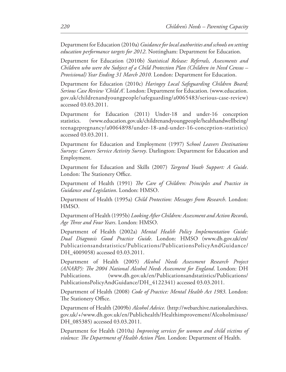Department for Education (2010a) *Guidance for local authorities and schools on setting education performance targets for 2012*. Nottingham: Department for Education.

Department for Education (2010b) *Statistical Release: Referrals, Assessments and Children who were the Subject of a Child Protection Plan (Children in Need Census – Provisional) Year Ending 31 March 2010.* London: Department for Education.

Department for Education (2010c) *Haringey Local Safeguarding Children Board; Serious Case Review 'Child A'.* London: Department for Education. (www.education. gov.uk/childrenandyoungpeople/safeguarding/a0065483/serious-case-review) accessed 03.03.2011.

Department for Education (2011) Under-18 and under-16 conception statistics. (www.education.gov.uk/childrenandyoungpeople/healthandwellbeing/ teenagepregnancy/a0064898/under-18-and-under-16-conception-statistics) accessed 03.03.2011.

Department for Education and Employment (1997) S*chool Leavers Destinations Surveys: Careers Service Activity Survey*. Darlington: Department for Education and Employment.

Department for Education and Skills (2007) *Targeted Youth Support: A Guide*. London: The Stationery Office.

Department of Health (1991) *The Care of Children: Principles and Practice in Guidance and Legislation*. London: HMSO.

Department of Health (1995a) *Child Protection: Messages from Research*. London: HMSO.

Department of Health (1995b) *Looking After Children: Assessment and Action Records, Age Three and Four Years*. London: HMSO.

Department of Health (2002a) *Mental Health Policy Implementation Guide: Dual Diagnosis Good Practice Guide*. London: HMSO (www.dh.gov.uk/en/ Publicationsandstatistics/Publications/PublicationsPolicyAndGuidance/ DH\_4009058) accessed 03.03.2011.

Department of Health (2005) *Alcohol Needs Assessment Research Project (ANARP): The 2004 National Alcohol Needs Assessment for England*. London: DH Publications. (www.dh.gov.uk/en/Publicationsandstatistics/Publications/ PublicationsPolicyAndGuidance/DH\_4122341) accessed 03.03.2011.

Department of Health (2008) *Code of Practice: Mental Health Act 1983*. London: The Stationery Office.

Department of Health (2009b) *Alcohol Advice.* (http://webarchive.nationalarchives. gov.uk/+/www.dh.gov.uk/en/Publichealth/Healthimprovement/Alcoholmisuse/ DH\_085385) accessed 03.03.2011.

Department for Health (2010a) *Improving services for women and child victims of violence: The Department of Health Action Plan.* London: Department of Health.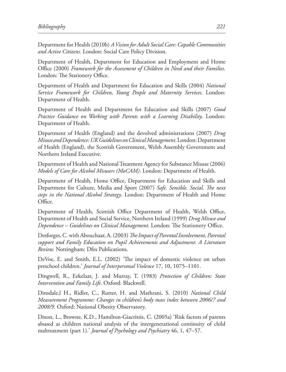Department for Health (2010b) *A Vision for Adult Social Care: Capable Communities and Active Citizens.* London: Social Care Policy Division.

Department of Health, Department for Education and Employment and Home Office (2000) *Framework for the Assessment of Children in Need and their Families*. London: The Stationery Office.

Department of Health and Department for Education and Skills (2004) *National Service Framework for Children, Young People and Maternity Services*. London: Department of Health.

Department of Health and Department for Education and Skills (2007) *Good Practice Guidance on Working with Parents with a Learning Disability*. London: Department of Health.

Department of Health (England) and the devolved administrations (2007) *Drug Misuse and Dependence: UK Guidelines on Clinical Management*. London: Department of Health (England), the Scottish Government, Welsh Assembly Government and Northern Ireland Executive.

Department of Health and National Treatment Agency for Substance Misuse (2006) *Models of Care for Alcohol Misusers (MoCAM)*. London: Department of Health.

Department of Health, Home Office, Department for Education and Skills and Department for Culture, Media and Sport (2007) *Safe. Sensible. Social. The next steps in the National Alcohol Strategy*. London: Department of Health and Home Office.

Department of Health, Scottish Office Department of Health, Welsh Office, Department of Health and Social Service, Northern Ireland (1999) *Drug Misuse and Dependence – Guidelines on Clinical Management*. London: The Stationery Office.

Desforges, C. with Abouchaar, A. (2003) *The Impact of Parental Involvement, Parental support and Family Education on Pupil Achievements and Adjustment: A Literature Review.* Nottingham: Dfes Publications.

DeVoe, E. and Smith, E.L. (2002) 'The impact of domestic violence on urban preschool children.' *Journal of Interpersonal Violence* 17, 10, 1075–1101.

Dingwell, R., Eekelaar, J. and Murray, T. (1983) *Protection of Children: State Intervention and Family Life*. Oxford: Blackwell.

Dinsdale,l H., Ridler, C., Rutter, H. and Mathrani, S. (2010) *National Child Measurement Programme: Changes in children's body mass index between 2006/7 and 2008/9.* Oxford: National Obesity Observatory.

Dixon, L., Browne, K.D., Hamilton-Giacritsis, C. (2005a) 'Risk factors of parents abused as children national analysis of the intergenerational continuity of child maltreatment (part 1).' *Journal of Psychology and Psychiatry* 46, 1, 47–57.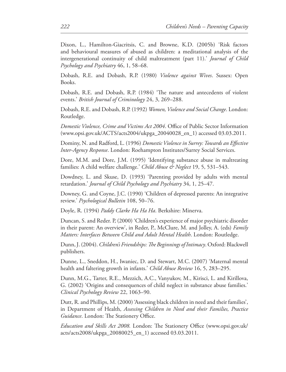Dixon, L., Hamilton-Giacritsis, C. and Browne, K.D. (2005b) 'Risk factors and behavioural measures of abused as children: a meditational analysis of the intergenerational continuity of child maltreatment (part 11).' *Journal of Child Psychology and Psychiatry* 46, 1, 58–68.

Dobash, R.E. and Dobash, R.P. (1980) *Violence against Wives*. Sussex: Open Books.

Dobash, R.E. and Dobash, R.P. (1984) 'The nature and antecedents of violent events.' *British Journal of Criminology* 24, 3, 269–288.

Dobash, R.E. and Dobash, R.P. (1992) *Women, Violence and Social Change*. London: Routledge.

*Domestic Violence, Crime and Victims Act 2004*. Office of Public Sector Information (www.opsi.gov.uk/ACTS/acts2004/ukpga\_20040028\_en\_1) accessed 03.03.2011.

Dominy, N. and Radford, L. (1996) *Domestic Violence in Surrey: Towards an Effective Inter-Agency Response*. London: Roehampton Institutes/Surrey Social Services.

Dore, M.M. and Dore, J.M. (1995) 'Identifying substance abuse in maltreating families: A child welfare challenge.' *Child Abuse & Neglect* 19, 5, 531–543.

Dowdney, L. and Skuse, D. (1993) 'Parenting provided by adults with mental retardation.' *Journal of Child Psychology and Psychiatry* 34, 1, 25–47.

Downey, G. and Coyne, J.C. (1990) 'Children of depressed parents: An integrative review.' *Psychological Bulletin* 108, 50–76.

Doyle, R. (1994) *Paddy Clarke Ha Ha Ha*. Berkshire: Minerva.

Duncan, S. and Reder. P, (2000) 'Children's experience of major psychiatric disorder in their parent: An overview', in Reder, P., McClure, M. and Jolley, A. (eds) *Family Matters: Interfaces Between Child and Adult Mental Health*. London: Routledge.

Dunn, J. (2004). *Children's Friendships: The Beginnings of Intimacy*. Oxford: Blackwell publishers.

Dunne, L., Sneddon, H., Iwaniec, D. and Stewart, M.C. (2007) 'Maternal mental health and faltering growth in infants.' *Child Abuse Review* 16, 5, 283–295.

Dunn, M.G., Tarter, R.E., Mezzich, A.C., Vanyukov, M., Kirisci, L. and Kirillova, G. (2002) 'Origins and consequences of child neglect in substance abuse families.' *Clinical Psychology Review* 22, 1063–90.

Dutt, R. and Phillips, M. (2000) 'Assessing black children in need and their families', in Department of Health, *Assessing Children in Need and their Families, Practice Guidance*. London: The Stationery Office.

*Education and Skills Act 2008.* London: The Stationery Office (www.opsi.gov.uk/ acts/acts2008/ukpga\_20080025\_en\_1) accessed 03.03.2011.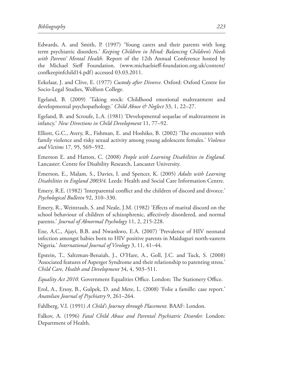Edwards, A. and Smith, P. (1997) 'Young carers and their parents with long term psychiatric disorders.' *Keeping Children in Mind: Balancing Children's Needs with Parents' Mental Health.* Report of the 12th Annual Conference hosted by the Michael Sieff Foundation. (www.michaelsieff-foundation.org.uk/content/ confkeepinfchild14.pdf) accessed 03.03.2011.

Eekelaar, J. and Clive, E. (1977) *Custody after Divorce.* Oxford: Oxford Centre for Socio-Legal Studies, Wolfson College.

Egeland, B. (2009) 'Taking stock: Childhood emotional maltreatment and developmental psychopathology.' *Child Abuse & Neglect* 33, 1, 22–27.

Egeland, B. and Scroufe, L.A. (1981) 'Developmental sequelae of maltreatment in infancy.' *New Directions in Child Development* 11, 77–92.

Elliott, G.C., Avery, R., Fishman, E. and Hoshiko, B. (2002) 'The encounter with family violence and risky sexual activity among young adolescent females.' *Violence and Victims* 17, 95, 569–592.

Emerson E. and Hatton, C. (2008) *People with Learning Disabilities in England.*  Lancaster: Centre for Disability Research, Lancaster University.

Emerson, E., Malam, S., Davies, I. and Spencer, K. (2005) *Adults with Learning Disabilities in England 2003/4.* Leeds: Health and Social Care Information Centre.

Emery, R.E. (1982) 'Interparental conflict and the children of discord and divorce.' *Psychological Bulletin* 92, 310–330.

Emery, R., Weintraub, S. and Neale, J.M. (1982) 'Effects of marital discord on the school behaviour of children of schizophrenic, affectively disordered, and normal parents.' *Journal of Abnormal Psychology* 11, 2, 215-228.

Ene, A.C., Ajayi, B.B. and Nwankwo, E.A. (2007) 'Prevalence of HIV neonatal infection amongst babies born to HIV positive parents in Maiduguri north-eastern Nigeria.' *International Journal of Virology* 3, 11, 41–44.

Epstein, T., Saltzman-Benaiah, J., O'Hare, A., Goll, J.C. and Tuck, S. (2008) 'Associated features of Asperger Syndrome and their relationship to parenting stress.' *Child Care, Health and Development* 34, 4, 503–511.

*Equality Act 2010.* Government Equalities Office. London: The Stationery Office.

Erol, A., Ersoy, B., Gulpek, D. and Mete, L. (2008) 'Folie a famille: case report.' *Anatolian Journal of Psychiatry* 9, 261–264.

Fahlberg, V.I. (1991) *A Child's Journey through Placement.* BAAF: London.

Falkov, A. (1996) *Fatal Child Abuse and Parental Psychiatric Disorder.* London: Department of Health.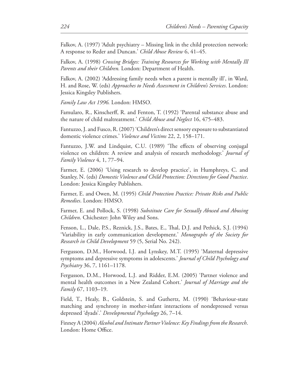Falkov, A. (1997) 'Adult psychiatry – Missing link in the child protection network: A response to Reder and Duncan.' *Child Abuse Review* 6, 41–45.

Falkov, A. (1998) *Crossing Bridges: Training Resources for Working with Mentally Ill Parents and their Children.* London: Department of Health.

Falkov, A. (2002) 'Addressing family needs when a parent is mentally ill', in Ward, H. and Rose, W. (eds) *Approaches to Needs Assessment in Children's Services*. London: Jessica Kingsley Publishers.

*Family Law Act 1996.* London: HMSO.

Famularo, R., Kinscherff, R. and Fenton, T. (1992) 'Parental substance abuse and the nature of child maltreatment.' *Child Abuse and Neglect* 16, 475–483.

Fantuzzo, J. and Fusco, R. (2007) 'Children's direct sensory exposure to substantiated domestic violence crimes.' *Violence and Victims* 22, 2, 158–171.

Fantuzzo, J.W. and Lindquist, C.U. (1989) 'The effects of observing conjugal violence on children: A review and analysis of research methodology.' *Journal of Family Violence* 4, 1, 77–94.

Farmer, E. (2006) 'Using research to develop practice', in Humphreys, C. and Stanley, N. (eds) *Domestic Violence and Child Protection: Directions for Good Practice*. London: Jessica Kingsley Publishers.

Farmer, E. and Owen, M. (1995) *Child Protection Practice: Private Risks and Public Remedies*. London: HMSO.

Farmer, E. and Pollock, S. (1998) *Substitute Care for Sexually Abused and Abusing Children*. Chichester: John Wiley and Sons.

Fenson, L., Dale, P.S., Reznick, J.S., Bates, E., Thal, D.J. and Pethick, S.J. (1994) 'Variability in early communication development.' *Monographs of the Society for Research in Child Development* 59 (5, Serial No. 242).

Fergusson, D.M., Horwood, I.J. and Lynskey, M.T. (1995) 'Maternal depressive symptoms and depressive symptoms in adolescents.' *Journal of Child Psychology and Psychiatry* 36, 7, 1161–1178.

Fergusson, D.M., Horwood, L.J. and Ridder, E.M. (2005) 'Partner violence and mental health outcomes in a New Zealand Cohort.' *Journal of Marriage and the Family* 67, 1103–19.

Field, T., Healy, B., Goldstein, S. and Guthertz, M. (1990) 'Behaviour-state matching and synchrony in mother-infant interactions of nondepressed versus depressed 'dyads'.' *Developmental Psychology* 26, 7–14.

Finney A (2004) *Alcohol and Intimate Partner Violence: Key Findings from the Research*. London: Home Office.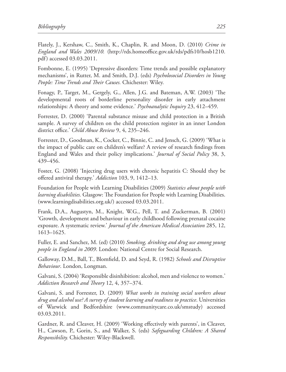Flately, J., Kershaw, C., Smith, K., Chaplin, R. and Moon, D. (2010) *Crime in England and Wales 2009/10.* (http://rds.homeoffice.gov.uk/rds/pdfs10/hosb1210. pdf) accessed 03.03.2011.

Fombonne, E. (1995) 'Depressive disorders: Time trends and possible explanatory mechanisms', in Rutter, M. and Smith, D.J. (eds) *Psycholosocial Disorders in Young People: Time Trends and Their Causes.* Chichester: Wiley.

Fonagy, P., Target, M., Gergely, G., Allen, J.G. and Bateman, A.W. (2003) 'The developmental roots of borderline personality disorder in early attachment relationships: A theory and some evidence.' *Psychoanalytic Inquiry* 23, 412–459.

Forrester, D. (2000) 'Parental substance misuse and child protection in a British sample. A survey of children on the child protection register in an inner London district office.' *Child Abuse Review* 9, 4, 235–246.

Forrester, D., Goodman, K., Cocker, C., Binnie, C. and Jensch, G. (2009) 'What is the impact of public care on children's welfare? A review of research findings from England and Wales and their policy implications.' *Journal of Social Policy* 38, 3, 439–456.

Foster, G. (2008) 'Injecting drug users with chronic hepatitis C: Should they be offered antiviral therapy.' *Addiction* 103, 9, 1412–13.

Foundation for People with Learning Disabilities (2009) *Statistics about people with learning disabilities.* Glasgow: The Foundation for People with Learning Disabilities. (www.learningdisabilities.org.uk/) accessed 03.03.2011.

Frank, D.A., Augustyn, M., Knight, W.G., Pell, T. and Zuckerman, B. (2001) 'Growth, development and behaviour in early childhood following prenatal cocaine exposure. A systematic review.' *Journal of the American Medical Association* 285, 12, 1613–1625.

Fuller, E. and Sanchez, M. (ed) (2010) *Smoking, drinking and drug use among young people in England in 2009*. London: National Centre for Social Research.

Galloway, D.M., Ball, T., Blomfield, D. and Seyd, R. (1982) *Schools and Disruptive Behaviour*. London, Longman.

Galvani, S. (2004) 'Responsible disinhibition: alcohol, men and violence to women.' *Addiction Research and Theory* 12, 4, 357–374.

Galvani, S. and Forrester, D. (2009) *What works in training social workers about drug and alcohol use? A survey of student learning and readiness to practice*. Universities of Warwick and Bedfordshire (www.communitycare.co.uk/smstudy) accessed 03.03.2011.

Gardner, R. and Cleaver, H. (2009) 'Working effectively with parents', in Cleaver, H., Cawson, P., Gorin, S., and Walker, S. (eds) *Safeguarding Children: A Shared Responsibility.* Chichester: Wiley-Blackwell.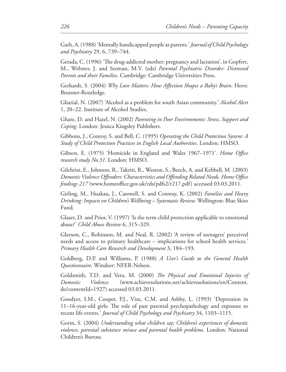Gath, A. (1988) 'Mentally handicapped people as parents.' *Journal of Child Psychology and Psychiatry* 29, 6, 739–744.

Gerada, C. (1996) 'The drug-addicted mother: pregnancy and lactation', in Gopfert, M., Webster, J. and Seeman, M.V. (eds) *Parental Psychiatric Disorder: Distressed Parents and their Families*. Cambridge: Cambridge Universities Press.

Gerhardt, S. (2004) *Why Love Matters: How Affection Shapes a Baby's Brain*. Hove: Brunner-Routledge.

Gharial, N. (2007) 'Alcohol as a problem for south Asian community.' *Alcohol Alert* 1, 20–22. Institute of Alcohol Studies.

Ghate, D. and Hazel, N. (2002) *Parenting in Poor Environments: Stress, Support and Coping*. London: Jessica Kingsley Publishers.

Gibbons, J., Conroy, S. and Bell, C. (1995) *Operating the Child Protection System: A Study of Child Protection Practices in English Local Authorities*. London: HMSO.

Gibson, E. (1975) 'Homicide in England and Wales 1967–1971'. *Home Office research study No.31*. London: HMSO.

Gilchrist, E., Johnson, R., Takriti, R., Weston, S., Beech, A. and Kebbell, M. (2003) *Domestic Violence Offenders: Characteristics and Offending Related Needs. Home Office findings 217* (www.homeoffice.gov.uk/rds/pdfs2/r217.pdf) accessed 03.03.2011.

Girling, M., Huakau, J., Casswell, S. and Conway, K. (2002) *Families and Heavy Drinking: Impacts on Children's Wellbeing – Systematic Review.* Wellington: Blue Skies Fund.

Glaser, D. and Prior, V. (1997) 'Is the term child protection applicable to emotional abuse?' *Child Abuse Review* 6, 315–329.

Gleeson, C., Robinson, M. and Neal, R. (2002) 'A review of teenagers' perceived needs and access to primary healthcare – implications for school health services.' *Primary Health Care Research and Development* 3, 184–193.

Goldberg, D.P. and Williams, P. (1988) *A User's Guide to the General Health Questionnaire.* Windsor: NFER-Nelson.

Goldsmith, T.D. and Vera, M. (2000) *The Physical and Emotional Injuries of Domestic Violence.* (www.achievesolutions.net/achievesolutions/en/Content. do?contentId=1927) accessed 03.03.2011.

Goodyer, I.M., Cooper, P.J., Vize, C.M. and Ashby, L. (1993) 'Depression in 11–16-year-old girls: The role of past parental psychopathology and exposure to recent life events.' *Journal of Child Psychology and Psychiatry* 34, 1103–1115.

Gorin, S. (2004) *Understanding what children say; Children's experiences of domestic violence, parental substance misuse and parental health problems.* London: National Children's Bureau.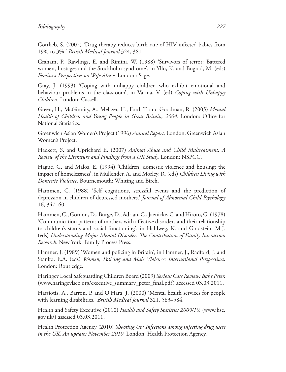Gottlieb, S. (2002) 'Drug therapy reduces birth rate of HIV infected babies from 19% to 3%.' *British Medical Journal* 324, 381.

Graham, P., Rawlings, E. and Rimini, W. (1988) 'Survivors of terror: Battered women, hostages and the Stockholm syndrome', in Yllo, K. and Bograd, M. (eds) *Feminist Perspectives on Wife Abuse.* London: Sage.

Gray, J. (1993) 'Coping with unhappy children who exhibit emotional and behaviour problems in the classroom', in Varma, V. (ed) *Coping with Unhappy Children.* London: Cassell.

Green, H., McGinnity, A., Meltzer, H., Ford, T. and Goodman, R. (2005) *Mental Health of Children and Young People in Great Britain, 2004.* London: Office for National Statistics.

Greenwich Asian Women's Project (1996) *Annual Report.* London: Greenwich Asian Women's Project.

Hackett, S. and Uprichard E. (2007) *Animal Abuse and Child Maltreatment: A Review of the Literature and Findings from a UK Study.* London: NSPCC.

Hague, G. and Malos, E. (1994) 'Children, domestic violence and housing; the impact of homelessness', in Mullender, A. and Morley, R. (eds) *Children Living with Domestic Violence.* Bournemouth: Whiting and Birch.

Hammen, C. (1988) 'Self cognitions, stressful events and the prediction of depression in children of depressed mothers.' *Journal of Abnormal Child Psychology* 16, 347–60.

Hammen, C., Gordon, D., Burge, D., Adrian, C., Jaenicke, C. and Hiroto, G. (1978) 'Communication patterns of mothers with affective disorders and their relationship to children's status and social functioning', in Hahlweg, K. and Goldstein, M.J. (eds) *Understanding Major Mental Disorder: The Contribution of Family Interaction Research.* New York: Family Process Press.

Hamner, J. (1989) 'Women and policing in Britain', in Hamner, J., Radford, J. and Stanko, E.A. (eds) *Women, Policing and Male Violence: International Perspectives.*  London: Routledge.

Haringey Local Safeguarding Children Board (2009) *Serious Case Review: Baby Peter.* (www.haringeylscb.org/executive\_summary\_peter\_final.pdf) accessed 03.03.2011.

Hassiotis, A., Barron, P. and O'Hara, J. (2000) 'Mental health services for people with learning disabilities.' *British Medical Journal* 321, 583–584.

Health and Safety Executive (2010) *Health and Safety Statistics 2009/10.* (www.hse. gov.uk/) assessed 03.03.2011.

Health Protection Agency (2010) *Shooting Up: Infections among injecting drug users in the UK. An update: November 2010*. London: Health Protection Agency.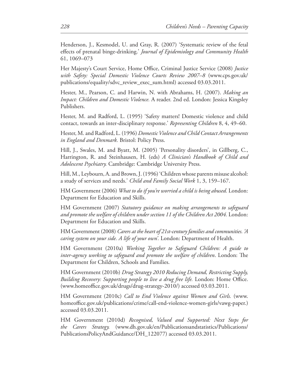Henderson, J., Kesmodel, U. and Gray, R. (2007) 'Systematic review of the fetal effects of prenatal binge-drinking.' *Journal of Epidemiology and Community Health* 61, 1069–073

Her Majesty's Court Service, Home Office, Criminal Justice Service (2008) *Justice with Safety: Special Domestic Violence Courts Review 2007–8* (www.cps.gov.uk/ publications/equality/sdvc\_review\_exec\_sum.html) accessed 03.03.2011.

Hester, M., Pearson, C. and Harwin, N. with Abrahams, H. (2007). *Making an Impact: Children and Domestic Violence.* A reader. 2nd ed. London: Jessica Kingsley Publishers.

Hester, M. and Radford, L. (1995) 'Safety matters! Domestic violence and child contact, towards an inter-disciplinary response.' *Representing Children* 8, 4, 49–60.

Hester, M. and Radford, L. (1996) *Domestic Violence and Child Contact Arrangements in England and Denmark.* Bristol: Policy Press.

Hill, J., Swales, M. and Byatt, M. (2005) 'Personality disorders', in Gillberg, C., Harrington, R. and Steinhausen, H. (eds) *A Clinician's Handbook of Child and Adolescent Psychiatry.* Cambridge: Cambridge University Press.

Hill, M., Leybourn, A. and Brown, J. (1996) 'Children whose parents misuse alcohol: a study of services and needs.' *Child and Family Social Work* 1, 3, 159–167.

HM Government (2006) *What to do if you're worried a child is being abused.* London: Department for Education and Skills.

HM Government (2007) *Statutory guidance on making arrangements to safeguard and promote the welfare of children under section 11 of the Children Act 2004.* London: Department for Education and Skills.

HM Government (2008) *Carers at the heart of 21st-century families and communities. 'A caring system on your side. A life of your own'.* London: Department of Health.

HM Government (2010a) *Working Together to Safeguard Children: A guide to inter-agency working to safeguard and promote the welfare of children*. London: The Department for Children, Schools and Families.

HM Government (2010b) *Drug Strategy 2010 Reducing Demand, Restricting Supply, Building Recovery: Supporting people to live a drug free life.* London: Home Office. (www.homeoffice.gov.uk/drugs/drug-strategy-2010/) accessed 03.03.2011.

HM Government (2010c) *Call to End Violence against Women and Girls.* (www. homeoffice.gov.uk/publications/crime/call-end-violence-women-girls/vawg-paper.) accessed 03.03.2011.

HM Government (2010d) *Recognised, Valued and Supported: Next Steps for the Carers Strategy.* (www.dh.gov.uk/en/Publicationsandstatistics/Publications/ PublicationsPolicyAndGuidance/DH\_122077) accessed 03.03.2011.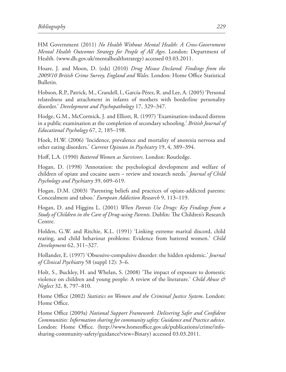HM Government (2011) *No Health Without Mental Health: A Cross-Government Mental Health Outcomes Strategy for People of All Ages.* London: Department of Health. (www.dh.gov.uk/mentalhealthstrategy) accessed 03.03.2011.

Hoare, J. and Moon, D. (eds) (2010) *Drug Misuse Declared: Findings from the 2009/10 British Crime Survey, England and Wales*. London: Home Office Statistical Bulletin.

Hobson, R.P., Patrick, M., Crandell, l., García-Pérez, R. and Lee, A. (2005) 'Personal relatedness and attachment in infants of mothers with borderline personality disorder.' *Development and Psychopathology* 17, 329–347.

Hodge, G.M., McCormick, J. and Elliott, R. (1997) 'Examination-induced distress in a public examination at the completion of secondary schooling.' *British Journal of Educational Psychology* 67, 2, 185–198.

Hoek, H.W. (2006) 'Incidence, prevalence and mortality of anorexia nervosa and other eating disorders.' *Current Opinion in Psychiatry* 19, 4, 389–394.

Hoff, L.A. (1990) *Battered Women as Survivors*. London: Routledge.

Hogan, D. (1998) 'Annotation: the psychological development and welfare of children of opiate and cocaine users – review and research needs.' *Journal of Child Psychology and Psychiatry* 39, 609–619.

Hogan, D.M. (2003) 'Parenting beliefs and practices of opiate-addicted parents: Concealment and taboo.' *European Addiction Research* 9, 113–119.

Hogan, D. and Higgins L. (2001) *When Parents Use Drugs: Key Findings from a Study of Children in the Care of Drug-using Parents*. Dublin: The Children's Research Centre.

Holden, G.W. and Ritchie, K.L. (1991) 'Linking extreme marital discord, child rearing, and child behaviour problems: Evidence from battered women.' *Child Development* 62, 311–327.

Hollander, E. (1997) 'Obsessive-compulsive disorder: the hidden epidemic.' *Journal of Clinical Psychiatry* 58 (suppl 12): 3–6.

Holt, S., Buckley, H. and Whelan, S. (2008) 'The impact of exposure to domestic violence on children and young people: A review of the literature.' *Child Abuse & Neglect* 32, 8, 797–810.

Home Office (2002) *Statistics on Women and the Criminal Justice System*. London: Home Office.

Home Office (2009a) *National Support Framework. Delivering Safer and Confident Communities: Information sharing for community safety: Guidance and Practice advice.* London: Home Office. (http://www.homeoffice.gov.uk/publications/crime/infosharing-community-safety/guidance?view=Binary) accessed 03.03.2011.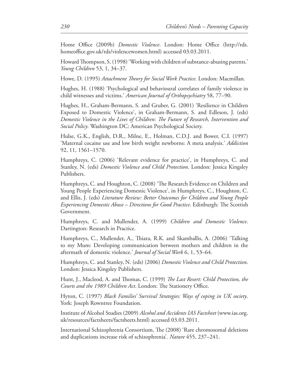Home Office (2009b) *Domestic Violence*. London: Home Office (http://rds. homeoffice.gov.uk/rds/violencewomen.html) accessed 03.03.2011.

Howard Thompson, S. (1998) 'Working with children of substance-abusing parents.' *Young Children* 53, 1, 34–37.

Howe, D. (1995) *Attachment Theory for Social Work Practice*. London: Macmillan.

Hughes, H. (1988) 'Psychological and behavioural correlates of family violence in child witnesses and victims.' *American Journal of Orthopsychiatry* 58, 77–90.

Hughes, H., Graham-Bermann, S. and Gruber, G. (2001) 'Resilience in Children Exposed to Domestic Violence', in Graham-Bermann, S. and Edleson, J. (eds) *Domestic Violence in the Lives of Children: The Future of Research, Intervention and Social Policy*. Washington DC: American Psychological Society.

Hulse, G.K., English, D.R., Milne, E., Holman, C.D.J. and Bower, C.I. (1997) 'Maternal cocaine use and low birth weight newborns: A meta analysis.' *Addiction* 92, 11, 1561–1570.

Humphreys, C. (2006) 'Relevant evidence for practice', in Humphreys, C. and Stanley, N. (eds) *Domestic Violence and Child Protection*. London: Jessica Kingsley Publishers.

Humphreys, C. and Houghton, C. (2008) 'The Research Evidence on Children and Young People Experiencing Domestic Violence', in Humphreys, C., Houghton, C. and Ellis, J. (eds) *Literature Review: Better Outcomes for Children and Young People Experiencing Domestic Abuse – Directions for Good Practice*. Edinburgh: The Scottish Government.

Humphreys, C. and Mullender, A. (1999) *Children and Domestic Violence*. Dartington: Research in Practice.

Humphreys, C., Mullender, A., Thiara, R.K. and Skamballis, A. (2006) 'Talking to my Mum: Developing communication between mothers and children in the aftermath of domestic violence.' *Journal of Social Work* 6, 1, 53–64.

Humphreys, C. and Stanley, N. (eds) (2006) *Domestic Violence and Child Protection*. London: Jessica Kingsley Publishers.

Hunt, J., Macleod, A. and Thomas, C. (1999) *The Last Resort: Child Protection, the Courts and the 1989 Children Act*. London: The Stationery Office.

Hyton, C. (1997) *Black Families' Survival Strategies: Ways of coping in UK society*. York: Joseph Rowntree Foundation.

Institute of Alcohol Studies (2009) *Alcohol and Accidents IAS Factsheet* (www.ias.org. uk/resources/factsheets/factsheets.html) accessed 03.03.2011.

International Schizophrenia Consortium, The (2008) 'Rare chromosomal deletions and duplications increase risk of schizophrenia'. *Nature* 455, 237–241.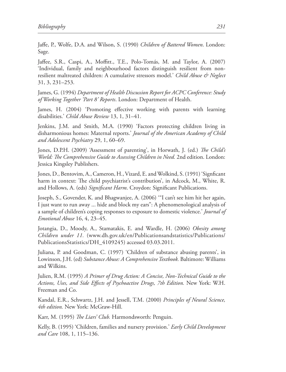Jaffe, P., Wolfe, D.A. and Wilson, S. (1990) *Children of Battered Women*. London: Sage.

Jaffee, S.R., Caspi, A., Moffitt., T.E., Polo-Tomás, M. and Taylor, A. (2007) 'Individual, family and neighbourhood factors distinguish resilient from nonresilient maltreated children: A cumulative stressors model.' *Child Abuse & Neglect*  31, 3, 231–253.

James, G. (1994) *Department of Health Discussion Report for ACPC Conference: Study of Working Together 'Part 8' Reports*. London: Department of Health.

James, H. (2004) 'Promoting effective working with parents with learning disabilities.' *Child Abuse Review* 13, 1, 31–41.

Jenkins, J.M. and Smith, M.A. (1990) 'Factors protecting children living in disharmonious homes: Maternal reports.' *Journal of the American Academy of Child and Adolescent Psychiatry* 29, 1, 60–69.

Jones, D.P.H. (2009) 'Assessment of parenting', in Horwath, J. (ed.) *The Child's World: The Comprehensive Guide to Assessing Children in Need.* 2nd edition. London: Jessica Kingsley Publishers.

Jones, D., Bentovim, A., Cameron, H., Vizard, E. and Wolkind, S. (1991) 'Signficant harm in context: The child psychiatrist's contribution', in Adcock, M., White, R. and Hollows, A. (eds) *Significant Harm*. Croydon: Significant Publications.

Joseph, S., Govender, K. and Bhagwanjee, A. (2006) '"I can't see him hit her again, I just want to run away ... hide and block my ears": A phenomenological analysis of a sample of children's coping responses to exposure to domestic violence.' *Journal of Emotional Abuse* 16, 4, 23–45.

Jotangia, D., Moody, A., Stamatakis, E. and Wardle, H. (2006) *Obesity among Children under 11.* (www.dh.gov.uk/en/Publicationsandstatistics/Publications/ PublicationsStatistics/DH\_4109245) accessed 03.03.2011.

Juliana, P. and Goodman, C. (1997) 'Children of substance abusing parents', in Lowinson, J.H. (ed) *Substance Abuse: A Comprehensive Textbook.* Baltimore: Williams and Wilkins.

Julien, R.M. (1995) *A Primer of Drug Action: A Concise, Non-Technical Guide to the Actions, Uses, and Side Effects of Psychoactive Drugs, 7th Edition.* New York: W.H. Freeman and Co.

Kandal, E.R., Schwartz, J.H. and Jessell, T.M. (2000) *Principles of Neural Science, 4th edition.* New York: McGraw-Hill.

Karr, M. (1995) *The Liars' Club.* Harmondsworth: Penguin.

Kelly, B. (1995) 'Children, families and nursery provision.' *Early Child Development and Care* 108, 1, 115–136.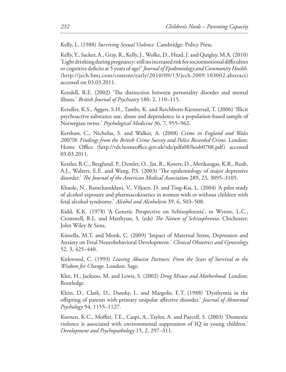Kelly, L. (1988) *Surviving Sexual Violence.* Cambridge: Policy Press.

Kelly, Y., Sacker, A., Gray, R., Kelly, J., Wolke, D., Head, J. and Quigley, M.A. (2010) 'Light drinking during pregnancy: still no increased risk for socioemotional difficulties or cognitive deficits at 5 years of age?' *Journal of Epidemiology and Community Health.* (http://jech.bmj.com/content/early/2010/09/13/jech.2009.103002.abstract) accessed on 03.03.2011.

Kendell, R.E. (2002) 'The distinction between personality disorder and mental illness.' *British Journal of Psychiatry* 180, 2, 110–115.

Kendler, K.S., Aggen, S.H., Tambs, K. and Reichborn-Kjennerud, T. (2006) 'Illicit psychoactive substance use, abuse and dependence in a population-based sample of Norwegian twins.' *Psychological Medicine* 36, 7, 955–962.

Kershaw, C., Nicholas, S. and Walker, A. (2008) *Crime in England and Wales 2007/8: Findings from the British Crime Survey and Police Recorded Crime.* London: Home Office (http://rds.homeoffice.gov.uk/rds/pdfs08/hosb0708.pdf) accessed 03.03.2011.

Kessler, R.C., Berglund, P., Demler, O., Jin, R., Koretz, D., Merikangas, K.R., Rush, A.J., Walters, E.E. and Wang, P.S. (2003) 'The epidemiology of major depressive disorder.' *The Journal of the American Medical Association* 289, 23, 3095–3105.

Khaole, N., Ramchanddani, V., Viljoen, D. and Ting-Kai, L. (2004) 'A pilot study of alcohol exposure and pharmacokinetics in women with or without children with fetal alcohol syndrome.' *Alcohol and Alcoholism* 39, 6, 503–508.

Kidd, K.K. (1978) 'A Genetic Perspective on Schizophrenia', in Wynne, L.C., Cromwell, R.L. and Matthysse, S. (eds) *The Nature of Schizophrenia.* Chichester: John Wiley & Sons.

Kinsella, M.T. and Monk, C. (2009) 'Impact of Maternal Stress, Depression and Anxiety on Fetal Neurobehavioral Development.' *Clinical Obstetrics and Gynecology* 52, 3, 425–440.

Kirkwood, C. (1993) *Leaving Abusive Partners: From the Scars of Survival to the Wisdom for Change.* London: Sage.

Klee, H., Jackson, M. and Lewis, S. (2002) *Drug Misuse and Motherhood.* London: Routledge.

Klein, D., Clark, D., Dansky, L. and Margolis, E.T. (1988) 'Dysthymia in the offspring of parents with primary unipolar affective disorder.' *Journal of Abnormal Psychology* 94, 1155–1127.

Koenen, K.C., Moffitt, T.E., Caspi, A., Taylor, A. and Purcell, S. (2003) 'Domestic violence is associated with environmental suppression of IQ in young children.' *Development and Psychopathology* 15, 2, 297–311.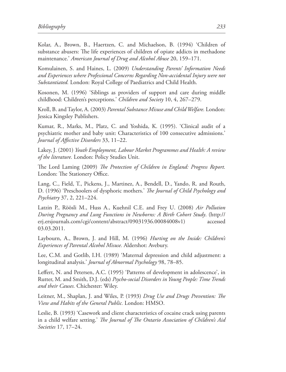Kolar, A., Brown, B., Haertzen, C. and Michaelson, B. (1994) 'Children of substance abusers: The life experiences of children of opiate addicts in methadone maintenance.' *American Journal of Drug and Alcohol Abuse* 20, 159–171.

Komulainen, S. and Haines, L. (2009) *Understanding Parents' Information Needs and Experiences where Professional Concerns Regarding Non-accidental Injury were not Substantiated.* London: Royal College of Paediatrics and Child Health.

Kosonen, M. (1996) 'Siblings as providers of support and care during middle childhood: Children's perceptions.' *Children and Society* 10, 4, 267–279.

Kroll, B. and Taylor, A. (2003) *Parental Substance Misuse and Child Welfare.* London: Jessica Kingsley Publishers.

Kumar, R., Marks, M., Platz, C. and Yoshida, K. (1995). 'Clinical audit of a psychiatric mother and baby unit: Characteristics of 100 consecutive admissions.' *Journal of Affective Disorders* 33, 11–22.

Lakey, J. (2001) *Youth Employment, Labour Market Programmes and Health: A review of the literature.* London: Policy Studies Unit.

The Lord Laming (2009) *The Protection of Children in England: Progress Report.*  London: The Stationery Office.

Lang, C., Field, T., Pickens, J., Martinez, A., Bendell, D., Yando, R. and Routh, D. (1996) 'Preschoolers of dysphoric mothers.' *The Journal of Child Psychology and Psychiatry* 37, 2, 221–224.

Latzin P., Röösli M., Huss A., Kuehnil C.E. and Frey U. (2008) *Air Pollution During Pregnancy and Lung Functions in Newborns: A Birth Cohort Study*. (http:// erj.ersjournals.com/cgi/content/abstract/09031936.00084008v1) accessed 03.03.2011.

Laybourn, A., Brown, J. and Hill, M. (1996) *Hurting on the Inside: Children's Experiences of Parental Alcohol Misuse.* Aldershot: Avebury.

Lee, C.M. and Gotlib, I.H. (1989) 'Maternal depression and child adjustment: a longitudinal analysis.' *Journal of Abnormal Psychology* 98, 78–85.

Leffert, N. and Petersen, A.C. (1995) 'Patterns of development in adolescence', in Rutter, M. and Smith, D.J. (eds) *Psycho-social Disorders in Young People: Time Trends and their Causes.* Chichester: Wiley.

Leitner, M., Shaplan, J. and Wiles, P. (1993) *Drug Use and Drugs Prevention: The View and Habits of the General Public.* London: HMSO.

Leslie, B. (1993) 'Casework and client characteristics of cocaine crack using parents in a child welfare setting.' *The Journal of The Ontario Association of Children's Aid Societies* 17, 17–24.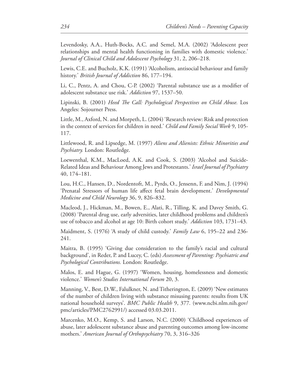Levendosky, A.A., Huth-Bocks, A.C. and Semel, M.A. (2002) 'Adolescent peer relationships and mental health functioning in families with domestic violence.' *Journal of Clinical Child and Adolescent Psychology* 31, 2, 206–218.

Lewis, C.E. and Bucholz, K.K. (1991) 'Alcoholism, antisocial behaviour and family history.' *British Journal of Addiction* 86, 177–194.

Li, C., Pentz, A. and Chou, C-P. (2002) 'Parental substance use as a modifier of adolescent substance use risk.' *Addiction* 97, 1537–50.

Lipinski, B. (2001) *Heed The Call: Psychological Perspectives on Child Abuse.* Los Angeles: Sojourner Press.

Little, M., Axford, N. and Morpeth, L. (2004) 'Research review: Risk and protection in the context of services for children in need.' *Child and Family Social Work* 9, 105- 117.

Littlewood, R. and Lipsedge, M. (1997) *Aliens and Alienists: Ethnic Minorities and Psychiatry.* London: Routledge.

Loewenthal, K.M., MacLoed, A.K. and Cook, S. (2003) 'Alcohol and Suicide-Related Ideas and Behaviour Among Jews and Protestants.' *Israel Journal of Psychiatry* 40, 174–181.

Lou, H.C., Hansen, D., Nordentoft, M., Pyrds, O., Jensenn, F. and Nim, J. (1994) 'Prenatal Stressors of human life affect fetal brain development.' *Developmental Medicine and Child Neurology* 36, 9, 826–832.

Macleod, J., Hickman, M., Bowen, E., Alati, R., Tilling, K. and Davey Smith, G. (2008) 'Parental drug use, early adversities, later childhood problems and children's use of tobacco and alcohol at age 10: Birth cohort study.' *Addiction* 103, 1731–43.

Maidment, S. (1976) 'A study of child custody.' *Family Law* 6, 195–22 and 236- 241.

Maitra, B. (1995) 'Giving due consideration to the family's racial and cultural background', in Reder, P. and Lucey, C. (eds) *Assessment of Parenting: Psychiatric and Psychological Contributions.* London: Routledge.

Malos, E. and Hague, G. (1997) 'Women, housing, homelessness and domestic violence.' *Women's Studies International Forum* 20, 3.

Manning, V., Best, D.W., Falulkner, N. and Titherington, E. (2009) 'New estimates of the number of children living with substance misusing parents: results from UK national household surveys'. *BMC Public Health* 9, 377*.* (www.ncbi.nlm.nih.gov/ pmc/articles/PMC2762991/) accessed 03.03.2011.

Marcenko, M.O., Kemp, S. and Larson, N.C. (2000) 'Childhood experiences of abuse, later adolescent substance abuse and parenting outcomes among low-income mothers.' *American Journal of Orthopsychiatry* 70, 3, 316–326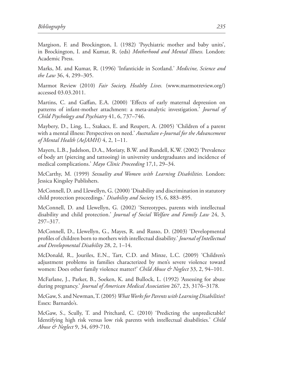Margison, F. and Brockington, I. (1982) 'Psychiatric mother and baby units', in Brockington, I. and Kumar, R. (eds) *Motherhood and Mental Illness.* London: Academic Press.

Marks, M. and Kumar, R. (1996) 'Infanticide in Scotland.' *Medicine, Science and the Law* 36, 4, 299–305.

Marmot Review (2010) *Fair Society, Healthy Lives.* (www.marmotreview.org/) accessed 03.03.2011.

Martins, C. and Gaffan, E.A. (2000) 'Effects of early maternal depression on patterns of infant-mother attachment: a meta-analytic investigation.' *Journal of Child Psychology and Psychiatry* 41, 6, 737–746.

Maybery, D., Ling, L., Szakacs, E. and Reupert, A. (2005) 'Children of a parent with a mental illness: Perspectives on need.' *Australian e-Journal for the Advancement of Mental Health (AeJAMH)* 4, 2, 1–11.

Mayers, L.B., Judelson, D.A., Moriaty, B.W. and Rundell, K.W. (2002) 'Prevalence of body art (piercing and tattooing) in university undergraduates and incidence of medical complications.' *Mayo Clinic Proceeding* 17,1, 29–34.

McCarthy, M. (1999) *Sexuality and Women with Learning Disabilities.* London: Jessica Kingsley Publishers.

McConnell, D. and Llewellyn, G. (2000) 'Disability and discrimination in statutory child protection proceedings.' *Disability and Society* 15, 6, 883–895.

McConnell, D. and Llewellyn, G. (2002) 'Stereotypes, parents with intellectual disability and child protection.' *Journal of Social Welfare and Family Law* 24, 3, 297–317.

McConnell, D., Llewellyn, G., Mayes, R. and Russo, D. (2003) 'Developmental profiles of children born to mothers with intellectual disability.' *Journal of Intellectual and Developmental Disability* 28, 2, 1–14.

McDonald, R., Jouriles, E.N., Tart, C.D. and Minze, L.C. (2009) 'Children's adjustment problems in families characterized by men's severe violence toward women: Does other family violence matter?' *Child Abuse & Neglect* 33, 2, 94–101.

McFarlane, J., Parker, B., Soeken, K. and Bullock, L. (1992) 'Assessing for abuse during pregnancy.' *Journal of American Medical Association* 267, 23, 3176–3178.

McGaw, S. and Newman, T. (2005) *What Works for Parents with Learning Disabilities*? Essex: Barnardo's.

McGaw, S., Scully, T. and Pritchard, C. (2010) 'Predicting the unpredictable? Identifying high risk versus low risk parents with intellectual disabilities.' *Child Abuse & Neglect* 9, 34, 699-710.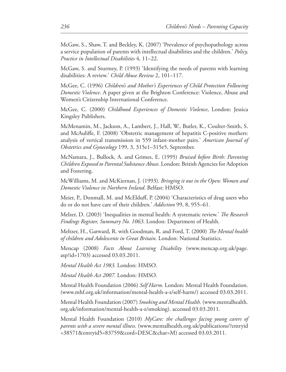McGaw, S., Shaw, T. and Beckley, K. (2007) 'Prevalence of psychopathology across a service population of parents with intellectual disabilities and the children.' *Policy, Practice in Intellectual Disabilities* 4, 11–22.

McGaw, S. and Sturmey, P. (1993) 'Identifying the needs of parents with learning disabilities: A review.' *Child Abuse Review* 2, 101–117.

McGee, C. (1996) *Children's and Mother's Experiences of Child Protection Following Domestic Violence*. A paper given at the Brighton Conference: Violence, Abuse and Women's Citizenship International Conference.

McGee, C. (2000) *Childhood Experiences of Domestic Violence*, London: Jessica Kingsley Publishers.

McMenamin, M., Jackson, A., Lambert, J., Hall, W., Butler, K., Coulter-Smith, S. and McAuliffe, F. (2008) 'Obstetric management of hepatitis C-positive mothers: analysis of vertical transmission in 559 infant-mother pairs.' *American Journal of Obstetrics and Gynecology* 199, 3, 315e1–315e5, September.

McNamara, J., Bullock, A. and Grimes, E. (1995) *Bruised before Birth: Parenting Children Exposed to Parental Substance Abuse*. London: British Agencies for Adoption and Fostering.

McWilliams, M. and McKiernan, J. (1993). *Bringing it out in the Open: Women and Domestic Violence in Northern Ireland*. Belfast: HMSO.

Meier, P., Donmall, M. and McElduff, P. (2004) 'Characteristics of drug users who do or do not have care of their children.' *Addiction* 99, 8, 955–61.

Melzer, D. (2003) 'Inequalities in mental health: A systematic review.' *The Research Findings Register, Summary No. 1063*. London: Department of Health.

Meltzer, H., Gatward, R. with Goodman, R. and Ford, T. (2000) *The Mental health of children and Adolescents in Great Britain.* London: National Statistics.

Mencap (2008) *Facts About Learning Disability* (www.mencap.org.uk/page. asp?id=1703) accessed 03.03.2011.

*Mental Health Act 1983.* London: HMSO.

*Mental Health Act 2007.* London: HMSO.

Mental Health Foundation (2006) *Self Harm*. London: Mental Health Foundation. (www.mhf.org.uk/information/mental-health-a-z/self-harm/) accessed 03.03.2011.

Mental Health Foundation (2007) *Smoking and Mental Health.* (www.mentalhealth. org.uk/information/mental-health-a-z/smoking). accessed 03.03.2011.

Mental Health Foundation (2010) *MyCare: the challenges facing young carers of parents with a severe mental illness.* (www.mentalhealth.org.uk/publications/?entryid =38571&entryid5=83759&cord=DESC&char=M) accessed 03.03.2011.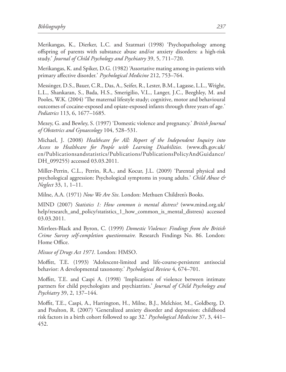Merikangas, K., Dierker, L.C. and Szatmari (1998) 'Psychopathology among offspring of parents with substance abuse and/or anxiety disorders: a high-risk study.' *Journal of Child Psychology and Psychiatry* 39, 5, 711–720.

Merikangas, K. and Spiker, D.G. (1982) 'Assortative mating among in-patients with primary affective disorder.' *Psychological Medicine* 212, 753–764.

Messinger, D.S., Bauer, C.R., Das, A., Seifer, R., Lester, B.M., Lagasse, L.L., Wright, L.L., Shankaran, S., Bada, H.S., Smerigilio, V.L., Langer, J.C., Beeghley, M. and Pooles, W.K. (2004) 'The maternal lifestyle study; cognitive, motor and behavioural outcomes of cocaine-exposed and opiate-exposed infants through three years of age.' *Pediatrics* 113, 6, 1677–1685.

Mezey, G. and Bewley, S. (1997) 'Domestic violence and pregnancy.' *British Journal of Obstetrics and Gynaecology* 104, 528–531.

Michael, J. (2008) *Healthcare for All: Report of the Independent Inquiry into Access to Healthcare for People with Learning Disabilities.* (www.dh.gov.uk/ en/Publicationsandstatistics/Publications/PublicationsPolicyAndGuidance/ DH 099255) accessed 03.03.2011.

Miller-Perrin, C.L., Perrin, R.A., and Kocur, J.L. (2009) 'Parental physical and psychological aggression: Psychological symptoms in young adults.' *Child Abuse & Neglect* 33, 1, 1–11.

Milne, A.A. (1971) *Now We Are Six*. London: Methuen Children's Books.

MIND (2007) *Statistics 1: How common is mental distress?* (www.mind.org.uk/ help/research\_and\_policy/statistics\_1\_how\_common\_is\_mental\_distress) accessed 03.03.2011.

Mirrlees-Black and Byron, C. (1999) *Domestic Violence: Findings from the British Crime Survey self-completion questionnaire.* Research Findings No. 86. London: Home Office.

*Misuse of Drugs Act 1971.* London: HMSO.

Moffitt, T.E. (1993) 'Adolescent-limited and life-course-persistent antisocial behavior: A developmental taxonomy.' *Psychological Review* 4, 674–701.

Moffitt, T.E. and Caspi A. (1998) 'Implications of violence between intimate partners for child psychologists and psychiatrists.' *Journal of Child Psychology and Psychiatry* 39, 2, 137–144.

Moffit, T.E., Caspi, A., Harrington, H., Milne, B.J., Melchior, M., Goldberg, D. and Poulton, R. (2007) 'Generalized anxiety disorder and depression: childhood risk factors in a birth cohort followed to age 32.' *Psychological Medicine* 37, 3, 441– 452.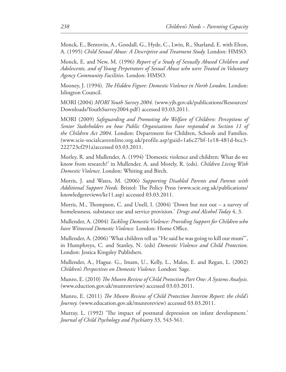Monck, E., Bentovin, A., Goodall, G., Hyde, C., Lwin, R., Sharland, E. with Elton, A. (1995) *Child Sexual Abuse: A Descriptive and Treatment Study.* London: HMSO.

Monck, E. and New, M. (1996) *Report of a Study of Sexually Abused Children and Adolescents, and of Young Perpetrators of Sexual Abuse who were Treated in Voluntary Agency Community Facilities.* London: HMSO.

Mooney, J. (1994). *The Hidden Figure: Domestic Violence in North London.* London: Islington Council.

MORI (2004) *MORI Youth Survey 2004.* (www.yjb.gov.uk/publications/Resources/ Downloads/YouthSurvey2004.pdf) accessed 03.03.2011.

MORI (2009) *Safeguarding and Promoting the Welfare of Children: Perceptions of Senior Stakeholders on how Public Organisations have responded to Section 11 of the Children Act 2004*. London: Department for Children, Schools and Families. (www.scie-socialcareonline.org.uk/profile.asp?guid=1a6c27bf-1e18-481d-bcc3- 222723cf291a)accessed 03.03.2011.

Morley, R. and Mullender, A. (1994) 'Domestic violence and children: What do we know from research?' in Mullender, A. and Morely, R. (eds). *Children Living With Domestic Violence*. London: Whiting and Birch.

Morris, J. and Wates, M. (2006) *Supporting Disabled Parents and Parents with Additional Support Needs*. Bristol: The Policy Press (www.scie.org.uk/publications/ knowledgereviews/kr11.asp) accessed 03.03.2011.

Morris, M., Thompson, C. and Unell, I. (2004) 'Down but not out – a survey of homelessness, substance use and service provision.' *Drugs and Alcohol Today* 4, 3.

Mullender, A. (2004) *Tackling Domestic Violence: Providing Support for Children who have Witnessed Domestic Violence.* London: Home Office.

Mullender, A. (2006) 'What children tell us "He said he was going to kill our mum"', in Humphreys, C. and Stanley, N. (eds) *Domestic Violence and Child Protection.*  London: Jessica Kingsley Publishers.

Mullender, A., Hague. G., Imam, U., Kelly, L., Malos, E. and Regan, L. (2002) *Children's Perspectives on Domestic Violence.* London: Sage.

Munro, E. (2010) *The Munro Review of Child Protection Part One: A Systems Analysis.* (www.eduction.gov.uk/munroreview) accessed 03.03.2011.

Munro, E. (2011) *The Munro Review of Child Protection Interim Report: the child's Journey.* (www.education.gov.uk/munroreview) accessed 03.03.2011.

Murray, L. (1992) 'The impact of postnatal depression on infant development.' *Journal of Child Psychology and Psychiatry* 33, 543-561.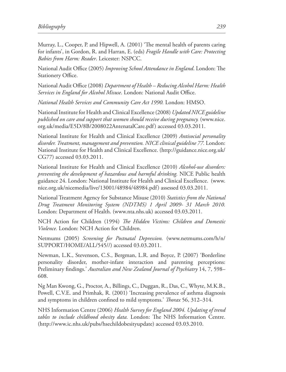Murray, L., Cooper, P. and Hipwell, A. (2001) 'The mental health of parents caring for infants', in Gordon, R. and Harran, E. (eds) *Fragile Handle with Care: Protecting Babies from Harm: Reader*. Leicester: NSPCC.

National Audit Office (2005) *Improving School Attendance in England*. London: The Stationery Office.

National Audit Office (2008) *Department of Health – Reducing Alcohol Harm: Health Services in England for Alcohol Misuse*. London: National Audit Office.

*National Health Services and Community Care Act 1990.* London: HMSO.

National Institute for Health and Clinical Excellence (2008) *Updated NICE guideline published on care and support that women should receive during pregnancy.* (www.nice. org.uk/media/E5D/8B/2008022AntenatalCare.pdf) accessed 03.03.2011.

National Institute for Health and Clinical Excellence (2009) *Antisocial personality disorder. Treatment, management and prevention. NICE clinical guideline 77.* London: National Institute for Health and Clinical Excellence. (http://guidance.nice.org.uk/ CG77) accessed 03.03.2011.

National Institute for Health and Clinical Excellence (2010) *Alcohol-use disorders: preventing the development of hazardous and harmful drinking.* NICE Public health guidance 24. London: National Institute for Health and Clinical Excellence. (www. nice.org.uk/nicemedia/live/13001/48984/48984.pdf) assessed 03.03.2011.

National Treatment Agency for Substance Misuse (2010) *Statistics from the National Drug Treatment Monitoring System (NDTMS) 1 April 2009- 31 March 2010.*  London: Department of Health. (www.nta.nhs.uk) accessed 03.03.2011.

NCH Action for Children (1994) *The Hidden Victims: Children and Domestic Violence.* London: NCH Action for Children.

Netmums (2005) *Screening for Postnatal Depression.* (www.netmums.com/h/n/ SUPPORT/HOME/ALL/545//) accessed 03.03.2011.

Newman, L.K., Stevenson, C.S., Bergman, L.R. and Boyce, P. (2007) 'Borderline personality disorder, mother-infant interaction and parenting perceptions: Preliminary findings.' *Australian and New Zealand Journal of Psychiatry* 14, 7, 598– 608.

Ng Man Kwong, G., Proctor, A., Billings, C., Duggan, R., Das, C., Whyte, M.K.B., Powell, C.V.E. and Primhak, R. (2001) 'Increasing prevalence of asthma diagnosis and symptoms in children confined to mild symptoms.' *Thorax* 56, 312–314.

NHS Information Centre (2006) *Health Survey for England 2004. Updating of trend tables to include childhood obesity data.* London: The NHS Information Centre. (http://www.ic.nhs.uk/pubs/hsechildobesityupdate) accessed 03.03.2010.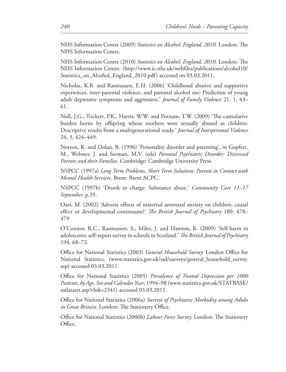NHS Information Centre (2009) *Statistics on Alcohol: England, 2010.* London: The NHS Information Centre.

NHS Information Centre (2010) *Statistics on Alcohol: England, 2010.* London: The NHS Information Centre. (http://www.ic.nhs.uk/webfiles/publications/alcohol10/ Statistics\_on\_Alcohol\_England\_2010.pdf) accessed on 03.03.2011.

Nicholas, K.B. and Rasmussen, E.H. (2006) 'Childhood abusive and supportive experiences, inter-parental violence, and parental alcohol use: Prediction of young adult depressive symptoms and aggression.' *Journal of Family Violence* 21, 1, 43– 61.

Noll, J.G., Trickett, P.K., Harris, W.W. and Putnam, T.W. (2009) 'The cumulative burden borne by offspring whose mothers were sexually abused as children: Descriptive results from a multigenerational study.' *Journal of Interpersonal Violence*  24, 3, 424–449.

Norton, K. and Dolan, B. (1996) 'Personality disorder and parenting', in Gopfert, M., Webster, J. and Seeman, M.V. (eds) *Parental Psychiatric Disorder: Distressed Parents and their Families.* Cambridge: Cambridge University Press.

NSPCC (1997a) *Long Term Problems, Short Term Solutions: Parents in Contact with Mental Health Services.* Brent: Brent ACPC.

NSPCC (1997b) 'Drunk in charge: Substance abuse.' *Community Care 11–17 September,* p.35.

Oats, M. (2002) 'Adverse effects of maternal antenatal anxiety on children: causal effect or developmental continuum?' *The British Journal of Psychiatry* 180: 478– 479

O'Connor, R.C., Rasmussen, S., Miles, J. and Hawton, K. (2009) 'Self-harm in adolescents: self-report survey in schools in Scotland.' *The British Journal of Psychiatry* 194, 68–72.

Office for National Statistics (2003) *General Household Survey.* London Office for National Statistics. (www.statistics.gov.uk/ssd/surveys/general\_household\_survey. asp) accessed 03.03.2011.

Office for National Statistics (2005) *Prevalence of Treated Depression per 1000 Patients, by Age, Sex and Calendar Year:* 1994–98 (www.statistics.gov.uk/STATBASE/ xsdataset.asp?vlnk=2341) accessed 03.03.2011.

Office for National Statistics (2006a) *Surveys of Psychiatric Morbidity among Adults in Great Britain.* London: The Stationery Office.

Office for National Statistics (2006b) *Labour Force Survey.* London: The Stationery Office.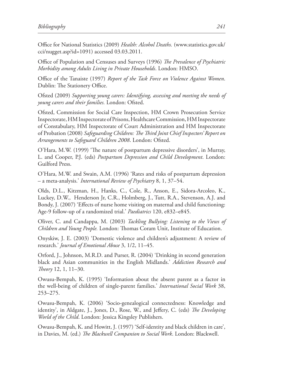Office for National Statistics (2009) *Health: Alcohol Deaths.* (www.statistics.gov.uk/ cci/nugget.asp?id=1091) accessed 03.03.2011.

Office of Population and Censuses and Surveys (1996) *The Prevalence of Psychiatric Morbidity among Adults Living in Private Households*. London: HMSO.

Office of the Tanaiste (1997) *Report of the Task Force on Violence Against Women*. Dublin: The Stationery Office.

Ofsted (2009) *Supporting young carers: Identifying, assessing and meeting the needs of young carers and their families.* London: Ofsted.

Ofsted, Commission for Social Care Inspection, HM Crown Prosecution Service Inspectorate, HM Inspectorate of Prisons, Healthcare Commission, HM Inspectorate of Constabulary, HM Inspectorate of Court Administration and HM Inspectorate of Probation (2008) *Safeguarding Children: The Third Joint Chief Inspectors' Report on Arrangements to Safeguard Children 2008*. London: Ofsted.

O'Hara, M.W. (1999) 'The nature of postpartum depressive disorders', in Murray, L. and Cooper, P.J. (eds) *Postpartum Depression and Child Development*. London: Guilford Press.

O'Hara, M.W. and Swain, A.M. (1996) 'Rates and risks of postpartum depression – a meta-analysis.' *International Review of Psychiatry* 8, 1, 37–54.

Olds, D.L., Kitzman, H., Hanks, C., Cole, R., Anson, E., Sidora-Arcoleo, K., Luckey, D.W., Henderson Jr, C.R., Holmberg, J., Tutt, R.A., Stevenson, A.J. and Bondy, J. (2007) 'Effects of nurse home visiting on maternal and child functioning: Age-9 follow-up of a randomized trial.' *Paediatrics* 120, e832–e845.

Oliver, C. and Candappa, M. (2003) *Tackling Bullying: Listening to the Views of Children and Young People.* London: Thomas Coram Unit, Institute of Education.

Onyskiw, J. E. (2003) 'Domestic violence and children's adjustment: A review of research.' *Journal of Emotional Abuse* 3, 1/2, 11–45.

Orford, J., Johnson, M.R.D. and Purser, R. (2004) 'Drinking in second generation black and Asian communities in the English Midlands.' *Addiction Research and Theory* 12, 1, 11–30.

Owusu-Bempah, K. (1995) 'Information about the absent parent as a factor in the well-being of children of single-parent families.' *International Social Work* 38, 253–275.

Owusu-Bempah, K. (2006) 'Socio-genealogical connectedness: Knowledge and identity', in Aldgate, J., Jones, D., Rose, W., and Jeffery, C. (eds) *The Developing World of the Child*. London: Jessica Kingsley Publishers.

Owusu-Bempah, K. and Howitt, J. (1997) 'Self-identity and black children in care', in Davies, M. (ed.) *The Blackwell Companion to Social Work*. London: Blackwell.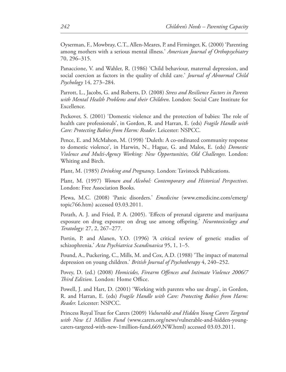Oyserman, F., Mowbray, C.T., Allen-Meares, P. and Firminger, K. (2000) 'Parenting among mothers with a serious mental illness.' *American Journal of Orthopsychiatry* 70, 296–315.

Panaccione, V. and Wahler, R. (1986) 'Child behaviour, maternal depression, and social coercion as factors in the quality of child care.' *Journal of Abnormal Child Psychology* 14, 273–284.

Parrott, L., Jacobs, G. and Roberts, D. (2008) *Stress and Resilience Factors in Parents with Mental Health Problems and their Children*. London: Social Care Institute for Excellence.

Peckover, S. (2001) 'Domestic violence and the protection of babies: The role of health care professionals', in Gordon, R. and Harran, E. (eds) *Fragile Handle with Care: Protecting Babies from Harm: Reader*. Leicester: NSPCC.

Pence, E. and McMahon, M. (1998) 'Duleth: A co-ordinated community response to domestic violence', in Harwin, N., Hague, G. and Malos, E. (eds) *Domestic Violence and Multi-Agency Working: New Opportunities, Old Challenges*. London: Whiting and Birch.

Plant, M. (1985) *Drinking and Pregnancy*. London: Tavistock Publications.

Plant, M. (1997) *Women and Alcohol: Contemporary and Historical Perspectives*. London: Free Association Books.

Plewa, M.C. (2008) 'Panic disorders.' *Emedicine* (www.emedicine.com/emerg/ topic766.htm) accessed 03.03.2011.

Porath, A. J. and Fried, P. A. (2005). 'Effects of prenatal cigarette and marijuana exposure on drug exposure on drug use among offspring.' *Neurotoxicology and Teratology:* 27, 2, 267–277.

Portin, P. and Alanen, Y.O. (1996) 'A critical review of genetic studies of schizophrenia.' *Acta Psychiatrica Scandinavica* 95, 1, 1–5.

Pound, A., Puckering, C., Mills, M. and Cox, A.D. (1988) 'The impact of maternal depression on young children.' *British Journal of Psychotherapy* 4, 240–252.

Povey, D. (ed.) (2008) *Homicides, Firearm Offences and Intimate Violence 2006/7 Third Edition.* London: Home Office.

Powell, J. and Hart, D. (2001) 'Working with parents who use drugs', in Gordon, R. and Harran, E. (eds) *Fragile Handle with Care: Protecting Babies from Harm: Reader.* Leicester: NSPCC.

Princess Royal Trust for Carers (2009) *Vulnerable and Hidden Young Carers Targeted with New £1 Million Fund* (www.carers.org/news/vulnerable-and-hidden-youngcarers-targeted-with-new-1million-fund,669,NW.html) accessed 03.03.2011.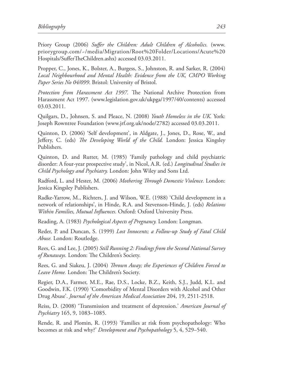Priory Group (2006) *Suffer the Children: Adult Children of Alcoholics.* (www. priorygroup.com/~/media/Migration/Root%20Folder/Locations/Acute%20 Hospitals/SufferTheChildren.ashx) accessed 03.03.2011.

Propper, C., Jones, K., Bolster, A., Burgess, S., Johnston, R. and Sarker, R. (2004) *Local Neighbourhood and Mental Health: Evidence from the UK, CMPO Working Paper Series No 04/099*. Bristol: University of Bristol.

*Protection from Harassment Act 1997.* The National Archive Protection from Harassment Act 1997. (www.legislation.gov.uk/ukpga/1997/40/contents) accessed 03.03.2011.

Quilgars, D., Johnsen, S. and Pleace, N. (2008) *Youth Homeless in the UK.* York: Joseph Rowntree Foundation (www.jrf.org.uk/node/2782) accessed 03.03.2011.

Quinton, D. (2006) 'Self development', in Aldgate, J., Jones, D., Rose, W., and Jeffery, C. (eds) *The Developing World of the Child.* London: Jessica Kingsley Publishers.

Quinton, D. and Rutter, M. (1985) 'Family pathology and child psychiatric disorder: A four-year prospective study', in Nicol, A.R. (ed.) *Longitudinal Studies in Child Psychology and Psychiatry.* London: John Wiley and Sons Ltd.

Radford, L. and Hester, M. (2006) *Mothering Through Domestic Violence.* London: Jessica Kingsley Publishers.

Radke-Yarrow, M., Richters, J. and Wilson, W.E. (1988) 'Child development in a network of relationships', in Hinde, R.A. and Stevenson-Hinde, J. (eds) *Relations Within Families, Mutual Influences.* Oxford: Oxford University Press.

Reading, A. (1983) *Psychological Aspects of Pregnancy.* London: Longman.

Reder, P. and Duncan, S. (1999) *Lost Innocents; a Follow-up Study of Fatal Child Abuse.* London: Routledge.

Rees, G. and Lee, J. (2005) *Still Running 2: Findings from the Second National Survey of Runaways.* London: The Children's Society.

Rees, G. and Siakeu, J. (2004) *Thrown Away; the Experiences of Children Forced to Leave Home.* London: The Children's Society.

Regier, D.A., Farmer, M.E., Rae, D.S., Locke, B.Z., Keith, S.J., Judd, K.L. and Goodwin, F.K. (1990) 'Comorbidity of Mental Disorders with Alcohol and Other Drug Abuse'. *Journal of the American Medical Association* 204, 19, 2511-2518.

Reiss, D. (2008) 'Transmission and treatment of depression.' *American Journal of Psychiatry* 165, 9, 1083–1085.

Rende, R. and Plomin, R. (1993) 'Families at risk from psychopathology: Who becomes at risk and why?' *Development and Psychopathology* 5, 4, 529–540.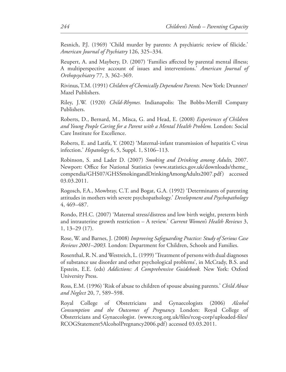Resnich, P.J. (1969) 'Child murder by parents: A psychiatric review of filicide.' *American Journal of Psychiatry* 126, 325–334.

Reupert, A. and Maybery, D. (2007) 'Families affected by parental mental illness; A multiperspective account of issues and interventions.' *American Journal of Orthopsychiatry* 77, 3, 362–369.

Rivinus, T.M. (1991) *Children of Chemically Dependent Parents.* New York: Drunner/ Mazel Publishers.

Riley, J.W. (1920) *Child-Rhymes.* Indianapolis: The Bobbs-Merrill Company Publishers.

Roberts, D., Bernard, M., Misca, G. and Head, E. (2008) *Experiences of Children and Young People Caring for a Parent with a Mental Health Problem.* London: Social Care Institute for Excellence.

Roberts, E. and Latifa, Y. (2002) 'Maternal-infant transmission of hepatitis C virus infection.' *Hepatology* 6, 5, Suppl. 1, S106–113.

Robinson, S. and Lader D. (2007) *Smoking and Drinking among Adults,* 2007. Newport: Office for National Statistics (www.statistics.gov.uk/downloads/theme\_ compendia/GHS07/GHSSmokingandDrinkingAmongAdults2007.pdf) accessed 03.03.2011.

Rogosch, F.A., Mowbray, C.T. and Bogat, G.A. (1992) 'Determinants of parenting attitudes in mothers with severe psychopathology.' *Development and Psychopathology* 4, 469–487.

Rondo, P.H.C. (2007) 'Maternal stress/distress and low birth weight, preterm birth and intrauterine growth restriction – A review.' *Current Women's Health Reviews* 3, 1, 13–29 (17).

Rose, W. and Barnes, J. (2008) *Improving Safeguarding Practice: Study of Serious Case Reviews 2001–2003.* London: Department for Children, Schools and Families.

Rosenthal, R. N. and Westreich, L. (1999) 'Treatment of persons with dual diagnoses of substance use disorder and other psychological problems', in McCrady, B.S. and Epstein, E.E. (eds) *Addictions: A Comprehensive Guidebook.* New York: Oxford University Press.

Ross, E.M. (1996) 'Risk of abuse to children of spouse abusing parents.' *Child Abuse and Neglect* 20, 7, 589–598.

Royal College of Obstetricians and Gynaecologists (2006) *Alcohol Consumption and the Outcomes of Pregnancy.* London: Royal College of Obstetricians and Gynaecologist. (www.rcog.org.uk/files/rcog-corp/uploaded-files/ RCOGStatement5AlcoholPregnancy2006.pdf) accessed 03.03.2011.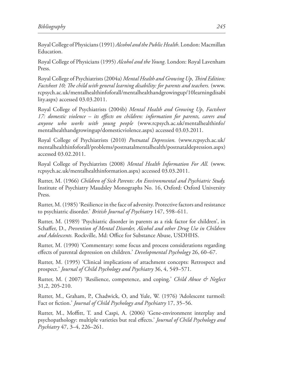Royal College of Physicians (1991) *Alcohol and the Public Health*. London: Macmillan Education.

Royal College of Physicians (1995) *Alcohol and the Young*. London: Royal Lavenham Press.

Royal College of Psychiatrists (2004a) *Mental Health and Growing Up, Third Edition: Factsheet 10; The child with general learning disability: for parents and teachers.* (www. rcpsych.ac.uk/mentalhealthinfoforall/mentalhealthandgrowingup/10learningdisabi lity.aspx) accessed 03.03.2011.

Royal College of Psychiatrists (2004b) *Mental Health and Growing Up, Factsheet 17: domestic violence – its effects on children: information for parents, carers and anyone who works with young people* (www.rcpsych.ac.uk/mentalhealthinfo/ mentalhealthandgrowingup/domesticviolence.aspx) accessed 03.03.2011.

Royal College of Psychiatrists (2010) *Postnatal Depression.* (www.rcpsych.ac.uk/ mentalhealthinfoforall/problems/postnatalmentalhealth/postnataldepression.aspx) accessed 03.02.2011.

Royal College of Psychiatrists (2008) *Mental Health Information For All.* (www. rcpsych.ac.uk/mentalhealthinformation.aspx) accessed 03.03.2011.

Rutter, M. (1966) *Children of Sick Parents: An Environmental and Psychiatric Study.* Institute of Psychiatry Maudsley Monographs No. 16, Oxford: Oxford University Press.

Rutter, M. (1985) 'Resilience in the face of adversity. Protective factors and resistance to psychiatric disorder.' *British Journal of Psychiatry* 147, 598–611.

Rutter, M. (1989) 'Psychiatric disorder in parents as a risk factor for children', in Schaffer, D., *Prevention of Mental Disorder, Alcohol and other Drug Use in Children and Adolescents.* Rockville, Md: Office for Substance Abuse, USDHHS.

Rutter, M. (1990) 'Commentary: some focus and process considerations regarding effects of parental depression on children.' *Developmental Psychology* 26, 60–67.

Rutter, M. (1995) 'Clinical implications of attachment concepts: Retrospect and prospect.' *Journal of Child Psychology and Psychiatry* 36, 4, 549–571.

Rutter, M. ( 2007) 'Resilience, competence, and coping.' *Child Abuse & Neglect*  31,2, 205-210.

Rutter, M., Graham, P., Chadwick, O, and Yule, W. (1976) 'Adolescent turmoil: Fact or fiction.' *Journal of Child Psychology and Psychiatry* 17, 35–56.

Rutter, M., Moffitt, T. and Caspi, A. (2006) 'Gene-environment interplay and psychopathology: multiple varieties but real effects.' *Journal of Child Psychology and Psychiatry* 47, 3–4, 226–261.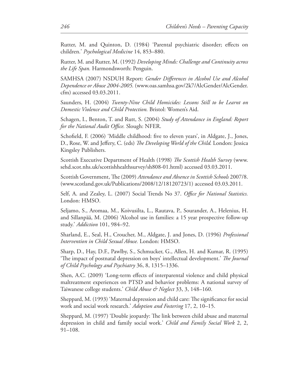Rutter, M. and Quinton, D. (1984) 'Parental psychiatric disorder; effects on children.' *Psychological Medicine* 14, 853–880.

Rutter, M. and Rutter, M. (1992) *Developing Minds: Challenge and Continuity across the Life Span.* Harmondsworth: Penguin.

SAMHSA (2007) NSDUH Report: *Gender Differences in Alcohol Use and Alcohol Dependence or Abuse 2004-2005.* (www.oas.samhsa.gov/2k7/AlcGender/AlcGender. cfm) accessed 03.03.2011.

Saunders, H. (2004) *Twenty-Nine Child Homicides: Lessons Still to be Learnt on Domestic Violence and Child Protection.* Bristol: Women's Aid.

Schagen, I., Benton, T. and Rutt, S. (2004) *Study of Attendance in England: Report for the National Audit Office.* Slough: NFER.

Schofield, F. (2006) 'Middle childhood: five to eleven years', in Aldgate, J., Jones, D., Rose, W. and Jeffery, C. (eds) *The Developing World of the Child.* London: Jessica Kingsley Publishers.

Scottish Executive Department of Health (1998) *The Scottish Health Survey* (www. sehd.scot.nhs.uk/scottishhealthsurvey/sh808-01.html) accessed 03.03.2011.

Scottish Government, The (2009) *Attendance and Absence in Scottish Schools* 2007/8. (www.scotland.gov.uk/Publications/2008/12/18120723/1) accessed 03.03.2011.

Self, A. and Zealey, L. (2007) Social Trends No 37. *Office for National Statistics.*  London: HMSO.

Seljamo, S., Aromaa, M., Koivusilta, L., Rautava, P., Sourander, A., Helenius, H. and Sillanpää, M. (2006) 'Alcohol use in families: a 15 year prospective follow-up study.' *Addiction* 101, 984–92.

Sharland, E., Seal, H., Croucher, M., Aldgate, J. and Jones, D. (1996) *Professional Intervention in Child Sexual Abuse.* London: HMSO.

Sharp, D., Hay, D.F., Pawlby, S., Schmucker, G., Allen, H. and Kumar, R. (1995) 'The impact of postnatal depression on boys' intellectual development.' *The Journal of Child Psychology and Psychiatry* 36, 8, 1315–1336.

Shen, A.C. (2009) 'Long-term effects of interparental violence and child physical maltreatment experiences on PTSD and behavior problems: A national survey of Taiwanese college students.' *Child Abuse & Neglect* 33, 3, 148–160.

Sheppard, M. (1993) 'Maternal depression and child care: The significance for social work and social work research.' *Adoption and Fostering* 17, 2, 10–15.

Sheppard, M. (1997) 'Double jeopardy: The link between child abuse and maternal depression in child and family social work.' *Child and Family Social Work* 2, 2, 91–108.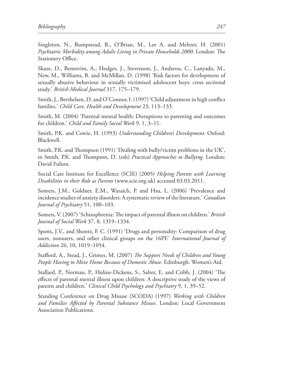Singleton, N., Bumpstead, R., O'Brian, M., Lee A. and Meltzer, H. (2001) *Psychiatric Morbidity among Adults Living in Private Households 2000*. London: The Stationery Office.

Skuse, D., Bentovim, A., Hodges, J., Stevenson, J., Andreou, C., Lanyado, M., New, M., Williams, B. and McMillan, D. (1998) 'Risk factors for development of sexually abusive behaviour in sexually victimised adolescent boys: cross sectional study.' *British Medical Journal* 317, 175–179.

Smith, J., Berthelsen, D. and O'Connor, I. (1997) 'Child adjustment in high conflict families.' *Child Care, Health and Development* 23, 113–133.

Smith, M. (2004) 'Parental mental health: Disruptions to parenting and outcomes for children.' *Child and Family Social Work* 9, 1, 3–11.

Smith, P.K. and Cowie, H. (1993) *Understanding Children's Development*. Oxford: Blackwell.

Smith, P.K. and Thompson (1991) 'Dealing with bully/victim problems in the UK', in Smith, P.K. and Thompson, D. (eds) *Practical Approaches to Bullying*. London: David Fulton.

Social Care Institute for Excellence (SCIE) (2005) *Helping Parents with Learning Disabilities in their Role as Parents* (www.scie.org.uk) accessed 03.03.2011.

Somers, J.M., Goldner, E.M., Waraich, P. and Hsu, L. (2006) 'Prevalence and incidence studies of anxiety disorders: A systematic review of the literature.' *Canadian Journal of Psychiatry* 51, 100–103.

Somers, V. (2007) 'Schizophrenia: The impact of parental illness on children.' *British Journal of Social Work* 37, 8, 1319–1334.

Spotts, J.V., and Shontz, F. C. (1991) 'Drugs and personality: Comparison of drug users, nonusers, and other clinical groups on the 16PF.' *International Journal of Addiction* 26, 10, 1019–1054.

Stafford, A., Stead, J., Grimes, M. (2007) *The Support Needs of Children and Young People Having to Move Home Because of Domestic Abuse*. Edinburgh: Women's Aid.

Stallard, P., Norman, P., Huline-Dickens, S., Salter, E. and Cribb, J. (2004) 'The effects of parental mental illness upon children: A descriptive study of the views of parents and children.' *Clinical Child Psychology and Psychiatry* 9, 1, 39–52.

Standing Conference on Drug Misuse (SCODA) (1997) *Working with Children and Families Affected by Parental Substance Misuse*. London: Local Government Association Publications.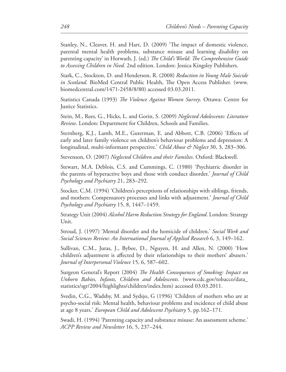Stanley, N., Cleaver, H. and Hart, D. (2009) 'The impact of domestic violence, parental mental health problems, substance misuse and learning disability on parenting capacity' in Horwath, J. (ed.) *The Child's World: The Comprehensive Guide to Assessing Children in Need.* 2nd edition. London: Jessica Kingsley Publishers.

Stark, C., Stockton, D. and Henderson, R. (2008) *Reduction in Young Male Suicide in Scotland*. BioMed Central Public Health, The Open Access Publisher. (www. biomedcentral.com/1471-2458/8/80) accessed 03.03.2011.

Statistics Canada (1993) *The Violence Against Women Survey*. Ottawa: Centre for Justice Statistics.

Stein, M., Rees, G., Hicks, L. and Gorin, S. (2009) *Neglected Adolescents: Literature Review*. London: Department for Children, Schools and Families.

Sternberg, K.J., Lamb, M.E., Guterman, E. and Abbott, C.B. (2006) 'Effects of early and later family violence on children's behaviour problems and depression: A longitudinal, multi-informant perspective.' *Child Abuse & Neglect* 30, 3, 283–306.

Stevenson, O. (2007) *Neglected Children and their Families*. Oxford: Blackwell.

Stewart, M.A. Deblois, C.S. and Cummings, C. (1980) 'Psychiatric disorder in the parents of hyperactive boys and those with conduct disorder.' *Journal of Child Psychology and Psychiatry* 21, 283–292.

Stocker, C.M. (1994) 'Children's perceptions of relationships with siblings, friends, and mothers: Compensatory processes and links with adjustment.' *Journal of Child Psychology and Psychiatry* 15, 8, 1447–1459.

Strategy Unit (2004) *Alcohol Harm Reduction Strategy for England*. London: Strategy Unit.

Stroud, J. (1997) 'Mental disorder and the homicide of children.' *Social Work and Social Sciences Review: An International Journal of Applied Research* 6, 3, 149–162.

Sullivan, C.M., Juras, J., Bybee, D., Nguyen, H. and Allen, N. (2000) 'How children's adjustment is affected by their relationships to their mothers' abusers.' *Journal of Interpersonal Violence* 15, 6, 587–602.

Surgeon General's Report (2004) *The Health Consequences of Smoking: Impact on Unborn Babies, Infants, Children and Adolescents.* (www.cdc.gov/tobacco/data\_ statistics/sgr/2004/highlights/children/index.htm) accessed 03.03.2011.

Svedin, C.G., Wadsby, M. and Sydsjo, G (1996) 'Children of mothers who are at psycho-social risk: Mental health, behaviour problems and incidence of child abuse at age 8 years.' *European Child and Adolescent Psychiatry* 5, pp.162–171.

Swadi, H. (1994) 'Parenting capacity and substance misuse: An assessment scheme.' *ACPP Review and Newsletter* 16, 5, 237–244.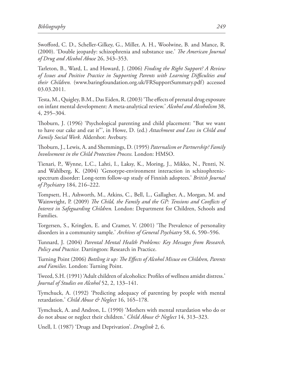Swofford, C. D., Scheller-Gilkey, G., Miller, A. H., Woolwine, B. and Mance, R. (2000). 'Double jeopardy: schizophrenia and substance use.' *The American Journal of Drug and Alcohol Abuse* 26, 343–353.

Tarleton, B., Ward, L. and Howard, J. (2006) *Finding the Right Support? A Review of Issues and Positive Practice in Supporting Parents with Learning Difficulties and their Children.* (www.baringfoundation.org.uk/FRSupportSummary.pdf) accessed 03.03.2011.

Testa, M., Quigley, B.M., Das Eiden, R. (2003) 'The effects of prenatal drug exposure on infant mental development: A meta-analytical review.' *Alcohol and Alcoholism* 38, 4, 295–304.

Thoburn, J. (1996) 'Psychological parenting and child placement: "But we want to have our cake and eat it"', in Howe, D. (ed.) *Attachment and Loss in Child and Family Social Work.* Aldershot: Avebury.

Thoburn, J., Lewis, A. and Shemmings, D. (1995) *Paternalism or Partnership? Family Involvement in the Child Protection Process.* London: HMSO.

Tienari, P., Wynne, L.C., Lahti, I., Laksy, K., Moring, J., Mikko, N., Pentti, N. and Wahlberg, K. (2004) 'Genotype-environment interaction in schizophrenicspectrum disorder: Long-term follow-up study of Finnish adoptees.' *British Journal of Psychiatry* 184, 216–222.

Tompsett, H., Ashworth, M., Atkins, C., Bell, L., Gallagher, A., Morgan, M. and Wainwright, P. (2009) *The Child, the Family and the GP: Tensions and Conflicts of Interest in Safeguarding Children.* London: Department for Children, Schools and Families.

Torgersen, S., Kringlen, E. and Cramer, V. (2001) 'The Prevalence of personality disorders in a community sample.' *Archives of General Psychiatry* 58, 6, 590–596.

Tunnard, J. (2004) *Parental Mental Health Problems: Key Messages from Research, Policy and Practice.* Dartington: Research in Practice.

Turning Point (2006) *Bottling it up: The Effects of Alcohol Misuse on Children, Parents and Families.* London: Turning Point.

Tweed, S.H. (1991) 'Adult children of alcoholics: Profiles of wellness amidst distress.' *Journal of Studies on Alcohol* 52, 2, 133–141.

Tymchuck, A. (1992) 'Predicting adequacy of parenting by people with mental retardation.' *Child Abuse & Neglect* 16, 165–178.

Tymchuck, A. and Andron, L. (1990) 'Mothers with mental retardation who do or do not abuse or neglect their children.' *Child Abuse & Neglect* 14, 313–323.

Unell, I. (1987) 'Drugs and Deprivation'. *Druglink* 2, 6.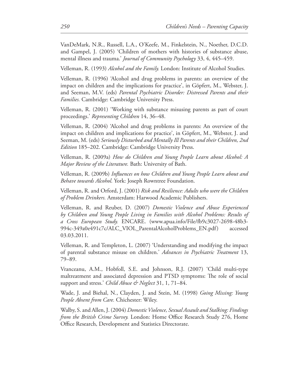VanDeMark, N.R., Russell, L.A., O'Keefe, M., Finkelstein, N., Noether, D.C.D. and Gampel, J. (2005) 'Children of mothers with histories of substance abuse, mental illness and trauma.' *Journal of Community Psychology* 33, 4, 445–459.

Velleman, R. (1993) *Alcohol and the Family.* London: Institute of Alcohol Studies.

Velleman, R. (1996) 'Alcohol and drug problems in parents: an overview of the impact on children and the implications for practice', in Göpfert, M., Webster, J. and Seeman, M.V. (eds) *Parental Psychiatric Disorder: Distressed Parents and their Families.* Cambridge: Cambridge University Press.

Velleman, R. (2001) 'Working with substance misusing parents as part of court proceedings.' *Representing Children* 14, 36–48.

Velleman, R. (2004) 'Alcohol and drug problems in parents: An overview of the impact on children and implications for practice', in Göpfert, M., Webster, J. and Seeman, M. (eds) *Seriously Disturbed and Mentally Ill Parents and their Children, 2nd Edition* 185–202. Cambridge: Cambridge University Press.

Velleman, R. (2009a) *How do Children and Young People Learn about Alcohol: A Major Review of the Literature.* Bath: University of Bath.

Velleman, R. (2009b) *Influences on how Children and Young People Learn about and Behave towards Alcohol.* York: Joseph Rowntree Foundation.

Velleman, R. and Orford, J. (2001) *Risk and Resilience: Adults who were the Children of Problem Drinkers.* Amsterdam: Harwood Academic Publishers.

Velleman, R. and Reuber, D. (2007) *Domestic Violence and Abuse Experienced by Children and Young People Living in Families with Alcohol Problems: Results of a Cross European Study.* ENCARE. (www.apua.info/File/fb9c3027-2698-48b3- 994c-349a0e491c7c/ALC\_VIOL\_ParentalAlcoholProblems\_EN.pdf) accessed 03.03.2011.

Velleman, R. and Templeton, L. (2007) 'Understanding and modifying the impact of parental substance misuse on children.' *Advances in Psychiatric Treatment* 13, 79–89.

Vranceanu, A.M., Hobfoll, S.E. and Johnson, R.J. (2007) 'Child multi-type maltreatment and associated depression and PTSD symptoms: The role of social support and stress.' *Child Abuse & Neglect* 31, 1, 71–84.

Wade, J. and Biehal, N., Clayden, J. and Stein, M. (1998) *Going Missing: Young People Absent from Care.* Chichester: Wiley.

Walby, S. and Allen, J. (2004) *Domestic Violence, Sexual Assault and Stalking: Findings from the British Crime Survey.* London: Home Office Research Study 276, Home Office Research, Development and Statistics Directorate.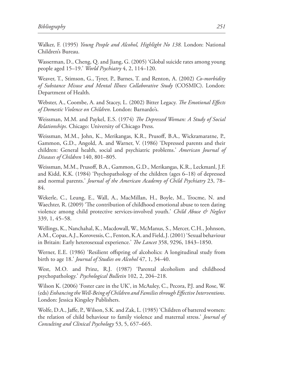Walker, F. (1995) *Young People and Alcohol, Highlight No 138.* London: National Children's Bureau.

Wasserman, D., Cheng, Q. and Jiang, G. (2005) 'Global suicide rates among young people aged 15–19.' *World Psychiatry* 4, 2, 114–120.

Weaver, T., Stimson, G., Tyrer, P., Barnes, T. and Renton, A. (2002) *Co-morbidity of Substance Misuse and Mental Illness Collaborative Study* (COSMIC). London: Department of Health.

Webster, A., Coombe, A. and Stacey, L. (2002) Bitter Legacy. *The Emotional Effects of Domestic Violence on Children*. London: Barnardo's.

Weissman, M.M. and Paykel, E.S. (1974) *The Depressed Woman: A Study of Social Relationships*. Chicago: University of Chicago Press.

Weissman, M.M., John, K., Merikangas, K.R., Prusoff, B.A., Wickramaratne, P., Gammon, G.D., Angold, A. and Warner, V. (1986) 'Depressed parents and their children: General health, social and psychiatric problems.' *American Journal of Diseases of Children* 140, 801–805.

Weissman, M.M., Prusoff, B.A., Gammon, G.D., Merikangas, K.R., Leckmanl, J.F. and Kidd, K.K. (1984) 'Psychopathology of the children (ages 6–18) of depressed and normal parents.' *Journal of the American Academy of Child Psychiatry* 23, 78– 84.

Wekerle, C., Leung, E., Wall, A., MacMillan, H., Boyle, M., Trocme, N. and Waechter, R. (2009) 'The contribution of childhood emotional abuse to teen dating violence among child protective services-involved youth.' *Child Abuse & Neglect* 339, 1, 45–58.

Wellings, K., Nanchahal, K., Macdowall, W., McManus, S., Mercer, C.H., Johnson, A.M., Copas, A.J., Korovessis, C., Fenton, K.A. and Field, J. (2001) 'Sexual behaviour in Britain: Early heterosexual experience.' *The Lancet* 358, 9296, 1843–1850.

Werner, E.E. (1986) 'Resilient offspring of alcoholics: A longitudinal study from birth to age 18.' *Journal of Studies on Alcohol* 47, 1, 34–40.

West, M.O. and Prinz, R.J. (1987) 'Parental alcoholism and childhood psychopathology.' *Psychological Bulletin* 102, 2, 204–218.

Wilson K. (2006) 'Foster care in the UK', in McAuley, C., Pecora, P.J. and Rose, W. (eds) *Enhancing the Well-Being of Children and Families through Effective Interventions*. London: Jessica Kingsley Publishers.

Wolfe, D.A., Jaffe, P., Wilson, S.K. and Zak, L. (1985) 'Children of battered women: the relation of child behaviour to family violence and maternal stress.' *Journal of Consulting and Clinical Psychology* 53, 5, 657–665.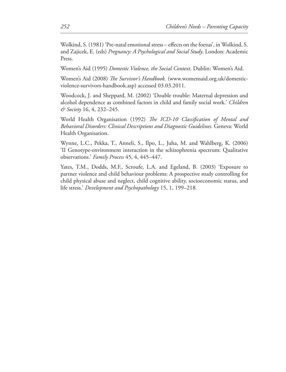Wolkind, S. (1981) 'Pre-natal emotional stress – effects on the foetus', in Wolkind, S. and Zajicek, E. (eds) *Pregnancy: A Psychological and Social Study*. London: Academic Press.

Women's Aid (1995) *Domestic Violence, the Social Context*. Dublin: Women's Aid.

Women's Aid (2008) *The Survivor's Handbook.* (www.womensaid.org.uk/domesticviolence-survivors-handbook.asp) accessed 03.03.2011.

Woodcock, J. and Sheppard, M. (2002) 'Double trouble: Maternal depression and alcohol dependence as combined factors in child and family social work.' *Children & Society* 16, 4, 232–245.

World Health Organisation (1992) *The ICD-10 Classification of Mental and Behavioral Disorders: Clinical Descriptions and Diagnostic Guidelines.* Geneva: World Health Organisation.

Wynne, L.C., Pekka, T., Anneli, S., Ilpo, L., Juha, M. and Wahlberg, K. (2006) 'II Genotype-environment interaction in the schizophrenia spectrum: Qualitative observations.' *Family Process* 45, 4, 445–447.

Yates, T.M., Dodds, M.F., Scroufe, L.A. and Egeland, B. (2003) 'Exposure to partner violence and child behaviour problems: A prospective study controlling for child physical abuse and neglect, child cognitive ability, socioeconomic status, and life stress.' *Development and Psychopathology* 15, 1, 199–218.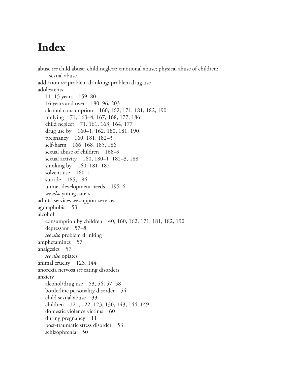## **Index**

abuse *see* child abuse; child neglect; emotional abuse; physical abuse of children; sexual abuse addiction *see* problem drinking; problem drug use adolescents 11–15 years 159–80 16 years and over 180–96, 203 alcohol consumption 160, 162, 171, 181, 182, 190 bullying 71, 163–4, 167, 168, 177, 186 child neglect 71, 161, 163, 164, 177 drug use by 160–1, 162, 180, 181, 190 pregnancy 160, 181, 182–3 self-harm 166, 168, 185, 186 sexual abuse of children 168–9 sexual activity 160, 180–1, 182–3, 188 smoking by 160, 181, 182 solvent use 160–1 suicide 185, 186 unmet development needs 195–6 *see also* young carers adults' services *see* support services agoraphobia 53 alcohol consumption by children 40, 160, 162, 171, 181, 182, 190 depressant 57–8 *see also* problem drinking amphetamines 57 analgesics 57 *see also* opiates animal cruelty 123, 144 anorexia nervosa *see* eating disorders anxiety alcohol/drug use 53, 56, 57, 58 borderline personality disorder 54 child sexual abuse 33 children 121, 122, 123, 130, 143, 144, 149 domestic violence victims 60 during pregnancy 11 post-traumatic stress disorder 53 schizophrenia 50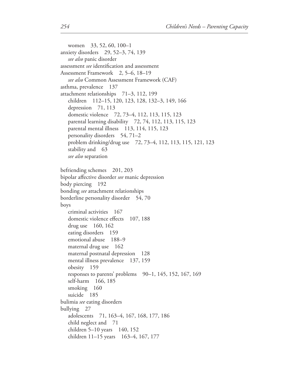women 33, 52, 60, 100–1 anxiety disorders 29, 52–3, 74, 139 *see also* panic disorder assessment *see* identification and assessment Assessment Framework 2, 5–6, 18–19 *see also* Common Assessment Framework (CAF) asthma, prevalence 137 attachment relationships 71–3, 112, 199 children 112–15, 120, 123, 128, 132–3, 149, 166 depression 71, 113 domestic violence 72, 73–4, 112, 113, 115, 123 parental learning disability 72, 74, 112, 113, 115, 123 parental mental illness 113, 114, 115, 123 personality disorders 54, 71–2 problem drinking/drug use 72, 73–4, 112, 113, 115, 121, 123 stability and 63 *see also* separation befriending schemes 201, 203 bipolar affective disorder *see* manic depression body piercing 192 bonding *see* attachment relationships borderline personality disorder 54, 70 boys criminal activities 167 domestic violence effects 107, 188 drug use 160, 162 eating disorders 159 emotional abuse 188–9 maternal drug use 162 maternal postnatal depression 128 mental illness prevalence 137, 159 obesity 159 responses to parents' problems 90–1, 145, 152, 167, 169 self-harm 166, 185 smoking 160 suicide 185 bulimia *see* eating disorders bullying 27 adolescents 71, 163–4, 167, 168, 177, 186 child neglect and 71 children 5–10 years 140, 152 children 11–15 years 163–4, 167, 177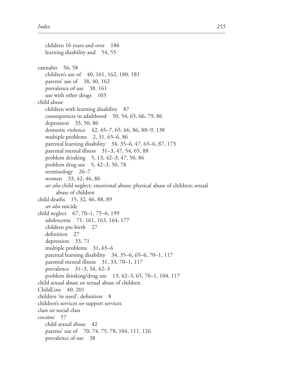children 16 years and over 186 learning disability and 54, 55 cannabis 56, 58 children's use of 40, 161, 162, 180, 181 parents' use of 38, 40, 162 prevalence of use 38, 161 use with other drugs 103 child abuse children with learning disability 87 consequences in adulthood  $50, 54, 65, 66, 79, 86$  depression 33, 50, 86 domestic violence 42, 45–7, 65, 66, 86, 88–9, 138 multiple problems 2, 31, 65–6, 86 parental learning disability 34, 35–6, 47, 65–6, 87, 173 parental mental illness 31–3, 47, 54, 65, 88 problem drinking 5, 13, 42–3, 47, 50, 86 problem drug use 5, 42–3, 50, 78 terminology 26–7 women 33, 42, 46, 86 *see also* child neglect; emotional abuse; physical abuse of children; sexual abuse of children child deaths 15, 32, 46, 88, 89 *see also* suicide child neglect 67, 70–1, 75–6, 199 adolescents 71, 161, 163, 164, 177 children pre-birth 27 definition 27 depression 33, 71 multiple problems 31, 65–6 parental learning disability 34, 35–6, 65–6, 70–1, 117 parental mental illness 31, 33, 70–1, 117 prevalence 31–3, 34, 42–3 problem drinking/drug use 13, 42–3, 65, 70–1, 104, 117 child sexual abuse *see* sexual abuse of children ChildLine 40, 201 children 'in need', definition 8 children's services *see* support services class *see* social class cocaine 57 child sexual abuse 42 parents' use of 70, 74, 75, 78, 104, 111, 126 prevalence of use 38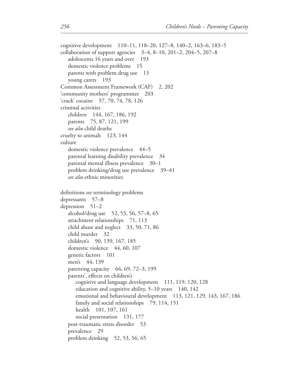cognitive development 110–11, 118–20, 127–8, 140–2, 163–6, 183–5 collaboration of support agencies  $3-4$ ,  $8-10$ ,  $201-2$ ,  $204-5$ ,  $207-8$  adolescents 16 years and over 193 domestic violence problems 15 parents with problem drug use 13 young carers 193 Common Assessment Framework (CAF) 2, 202 'community mothers' programmes 203 'crack' cocaine 57, 70, 74, 78, 126 criminal activities children 144, 167, 186, 192 parents 75, 87, 121, 199 *see also* child deaths cruelty to animals 123, 144 culture domestic violence prevalence 44–5 parental learning disability prevalence 34 parental mental illness prevalence 30–1 problem drinking/drug use prevalence 39–41 *see also* ethnic minorities definitions *see* terminology problems depressants 57–8 depression 51–2 alcohol/drug use 52, 53, 56, 57–8, 65 attachment relationships 71, 113 child abuse and neglect 33, 50, 71, 86 child murder 32 children's 90, 139, 167, 185 domestic violence 44, 60, 107 genetic factors 101 men's 44, 139 parenting capacity 66, 69, 72–3, 199 parents', effects on children's cognitive and language development 111, 119, 120, 128 education and cognitive ability, 5–10 years 140, 142 emotional and behavioural development 113, 121, 129, 143, 167, 186 family and social relationships 79, 114, 151 health 101, 107, 161 social presentation 131, 177 post-traumatic stress disorder 53 prevalence 29 problem drinking 52, 53, 56, 65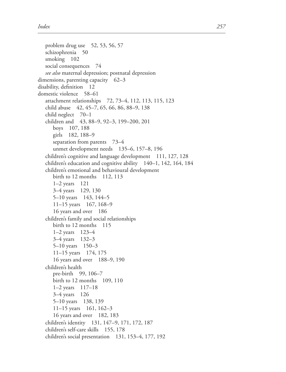problem drug use 52, 53, 56, 57 schizophrenia 50 smoking 102 social consequences 74 *see also* maternal depression; postnatal depression dimensions, parenting capacity 62–3 disability, definition 12 domestic violence 58–61 attachment relationships 72, 73–4, 112, 113, 115, 123 child abuse 42, 45–7, 65, 66, 86, 88–9, 138 child neglect 70–1 children and 43, 88–9, 92–3, 199–200, 201 boys 107, 188 girls 182, 188–9 separation from parents 73–4 unmet development needs 135–6, 157–8, 196 children's cognitive and language development 111, 127, 128 children's education and cognitive ability 140–1, 142, 164, 184 children's emotional and behavioural development birth to 12 months 112, 113 1–2 years 121 3–4 years 129, 130 5–10 years 143, 144–5 11–15 years 167, 168–9 16 years and over 186 children's family and social relationships birth to 12 months 115 1–2 years 123–4 3–4 years 132–3 5–10 years 150–3 11–15 years 174, 175 16 years and over 188–9, 190 children's health pre-birth 99, 106–7 birth to 12 months 109, 110 1–2 years 117–18 3–4 years 126 5–10 years 138, 139 11–15 years 161, 162–3 16 years and over 182, 183 children's identity 131, 147–9, 171, 172, 187 children's self-care skills 155, 178 children's social presentation 131, 153–4, 177, 192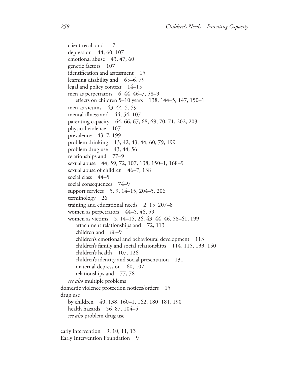client recall and 17 depression 44, 60, 107 emotional abuse 43, 47, 60 genetic factors 107 identification and assessment 15 learning disability and 65–6, 79 legal and policy context 14–15 men as perpetrators 6, 44, 46–7, 58–9 effects on children 5–10 years 138, 144–5, 147, 150–1 men as victims 43, 44–5, 59 mental illness and 44, 54, 107 parenting capacity 64, 66, 67, 68, 69, 70, 71, 202, 203 physical violence 107 prevalence 43–7, 199 problem drinking 13, 42, 43, 44, 60, 79, 199 problem drug use 43, 44, 56 relationships and 77–9 sexual abuse 44, 59, 72, 107, 138, 150–1, 168–9 sexual abuse of children 46–7, 138 social class 44–5 social consequences 74–9 support services 5, 9, 14–15, 204–5, 206 terminology 26 training and educational needs 2, 15, 207–8 women as perpetrators 44–5, 46, 59 women as victims 5, 14–15, 26, 43, 44, 46, 58–61, 199 attachment relationships and 72, 113 children and 88–9 children's emotional and behavioural development 113 children's family and social relationships 114, 115, 133, 150 children's health 107, 126 children's identity and social presentation 131 maternal depression 60, 107 relationships and 77,78 *see also* multiple problems domestic violence protection notices/orders 15 drug use by children 40, 138, 160–1, 162, 180, 181, 190 health hazards 56, 87, 104–5 *see also* problem drug use

early intervention 9, 10, 11, 13 Early Intervention Foundation 9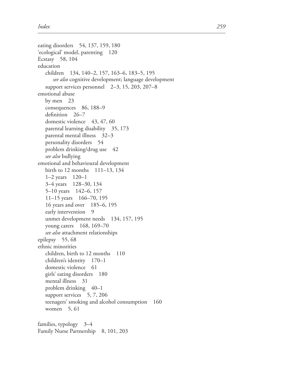```
eating disorders 54, 137, 159, 180
'ecological' model, parenting 120
Ecstasy 58, 104
education
    children 134, 140–2, 157, 163–6, 183–5, 195
      see also cognitive development; language development
    support services personnel 2–3, 15, 203, 207–8
emotional abuse
    by men 23
    consequences 86, 188–9
    definition 26–7
    domestic violence 43, 47, 60
    parental learning disability 35, 173
    parental mental illness 32–3
    personality disorders 54
    problem drinking/drug use 42
   see also bullying
emotional and behavioural development
    birth to 12 months 111–13, 134
    1–2 years 120–1
    3–4 years 128–30, 134
    5–10 years 142–6, 157
    11–15 years 166–70, 195
    16 years and over 185–6, 195
   early intervention 9
    unmet development needs 134, 157, 195
    young carers 168, 169–70
   see also attachment relationships
epilepsy 55, 68
ethnic minorities
    children, birth to 12 months 110
    children's identity 170–1
    domestic violence 61
    girls' eating disorders 180
    mental illness 31
    problem drinking 40–1
   support services 5, 7, 206
    teenagers' smoking and alcohol consumption 160
    women 5, 61
```
families, typology 3–4 Family Nurse Partnership 8, 101, 203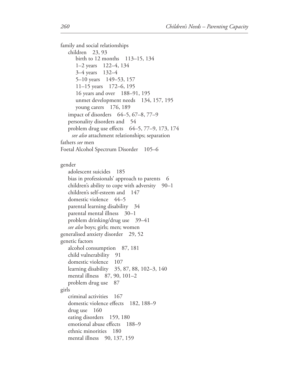family and social relationships children 23, 93 birth to 12 months 113–15, 134 1–2 years 122–4, 134 3–4 years 132–4 5–10 years 149–53, 157 11–15 years 172–6, 195 16 years and over 188–91, 195 unmet development needs 134, 157, 195 young carers 176, 189 impact of disorders 64–5, 67–8, 77–9 personality disorders and 54 problem drug use effects 64–5, 77–9, 173, 174 *see also* attachment relationships; separation fathers *see* men Foetal Alcohol Spectrum Disorder 105–6 gender adolescent suicides 185 bias in professionals' approach to parents 6 children's ability to cope with adversity  $90-1$  children's self-esteem and 147 domestic violence 44–5 parental learning disability 34 parental mental illness 30–1 problem drinking/drug use 39–41 *see also* boys; girls; men; women generalised anxiety disorder 29, 52 genetic factors alcohol consumption 87, 181 child vulnerability 91 domestic violence 107 learning disability 35, 87, 88, 102–3, 140 mental illness 87, 90, 101–2 problem drug use 87 girls criminal activities 167 domestic violence effects 182, 188–9 drug use 160 eating disorders 159, 180 emotional abuse effects 188–9 ethnic minorities 180 mental illness 90, 137, 159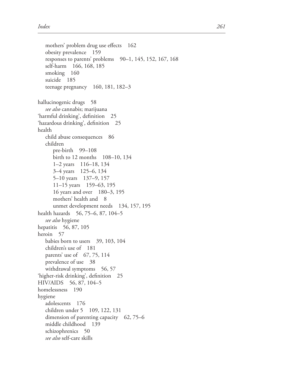mothers' problem drug use effects 162 obesity prevalence 159 responses to parents' problems 90–1, 145, 152, 167, 168 self-harm 166, 168, 185 smoking 160 suicide 185 teenage pregnancy 160, 181, 182–3 hallucinogenic drugs 58 *see also* cannabis; marijuana 'harmful drinking', definition 25 'hazardous drinking', definition 25 health child abuse consequences 86 children pre-birth 99–108 birth to 12 months 108–10, 134 1–2 years 116–18, 134 3–4 years 125–6, 134 5–10 years 137–9, 157 11–15 years 159–63, 195 16 years and over 180–3, 195 mothers' health and 8 unmet development needs 134, 157, 195 health hazards 56, 75–6, 87, 104–5 *see also* hygiene hepatitis 56, 87, 105 heroin 57 babies born to users 39, 103, 104 children's use of 181 parents' use of 67, 75, 114 prevalence of use 38 withdrawal symptoms 56, 57 'higher-risk drinking', definition 25 HIV/AIDS 56, 87, 104–5 homelessness 190 hygiene adolescents 176 children under 5 109, 122, 131 dimension of parenting capacity 62, 75–6 middle childhood 139 schizophrenics 50 *see also* self-care skills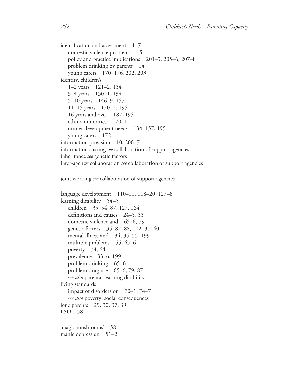identification and assessment 1–7 domestic violence problems 15 policy and practice implications 201–3, 205–6, 207–8 problem drinking by parents 14 young carers 170, 176, 202, 203 identity, children's 1–2 years 121–2, 134 3–4 years 130–1, 134 5–10 years 146–9, 157 11–15 years 170–2, 195 16 years and over 187, 195 ethnic minorities 170–1 unmet development needs 134, 157, 195 young carers 172 information provision 10, 206–7 information sharing *see* collaboration of support agencies inheritance *see* genetic factors inter-agency collaboration *see* collaboration of support agencies joint working *see* collaboration of support agencies language development 110–11, 118–20, 127–8

learning disability 54–5 children 35, 54, 87, 127, 164 definitions and causes 24–5, 33 domestic violence and 65–6, 79 genetic factors 35, 87, 88, 102–3, 140 mental illness and 34, 35, 55, 199 multiple problems 55, 65–6 poverty 34, 64 prevalence 33–6, 199 problem drinking 65–6 problem drug use 65–6, 79, 87 *see also* parental learning disability living standards impact of disorders on 70–1, 74–7 *see also* poverty; social consequences lone parents 29, 30, 37, 39 LSD 58

'magic mushrooms' 58 manic depression 51–2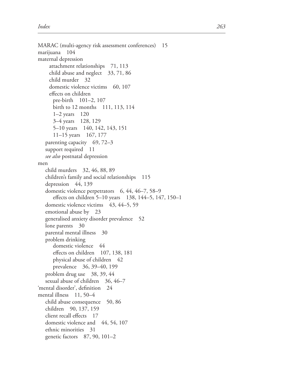MARAC (multi-agency risk assessment conferences) 15 marijuana 104 maternal depression attachment relationships 71, 113 child abuse and neglect 33, 71, 86 child murder 32 domestic violence victims 60, 107 effects on children pre-birth 101–2, 107 birth to 12 months 111, 113, 114 1–2 years 120 3–4 years 128, 129 5–10 years 140, 142, 143, 151 11–15 years 167, 177 parenting capacity 69, 72–3 support required 11 *see also* postnatal depression men child murders 32, 46, 88, 89 children's family and social relationships 115 depression 44, 139 domestic violence perpetrators 6, 44, 46–7, 58–9 effects on children 5–10 years 138, 144–5, 147, 150–1 domestic violence victims 43, 44–5, 59 emotional abuse by 23 generalised anxiety disorder prevalence 52 lone parents 30 parental mental illness 30 problem drinking domestic violence 44 effects on children 107, 138, 181 physical abuse of children 42 prevalence 36, 39–40, 199 problem drug use 38, 39, 44 sexual abuse of children 36, 46–7 'mental disorder', definition 24 mental illness 11, 50–4 child abuse consequence 50, 86 children 90, 137, 159 client recall effects 17 domestic violence and 44, 54, 107 ethnic minorities 31 genetic factors 87, 90, 101–2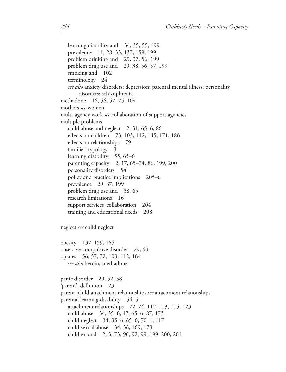```
 learning disability and 34, 35, 55, 199
    prevalence 11, 28–33, 137, 159, 199
    problem drinking and 29, 37, 56, 199
    problem drug use and 29, 38, 56, 57, 199
    smoking and 102
    terminology 24
   see also anxiety disorders; depression; parental mental illness; personality 
       disorders; schizophrenia
methadone 16, 56, 57, 75, 104
mothers see women
multi-agency work see collaboration of support agencies
multiple problems
    child abuse and neglect 2, 31, 65–6, 86
    effects on children 73, 103, 142, 145, 171, 186
    effects on relationships 79
    families' typology 3
    learning disability 55, 65–6
    parenting capacity 2, 17, 65–74, 86, 199, 200
    personality disorders 54
    policy and practice implications 205–6
    prevalence 29, 37, 199
    problem drug use and 38, 65
    research limitations 16
    support services' collaboration 204
    training and educational needs 208
neglect see child neglect
obesity 137, 159, 185
obsessive-compulsive disorder 29, 53
opiates 56, 57, 72, 103, 112, 164
   see also heroin; methadone
panic disorder 29, 52, 58
'parent', definition 23
parent–child attachment relationships see attachment relationships
parental learning disability 54–5
    attachment relationships 72, 74, 112, 113, 115, 123
    child abuse 34, 35–6, 47, 65–6, 87, 173
    child neglect 34, 35–6, 65–6, 70–1, 117
    child sexual abuse 34, 36, 169, 173
    children and 2, 3, 73, 90, 92, 99, 199–200, 201
```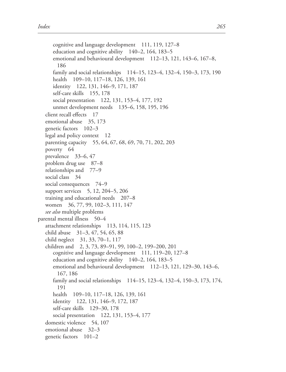cognitive and language development 111, 119, 127–8 education and cognitive ability 140–2, 164, 183–5 emotional and behavioural development 112–13, 121, 143–6, 167–8, 186 family and social relationships 114–15, 123–4, 132–4, 150–3, 173, 190 health 109–10, 117–18, 126, 139, 161 identity 122, 131, 146–9, 171, 187 self-care skills 155, 178 social presentation 122, 131, 153–4, 177, 192 unmet development needs 135–6, 158, 195, 196 client recall effects 17 emotional abuse 35, 173 genetic factors 102–3 legal and policy context 12 parenting capacity 55, 64, 67, 68, 69, 70, 71, 202, 203 poverty 64 prevalence 33–6, 47 problem drug use 87–8 relationships and 77–9 social class 34 social consequences 74–9 support services 5, 12, 204–5, 206 training and educational needs 207–8 women 36, 77, 99, 102–3, 111, 147 *see also* multiple problems parental mental illness 50–4 attachment relationships 113, 114, 115, 123 child abuse 31–3, 47, 54, 65, 88 child neglect 31, 33, 70–1, 117 children and 2, 3, 73, 89–91, 99, 100–2, 199–200, 201 cognitive and language development 111, 119–20, 127–8 education and cognitive ability 140–2, 164, 183–5 emotional and behavioural development 112–13, 121, 129–30, 143–6, 167, 186 family and social relationships 114–15, 123–4, 132–4, 150–3, 173, 174, 191 health 109–10, 117–18, 126, 139, 161 identity 122, 131, 146–9, 172, 187 self-care skills 129–30, 178 social presentation 122, 131, 153–4, 177 domestic violence 54, 107 emotional abuse 32–3 genetic factors 101–2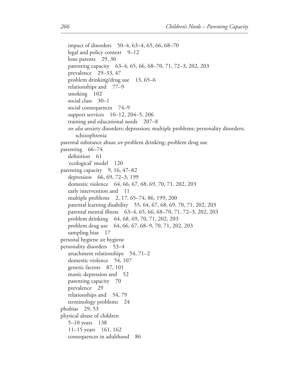```
 impact of disorders 50–4, 63–4, 65, 66, 68–70
    legal and policy context 9–12
   lone parents 29, 30
    parenting capacity 63–4, 65, 66, 68–70, 71, 72–3, 202, 203
    prevalence 29–33, 47
    problem drinking/drug use 13, 65–6
    relationships and 77–9
    smoking 102
    social class 30–1
    social consequences 74–9
    support services 10–12, 204–5, 206
    training and educational needs 207–8
   see also anxiety disorders; depression; multiple problems; personality disorders; 
      schizophrenia
parental substance abuse see problem drinking; problem drug use
parenting 66–74
   definition 61
    'ecological' model 120
parenting capacity 9, 16, 47–82
    depression 66, 69, 72–3, 199
    domestic violence 64, 66, 67, 68, 69, 70, 71, 202, 203
    early intervention and 11
    multiple problems 2, 17, 65–74, 86, 199, 200
    parental learning disability 55, 64, 67, 68, 69, 70, 71, 202, 203
    parental mental illness 63–4, 65, 66, 68–70, 71, 72–3, 202, 203
    problem drinking 64, 68, 69, 70, 71, 202, 203
    problem drug use 64, 66, 67, 68–9, 70, 71, 202, 203
   sampling bias 17
personal hygiene see hygiene
personality disorders 53–4
    attachment relationships 54, 71–2
    domestic violence 54, 107
    genetic factors 87, 101
    manic depression and 52
    parenting capacity 70
    prevalence 29
    relationships and 54, 79
    terminology problems 24
phobias 29, 53
physical abuse of children
    5–10 years 138
    11–15 years 161, 162
    consequences in adulthood 86
```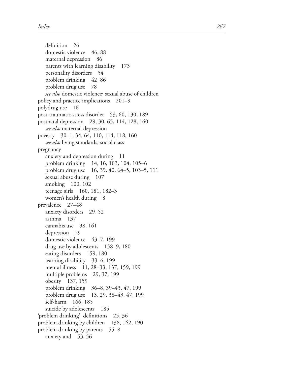definition 26 domestic violence 46, 88 maternal depression 86 parents with learning disability 173 personality disorders 54 problem drinking 42, 86 problem drug use 78 *see also* domestic violence; sexual abuse of children policy and practice implications 201–9 polydrug use 16 post-traumatic stress disorder 53, 60, 130, 189 postnatal depression 29, 30, 65, 114, 128, 160 *see also* maternal depression poverty 30–1, 34, 64, 110, 114, 118, 160 *see also* living standards; social class pregnancy anxiety and depression during 11 problem drinking 14, 16, 103, 104, 105–6 problem drug use 16, 39, 40, 64–5, 103–5, 111 sexual abuse during 107 smoking 100, 102 teenage girls 160, 181, 182–3 women's health during 8 prevalence 27–48 anxiety disorders 29, 52 asthma 137 cannabis use 38, 161 depression 29 domestic violence 43–7, 199 drug use by adolescents 158–9, 180 eating disorders 159, 180 learning disability 33–6, 199 mental illness 11, 28–33, 137, 159, 199 multiple problems 29, 37, 199 obesity 137, 159 problem drinking 36–8, 39–43, 47, 199 problem drug use 13, 29, 38–43, 47, 199 self-harm 166, 185 suicide by adolescents 185 'problem drinking', definitions 25, 36 problem drinking by children 138, 162, 190 problem drinking by parents 55–8 anxiety and 53, 56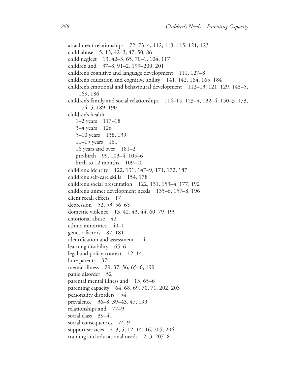attachment relationships 72, 73–4, 112, 113, 115, 121, 123 child abuse 5, 13, 42–3, 47, 50, 86 child neglect 13, 42–3, 65, 70–1, 104, 117 children and 37–8, 91–2, 199–200, 201 children's cognitive and language development 111, 127–8 children's education and cognitive ability 141, 142, 164, 165, 184 children's emotional and behavioural development 112–13, 121, 129, 143–5, 169, 186 children's family and social relationships 114–15, 123–4, 132–4, 150–3, 173, 174–5, 189, 190 children's health 1–2 years 117–18 3–4 years 126 5–10 years 138, 139 11–15 years 161 16 years and over 181–2 pre-birth 99, 103–4, 105–6 birth to 12 months 109–10 children's identity 122, 131, 147–9, 171, 172, 187 children's self-care skills 154, 178 children's social presentation 122, 131, 153–4, 177, 192 children's unmet development needs 135–6, 157–8, 196 client recall effects 17 depression 52, 53, 56, 65 domestic violence 13, 42, 43, 44, 60, 79, 199 emotional abuse 42 ethnic minorities 40–1 genetic factors 87, 181 identification and assessment 14 learning disability 65–6 legal and policy context 12–14 lone parents 37 mental illness 29, 37, 56, 65–6, 199 panic disorder 52 parental mental illness and 13, 65–6 parenting capacity 64, 68, 69, 70, 71, 202, 203 personality disorders 54 prevalence 36–8, 39–43, 47, 199 relationships and 77–9 social class 39–41 social consequences 74–9 support services 2–3, 5, 12–14, 16, 205, 206 training and educational needs 2–3, 207–8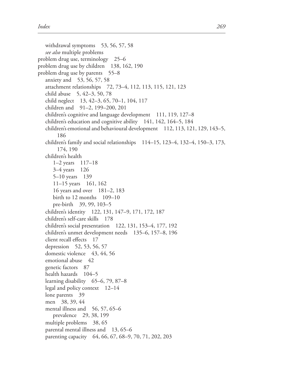withdrawal symptoms 53, 56, 57, 58 *see also* multiple problems problem drug use, terminology 25–6 problem drug use by children 138, 162, 190 problem drug use by parents 55–8 anxiety and 53, 56, 57, 58 attachment relationships 72, 73–4, 112, 113, 115, 121, 123 child abuse 5, 42–3, 50, 78 child neglect 13, 42–3, 65, 70–1, 104, 117 children and 91–2, 199–200, 201 children's cognitive and language development 111, 119, 127–8 children's education and cognitive ability 141, 142, 164–5, 184 children's emotional and behavioural development 112, 113, 121, 129, 143–5, 186 children's family and social relationships 114–15, 123–4, 132–4, 150–3, 173, 174, 190 children's health 1–2 years 117–18 3–4 years 126 5–10 years 139 11–15 years 161, 162 16 years and over 181–2, 183 birth to 12 months 109–10 pre-birth 39, 99, 103–5 children's identity 122, 131, 147–9, 171, 172, 187 children's self-care skills 178 children's social presentation 122, 131, 153–4, 177, 192 children's unmet development needs 135–6, 157–8, 196 client recall effects 17 depression 52, 53, 56, 57 domestic violence 43, 44, 56 emotional abuse 42 genetic factors 87 health hazards 104–5 learning disability 65–6, 79, 87–8 legal and policy context 12–14 lone parents 39 men 38, 39, 44 mental illness and 56, 57, 65–6 prevalence 29, 38, 199 multiple problems 38, 65 parental mental illness and 13, 65–6 parenting capacity 64, 66, 67, 68–9, 70, 71, 202, 203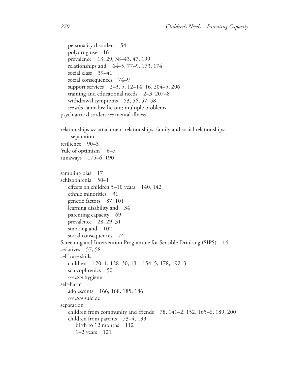```
 personality disorders 54
    polydrug use 16
    prevalence 13, 29, 38–43, 47, 199
    relationships and 64–5, 77–9, 173, 174
    social class 39–41
    social consequences 74–9
    support services 2–3, 5, 12–14, 16, 204–5, 206
    training and educational needs 2–3, 207–8
    withdrawal symptoms 53, 56, 57, 58
   see also cannabis; heroin; multiple problems
psychiatric disorders see mental illness
relationships see attachment relationships; family and social relationships; 
    separation
resilience 90–3
'rule of optimism' 6–7
runaways 175–6, 190
sampling bias 17
schizophrenia 50–1
    effects on children 5–10 years 140, 142
    ethnic minorities 31
    genetic factors 87, 101
    learning disability and 34
    parenting capacity 69
    prevalence 28, 29, 31
    smoking and 102
    social consequences 74
Screening and Intervention Programme for Sensible Drinking (SIPS) 14
sedatives 57, 58
self-care skills
    children 120–1, 128–30, 131, 154–5, 178, 192–3
   schizophrenics 50
   see also hygiene
self-harm
    adolescents 166, 168, 185, 186
   see also suicide
separation
    children from community and friends 78, 141–2, 152, 165–6, 189, 200
    children from parents 73–4, 199
       birth to 12 months 112
       1–2 years 121
```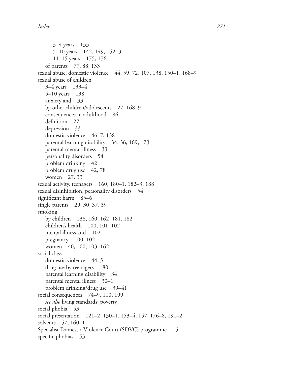3–4 years 133 5–10 years 142, 149, 152–3 11–15 years 175, 176 of parents 77, 88, 133 sexual abuse, domestic violence 44, 59, 72, 107, 138, 150–1, 168–9 sexual abuse of children 3–4 years 133–4 5–10 years 138 anxiety and 33 by other children/adolescents 27, 168–9 consequences in adulthood 86 definition 27 depression 33 domestic violence 46–7, 138 parental learning disability 34, 36, 169, 173 parental mental illness 33 personality disorders 54 problem drinking 42 problem drug use 42, 78 women 27, 33 sexual activity, teenagers 160, 180–1, 182–3, 188 sexual disinhibition, personality disorders 54 significant harm 85–6 single parents 29, 30, 37, 39 smoking by children 138, 160, 162, 181, 182 children's health 100, 101, 102 mental illness and 102 pregnancy 100, 102 women 40, 100, 103, 162 social class domestic violence 44–5 drug use by teenagers 180 parental learning disability 34 parental mental illness 30–1 problem drinking/drug use 39–41 social consequences 74–9, 110, 199 *see also* living standards; poverty social phobia 53 social presentation 121–2, 130–1, 153–4, 157, 176–8, 191–2 solvents 57, 160–1 Specialist Domestic Violence Court (SDVC) programme 15 specific phobias 53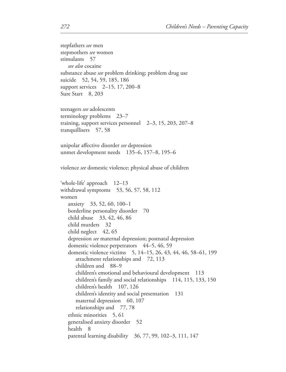stepfathers *see* men stepmothers *see* women stimulants 57 *see also* cocaine substance abuse *see* problem drinking; problem drug use suicide 52, 54, 59, 185, 186 support services 2–15, 17, 200–8 Sure Start 8, 203 teenagers *see* adolescents terminology problems 23–7 training, support services personnel 2–3, 15, 203, 207–8 tranquillisers 57, 58 unipolar affective disorder *see* depression unmet development needs 135–6, 157–8, 195–6 violence *see* domestic violence; physical abuse of children 'whole-life' approach 12–13 withdrawal symptoms 53, 56, 57, 58, 112 women anxiety 33, 52, 60, 100–1 borderline personality disorder 70 child abuse 33, 42, 46, 86 child murders 32 child neglect 42, 65 depression *see* maternal depression; postnatal depression domestic violence perpetrators 44–5, 46, 59 domestic violence victims 5, 14–15, 26, 43, 44, 46, 58–61, 199 attachment relationships and 72, 113 children and 88–9 children's emotional and behavioural development 113 children's family and social relationships 114, 115, 133, 150 children's health 107, 126 children's identity and social presentation 131 maternal depression 60, 107 relationships and 77, 78 ethnic minorities 5, 61 generalised anxiety disorder 52 health 8 parental learning disability 36, 77, 99, 102–3, 111, 147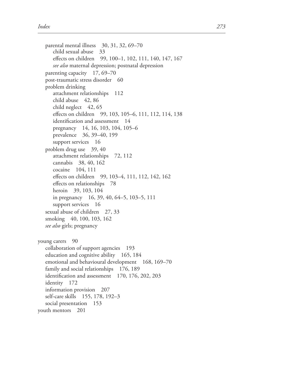parental mental illness 30, 31, 32, 69–70 child sexual abuse 33 effects on children 99, 100–1, 102, 111, 140, 147, 167 *see also* maternal depression; postnatal depression parenting capacity 17, 69–70 post-traumatic stress disorder 60 problem drinking attachment relationships 112 child abuse 42, 86 child neglect 42, 65 effects on children 99, 103, 105–6, 111, 112, 114, 138 identification and assessment 14 pregnancy 14, 16, 103, 104, 105–6 prevalence 36, 39–40, 199 support services 16 problem drug use 39, 40 attachment relationships 72, 112 cannabis 38, 40, 162 cocaine 104, 111 effects on children 99, 103–4, 111, 112, 142, 162 effects on relationships 78 heroin 39, 103, 104 in pregnancy 16, 39, 40, 64–5, 103–5, 111 support services 16 sexual abuse of children 27, 33 smoking 40, 100, 103, 162 *see also* girls; pregnancy young carers 90 collaboration of support agencies 193 education and cognitive ability 165, 184 emotional and behavioural development 168, 169–70 family and social relationships 176, 189 identification and assessment 170, 176, 202, 203 identity 172 information provision 207 self-care skills 155, 178, 192–3 social presentation 153 youth mentors 201